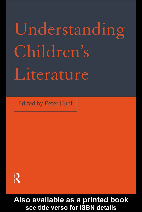# Understanding Children's Literature

**Edited by Peter Hunt** 



Also available as a printed book see title verso for ISBN details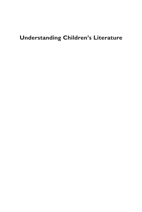# **Understanding Children's Literature**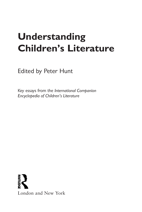# **Understanding Children's Literature**

Edited by Peter Hunt

Key essays from the *International Companion* **Encyclopedia of Children's Literature** 

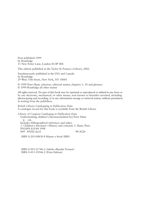First published 1999 by Routledge 11 New Fetter Lane, London EC4P 4EE

This edition published in the Taylor & Francis e-Library, 2002.

Simultaneously published in the USA and Canada by Routledge 29 West 35th Street, New York, NY 10001

© 1999 Peter Hunt, selection, editorial matter, chapters 1, 10 and glossary © 1999 Routledge all other matter

All rights reserved. No part of this book may be reprinted or reproduced or utilised in any form or by any electronic, mechanical, or other means, now known or hereafter invented, including photocopying and recording, or in any information storage or retrieval system, without permission in writing from the publishers.

*British Library Cataloguing in Publication Data* A catalogue record for this book is available from the British Library

*Library of Congress Cataloging in Publication Data* Understanding children's literature/[edited by] Peter Hunt p. cm. Includes bibliographical references and index. 1. Children's literature—History and criticism. I. Hunt, Peter PN1009.A1U44 1998 809' .89282–dc21 98–8226

ISBN 0-203-00830-8 Master e-book ISBN

ISBN 0-203-21746-2 (Adobe eReader Format) ISBN 0-415-19546-2 (Print Edition)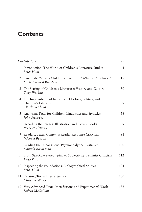# **Contents**

| Contributors                                                                                          | Vi1          |
|-------------------------------------------------------------------------------------------------------|--------------|
| 1 Introduction: The World of Children's Literature Studies<br>Peter Hunt                              | $\mathbf{1}$ |
| 2 Essentials: What is Children's Literature? What is Childhood?<br>Karín Lesnik-Oberstein             | 15           |
| 3 The Setting of Children's Literature: History and Culture<br>Tony Watkins                           | 30           |
| 4 The Impossibility of Innocence: Ideology, Politics, and<br>Children's Literature<br>Charles Sarland | 39           |
| 5 Analysing Texts for Children: Linguistics and Stylistics<br>John Stephens                           | 56           |
| 6 Decoding the Images: Illustration and Picture Books<br>Perry Nodelman                               | 69           |
| 7 Readers, Texts, Contexts: Reader-Response Criticism<br>Michael Benton                               | 81           |
| 8 Reading the Unconscious: Psychoanalytical Criticism<br>Hamida Bosmajian                             | 100          |
| 9 From Sex-Role Stereotyping to Subjectivity: Feminist Criticism<br>Lissa Paul                        | 112          |
| 10 Inspecting the Foundations: Bibliographical Studies<br>Peter Hunt                                  | 124          |
| 11 Relating Texts: Intertextuality<br>Christine Wilkie                                                | 130          |
| 12 Very Advanced Texts: Metafictions and Experimental Work<br>Robyn McCallum                          | 138          |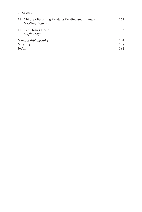vi Contents

|       | 13 Children Becoming Readers: Reading and Literacy<br>Geoffrey Williams | 1.51              |
|-------|-------------------------------------------------------------------------|-------------------|
|       | 14 Can Stories Heal?<br>Hugh Crago                                      | 163               |
| Index | General Bibliography<br>Glossary                                        | 174<br>178<br>181 |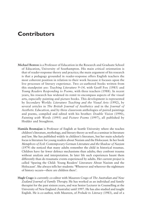### **Contributors**

- **Michael Benton** is a Professor of Education in the Research and Graduate School of Education, University of Southampton. His main critical orientation is that of reader-response theory and practice; the main argument of his research is that a pedagogy grounded in reader-response offers English teachers the most coherent position in relation to their work because it focuses upon the live processes of literary experience. Two co-authored books written from this standpoint are: *Teaching Literature 9–14,* with Geoff Fox (1985) and *Young Readers Responding to Poems,* with three teachers (1988). In recent years, his research has widened its remit to encompass aspects of the visual arts, especially painting and picture books. This development is represented by *Secondary Worlds: Literature Teaching and the Visual Arts* (1992), by several articles in *The British Journal of Aesthetics* and in the *Journal of Aesthetic Education,* and by three classroom anthologies of paired paintings and poems, compiled and edited with his brother: *Double Vision* (1990), *Painting with Words* (1995) and *Picture Poems* (1997), all published by Hodder and Stoughton.
- **Hamida Bosmajian** is Professor of English at Seattle University where she teaches children's literature, mythology, and literary theory as well as a seminar in literature and law. She has published widely in children's literature, but her main scholarly focus is literature for young readers about Nazism and the Holocaust. In her book *Metaphors of Evil: Contemporary German Literature and the Shadow of Nazism* (1979) she noticed that many adults remember the child in historical traumas. Children have far fewer defence mechanisms than adults; they confront trauma without analysis and interpretation. In later life such experiences haunt them differently than do traumatic events experienced by adults. Her current project is called 'Sparing the Child: Young Readers' Literature About Nazism and the Holocaust'. She always tells her students: 'Whenever and wherever the nightmare of history occurs—there are children there'.
- **Hugh Crago** is currently co-editor with Maureen Crago of *The Australian and New Zealand Journal of Family Therapy.* He has worked as an individual and family therapist for the past sixteen years, and was Senior Lecturer in Counselling at the University of New England (Australia) until 1997. He has also studied and taught English. He is co-author, with Maureen, of *Prelude to Literacy* (1983), and of a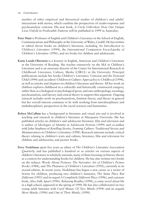number of other empirical and theoretical studies of children's and adults' interactions with stories, which combine the perspectives of reader-response and psychoanalytic criticism. His new book, *A Circle Unbroken: How Our Unique Lives Unfold in Predictable Patterns* will be published in 1999 in Australia).

- **Peter Hunt** is Professor of English and Children's Literature in the School of English, Communications and Philosophy at the University of Wales, Cardiff. He has written or edited eleven books on children's literature, including *An Introduction to Children's Literature* (1994), the *International Companion Encyclopedia of Children's Literature* (1996), and six books for children and adolescents.
- **Karín Lesnik-Oberstein** is a lecturer in English, American and Children's Literature at the University of Reading. She teaches extensively on the MA in Children's Literature and is an associate director of the Centre for International Research in Childhood: Literature, Culture, Media (CIRCL) at the University. Principal publications include her books *Children's Literature: Criticism and the Fictional Child* (1994) and (as editor) *Children in Culture: Approaches to Childhood* (1998), as well as articles and chapters on children's literature and theory. All her work on children explores childhood as a culturally and historically constructed category, rather than as a biological or psychological given, and uses anthropology, sociology, psychoanalysis, and literary and critical theory to support this argument. Ongoing research includes work on psychoanalysis, feminist theory, and theory in general but her overall interest continues to lie with working from interdisciplinary and multidisciplinary perspectives in the social sciences and humanities.
- **Robyn McCallum** has a background in literature and visual arts and is involved in teaching and research in children's literature at Macquarie University. She has published articles on children's and adolescent literature, film and television and is author *of Ideologies of Identity in Adolescent Fictions* (1999) and co-author with John Stephens of *Retelling Stories, Framing Culture: Traditional Stories and Metanarratives in Children's Literature* (1998). Research interests include: critical theory relating to children's texts and culture; literature, film and television for children and adolescents; and picture books.
- **Perry Nodelman** spent five years as editor of *The Children's Literature Association Quarterly,* and has published a hundred or so articles on various aspects of children's literature in scholarly journals, many of them focusing on literary theory as a context for understanding books for children. He has also written two books on the subject: *Words About Pictures: The Narrative Art of Children's Picture Books* (1988), and *The Pleasures of Children's Literature* (1992), currently in its second edition. In recent years, Nodelman has begun a new career as a writer of fiction for children, producing two children's fantasies, *The Same Place But Different* (1993) and its sequel *A Completely Different Place* (1996), and a picture book, *Alice Falls Apart* (1996). *Behaving Bradley* (1998), a comic novel about life in a high school, appeared in the spring of 1998. He has also collaborated on two young adult fantasies with Carol Matas: *Of Two Minds* (1994) and its sequels *More Minds;* (1996) and *Out of Their Minds,* (1998).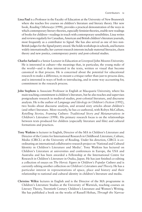- **Lissa Paul** is a Professor in the Faculty of Education at the University of New Brunswick where she teaches five courses on children's literature and literary theory. Her new book, *Reading Otherways* (1998), provides a practical demonstration of the ways in which contemporary literary theories, especially feminist theories, enable new readings of books for children—readings in touch with contemporary sensibilities. Lissa writes and reviews regularly for Canadian, American and British children's literature journals, most frequently as a contributor to *Signal.* She has also served as one of two non-British judges for the *Signal* poetry award. She holds workshops in schools, and lectures widely internationally; her current research interests include maternal literacies, chaos theory and new poetics, contemporary poetry and post-colonial studies.
- **Charles Sarland** is a Senior Lecturer in Education at Liverpool John Moores University. He is interested in culture—the meanings that, in particular, the young make of the world—and is thus interested in the texts, written or visual that become canonical in that process. He is concerned about the potential for educational research to make a difference, to mount a critique rather than just to process data, and is interested in ways of both re-introducing, and in some way accounting for, commitment in the research process.
- **John Stephens** is Associate Professor in English at Macquarie University, where his main teaching commitment is children's literature, but he also teaches and supervises postgraduate research in medieval studies, post-colonial literature, and discourse analysis. He is the author of *Language and Ideology in Children's Fiction* (1992), two books about discourse analysis, and around sixty articles about children's (and other) literature. More recently, he has co-authored, with Robyn McCallum, *Retelling Stories, Framing Culture: Traditional Story and Metanarratives in Children's Literature* (1998). His primary research focus is on the relationships between texts produced for children (especially literature and film) and cultural formations and practices.
- **Tony Watkins** is lecturer in English, Director of the MA in Children's Literature and Director of the Centre for International Research in Childhood: Literature, Culture, Media (CIRCL) at the University of Reading. Under his direction, CIRCL is coordinating an international collaborative research project on 'National and Cultural Identity in Children's Literature and Media'. Tony Watkins has lectured on Children's Literature at universities and conferences in Europe, the USA and Australia and has been awarded a Fellowship at the International Centre for Research in Children's Literature in Osaka, Japan. He has just finished co-editing a collection of essays on *The Heroic Figure in Children's Popular Culture* and is currently editing another collection on *Children's Literature and Theory.* He has a particular interest in representations of space, place and history and their relationship to national and cultural identity in children's literature and media.
- **Christine Wilkie** lectures in English and is the Director of the MA programme in Children's Literature Studies at the University of Warwick, teaching courses on Literary Theory, Twentieth Century Children's Literature and Women's Writing. She has published a book on the works of Russell Hoban, *Through the Narrow*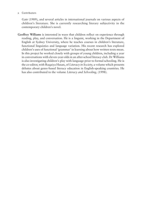#### x Contributors

*Gate* (1989), and several articles in international journals on various aspects of children's literature. She is currently researching literary subjectivity in the contemporary children's novel.

**Geoffrey Williams** is interested in ways that children reflect on experience through reading, play, and conversation. He is a linguist, working in the Department of English at Sydney University, where he teaches courses in children's literature, functional linguistics and language variation. His recent research has explored children's uses of functional 'grammar' in learning about how written texts mean. In this project he worked closely with groups of young children, including a year in conversations with eleven-year-olds in an after-school literacy club. Dr Williams is also investigating children's play with language prior to formal schooling. He is the co-editor, with Ruqaiya Hasan, of *Literacy in Society,* a volume which presents debates about genre-based literacy education in English-speaking countries. He has also contributed to the volume *Literacy and Schooling,* (1998).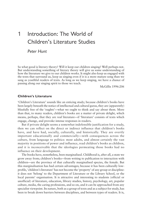# 1 Introduction: The World of Children's Literature Studies

*Peter Hunt*

So what good is literary theory? Will it keep our children singing? Well perhaps not. But understanding something of literary theory will give us some understanding of how the literature we give to our children works. It might also keep us engaged with the texts that surround us, keep us singing even if it is a more mature song than we sang as youthful readers of texts. As long as we keep singing, we have a chance of passing along our singing spirit to those we teach.

McGillis 1996:206

#### **Childrenís Literature**

'Children's Literature' sounds like an enticing study; because children's books have been largely beneath the notice of intellectual and cultural gurus, they are (apparently) blissfully free of the 'oughts'—what we ought to think and say about them. More than that, to many readers, children's books are a matter of private delight, which means, perhaps, that they are *real* literature—if 'literature' consists of texts which engage, change, and provoke intense responses in readers.

But if private delight seems a somewhat indefensible justification for a study, then we can reflect on the direct or indirect influence that children's books have, and have had, socially, culturally, and historically. They are overtly important educationally and commercially—with consequences across the culture, from language to politics: most adults, and almost certainly the vast majority in positions of power and influence, read children's books as children, and it is inconceivable that the ideologies permeating those books had no influence on their development.

The books have, nonetheless, been marginalised. Childhood is, after all, a state we grow away from; children's books—from writing to publication to interaction with children—are the province of that culturally marginalised species, the female. But this marginalisation has had certain advantages; because it has been culturally lowprofile, 'children's literature' has not become the 'property' of any group or discipline: it does not 'belong' to the Department of Literature or the Library School, or the local parents' organisation. It is attractive and interesting to students (official or unofficial) of literature, education, library studies, history, psychology, art, popular culture, media, the caring professions, and so on, and it can be approached from any specialist viewpoint. Its nature, both as a group of texts and as a subject for study, has been to break down barriers between disciplines, and between types of readers. It is,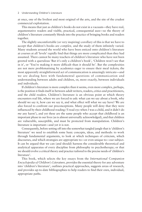at once, one of the liveliest and most original of the arts, and the site of the crudest commercial exploitation.

This means that just as children's books do not exist in a vacuum—they have real, argumentative readers and visible, practical, consequential *uses*—so the theory of children's literature constantly blends into the practice of bringing books and readers together.

The slightly uncomfortable (or very inspiring) corollary of this is that we have to accept that children's books are *complex,* and the study of them infinitely varied. Many students around the world who have been enticed onto children's literature at courses at all 'levels' rapidly find that things are more complicated than they had assumed. There cannot be many teachers of children's literature who have not been greeted with a querulous 'But it's only a children's book', 'Children won't see that in it', or 'You're making it more difficult than it should be'. But the complexities are not mere problematising by academics eager to ensure their meal tickets; the most apparently straightforward act of communication is amazingly intricate—and we are dealing here with fundamental questions of communication and understanding between adults and children, or, more exactly, between individuals and individuals.

If children's literature is more complex than it seems, even more complex, perhaps, is the position it finds itself in between adult writers, readers, critics and practitioners, and the child readers. Children's literature is an obvious point at which theory encounters real life, where we are forced to ask: what can we say about a book, why should we say it, how can we say it, and what effect will what we say have? We are also forced to confront our preconceptions. Many people will deny that they were influenced by their childhood reading ('I read *xyz* when *I* was a child, and it didn't do *me* any harm'), and yet these are the same people who accept that childhood is an important phase in our lives (as is almost universally acknowledged), and that children are vulnerable, susceptible, and must be protected from manipulation. Children's literature is important—and yet it is not.

Consequently, before setting off into the somewhat tangled jungle that is 'children's literature' we need to establish some basic concepts, ideas, and methods: to work through fundamental arguments, to look at which techniques of criticism, which discourses, and which strategies are appropriate to—or even unique to—our subject. It can be argued that we can (and should) harness the considerable theoretical and analytical apparatus of every discipline from philosophy to psychotherapy; or that we should evolve a critical theory and practice tailored to the precise needs of 'children's literature'.

This book, which selects the key essays from the *International Companion Encyclopedia of Children's Literature,* provides the essential theory for any adventure into 'children's literature', outlines practical approaches, suggests areas of research, and provides up-to-date bibliographies to help readers to find their own, individual, appropriate paths.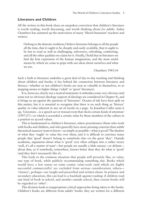#### **Literature and Children**

All the writers in this book share an unspoken conviction that children's literature is worth reading, worth discussing, and worth thinking about *for adults.* Aidan Chambers has summed up the motivation of many 'liberal humanist' teachers and writers:

I belong to the demotic tradition; I believe literature belongs to all the people all the time, that it ought to be cheaply and easily available, that it ought to be fun to read as well as challenging, subversive, refreshing, comforting, and all the other qualities we claim for it. Finally, I hold that in literature we find the best expression of the human imagination, and the most useful means by which we come to grips with our ideas about ourselves and what we are.

Chambers 1985:16

Such a faith in literature underlies a great deal of day-to-day teaching and thinking about children and books; it lies behind the connection between literature and literacy—whether or not children's books are seen as valuable in themselves, or as stepping-stones to higher things ('adult' or 'great' literature).

It is, however, clearly not a neutral statement: it embodies some very obvious (and some not-so-obvious) ideology (aspects of ideology are considered in Chapter 4), and it brings us up against the question of 'literature'. Oceans of ink have been spilt on this matter, but it is essential to recognise that there is no such thing as 'literary' quality or value inherent in any set of words on a page. As Jonathan Culler sums it up, 'Literature…is a speech act or textual event that elicits certain kinds of attention' (1997:27)—or which is accorded a certain value by those members of the culture in a position to accord values.

This is fundamental to children's literature, where practitioners (those who work with books and children, and who generally have more pressing concerns than subtle theoretical nuances) want to know—as simply as possible—what is *good?* The shadow of what they 'ought' to value lies over them, and it is difficult to convince many people that 'good' doesn't belong to somebody else—to the great 'they'. Outside academia, arguments about what is 'good' very often collapse into a rather weary 'well, it's all a matter of taste'—but people are usually a little uneasy—or defiant about that, as if somebody, somewhere, knows better than they do what is 'good' (and they don't necessarily like it).

This leads to the common situation that people will privately like, or value, one type of book, while publicly recommending something else. Books which would have a low status on some cosmic value-scale (and which are highly successful commercially) are excluded from serious consideration; others— 'classics', perhaps—are taught and prescribed and written about. In primary and secondary education, this can lead to a backlash against reading: if children read one kind of book in school, and another outside school, then certain books will be regarded as 'other'.

This division leads to inappropriate critical approaches being taken to the books. Children's books are different from adults' books: they are written for a different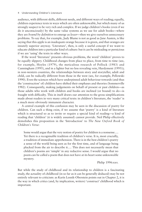audience, with different skills, different needs, and different ways of reading; equally, children experience texts in ways which are often unknowable, but which many of us strongly suspect to be very rich and complex. If we judge children's books (even if we do it unconsciously) by the same value systems as we use for adult books—where they are *bound by definition* to emerge as *lesser*—then we give ourselves unnecessary problems. To say that, for example, Judy Blume is not as good as Jane Austen, is like saying that this apple is an inadequate orange because it is green, and that oranges are innately superior anyway. 'Literature', then, is only a useful concept if we want to educate children into a particular kind of culture: but it can be misleading or pernicious if we are 'using' the texts in other ways.

If the word 'literature' presents obvious problems, the word 'children' proves to be equally slippery. Childhood changes from place to place, from time to time (see, for example, Hoyles (1979), the meticulous research of Pollock (1983) and Cunningham (1995), and in a lighter but no less revealing vein, Hardyment (1995)); in non-western countries, the relationships between story and storyteller, adult and child, can be radically different from those in the west (see, for example, Pellowski 1990). Even the sciences which have underpinned adult behaviour towards (and thus the 'construction' of) children have shifted their emphases and theories (Sommerville 1982). Consequently, making judgements on behalf of present or past children—as those adults who work with children and books are inclined (or bound) to do—is fraught with difficulty. This in itself draws our attention to the gross simplifications made about readers in very many critical texts: in children's literature, the 'reader' is a much more obviously immanent character.

A central example of this confusion may be seen in the discussion of poetry for children. Can such a thing exist, if we assume that 'poetry' is a kind of literature which is structured so as to invite or require a special kind of reading—a kind of reading that 'children' (it is widely assumed) cannot provide. Neil Philip effectively demolishes this proposition in the 'Introduction' to *The New Oxford Book of Children's Verse:*

Some would argue that the very notion of poetry for children is a nonsense…. Yet there is a recognisable tradition of children's verse. It is, most crucially, a tradition of immediate apprehension. There is in the best children's poetry a sense of the world being seen as for the first time, and of language being plucked from the air to describe it…. This does not necessarily mean that children's poems are 'simple' in any reductive sense. I would argue that no poem can be called a poem that does not have at its heart some unknowable mystery.

Philip 1996:xxv.

But while the study of childhood and its relationship to children is a fascinating study, the actuality of childhood (in so far as it can be generally deduced) may be not entirely relevant to criticism: as Karín Lesnik-Oberstein points out in Chapter 2, it is the way in which critics (and, by implication, writers) 'construct' childhood which is important.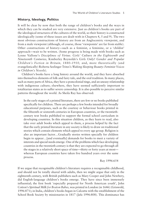#### **History, Ideology, Politics**

It will be clear by now that both the range of children's books and the ways in which they can be studied are very extensive. Just as children's books are part of the ideological structures of the cultures of the world, so their history is constructed ideologically (some of these issues are dealt with in Chapters 4, 5 and 9). The two most obvious constructions of history are from an Anglocentric viewpoint, and from a male viewpoint (although, of course, those 'viewpoints' are far from stable). Other constructions of history—such as a feminist, a feminine, or a 'childist' approach—wait to be written. (Some progress is being made with books such as Lynne Vallone's *Disciplines of Virtue. Girls' Culture in the Eighteenth and Nineteenth Centuries,* Kimberley Reynolds's *Girls Only? Gender and Popular Children's Fiction in Britain, 1880–1910,* and, more theoretically (and evangelistically) Roberta Seelinger Trites's *Waking Sleeping Beauty: Feminist Voices in Children's Novels*).

Children's books have a long history around the world, and they have absorbed into themselves elements of folk and fairy tale, and the oral tradition. In many places, such as many parts of Africa, they have a postcolonial tinge, and an uneasy relationship with indigenous culture; elsewhere, they have seemed sufficiently important to totalitarian states as to suffer severe censorship. It is also possible to perceive similar patterns throughout the world. As Sheila Ray has observed:

In the early stages of a printed literature, there are few or no books published specifically for children. There are perhaps a few books intended for broadly educational purposes, such as the courtesy or behaviour books printed in the fifteenth or sixteenth centuries in European countries, or the twentiethcentury text books published to support the formal school curriculum in developing countries. In this situation children, as they learn to read, also take over adult books which appeal to them, a process helped by the fact that the early printed literature in any society is likely to draw on traditional stories which contain elements which appeal to every age group. Religion is also an important factor…Gradually stories written specially for children begin to appear…[and eventually] demands for books to meet a variety of interests and special needs emerge. One of the problems which face developing countries in the twentieth century is that they are expected to go through all the stages in a relatively short space of time—thirty or forty years at most whereas European countries have taken five hundred years over the same process.

Ray 1996:654

If we argue that recognisable children's literature requires a recognisable childhood, and should not be totally shared with adults, then we might argue that only in the eighteenth century, with British publishers such as Mary Cooper and John Newbery, did English-language children's books emerge. They have since been immensely influential; the first book 'especially prepared for North American youth', John Cotton's *Spiritual Milk for Boston Babes,* was printed in London (in 1646) (Griswold, 1996:871); in India, children's books began in Calcutta with the establishment of the School Book Society by missionaries in 1817 (Jafa 1996:808). This dominance has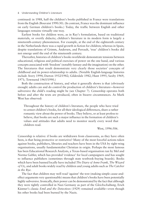continued: in 1988, half the children's books published in France were translations from the English (Bouvaist 1990:30). (In contrast, France was the dominant influence on early German children's books.) Today, the traffic between English and other languages remains virtually one-way.

Earliest books for children were, as in Ray's formulation, based on traditional materials, or overtly didactic; children's literature in its modern form is largely a nineteenth-century phenomenon. For example, at the end of the eighteenth century in the Netherlands there was a rapid growth in fiction for children; whereas in Spain, despite translations of Grimm, Andersen, and Perrault, 'true' children's books did not emerge until the end of the nineteenth century.

Thereafter, histories of children's books worldwide demonstrate tensions between educational, religious and political exercises of power on the one hand, and various concepts associated with 'freedom' (notably fantasy and the imagination) on the other. The literatures that result demonstrate very clearly those societies' concepts of childhood and its power-relationship to adults. (Notable English-language histories include Avery 1994; Darton 1932/1982; Gilderdale 1982; Hunt 1995; Saxby 1969, 1971; Townsend 1965/1990.)

Both the construction of history, and what it generally shows is that (obviously enough) adults can and do control the production of children's literature—however subversive the child's reading might be (see Chapter 7). Censorship operates both before and after the texts are produced, often in bizarre circumstances. As Mark West has observed:

Throughout the history of children's literature, the people who have tried to censor children's books, for all their ideological differences, share a rather romantic view about the power of books. They believe, or at least profess to believe, that books are such a major influence in the formation of children's values and attitudes that adults need to monitor nearly every word that children read.

West, 1996:506.

Censorship is relative: if books are withdrawn from classrooms, as they have often been, is that being protective or restrictive? Many of the most forceful actions taken against books, publishers, libraries and teachers have been in the USA by right-wing organisations, usually fundamentalist Christian in origin. Perhaps the most famous has been Educational Research Analysts, a Texas-based organisation run by Mel and Norma Gabler, which has provided 'evidence' for local campaigners and has sought to influence publishers (sometimes through state textbook-buying boards). Books which have been banned locally have included *The Diary of Anne Frank, The Wizard of Oz,* and adult books widely read by children and young adults such as *The Catcher in the Rye.*

The fact that children may well read 'against' the text (making simple cause-andeffect arguments very questionable) means that children's books have been potentially highly subversive. Ironically, their power can be demonstrated by the fact that although they were tightly controlled in Nazi Germany as part of the *Gleichschaltung,* Erich Kästner's classic *Emil and the Detectives* (1929) remained available—even though his other books had been burned by the Nazis.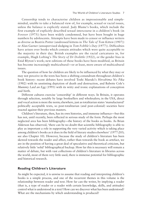Censorship tends to characterise children as impressionable and simpleminded, unable to take a balanced view of, for example, sexual or racial issues, unless the balance is explicitly stated. Judy Blume's books, which include the first example of explicitly described sexual intercourse in a children's book (in *Forever* (1975)) have been widely condemned, but have been bought in huge numbers by adolescents. Attempts have been made to censor or influence writers as diverse as Beatrix Potter (undressed kittens in *The Tale of Tom Kitten* (1907)) or Alan Garner (unsupervised sledging in *Tom Fobble's Day* (1977)). Difficulties have arisen over books which contain attitudes which were quite acceptable to the majority in their day. British examples are the racial caricatures in, for example, Hugh Lofting's *The Story of Dr Dolittle* (1922), or the gender bias in Enid Blyton's work; new editions of these books have been modified, as Britain has become increasingly multicultural—or at least, more aware of multicultural issues.

The question of how far children are likely to be influenced by what they may or may not perceive in the texts has been a shifting conundrum throughout children's book history: recent debates have involved Toshi Maruki's *Hiroshima No Pika* (1982) with its unstinting depiction of death and destruction, and Babette Cole's *Mummy Laid an Egg* (1993) with its witty and ironic explanations of conception and birth.

Different cultures exercise 'censorship' in different ways. In Britain, it operates through selection, notably by large booksellers and wholesalers; in the USA, direct and vocal action is more the norm; elsewhere, just as totalitarian states 'manufactured' politically acceptable texts, so post-totalitarian (and post-colonial) societies have reacted against their previous masters.

Children's literature, then, has its own histories, and immense influence—but this has not, until recently, been reflected in serious study of the form. Perhaps the most neglected area has been bibliography—the history of the books as books. As Brian Alderson has observed, 'there can be no doubt that scientific bibliography is able to play as important a role in supporting the very varied activity which is taking place among children's books as it does in the field of literary studies elsewhere' (1977:203; see also Chapter 10). However, because the study of children's literature has been skewed towards the reader and affect, rather than towards the book as artefact, we are in the position of having a great deal of speculative and theoretical criticism, but relatively little 'solid' bibliographical backup. How far this is necessary will remain a matter of debate, but with vast collections of children's literature in libraries across the world, most of them very little used, there is immense potential for bibliographic and historical research.

#### **Reading Children's Literature**

As might be expected, it is unwise to assume that reading and interpreting children's books is a simple process, and one of the recurrent themes in this volume is the relationship between reader and text. How far can the writer, by implying a reader (that is, a type of reader or a reader with certain knowledge, skills, and attitudes) control what is understood in a text? How can we discover what has been understood? What are the mechanisms by which understanding is produced?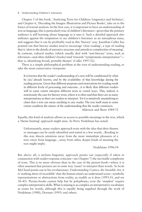Chapter 5 of this book, 'Analysing Texts for Children: Linguistics and Stylistics', and Chapter 6, 'Decoding the Images: Illustration and Picture Books', take us to the basics of textual analysis. In the first case, it is important to have an understanding of text as language; this is particularly true of children's literature—given that the primary audience is still learning about language as it uses it. Such a detailed approach also militates against the temptation to see children's literature as an amorphous mass, and suggests that it can be profitably read in this 'literary' way. Jonathan Culler has pointed out that literary studies tend to encourage 'close reading', a type of reading that is 'alert to the details of narrative structure and attends to complexities of meaning'. In contrast, cultural studies (which usually deal with 'non-literary' texts, such as television—and often children's books) tend 'towards "symptomatic interpretation" that is, identifying broad, portable themes' (Culler 1997:52).

There is a simple philosophical problem at the root of understanding reading, to take the most conservative viewpoint:

It is known that the reader's understanding of a text will be conditioned by what he *[sic]* already knows, and by the availability of that knowledge during the reading process. Given that different purposes and motivations for reading result in different levels of processing and outcome…it is likely that different readers will to some extent interpret different texts in varied ways. This, indeed, is notoriously the case for literary texts, where it is often said that there are as many interpretations as there are readers to interpret. Yet it is intuitively unsatisfying to claim that a text can mean anything to any reader. The text itself must to some extent condition the nature of the understanding that the reader constructs. Alderson and Short 1989:72

Equally, this kind of analysis allows us access to possible meanings in the text, which a 'theme hunting' approach might miss. As Perry Nodelman has noted:

Unfortunately, many readers approach texts with the idea that their themes or messages can be easily identified and stated in a few words…Reading in this way directs attention away from the more immediate pleasures of a text: away from language…away from other, deeper kinds of meaning the text might imply.

#### Nodelman 1996:54

But above all, a stylistic-linguistic approach points out (especially if taken in conjunction with reader-response criticism—see Chapter 7) the inevitable complexity of texts. This is no more obvious than in the case of the picture-book—where it is often assumed that pictures are in some way 'easier' to interpret than words. As Scott McCloud points out in his revolutionary *Understanding Comics: the Invisible Art,* it is 'nothing short of incredible' that the human mind can understand icons—symbolic representations or abstractions from reality, as readily as it does (1993:31, and see 30–45). Picture-books cannot help but be polyphonic; even the 'simplest' require complex interpretative skills. What is missing is as complex an interpretative vocabulary as exists for words, although this is rapidly being supplied through the work of Nodelman (1988), Doonan (1993) and others.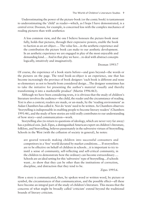Underestimating the power of the picture-book (or the comic book) is tantamount to underestimating the 'child' as reader—which, as I hope I have demonstrated, is a central error. Doonan, for example, is concerned less with the complex mechanics of reading pictures than with aesthetics:

A less common view, and the one I believe honours the picture-book most fully, holds that pictures, through their expressive powers, enable the book to fuction as an art object…. The value lies…in the aesthetic experience and the contribution the picture book can make to our aesthetic development. In an aesthetic experience we are engaged in play of the most enjoyable and demanding kind…. And in that play we have…to deal with abstract concepts logically, intuitively and imaginatively.

Doonan 1993:7

Of course, the experience of a book starts before—and goes beyond—the words or the pictures on the page. The total book-as-object is an experience, one that has become increasingly the province of book designer: 'each book is different and none so elementary as not to benefit from considered design…The designer sometimes has to take the initiative for presenting the author's material visually and thereby transforming it into a marketable product' (Martin 1996:463).

Although we have been considering texts, it is obvious that the study of children's literature involves the audience—the child, the reader and the circumstance of reading. Text is also a context; readers are made, or un-made, by the 'reading environment' as Aidan Chambers has called it. Nor do 'texts' need to be written. As Chambers observes: 'Storytelling is indispensable in enabling people to become literary readers' (Chambers 1991:46), and the study of how stories are told orally contributes to our understanding of how story—and communication—work.

Storytelling also (to return to questions of ideology, which are never very far away) has a political axis. Jack Zipes, a distinguished American expert on children's literature, folklore, and Storytelling, believes passionately in the subversive virtues of Storytelling. Schools in the West (with the collusion of society in general), he notes:

are geared towards making children into successful consumers and competitors in a 'free' world dictated by market conditions…. If storytellers are to be effective on behalf of children in schools…it is important to try to instil a sense of community, self-reflecting and self-critical community, in the children to demonstrate how the ordinary can become extraordinary…. Schools are an ideal setting for this 'subversive' type of Storytelling…if schools want…to show that they can be other than the institutions of correction, discipline, and distraction that they tend to be.

Zipes 1995:6.

How a story is communicated, then, by spoken word or written word, by picture or symbol, the circumstances of that communication, and the possible effect—all these have become an integral part of the study of children's literature. This means that the concerns of what might be broadly called 'criticism' extend beyond the traditional bounds of literary criticism.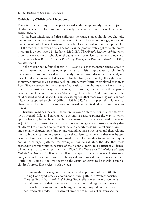#### **Criticising Children's Literature**

There is a happy irony that people involved with the apparently simple subject of children's literature have (often unwittingly) been at the forefront of literary and critical theory.

It has been widely argued that children's literature studies should not ghettoise themselves, but make every use of critical techniques. There is no shortage, as a sceptic might remark, of schools of criticism, nor of books which will outline their principles. But the fact that the work of such schools can be productively applied to children's literature is demonstrated by Roderick McGillis's *The Nimble Reader* (1996), which shows the relevance of schools of thought from formalism to feminism. (General textbooks such as Raman Selden's *Practising Theory and Reading Literature* (1989) are also useful.)

In the present book, four chapters  $(5, 7, 8, \text{ and } 9)$  cover the major general areas of literary theory and practice; other particularly fruitful approaches for children's literature are those concerned with the analysis of narrative, discourse in general, and the cultural structures reflected in texts. 'Structuralism', for example, although perhaps somewhat outmoded as a critical fashion, can be very fruitfully employed even if, as Rex Gibson observed in the context of education, 'it might appear to have little to offer…. Its insistence on systems, wholes, relationships, together with the apparent devaluation of the individual in its "decentring of the subject", all run counter to the child-centred, individualistic, humanistic assumptions that those working with children might be supposed to share' (Gibson 1984:105). Yet it is precisely this level of abstraction which is valuable to those concerned with individual reactions of readers to texts.

Structural readings may well, therefore, provide a starting point for the study of myth, legend, folk- and fairy-tales—but only a starting point; the way in which approaches may be combined, and barriers crossed, can be demonstrated by looking at Jack Zipes's approach to these texts. It is a sociological and historical oddity that children's literature has come to include and absorb these (initially) crude, violent, and sexually-charged texts, but by understanding their structures, and then relating them to broader cultural movements, as well as historical moments, they may be seen as other than they are generally supposed to be. The idea that folk-tales and myths contain archetypal patterns, for example, may be valuable; the idea that these archetypes are appropriate, because of their 'simple' form, to a particular audience, will not stand up to much scrutiny. Jack Zipes's *The Trials and Tribulations of Little Red Riding Hood* (1993) is an excellent example of the way in which structural analyses can be combined with psychological, sociological, and historical studies. 'Little Red Riding Hood' may seem to the casual observer to be merely a simple, children's story. Zipes rejects such a view:

It is impossible to exaggerate the impact and importance of the Little Red Riding Hood syndrome as a dominant cultural pattern in Western societies. [One reading is that] *Little Red Riding Hood* reflects men's fear of women's sexuality—and of their own as well. The curbing and regulation of sexual drives is fully portrayed in this bourgeois literary fairy tale of the basis of deprived male needs. [Alternatively] given the conditions of Western society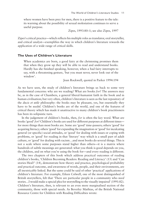where women have been prey for men, there is a positive feature to the tale: its warning about the possibility of sexual molestation continues to serve a useful purpose.

Zipes, 1993:80–1; see also Zipes, 1997

Zipes's critical practice—which reflects his multiple roles as translator, oral storyteller, and critical analyst—exemplifies the way in which children's literature rewards the application of a wide range of critical skills.

#### **The Uses of Children's Literature**

When academics are born, a good fairy at the christening promises them that when they grow up they will be able to read and understand books. Hardly has she finished speaking, however, when a bad fairy interrupts to say, with a threatening gesture, 'but you must never, never look out of the window'.

Joan Rockwell, quoted in Parker 1994:194

As we have seen, the study of children's literature brings us back to some very fundamental concerns: why are we reading? What are books *for?* The answers may be, as in the case of Chambers, a general liberal-humanist faith in the book and in human civilisation; but very often, children's literature is seen as the last repository of the *ducis et utile* philosophy: the books may be pleasant, yes, but essentially they have to be *useful*. Children's books are of the world, and one of the features of critical theory which has made it unattractive to many children's book practitioners has been its solipsistic turn.

In the judgement of children's books, then, *for* is often the key word. What are books 'good' *for?* Children's books are used for different purposes at different times for more things than most books are. Some are 'good' time-passers; others 'good' for acquiring literacy; others 'good' for expanding the imagination or 'good' for inculcating general (or specific) social attitudes, or 'good' for dealing with issues or coping with problems, or 'good' for reading in that 'literary' way which is a small part of adult culture, or 'good' for dealing with racism…and most books do several things. This is not a scale where some purposes stand higher than others—it is a matrix where hundreds of subtle meanings are generated: what you think is good depends on you, the children, and on what you're using the book for—and every reading is different.

The two chapters of this book which address practical outcomes of reading children's books, 'Children Becoming Readers: Reading and Literacy' (13) and 'Can stories Heal?' (14), demonstrate how theory and practice, psychological probability and practical outcome, and awareness of words, people, and their environments, are all inextricably linked. But the same could be said of other 'practical' applications of children's literature. For example, Eileen Colwell, one of the most distinguished of British storytellers, felt that 'There are particular people in a community who *need* stories…I would make a special plea for storytelling to the visually impaired' (1991:82). Children's literature, then, is relevant to an even more marginalised section of the community, those with special needs. As Beverley Mathias, of the British National Resource Centre for Children with Reading Difficulties wrote: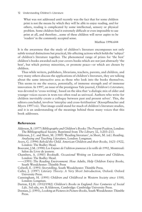What was not addressed until recently was the fact that for some children print is not the means by which they will be able to enjoy reading, and for others, reading is complicated by some intellectual, sensory or physical problem. Some children find it extremely difficult or even impossible to use print at all, and therefore…some of these children will never aspire to be 'readers' in the commonly accepted sense.

#### Mathias 1996:644

It is the awareness that the study of children's literature encompasses not only subtle textual distinctions but practical, life-affecting actions which holds the 'subject' of children's literature together. The phenomenal range of prizes for 'the best' children's books awarded each year covers books which are not just abstractly 'the best', but which portray minorities, or promote peace—or which are chosen by children.

Thus while writers, publishers, librarians, teachers, parents, and children, and very many others discuss the applications of children's literature, they are talking about the same interactive area as those who look into the books themselves. This seems to me the source, potentially, of immense strength and of immense innovation. In 1997, an issue of the prestigious Yale journal, *Children's Literature,* was devoted to 'cross-writing', based on the idea that 'a dialogic mix of older and younger voices occurs in texts too often read as univocal. Authors who write for children inevitably create a colloquy between past and present selves'. This, the editors concluded, involves 'interplay and cross-fertilisation' (Knoepflmacher and Myers 1997:vii). That image could stand for much of children's literature studies, and it is an understanding of the meanings behind those many voices that this book addresses.

#### **References**

- Alderson, B. (1977) *Bibliography and Children's Books: The Present Position,* London: The Bibliographical Society. Reprinted from *The Library* 32, 3:203–213.
- Alderson, J.C. and Short, M. (1989) 'Reading literature', in Short, M. (ed.) *Reading, Analysing and Teaching Literature,* London: Longman.
- Avery, G. (1994) *Behold the Child. American Children and their Books, 1621–1922,* London: The Bodley Head.
- Bouvaist, J.M. (1990) *Les Enjeux de l'édition-jeunesse à la veille de 1992,* Montreuil: Salon du Livre de jeuness.
- Chambers, A. (1985) *Booktalk. Occasional Writing on Literature and Children,* London: The Bodley Head.
- ——(1991) *The Reading Environment. How Adults, Help Children Enjoy Books,* South Woodchester: Thimble Press
- Colwell, E. (1991) *Storytelling,* South Woodchester: Thimble Press.
- Culler, J. (1997) *Literary Theory: A Very Short Introduction,* Oxford: Oxford University Press.
- Cunningham, H. (1995) *Children and Childhood in Western Society since 1500,* London: Longman.
- Darton, F.J.H. (1932/1982) *Children's Books in England: Five Centuries of Social Life,* 3rd edn, rev. B.Alderson, Cambridge: Cambridge University Press.
- Doonan, J. (1993), *Looking at Pictures in Picture-Books,* South Woodchester: Thimble Press.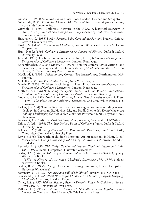Gibson, R. (1984) *Structuralism and Education,* London: Hodder and Stoughton.

- Gilderdale, B. (1982) *A Sea Change: 145 Years of New Zealand Junior Fiction,* Auckland: Longman Paul.
- Griswold, J. (1996) 'Children's literature in the U.S.A.: A historical overview' in Hunt, P. (ed.) *International Companion Encyclopedia of Children's Literature,* London: Routledge.
- Hardyment, C. (1995) *Perfect Parents. Baby-Care Advice Past and Present,* Oxford: Oxford University Press.
- Hoyles, M. (ed.) (1979) *Changing Childhood,* London: Writers and Readers Publishing Cooperative.
- Hunt, P. (ed.) (1995) *Children's Literature: An Illustrated History,* Oxford: Oxford University Press.
- Jafa, M. (1996) 'The Indian sub-continent' in Hunt, P. (ed.) *International Companion Encyclopedia of Children's Literature,* London: Routledge.
- Knoepflmacher, U.C. and Myers, M. (1997) 'From the editors: "cross-writing" and the reconceptualizing of children's literary studies', *Children's Literature,* 25, New Haven, CT: Yale University Press, vii–xvii.
- McCloud, S. (1993) *Understanding Comics: The Invisible Art,* Northampton, MA: Tundra.
- McGillis, R. (1996) *The Nimble Reader,* New York: Twayne.
- Martin, D. (1996) 'Children's book design' in Hunt, P. (ed.) *International Companion Encyclopedia of Children's Literature,* London: Routledge.
- Mathias, B. (1996) 'Publishing for special needs', in Hunt, P. (ed.) *International Companion Encyclopedia of Children's Literature,* London: Routledge.
- Nodelman, P. (1988) *Words About Pictures,* Athens, GA: University of Georgia Press. ——(1996) *The Pleasures of Children's Literature,* 2nd edn, White Plains, NY: Longman.
- Parker, J. (1994) 'Unravelling the romance: strategies for understanding textual ideology' in Corcoran, B., Hayhoe, M., and Pradl, G.M. (eds), *Knowledge in the Making. Challenging the Text in the Classroom,* Portsmouth, NH: Boynton/Cook, Heinemann.
- Pellowski, A. (1980) *The World of Storytelling,* rev. edn, New York: H.W.Wilson.
- Philip, N. (ed.) (1996) *The New Oxford Book of Children's Verse,* Oxford: Oxford University Press.
- Pollock, L.A. (1983) *Forgotten Children: Parent-Child Relations from 1500 to 1900,* Cambridge: Cambridge University Press.
- Ray, S. (1996) 'The world of children's literature: An introduction', in Hunt, P. (ed.) *International Companion Encyclopedia of Children's Literature,* London: Routledge.

Reynolds, K. (1990) *Girls Only? Gender and Popular Children's Fiction in Britain, 1880– 1910,* Hemel Hempstead: Harvester Wheatsheaf.

- Saxby, H.M. (1969) *A History of Australian Children's Literature 1841–1941,* Sydney: Wentworth Books.
- ——(1971) *A History of Australian Children's Literature 1941–1970,* Sydney: Wentworth Books.
- Selden, R. (1989) *Practising Theory and Reading Literature,* Hemel Hempstead: Harvester Wheatsheaf.
- Sommerville, J. (1982) *The Rise and Fall of Childhood,* Beverly Hills, CA: Sage.
- Townsend, J.R. (1965/1990) *Written for Children: An Outline of English-Language Children's Literature,* London: Penguin.
- Trites, R.S. (1997) *Waking Sleeping Beauty: Feminist Voices in Children's Novels,* Iowa City, IA: University of Iowa Press.
- Vallone, L. (1995) *Disciplines of Virtue. Girls' Culture in the Eighteenth and Nineteenth Centuries,* New Haven, CT: Yale University Press.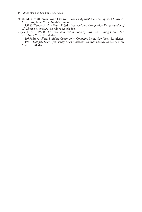- West, M. (1988) *Trust Your Children, Voices Against Censorship in Children's Literature,* New York: Neal-Schuman.
- ——(1996) 'Censorship' in Hunt, P. (ed.) *International Companion Encyclopedia of Children's Literature,* London: Routledge.
- Zipes, J. (ed.) (1993) *The Trials and Tribulations of Little Red Riding Hood,* 2nd edn, New York: Routledge.
- ——(1995) *Story telling. Building Community, Changing Lives,* New York: Routledge.
- ——(1997) *Happily Ever After. Fairy Tales, Children, and the Culture Industry,* New York: Routledge.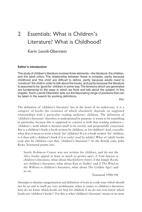# 2 Essentials: What is Children's Literature? What is Childhood?

*KarÌn Lesnik-Oberstein*

#### **Editor's introduction**

The study of children's literature involves three elements—the literature, the children, and the adult critics. The relationship between these is complex, partly because childhood and 'the child' are difficult to define, partly because adults need to 'construct' the child in order to talk about the books, and partly because the literature is assumed to be 'good for' children in some way. The tensions which are generated are fundamental to the ways in which we think and talk about the subject; in this chapter, Karín Lesnik-Oberstein sets out the fascinating range of positions that can be taken in the search for working definitions.

P.H.

The definition of 'children's literature' lies at the heart of its endeavour: it is a category of books the existence of which absolutely depends on supposed relationships with a particular reading audience: children. The definition of 'children's literature' therefore is underpinned by purpose: it wants to be something in particular, because this is supposed to connect it with that reading audience— 'children'—with which it declares itself to be overtly and purposefully concerned. But is a children's book a book written by children, or for children? And, crucially: what does it mean to write a book 'for' children? If it is a book written 'for' children, is it then still a children's book if it is (only) read by adults? What of 'adult' books read also by children—are they 'children's literature'? As the British critic John Rowe Townsend points out:

Surely *Robinson Crusoe* was not written for children, and do not the *Alice* books appeal at least as much to grown ups?; if *Tom Sawyer* is children's literature, what about *Huckleberry Finn?;* if the *Jungle Books* are children's literature, what about *Kim* or *Stalky?* and if *The Wind in the Willows* is children's literature, what about *The Golden Age?;* and so on.

Townsend 1980:196

Attempts to dismiss categorisation and definition of texts as a side issue which should not be an end in itself are very problematic when it comes to children's literature: how do we know which books are best for children if we do not even know which books *are* 'children's books'? For this is what 'children's literature' means in its most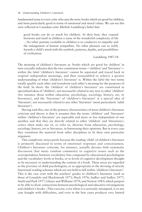fundamental sense to every critic who uses the term: books which are good for children, and most particularly good in terms of emotional and moral values. We can see this view reflected in Canadian critic Michele Landsberg's belief that

good books can do so much for children. At their best, they expand horizons and instil in children a sense of the wonderful complexity of life …No other pastime available to children is so conducive to empathy and the enlargement of human sympathies. No other pleasure can so richly furnish a child's mind with the symbols, patterns, depths, and possibilities of civilisation.

#### Landsberg 1987:34

The meaning of children's literature as 'books which are good for children' in turn crucially indicates that the two constituent terms—'children' and 'literature' within the label 'children's literature' cannot be separated and traced back to original independent meanings, and then reassembled to achieve a greater understanding of what 'children's literature' is. Within the label the two terms totally qualify each other and transform each other's meaning for the purposes of the field. In short: the 'children' of 'children's literature' are constituted as specialised ideas of 'children', not necessarily related in any way to other 'children' (for instance those within education, psychology, sociology, history, art, or literature), and the 'literature' of 'children's literature' is a special idea of 'literature', not necessarily related to any other 'literature' (most particularly 'adult literature').

Having said this, one of the primary characteristics of most children's literature criticism and theory is that it assumes that the terms 'children' and 'literature' within 'children's literature' *are* separable and more or less independent of one another, and that they are directly related to other 'children' and 'literatures'; critics often make use of, or refer to, theories from education, psychology, sociology, history, art or literature, in buttressing their opinions. But in every case they transform the material from other disciplines to fit their own particular argument.

This complexity arises partly because the reading 'child' of children's literature is primarily discussed in terms of emotional responses and consciousness. Children's literature criticism, for instance, actually devotes little systematic discussion (but many random comments) to cognitive issues such as the correspondence between vocabulary lists composed by educational psychologists and the vocabulary levels in books, or to levels of cognitive development thought to be necessary to understanding the content of a book. These areas are regarded as the province of child psychologists, or as appropriate to the devising of strictly functional reading schemes which are not held to fall within 'children's literature'. This is the case even with the teachers' guides to children's literature (such as those of Lonsdale and Mackintosh 1973; Huck 1976; Sadker and Sadker 1977; Smith and Park 1977; Glazer and Williams 1979; and Norton 1983) which purport to be able to draw connections between psychological and educative investigations and children's books. (This exercise, even when it is seriously attempted, is in any case fraught with difficulties, and even in the best cases produces very limited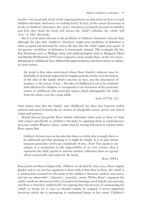results—one need only think of the ongoing debates in education on how to teach children the basic mechanics of reading itself.) In fact, in the actual discussion of works of children's literature, the critics' attention is primarily focused on whether and how they think the book will attract the 'child'—whether the 'child' will 'love' or 'like' the book.

But it is even more relevant to the problems of children's literature criticism that, although the idea that 'children's literature' might pose problems of definition is often accepted and discussed by critics, the idea that the 'child' might pose equal—if not greater—problems of definition is strenuously resisted. This is despite the fact that historians such as Philippe Ariès and anthropologists such as Margaret Mead and Martha Wolfenstein (1955) have argued in classic studies that—at the very least definitions of 'childhood' have differed throughout history, and from culture to culture. As Ariès writes:

the point is that ideas entertained about these [family] relations may be dissimilar at moments separated by lengthy periods of time. It is the history of the idea of the family which concerns us here, not the description of manners or the nature of law…The idea of childhood is not to be confused with affection for children: it corresponds to an awareness of the particular nature of childhood, that particular nature which distinguishes the child from the adult, even the young adult.

Ariès 1973:8, 125

Ariès makes clear that the 'family' and 'childhood' are ideas that function within cultural and social frameworks as carriers of changeable social, moral, and ethical values and motives.

British theorist Jacqueline Rose further elaborates views such as those of Ariès with respect specifically to children's literature by applying them to contemporary processes within Western culture, rather than by tracing historical or cultural shifts. Rose argues that

children's fiction rests on the idea that there is a child who is simply there to be addressed and that speaking to it might be simple. It is an idea whose innocent generality covers up a multitude of sins…*Peter Pan* stands in our culture as a monument to the impossibility of its own claims—that it represents the child, speaks to and for children, addresses them as a group which is knowable and exists for the book.

Rose 1984:1

Rose points out that, to begin with, 'children' are divided by class, race, ethnic origins, gender, and so on, but her argument is more radical than that: to Rose, the 'child' is a construction invented for the needs of the children's literature authors and critics, and not an 'observable', 'objective', 'scientific', entity. Within Rose's argument the adults' needs are discussed within a Freudian terminology involving the unconscious, and Rose is therefore emphatically not arguing that this process of constructing the 'child', or books for it, can—or should—simply be stopped: it serves important functions which she is attempting to understand better in her terms. Children's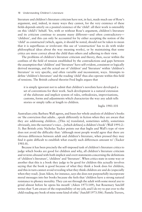literature and children's literature criticism have not, in fact, made much use of Rose's argument, and, indeed, in many ways they cannot, for the very existence of these fields depends utterly on a posited existence of the 'child': all their work is ostensibly on this 'child's' behalf. Yet, with or without Rose's argument, children's literature and its criticism continue to assume many different—and often contradictory— 'children', and this can only be accounted for by either accepting the notion of the 'child' as constructed (which, again, it should be noted, should not be taken to mean that it is superfluous or irrelevant: this use of 'construction' has to do with wider philosophical ideas about the way meaning works), or by maintaining that some critics are more correct about the child than others and adhering to their view.

The problems of children's literature criticism and theory, then, occur within the confines of the field of tension established by the contradictions and gaps between the assumption that 'children' and 'literature' have self-evident, consistent or logically derived meanings, and the actual use of 'children' and 'literature' within 'children's literature' in very specific, and often variable and inconsistent, ways. Attempts to define 'children's literature' and the reading 'child' thus also operate within this field of tensions. The British cultural theorist Fred Inglis argues that

it is simply ignorant not to admit that children's novelists have developed a set of conventions for their work. Such development is a natural extension of the elaborate and implicit system of rules, orthodoxies, improvisations, customs, forms and adjustments which characterize the way any adult tells stories or simply talks at length to children.

Inglis 1981:101

Australian critic Barbara Wall agrees, and bases her whole analysis of children's books on 'the conviction that adults…speak differently in fiction when they are aware that they are addressing children…[This is] translated, sometimes subtly, sometimes obviously, into the narrator's voice…[which defines] a children's book' (Wall 1991:2– 3). But British critic Nicholas Tucker points out that Inglis and Wall's type of view does not avoid the difficulty that: 'although most people would agree that there are obvious differences between adult and children's literature, when pressed they may find it quite difficult to establish what exactly such differences amount to' (Tucker 1981:8).

Because it has been precisely the self-imposed task of children's literature critics to judge which books are good for children and why, all children's literature criticism and reviews abound with both implicit and overt statements concerning the definitions of 'children's literature', 'children' and 'literature'. When critics state in some way or another that this is a book they judge to be good for children this actually involves saying that the book is good because of what they think a book does for children, and this in turn cannot avoid revealing what they think children are and do (especially when they read). Joan Aiken, for instance, says she does not purposefully incorporate moral messages into her books because she feels that 'children have a strong natural resistance to phoney morality. They can see through the adult with some moral axe to grind almost before he opens his mouth' (Aiken 1973:149), but Rosemary Sutcliff writes that 'I *am* aware of the responsibility of my job; and I do try to put over to the child reading any book of mine some kind of ethic' (Sutcliff 1973:306). Pamela Travers,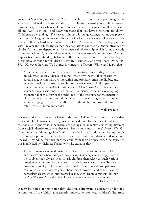creator of *Mary Poppins* feels that 'You do not chop off a section of your imaginative substance and make a book specifically for children for—if you are honest—you have, in fact, no idea where childhood ends and maturity begins. It is all endless and all one' (Cott 1984:xxii), and E.B.White states that 'you have to write up, not down. Children are demanding…They accept, almost without question, anything you present them with, as long as it is presented honestly, fearlessly, and clearly…They love words that give them a hard time' (White 1973:140). Austrian critic Maria Lypp, in line with Travers and White, argues that the adaptations children's authors introduce to children's literature depend on an 'asymmetrical relationship' which forms the 'code of children's fiction', but that there is an 'ideal of *symmetrical* communication' which implies true understanding between author and reader, and this becomes Lypp's prescriptive criterion for children's literature (Heimeriks and Van Toorn 1989:370– 372). However, Barbara Wall argues in contrast to Travers, White, and Lypp, that

All writers for children must, in a sense, be writing down. If they write with an educated adult audience in mind—their own peers—their stories will surely be, at best not always interesting and probably often intelligible, and at worst positively harmful, to children, even when a child appears as a central character, as in *The Go-Between* or *What Maisie Knew.* Whenever a writer shows consciousness of an immature audience, in the sense of adapting the material of the story or the techniques of the discourse for the benefit of child readers, that writer might be said to be writing down, that is, acknowledging that there is a difference in the skills, interests and frame of reference of children and adults.

Wall 1991:15

But where Wall worries about harm to the child, Gillian Avery in turn believes that '[the child] has his own defence against what he doesn't like or doesn't understand in the book…He ignores it, subconsciously perhaps, or he makes something different from it…[Children] extract what they want from a book and no more' (Avery 1976:33). This adult critics' defining of the 'child' cannot be formed or disrupted by any child's own voiced opinions or ideas because these are interpreted—selected or edited ('heard')—by adults for their purposes and from their perspectives. One aspect of this is reflected by Nicholas Tucker when he explains that

Trying to discover some of the nature and effects of the interaction between children and their favourite books is by no means easy…One simple-minded approach to the problem has always been to ask children themselves through various questionnaires and surveys, what exactly their books mean to them. Turning a powerful searchlight of this sort onto complex, sometimes diffuse patterns of reaction is a clumsy way of going about things, however, and children can be particularly elusive when interrogated like this, with laconic comments like 'Not bad' or 'The story's good' adding little to any researchers' understanding.

Tucker 1981:2

It may be noted at this point that children's literature's constant underlying assumption of the 'child' as a generic universality connects children's literature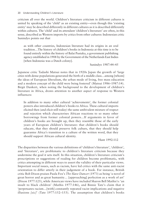criticism all over the world. Children's literature criticism in different cultures is united by speaking of the 'child' as an existing entity—even though this 'existing entity' may be described differently in different cultures as it is described differently within cultures. The 'child' and its attendant 'children's literature' are often, in this sense, described as Western imports by critics from other cultures: Indonesian critic Sunindyo points out that

as with other countries, Indonesian literature had its origins in an oral tradition…The history of children's books in Indonesia at this time is to be found entirely within the history of Balai Pustaka, a government publishing agency established in 1908 by the Government of the Netherlands East Indies [when Indonesia was a Dutch colony].

Sunindyo 1987:44–45

Japanese critic Tadashi Matsui notes that in 1920s Japan the growth of 'large cities with dense populations generated the birth of a middle class…among [whom] the ideas of European liberalism, the urban mode of living, free mass education and a modern concept of the child were being fostered' (Matsui 1986–1987:14). Birgit Dankert, when noting the background to the development of children's literature in Africa, draws attention to another aspect of response to Western influences:

In addition to many other cultural 'achievements', the former colonial powers also introduced children's books to Africa. These cultural imports elicited then (and elicit still today) the same ambivalent mixture of respect and rejection which characterises African reactions to so many other borrowings from former colonial powers…If arguments in favor of children's books are brought up, then they resemble those of the early years of European children's literature: that children's books should educate, that they should preserve folk culture, that they should help guarantee Africa's transition to a culture of the written word, that they should support African cultural identity.

Hunt 1992:112

The disparities between the various definitions of 'children's literature', 'children', and 'literature', are problematic to children's literature criticism because they undermine the goal it sets itself. In this situation, children's literature criticism's prescriptions or suggestions of reading for children become problematic, with critics attempting in different ways to assert the validity of their particular views. Important social issues, such as racism, have led critics with the same anti-racist orientation to differ utterly in their judgement of a book. For instance, British critic Bob Dixon praises Paula Fox's *The Slave Dancer* (1973) as being 'a novel of great horror and as great humanity… [approaching] perfection as a work of art' (Dixon 1977:125), while American views have included Sharon Bell Mathis's: 'an insult to black children' (Mathis 1977:146), and Binnie Tate's claim that it 'perpetuates racism…[with] constantly repeated racist implications and negative illusions *[sic]*' (Tate 1977:152–153). The assumption that children's books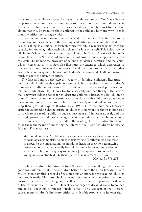somehow affect children makes the issues crucial: does, or can, *The Slave Dancer* perpetuate racism or does it counteract it (or does it do other things altogether)? In each case children's literature critics inevitably ultimately resort to one basic claim: that they know more about children or the child and how and why it reads than the critics they disagree with.

In examining various attempts to define 'children's literature' we find a constant assumption of the existence of the (reading) child (that is: the assumption that there is such a thing as a unified, consistent, 'objective' 'child reader') together with the capacity for knowing it that each critic claims for him-or herself. This holds true for all children's literature critics, even if they claim to be 'literary' critics of children's books, because the 'literary' is defined in terms of how the book is supposed to affect the 'child'. Examining the processes of defining 'children's literature' and the 'child' which is essential to its project also illustrates the extent to which differences of opinion exist and threaten the coherence of children's literature criticism: in other words, how and why the definitions of children's literature and childhood matter so much to children's literature critics.

The first and most basic step critics take in defining 'children's literature' and one which still receives primary emphasis in discussions around children's books—is to differentiate books used for didactic or educational purposes from 'children's literature'. F.J.Harvey Darton classically outlined this split that critics make between didactic books for children and children's 'literature': 'by "children's books" I mean printed works produced ostensibly to give children spontaneous pleasure and not primarily to teach them, nor solely to make them good, nor to keep them profitably quiet' (Darton 1932/1982:1). To the children's literature critic the outstanding characteristic of 'children's literature' is that it is supposed to speak to the reading child through amusement and inherent appeal, and not through primarily didactic messages, which are described as being merely instructive, coercive, intrusive, or dull to the reading child. This also often comes to be the main means of indicating the 'literary' qualities of children's books. As Margery Fisher writes:

We should not *expect* children's stories to be sermons or judicial arguments or sociological pamphlets. As independent works of art they must be allowed to appeal to the imagination, the mind, the heart on their own terms…If a writer cannot say what he really feels, if he cannot be serious in developing a theme…[If he has in any way to minimise] that approach to books for the young must eventually dilute their quality as mainstream literature.

Haviland 1973:273

This is how 'children's literature' defines 'literature': as something that in itself is good for children—that affects children better or more than non-literature—and this of course implies a world of assumptions about what the reading 'child' is and how it reads. Charlotte Huck sums up this view when she writes that 'good writing, or effective use of language…will help the reader to experience the delight of beauty, wonder, and humor…He will be challenged to dream dreams, to ponder, and to ask questions to himself (Huck 1976:4). This concept of the 'literary' causes many children's literature critics considerable problems in its own right.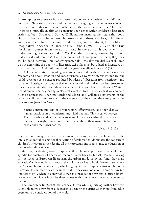In attempting to preserve both an essential, coherent, consistent, 'child', and a concept of 'literature', critics find themselves struggling with statements which in their self-contradiction inadvertently betray the ways in which the 'child' and 'literature' mutually qualify and construct each other within children's literature criticism. Joan Glazer and Gurney Williams, for instance, first state that good children's books are characterised by 'strong materials—good plots, rich settings, well-developed characters, important themes, and artistic styles…bold and imaginative language' (Glazer and Williams 1979:34, 19), and that this 'freshness…comes from the author. And in the author it begins with an understanding of who the child is' (22). Then they continue, however, by arguing that even if children don't like these books which are good for them, they may still be 'good literature…built of strong materials …the likes and dislikes of children do not determine the quality of literature …Books must be judged as literature on their own merits. And children should be given excellent literature' (34).

'Children' in relation to reading have something to do with particular ideas about freedom and about emotion and consciousness, as Darton's statement implies; the 'child' develops as a concept produced by ideas of liberation from restriction and force, and is assigned various particular niches within cultural and societal structures. These ideas of literature and liberation are in fact derived from the ideals of Western liberal humanism, originating in classical Greek culture. This is clear if we compare Michele Landsberg, Charlotte Huck and Glazer and Williams's statements of the value of children's literature with the statement of the sixteenth-century humanist educationist Juan Luis Vives:

poems contain subjects of extraordinary effectiveness, and they display human passions in a wonderful and vivid manner. This is called *energia.* There breathes in them a certain great and lofty spirit so that the readers are themselves caught into it, and seem to rise above their own intellect, and even above their own nature.

Vives 1913:126

There are not many clearer articulations of the power ascribed to literature in the intellectual, moral or emotional education of children that dominates the concern of children's literature critics despite all their protestations of resistance to education or the dreaded 'didacticism'.

We may, incidentally—with respect to this relationship between the 'child' and specific formulations of liberty or freedom—refer back to Tadashi Matsui's linking of 'the ideas of European liberalism, the urban mode of living, [and] free mass education' with 'a modern concept of the child', as well as to Birgit Dankert's statement on African children's literature, which highlights the complex status of children's literature. It is written of as if it can be a value-free carrier of an oral home culture (an 'innocent text'), when it is inevitable that as a product of a written culture's liberal arts educational ideals it carries these values with it, whatever the actual content of the book.

The Swedish critic Boel Westin echoes Darton while specifying further how this ostensible move away from didacticism is seen by the critics as moving from adult coercion to a consideration of the 'child':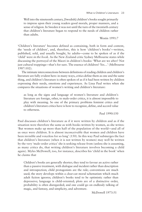Well into the nineteenth century, [Swedish] children's books sought primarily to impress upon their young readers good morals, proper manners, and a sense of religion. In Sweden it was not until the turn of the twentieth century that children's literature began to respond to the needs of children rather than adults.

Westin 1991:7

'Children's literature' becomes defined as containing, both in form and content, the 'needs of children', and, therefore, this is how 'children's books'—written, published, sold, and usually bought, by adults—come to be spoken of as if the 'child' were *in the book.* As the New Zealand critic Sydney Melbourne states while discussing the portrayal of the Maori in children's books: 'What are we after? Not just cultural trappings—that's for sure. The essence of children? Yes…' (Melbourne 1987:102).

The intimate interconnections between definitions of reading children and children's literature are fully evident here: in many ways, critics define them as one and the same thing, and children's literature is often spoken of as if it had been written by children expressing their needs, emotions and experiences. As Lissa Paul writes when she compares the situations of women's writing and children's literature:

as long as the signs and language of women's literature and children's literature are foreign, other, to male-order critics, it is almost impossible to play with meaning. So one of the primary problems feminist critics and children's literature critics have is how to recognize, define, and accord value to otherness.

Paul 1990:150

Paul discusses children's literature as if it were written by children and as if the situation were therefore the same as with books written by women, as she writes: 'But women make up more than half of the population of the world—and all of us once were children. It is almost inconceivable that women and children have been invisible and voiceless for so long' (150). In this way Paul submerges the fact that children's literature (when it is not written by women) may well be written by the very 'male-order critics' she is seeking release from (unless she is assuming, as many critics do, that writing children's literature involves becoming a child again). Myles McDowell, too, for instance, describes his 'child in the book' when he claims that

Children's books are generally shorter; they tend to favour an active rather than a passive treatment, with dialogue and incident rather than description and introspection; child protagonists are the rule; conventions are much used; the story develops within a clear-cut moral schematism which much adult fiction ignores; children's books tend to be optimistic rather than depressive; language is child-oriented; plots are of a distinctive order, probability is often disregarded; and one could go on endlessly talking of magic, and fantasy, and simplicity, and adventure.

McDowell 1973:51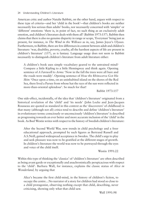American critic and author Natalie Babbitt, on the other hand, argues with respect to these type of criteria—and her 'child in the book'—that children's books are neither necessarily less serious than adults' books, nor necessarily concerned with 'simpler' or 'different' emotions: 'there is, in point of fact, no such thing as an exclusively adult emotion, and children's literature deals with them all' (Babbitt 1973:157). Babbitt then claims that there is also no genuine disparity in range or scope, 'Everyman' being just as present, for instance, in *The Wind in the Willows* as in, say, James Joyce's *Ulysses.* Furthermore, to Babbitt, there are few differences in content between adult and children's literature: 'war, disability, poverty, cruelty, all the harshest aspects of life are present in children's literature' (157), as is fantasy. Language usage does not seem to Babbitt necessarily to distinguish children's literature from adult literature either:

A children's book uses simple vocabulary geared to the untrained mind? Compare a little Kipling to a little Hemingway and think again. Opening sentence of *A Farewell to Arms:* 'Now in the fall the trees were all bare and the roads were muddy'. Opening sentence of *How the Rhinoceros Got His Skin:* 'Once upon a time, on an uninhabited island on the shores of the Red Sea, there lived a Parsee from whose hat the rays of the sun were reflected in more-than-oriental splendour'. So much for that!

Babbit 1973:157

One side-effect, incidentally, of the idea that 'children's literature' originated from a historical revelation of the 'child' and 'its needs' (John Locke and Jean-Jacques Rousseau are quoted as standard in this context as the 'discoverers' of childhood) is that many (although not all) critics tend to describe and define 'children's literature' in evolutionary terms: consciously or unconsciously 'children's literature' is described as progressing towards an ever better and more accurate inclusion of the 'child' in the book. As Boel Westin writes with respect to the history of Swedish children's literature:

After the Second World War, new trends in child psychology and a freer educational approach, prompted by such figures as Bertrand Russell and A.S.Neill, gained widespread acceptance in Sweden. The child's urge to play and seek pleasure was now to be gratified at the different stages of growth. In children's literature the world was now to be portrayed through the eyes and voice of the child itself.

Westin 1991:22

Within this type of thinking the 'classics' of 'children's literature' are often described as being avant garde or exceptionally and anachronistically perspicacious with respect to the 'child'. Barbara Wall, for instance, explains the classic status of *Alice in Wonderland,* by arguing that

Alice's became the first child-mind, in the history of children's fiction, to occupy the centre…No narrator of a story for children had stood so close to a child protagonist, observing nothing except that child, describing, never criticising, showing only what that child saw.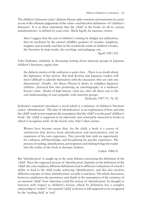The children's literature critics' didactic-literary split continues and maintains its career as one of the ultimate judgements of the value—and therefore definition—of 'children's literature'. It is in these statements that the 'child' in the book—in all its various manifestations—is defined by each critic. Sheila Egoff, for instance, writes:

May I suggest that the aim of children's writing be delight not edification; that its attributes be the eternal childlike qualities of wonder; simplicity, laughter and warmth; and that in the worldwide realm of children's books, the literature be kept inside, the sociology and pedagogy out.

Egoff 1987:355

Yoko Inokuma, similarly, in discussing writing about minority groups in Japanese children's literature, argues that

the didactic motive of the authoress is quite clear…There is no doubt about the legitimacy of her motive. But both Korean and Japanese readers will find it difficult to identify themselves with the characters who are only one dimensional…Finally…his [Imao Hirano's] desire to enlighten Japanese children…betrayed him into producing an autobiography of a mediocre literary value…Books of high literary value are, after all, short cuts to the real understanding of and sympathy with minority groups.

Inokuma 1987:75, 76, 82

Inokuma's statement introduces a word which is a mainstay of children's literature critics: 'identification'. The idea of 'identification' as an explanation of how and why the 'child' reads in turn supports the assumption that the 'child' is in the good 'children's book': the 'child' is supposed to be inherently and voluntarily attracted to books in which it recognises itself. As the Israeli critic Adir Cohen claims:

Writers have become aware that, for the child, a book is a source of satisfaction that derives from identification and participation, and an expansion of his own experience. They provide him with an opportunity for catharsis, self-knowledge, and broadening his psychic experience. The process of reading, identification, participation and relating brings the reader into the reality of the book in dynamic fashion.

Cohen 1988:31

But 'identification' is caught up in the same debates concerning the definition of the 'child'. Since the supposed process of 'identification' depends on the definition of the 'child' the critic employs; different definitions lead to different evaluations of a book's ability to lead to the child reader achieving 'identification', and this also involves different concepts of what 'identification' actually is and does. The whole discussion, however, emphasises the persistence and depth of the assumption of the existence of an essential 'child': how otherwise could the notion of 'identification' be thought to function with respect to children's fiction, which by definition has a complex relationship to 'reality'? An essential 'child' in fiction is still supposed to be recognised by the 'reading child' as 'real'.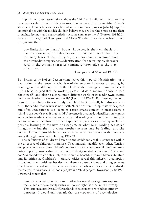Implicit and overt assumptions about the 'child' and children's literature thus permeate explanations of 'identification', as we saw already in Adir Cohen's statement. Donna Norton describes 'identification' as a 'process [which] requires emotional ties with the model; children believe they are like these models and their thoughts, feelings, and characteristics become similar to them' (Norton 1983:20). American critics Judith Thompson and Gloria Woodard draw the conclusion from this premise that

one limitation to [many] books, however, is their emphasis on, identification with, and relevance only to middle class children. For too many black children, they depict an environment removed from their immediate experience…Identification for the young black reader rests in the central character's intimate knowledge of the black subculture.

#### Thompson and Woodard 1972:23

But British critic Robert Leeson complicates this type of 'identification' as a description of the central mechanism of the emotional process of reading by pointing out that although he feels the 'child' needs 'to recognise himself or herself …it is [also] argued that the working-class child does not want "only to read about itself" and likes to escape into a different world in its reading…to escape and have vicarious pleasure and thrills' (Leeson 1977:43). For Leeson, the good book for the 'child' offers not only the 'child' back to itself, but also needs to offer the 'child' that which is not itself. 'Identification'—despite its widespread and often unquestioned use—remains a problematic concept: it must assume a 'child in the book'; even if that 'child's' presence is assumed, 'identification' cannot account for reading which is not a perpetual reading of the self; and, finally, it cannot account therefore for other hypothetical processes in reading such as a possible learning of the new, or escapism, or what D.W.Harding has called 'imaginative insight into what another person may be feeling, and the contemplation of possible human experiences which we are not at that moment going through ourselves' (Harding 1967:7).

The definitions of children's literature and childhood are thus enmeshed within the discourse of children's literature. They mutually qualify each other. Tension and problems arise within children's literature criticism because children's literature critics implicitly assume that there are independent, essential definitions of 'literature' and 'childhood' which only meet, to their mutual benefit, within children's literature and its criticism. Children's literature critics reveal this inherent assumption throughout their writings: besides the inherent contradictions and disagreements that I have touched on, this becomes most clear when critics attempt to divide themselves, for instance, into 'book people' and 'child people' (Townsend 1980:199). Townsend argues that

most disputes over standards are fruitless because the antagonists suppose their criteria to be mutually exclusive; if one is right the other must be wrong. This is not necessarily so. Different kinds of assessment are valid for different purposes…I would only remark that the viewpoints of psychologists,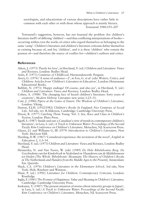sociologists, and educationists of various descriptions have rather little in common with each other or with those whose approach is mainly literary. Townsend 1980:193–207

Townsend's suggestion, however, has not lessened the problem (for children's literature itself!) of differing 'children'—and thus conflicting interpretations of books occurring within even the works of critics who regard themselves as belonging to the same 'camp'. Children's literature and children's literature criticism define themselves as existing because of, and for, 'children', and it is these 'children' who remain the passion of—and therefore the source of conflict for—children's authors and critics.

#### **References**

- Aiken, J. (1973) 'Purely for love', in Haviland, V. (ed.) *Children and Literature: Views and Reviews,* London: Bodley Head.
- Ariès, P. (1973) *Centuries of Childhood,* Harmondsworth: Penguin.
- Avery, G. (1976) 'A sense of audience—2', in Fox, G. *et al.* (eds) *Writers, Critics, and Children: Articles from 'Children's Literature in Education',* London: Heinemann Educational Books.
- Babbitt, N. (1973) 'Happy endings? Of course, and also joy', in Haviland, V. (ed.) *Children and Literature: Views and Reviews,* London: Bodley Head.
- Cohen, A. (1988) 'The changing face of Israeli children's literature: forty years of creativity', *Modern Hebrew Literature* new series 1:25–31.
- Cott, J. (1984) *Pipers at the Gates of Dawn: The Wisdom of Children's Literature,* London: Viking.
- Darton, F.J.H. (1932/1982) *Children's Books In England: Five Centuries of Social Life,* 3rd edn, rev. B.Alderson, Cambridge: Cambridge University Press.
- Dixon, B. (1977) *Catching Them Young.* Vol. 1: *Sex, Race and Class in Children's Fiction,* London: Pluto Press.
- Egoff, S. (1987) 'Inside and out: a Canadian's view of trends in contemporary children's literature', in Lees, S. (ed.) *A Track to Unknown Water: Proceedings of the Second Pacific Rim Conference on Children's Literature,* Metuchen, NJ: Scarecrow Press.
- Glazer, J.I. and Williams G, III (1979) *Introduction to Children's Literature,* New York: McGraw-Hill.
- Harding, D.W. (1967) 'Considered experience: the invitation of the novel', *English in Education* 2, 1:3–14.
- Haviland, V. (ed.) (1973) *Children and Literature: Views and Reviews,* London: Bodley Head.
- Heimeriks, N. and Van Toorn, W. (eds) (1989) *De Hele Bibelebontse Berg. De Geschiedenis van het Kinderboek in Nederland en Vlaanderen van de Middeleeuwen tot Heden [The Whole 'Bibelebonts' Mountain: The History of Children's Books in The Netherlands and Flanders from the Middle Ages to the Present],* Amsterdam: Em. Querido.
- Huck, C.S. (1976) *Children's Literature in the Elementary School,* 3rd edn, New York: Holt, Rinehart and Winston.
- Hunt, P. (ed.) (1992) *Literature for Children: Contemporary Criticism,* London: Routledge.
- Inglis, F. (1981) *The Promise of Happiness: Value and Meaning in Children's Literature,* Cambridge: Cambridge University Press.
- Inokuma, Y. (1987) 'The present situation of stories about minority groups in Japan', in Lees, S. (ed.) *A Track to Unknown Water: Proceedings of the Second Pacific Rim Conference on Children's Literature,* Metuchen, NJ: Scarecrow Press.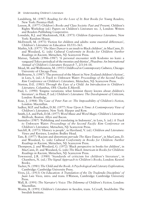- Landsberg, M. (1987) *Reading for the Love of It: Best Books for Young Readers,* New York: Prentice-Hall.
- Leeson, R. (1977) *Children's Books and Class Society: Past and Present,* Children's Rights Workshop (ed.) Papers on Children's Literature no. 3, London: Writers and Readers Publishing Cooperative.
- Lonsdale, B.J. and Mackintosh, H.K. (1973) *Children Experience Literature,* New York: Random House.
- McDowell, M. (1973) 'Fiction for children and adults: some essential differences', *Children's Literature in Education* 10:551–563.
- Mathis, S.B. (1977) '*The Slave Dancer* is an insult to Black children', in MacCann, D. and Woodard, G. (eds) *Cultural Conformity in Books for Children: Further Readings in Racism,* Metuchen, NJ: Scarecrow Press.
- Matsui, Tadashi (1986–1987) 'A personal encounter with Kodomo no kuni: a vanguard Tokyo periodical of the twenties and thirties', *Phaedrus: An International Annual of Children's Literature Research* 7, 2/3:14–18.
- Mead, M. and Wolfenstein, M. (1955) *Childhood in Contemporary Cultures,* Chicago: University of Chicago Press.
- Melbourne, S. (1987) 'The portrayal of the Maori in New Zealand children's fiction', in Lees, S. (ed.) *A Track to Unknown Water: Proceedings of the Second Pacific Rim Conference on Children's Literature,* Metuchen, NJ: Scarecrow Press.
- Norton, D.E. (1983) *Through the Eyes of a Child: An Introduction to Children's Literature,* Columbus, OH: Charles E.Merrill.
- Paul, L. (1990) 'Enigma variations: what feminist theory knows about children's literature', in Hunt, P. (ed.) *Children's Literature: The Development of Criticism,* London: Routledge.
- Rose, J. (1984) *The Case of Peter Pan or: The Impossibility of Children's Fiction,* London: Macmillan.
- Sadker, M.P. and Sadker, D.M. (1977) *Now Upon A Time: A Contemporary View of Children's Literature,* New York: Harper and Row.
- Smith, J.A. and Park, D.M. (1977) *Word Music and Word Magic: Children's Literature Methods,* Boston: Allyn and Bacon.
- Sunindyo (1987) 'Publishing and translating in Indonesia', in Lees, S. (ed.) *A Track to Unknown Water: Proceedings of the Second Pacific Rim Conference on Children's Literature,* Metuchen, NJ: Scarecrow Press.
- Sutcliff, R. (1973) 'History is people', in Haviland, V. (ed.) *Children and Literature: Views and Reviews,* London: Bodley Head.
- Tate, B. (1977) 'Racism and distortions pervade *The Slave Dancer*', in MacCann, D. and Woodard, G. (eds) *Cultural Conformity in Books for Children: Further Readings in Racism,* Metuchen, NJ: Scarecrow Press.
- Thompson, J. and Woodard, G. (1972) 'Black perspective in books for children', in MacCann, D. and Woodard, G. (eds) *The Black American in Books for Children: Readings in Racism,* Metuchen, NJ: Scarecrow Press.
- Townsend, J.R. (1980) 'Standards of criticism for children's literature', in Chambers, N. (ed.) *The Signal Approach to Children's Books,* London: Kestrel Books.
- Tucker, N. (1981) *The Child and the Book: A Psychological and Literary Exploration,* Cambridge: Cambridge University Press.
- Vives, J.L. (1913) *On Education: A Translation of the ' De Tradendis Disciplinis' of Juan Luis Vives,* intro. and trans. F.Watson, Cambridge: Cambridge University Press.
- Wall, B. (1991) *The Narrator's Voice: The Dilemma of Children's Fiction,* London: Macmillan.
- Westin, B. (1991) *Children's Literature in Sweden,* trans. S.Croall, Stockholm: The Swedish Institute.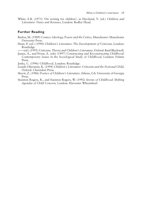White, E.B. (1973) 'On writing for children', in Haviland, V. (ed.) *Children and Literature: Views and Reviews,* London: Bodley Head.

### **Further Reading**

- Barker, M. (1989) *Comics: Ideology, Power and the Critics,* Manchester: Manchester University Press.
- Hunt, P. (ed.) (1990) *Children's Literature: The Development of Criticism,* London: Routledge.

——(ed.) (1991) *Criticism, Theory and Children's Literature,* Oxford: Basil Blackwell.

James, A., and Prout, A. (eds) (1997) *Constructing and Reconstructing Childhood: Contemporary Issues in the Sociological Study of Childhood,* London: Falmer Press.

Jenks, C. (1996) *Childhood,* London: Routledge.

- Lesnik-Oberstein, K. (1994) *Children's Literature: Criticism and the Fictional Child,* Oxford: Clarendon Press.
- Shavit, Z. (1986) *Poetics of Children's Literature,* Athens, GA: University of Georgia Press.
- Stainton Rogers, R., and Stainton Rogers, W. (1992) *Stories of Childhood: Shifting Agendas of Child Concern,* London: Harvester Wheatsheaf.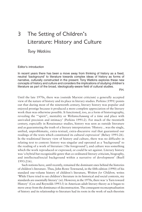# 3 The Setting of Children's Literature: History and Culture

*Tony Watkins*

#### Editor's introduction

In recent years there has been a move away from thinking of history as a fixed, neutral 'background' to literature towards complex ideas of history as forms of narrative, culturally constructed in the present. Tony Watkins explores these new concepts of history and culture and considers the implications of studying children's literature as part of the broad, ideologically-aware field of cultural studies.

P.H.

Until the late 1970s, there was (outside Marxist criticism) a generally accepted view of the nature of history and its place in literary studies. Perkins (1991) points out that during most of the nineteenth century, literary history was popular and enjoyed prestige because it produced a more complete appreciation of the literary work than was otherwise possible. It functioned, too, as a form of historiography, revealing the '"spirit", mentality or *Weltanschauung* of a time and place with unrivaled precision and intimacy' (Perkins 1991:2). For much of the twentieth century, especially in Renaissance studies, history was seen as outside literature and as guaranteeing the truth of a literary interpretation: 'History…was the single, unified, unproblematic, extra-textual, extra-discursive real that guaranteed our readings of the texts which constituted its cultural *expression*' (Belsey 1991:26). In the traditional literary view of history and culture, there was no difficulty in relating text to context: history was singular and operated as a 'background' to the reading of a work of literature ('the foreground'); and culture was something which the work reproduced or expressed, or could be set against. Literary history was 'a hybrid but recognizable genre that co-ordinated literary criticism, biography, and intellectual/social background within a narrative of development' (Buell 1993:216).

Such notions have, until recently, remained the dominant ones behind the histories of children's literature. Thus, John Rowe Townsend, in the fifth edition (1990) of his standard one-volume history of children's literature, *Written for Children,* writes 'While I have tried to see children's literature in its historical and social contexts, my standards are essentially literary' (xi). However, in the 1970s, there was 'a Turn toward History' (Cox and Reynolds 1993:3) in American adult literary theory as it began to move away from the dominance of deconstruction. The consequent reconceptualisation of history and its relationship to literature had its roots in the work of such theorists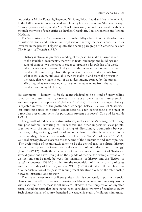and critics as Michel Foucault, Raymond Williams, Edward Said and Frank Lentricchia. In the 1980s, new terms associated with literary history (including 'the new history', 'cultural poetics' and, especially, 'the New Historicism') entered the critical vocabulary through the work of such critics as Stephen Greenblatt, Louis Montrose and Jerome McGann.

The '*new* historicism' is distinguished from the old by a lack of faith in the objectivity of historical study and, instead, an emphasis on the way the past is constructed or invented in the present. Felperin quotes the opening paragraph of Catherine Belsey's *The Subject of Tragedy* (1985):

History is always in practice a reading of the past. We make a narrative out of the available 'documents', the written texts (and maps and buildings and suits of armour) we interpret in order to produce a knowledge of a world which is no longer present. And yet it is always from the present that we produce this knowledge: from the present in the sense that it is only from what is still extant, still available that we make it; and from the present in the sense that we make it out of an understanding formed by the present. We bring what we know now to bear on what remains from the past to produce an intelligible history.

He comments: '"history" is freely acknowledged to be a kind of story-telling towards the present, that is, a textual construct at once itself an interpretation and itself open to interpretation' (Felperin 1991:89). The idea of a single 'History' is rejected in favour of the postmodern concept (Belsey 1991:27) of 'histories', 'an ongoing series of human constructions, each representing the past at particular present moments for particular present purposes' (Cox and Reynolds 1993:4).

The growth of radical alternative histories, such as women's history, oral history, and post-colonial rewriting of Eurocentric and other imperialist view-points, together with the more general blurring of disciplinary boundaries between historiography, sociology, anthropology and cultural studies, have all cast doubt on the validity, relevance or accessibility of historical 'facts' (Barker *et al.* 1991:4). Cultural history draws closer to the concerns of the humanities and anthropology: 'The deciphering of meaning…is taken to be the central task of cultural history, just as it was posed by Geertz to be the central task of cultural anthropology' (Hunt 1989:12). With the emergence of the postmodern concept of 'histories' several questions have been put on the agenda of theory: for example, what valid distinctions can be made between the 'narrative' of history and the 'fiction' of texts? (Montrose (1989:20) called for the recognition of 'the historicity of texts and the textuality of history'; see also White (1973).) What are the implications of our construction of the past from our present situation? What is the relationship between 'histories' and power?

The rise of newer forms of literary historicism is connected, in part, with social change and the effort to recover histories for blacks, women and minority groups within society. In turn, these social aims are linked with the recuperation of forgotten texts, including texts that have never been considered worthy of academic study. Such changes have, of course, benefited the academic study of children's literature.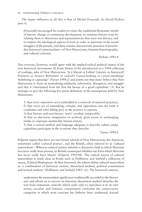The major influence in all this is that of Michel Foucault. As David Perkins puts it,

[Foucault] encouraged his readers to reject the traditional Romantic model of literary change as continuous development, to resituate literary texts by relating them to discourses and representations that were not literary, and to explore the ideological aspects of texts in order to intervene in the social struggles of the present, and these remain characteristic practices of presentday historical contextualism—of New Historicism, feminist historiography, and cultural criticism.

## Perkins 1991:4

Not everyone, however, would agree with the implied radical political stance of the new historicist movements. H.Aram Veeser, in his introduction to a 1994 collection of readings, asks of New Historicism, 'Is it liberal or Leftist? Literary or historical? Feminist or neuter? Reformist or radical? Canon-making or canon-smashing? Stabilizing or capsizing?' (Veeser 1994:2) and points out that many believe that New Historicism is 'bent on neutralizing solidarity, subversion, disruption, and struggle' and that it 'entertained from the first the heresy of a good capitalism' (3). But he manages to give the following five-point definition of the assumptions held by New Historicists:

1) that every expressive act is embedded in a network of material practices;

2) that every act of unmasking, critique, and opposition uses the tools it condemns and risks falling prey to the practice it exposes;

3) that literary and non-literary 'texts' circulate inseparably;

4) that no discourse, imaginative or archival, gives access to unchanging truths or expresses unalterable human nature;

5) that a critical method and language adequate to describe culture under capitalism participate in the economy they describe.

Veeser 1994:2

Felperin argues that there are two broad schools of New Historicism, the American, sometimes called 'cultural poetics', and the British, often referred to as 'cultural materialism': 'Whereas cultural poetics inhabits a discursive field in which Marxism has never really been present, its British counterpart inhabits one from which Marxism has never really been absent' (Felperin 1991:88). The radical nature of cultural materialism is made clear in books such as Dollimore and Sinfield's collection of essays, *Political Shakespeare.* In their foreword, the editors define cultural materialism as 'a combination of historical context, theoretical method, political commitment and textual analysis' (Dollimore and Sinfield 1985: vii). The historical context,

undermines the transcendent significance traditionally accorded to the literary text and allows us to recover its histories; theoretical method detaches the text from immanent criticism which seeks only to reproduce it in its own terms; socialist and feminist commitment confronts the conservative categories in which most criticism has hitherto been conducted; textual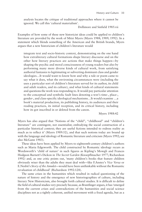analysis locates the critique of traditional approaches where it cannot be ignored. We call this 'cultural materialism'.

Dollimore and Sinfield 1985:vii

Examples of how some of these new historicist ideas could be applied to children's literature are provided by the work of Mitzi Myers (Myers 1988; 1989; 1992). In a statement which blends something of the American and the British brands, Myers argues that a new historicism of children's literature would

integrate text and socio-historic context, demonstrating on the one hand how extraliterary cultural formations shape literary discourse and on the other how literary practices are actions that make things happen—by shaping the psychic and moral consciousness of young readers but also by performing many more diverse kinds of cultural work, from satisfying authorial fantasies to legitimating or subverting dominant class and gender ideologies…It would want to know how and why a tale or poem came to say what it does, what the environing circumstances were (including the uses a particular sort of children's literature served for its author, its child and adult readers, and its culture), and what kinds of cultural statements and questions the work was responding to. It would pay particular attention to the conceptual and symbolic fault lines denoting a text's time-, place-, gender-, and class-specific ideological mechanisms…It would examine …a book's material production, its publishing history, its audiences and their reading practices, its initial reception, and its critical history, including how its got inscribed in or deleted from the canon.

Myers 1988:42

Myers has also argued that 'Notions of the "child", "childhood" and "children's literature" are contingent, not essentialist; embodying the social construction of a particular historical context; they are useful fictions intended to redress reality as much as to reflect it' (Myers 1989:52), and that such notions today are bound up with the language and ideology of Romantic literature and criticism (Myers 1992; see also McGann 1983).

These ideas have been applied by Myers to eighteenth-century children's authors such as Maria Edgeworth. The child constructed by Romantic ideology recurs as Wordsworth's 'child of nature' in such figures as Kipling's Mowgli and Frances Hodgson Burnett's Dickon in *The Secret Garden* (Knoepflmacher 1977; Richardson 1992) and, as one critic points out, 'many children's books that feature children obviously wiser than the adults they must deal with—like F.Anstey's *Vice Versa* or E.Nesbit's *Story of the Amulet*—would have been unthinkable without the Romantic revaluation of childhood' (Richardson 1992:128).

The same crises in the humanities which resulted in radical questioning of the nature of history and the emergence of new historiographies of culture, including literary New Historicism, also brought forth cultural studies. It is difficult to define the field of cultural studies very precisely because, as Brantlinger argues, it has 'emerged from the current crises and contradictions of the humanities and social science disciplines not as a tightly coherent, unified movement with a fixed agenda, but as a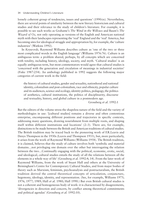loosely coherent group of tendencies, issues and questions' (1990:ix). Nevertheless, there are several points of similarity between the new literary historicism and cultural studies and their relevance to the study of children's literature. For example, it is possible to see such works as Grahame's *The Wind in the Willows* and Baum's *The Wizard of Oz,* not only operating as versions of the English and American national myth with their landscapes representing the 'real' England and the 'real' America, but becoming sites for ideological struggle and appropriation by, for example, the 'culture industries' (Watkins 1992).

In *Keywords,* Raymond Williams describes culture as 'one of the two or three most complicated words in the English language' (Williams 1976:76). Culture is an ambiguous term: a problem shared, perhaps, by all concepts which are concerned with totality, including history, ideology, society, and myth. 'Cultural studies' is an equally ambiguous term, but most commentators would agree that cultural studies is 'concerned with the generation and circulation of meanings in industrial societies' (Fiske 1987:254). An anthology published in 1992 suggests the following major categories of current work in the field:

the history of cultural studies, gender and sexuality, nationhood and national identity, colonialism and post-colonialism, race and ethnicity, popular culture and its audiences, science and ecology, identity politics, pedagogy, the politics of aesthetics, cultural institutions, the politics of disciplinarity, discourse and textuality, history, and global culture in a postmodern age.

Grossberg *et al*. 1992:1

But the editors of the volume stress the shapeless nature of the field and the variety of methodologies in use: '[cultural studies] remains a diverse and often contentious enterprise, encompassing different positions and trajectories in specific contexts, addressing many questions, drawing nourishment from multiple roots, and shaping itself within different institutions and locations' (2–3). There are, for example, distinctions to be made between the British and American traditions of cultural studies. The British tradition may be traced back to the pioneering work of F.R.Leavis and Denys Thompson in the 1930s (Leavis and Thompson 1933), but, more particularly, it arises from the work of Raymond Williams (Williams 1958). The British tradition, it is claimed, believes that the study of culture involves both 'symbolic and material domains…not privileging one domain over the other but interrogating the relation between the two…Continually engaging with the political, economic, erotic, social, and ideological, cultural studies entails the study of all the relations between all the elements in a whole way of life' (Grossberg *et al.* 1992:4; 14). From the later work of Raymond Williams, from the work of Stuart Hall and others at the University of Birmingham's Centre for Contemporary Cultural Studies, and from major bodies of theory such as Marxism, feminism, psychoanalysis and postructuralism, the British tradition derived the central theoretical concepts of articulation, conjuncture, hegemony, ideology, identity, and representation. (See, for example, Williams 1975; 1976; 1977; 1989; Hall *et al.* 1980; Hall 1990.) But even British cultural studies is not a coherent and homogeneous body of work: it is characterised by disagreements, 'divergencies in direction and concern, by conflict among theoretical commitments and political agendas' (Grossberg *et al.* 1992:10).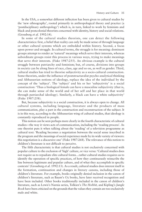In the USA, a somewhat different inflection has been given to cultural studies by the 'new ethnography', rooted primarily in anthropological theory and practice (a 'postdisciplinary anthropology') which is, in turn, linked to work by feminists and black and postcolonial theorists concerned with identity, history and social relations. (Grossberg *et al.* 1992:14).

In some of the cultural studies theorists, one can detect the following characteristics: first, a belief that reality can only be made sense of through language or other cultural systems which are embedded within history. Second, a focus upon power and struggle. In cultural terms, the struggle is for meaning: dominant groups attempt to render as 'natural' meanings which serve their interests, whereas subordinate groups resist this process in various ways, trying to make meanings that serve *their* interests. (Fiske 1987:255). An obvious example is the cultural struggle between patriarchy and feminism; but, of course, divisions into groups in society can be along lines of race, class, age and so on, as well as gender. Third, cultural studies has tried to theorise subjectivity as a socio-cultural construction. Some theorists, under the influence of poststructuralist psycho-analytical thinking and Althusserian notions of ideology, replace the idea of the individual by the concept of the 'subject'. The 'subject' and his or her 'subjectivity' is a social construction: 'Thus a biological female can have a masculine subjectivity (that is, she can make sense of the world and of her self and her place in that world through patriarchal ideology). Similarly, a black can have a white subjectivity' (Fiske 1987:258).

But, because subjectivity is a social construction, it is always open to change. All cultural systems, including language, literature and the products of mass communication, play a part in the construction and reconstruction of the subject. It is in this way, according to the Althusserian wing of cultural studies, that ideology is constantly reproduced in people.

This notion can be seen perhaps more clearly in the fourth characteristic of cultural studies—the way it views acts of communication, including the 'reading process'. As one theorist puts it when talking about the 'reading' of a television programme as cultural text: 'Reading becomes a negotiation between the social sense inscribed in the program and the meanings of social experience made by its wide variety of viewers: this negotiation is a discursive one' (Fiske 1987:268). The relevance of this notion to children's literature is not difficult to perceive.

The fifth characteristic is that cultural studies is not exclusively concerned with popular culture to the exclusion of 'high' culture, or vice versa: 'Cultural studies does not require us to repudiate elite cultural forms…rather cultural studies requires us to identify the operation of specific practices, of how they continuously reinscribe the line between legitimate and popular culture, and of what they accomplish in specific contexts' (Grossberg *et al.* 1992:13). As a result, cultural studies does interest itself in the formation, continuation and changes in literary canons, including those of children's literature. For example, books originally denied inclusion in the canon of children's literature, such as Baum's *Oz* books, have later received recognition and have been included. Other books traditionally included in the canon of children's literature, such as Lewis's Narnia series, Tolkien's *The Hobbit,* and Kipling's *Jungle Book* have been criticised on the grounds that the values they contain are too exclusively male and white.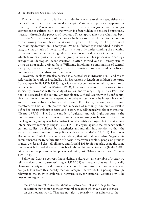The sixth characteristic is the use of ideology as a central concept, either as a 'critical' concept or as a neutral concept. Materialist, political approaches deriving from Marxism and feminism obviously stress *power* as the major component of cultural text, power which is often hidden or rendered apparently 'natural' through the process of ideology. These approaches use what has been called the 'critical' concept of ideology which is 'essentially linked to the process of sustaining asymmetrical relations of power—that is, to the process of maintaining domination' (Thompson 1984:4). If ideology is embodied in cultural text, the major task of the cultural critic is not only understanding the meaning of the text but also unmasking what appears as natural as a social construction which favours a particular class or group in society. This process of 'ideology critique' or ideological deconstruction is often carried out in literary studies using an approach, derived from Williams, involving a combination of textual analysis, theoretical method, study of historical context, and a political commitment to socialism and feminism.

However, ideology can also be used in a neutral sense (Ricoeur 1986) and this is reflected in the work of Fred Inglis, who has written at length on children's literature (for example, Inglis 1975; 1981). Inglis favours, not cultural materialism, but cultural hermeneutics. In *Cultural Studies* (1993), he argues in favour of making cultural studies 'synonymous with the study of values (and valuing)' (Inglis 1993:190). The book is dedicated to the cultural anthropologist, Clifford Geertz, with his influential view that 'man is an animal suspended in webs of significance he himself has spun' and that those webs are what we call culture'. For Geertz, the analysis of culture, therefore, will be 'an interpretive one in search of meaning', and culture itself is defined as 'an assemblage of texts' and 'a story they tell themselves about themselves' (Geertz 1975:5; 448). So the model of cultural analysis Inglis favours is the interpretative one which aims not to *unmask* texts, using such critical concepts as ideology or hegemony which deconstruct and demystify ideologies, but to *understand* intersubjective meanings (Inglis 1993:148). He argues against the tendency within cultural studies to collapse 'both aesthetics and morality into politics' so that 'the study of culture translates into politics without remainder' (175; 181). He quotes Dollimore and Sinfield's statement (see above) that cultural materialism 'registers its commitment to the transformation of a social order which exploits people on grounds of race, gender and class' (Dollimore and Sinfield 1985:viii) but asks, using the same phrase which formed the title of his book about children's literature (Inglis 1981), 'What about the promise of happiness held out by art? What about art itself?' (Inglis 1993:181).

Following Geertz's concept, Inglis defines culture as, 'an ensemble of *stories* we tell ourselves about ourselves' (Inglis 1993:206) and argues that our historically changing identity is formed from experience and the 'narrative tradition' of which we are part. It is from this identity that we interpret the world. In a passage strongly relevant to the study of children's literature, (see, for example, Watkins 1994), he goes on to argue that

the stories we tell ourselves about ourselves are not just a help to moral education; they comprise the only moral education which can gain purchase on the modern world. They are not aids to sensitivity nor adjuncts to the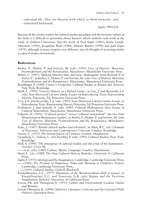cultivated life. They are theories with which to think forwards…and understand backwards.

Inglis 1993:214

Because of the variety within the cultural studies paradigm and the dynamic nature of the field, it is difficult to generalise about features which underlie such work in the study of children's literature. But the work of Fred Inglis (1981), Karín Lesnik-Oberstein (1994), Jacqueline Rose (1984), Marina Warner (1994) and Jack Zipes (1979), although in many respects very different, may be thought of as arising within a cultural studies framework.

### **References**

- Barker, F., Hulme, P. and Iversen, M. (eds) (1991) *Uses of History: Marxism, Postmodernism and the Renaissance,* Manchester: Manchester University Press.
- Belsey, C. (1991) 'Making histories then and now: Shakespeare from *Richard II* to *Henry V*', in Barker, F., Hulme, P. and Iversen, M. (eds) *Uses of History: Marxism, Postmodernism and the Renaissance,* Manchester: Manchester University Press.
- Brantlinger, P. (1990) *Crusoe's Footprints: Cultural Studies in Britain and America,* New York: Routledge.
- Buell, L. (1993) 'Literary History as a Hybrid Genre', in Cox, J. and Reynolds, L.J. (eds) *New Historical Literary Study: Essays on Reproducing Texts, Representing History,* Princeton, NJ: Princeton University Press.
- Cox, J.N. and Reynolds, L.J. (eds) (1993) *New Historical Literary Study: Essays on Reproducing Texts, Representing History,* Princeton, NJ: Princeton University Press.
- Dollimore, J. and Sinfield, A. (eds) (1985) *Political Shakespeare: New Essays in Cultural Materialism,* Manchester: Manchester University Press.
- Felperin, H. (1991) '"Cultural poetics" versus "cultural materialism": the two New Historicisms in Renaissance studies', in Barker, F., Hulme, P. and Iversen, M. (eds) *Uses of History: Marxism, Postmodernism and the Renaissance,* Manchester: Manchester University Press.
- Fiske, J. (1987) 'British cultural studies and television', in Allen, R.C. (ed.) *Channels of Discourse: Television and Contemporary Criticism,* London: Routledge.
- Geertz, C. (1975) *The Interpretation of Cultures,* London: Hutchinson.
- Grossberg, L., Nelson, C. and Treichler, P. (eds) (1992) *Cultural Studies,* New York: Routledge.
- Hall, S. (1990) 'The emergence of cultural studies and the crisis of the humanities', *October* 53:11–90.
- ——*et al.* (eds) (1980) *Culture, Media, Language,* London: Hutchinson.
- Hunt, L. (ed.) (1989) *The New Cultural History,* Berkeley: University of California Press.
- Inglis, F. (1975) *Ideology and the Imagination,* Cambridge: Cambridge University Press. ——(1981) *The Promise of Happiness: Value and Meaning in Children's Fiction,* Cambridge: Cambridge University Press.
	- ——(1993) *Cultural Studies,* Oxford: Blackwell.
- Knoepflmacher, U.C. (1977) 'Mutations of the Wordsworthian child of nature', in Knoepflmacher, U.C. and Tennyson, G.B. (eds) *Nature and the Victorian Imagination,* Berkeley: University of California Press.
- Leavis, F.R. and Thompson, D. (1933) *Culture and Environment,* London: Chatto and Windus.
- Lesnik-Oberstein, K. (1994) *Children's Literature: Criticism and the Fictional Child,* Oxford: Clarendon Press.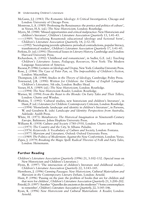- McGann, J.J. (1983) *The Romantic Ideology: A Critical Investigation,* Chicago and London: University of Chicago Press.
- Montrose, L.A. (1989) 'Professing the Renaissance: the poetics and politics of culture', in Veeser, H.A. (ed.) *The New Historicism,* London: Routledge.
- Myers, M. (1988) 'Missed opportunities and critical malpractice: New Historicism and children's literature', *Children's Literature Association Quarterly* 13, 1:41–43.
- ——(1989) 'Socializing Rosamond: educational ideology and fictional form', *Children's Literature Association Quarterly,* 14, 2:52–58.
- ——(1992) 'Sociologizing juvenile ephemera: periodical contradictions, popular literacy, transhistorical readers', *Children's Literature Association Quarterly* 17, 1:41–45.
- Perkins, D. (ed.) (1991) *Theoretical Issues in Literary History,* Cambridge and London: Harvard University Press.
- Richardson, A. (1992) 'Childhood and romanticism', in Sadler, G.E. (ed.) *Teaching Children's Literature: Issues, Pedagogy, Resources,* New York: The Modern Language Association of America.
- Ricoeur, P. (1986) *Lectures on Ideology and Utopia,* New York: Columbia University Press.
- Rose, J. (1984) *The Case of Peter Pan, or, The Impossibility of Children's Fiction,* London: Macmillan.
- Thompson, J.B. (1984) *Studies in the Theory of Ideology,* Cambridge: Polity Press.
- Townsend, J.R. (1990) *Written for Children: An Outline of English Language Children's Literature,* 5th edn, London: Bodley Head.
- Veeser, H.A. (1989) (ed.) *The New Historicism,* London: Routledge.
- ——(1994) *The New Historicism Reader,* London: Routledge.
- Warner, M. (1994) *From the Beast to the Blonde: On Fairy Tales and Their Tellers,* London: Chatto and Windus.
- Watkins, T. (1992) 'Cultural studies, new historicism and children's literature', in Hunt, P. (ed.) *Literature for Children: Contemporary Criticism,* London: Routledge.
- ——(1994) 'Homelands: landscape and identity in children's literature', in Parsons, W. and Goodwin R. (eds) *Landscape and Identity: Perspectives from Australia,* Adelaide: Auslib Press.
- White, H. (1973) *Metahistory: The Historical Imagination in Nineteenth-Century Europe,* Baltimore: Johns Hopkins University Press.
- Williams R. (1958) *Culture and Society 1780–1950,* London: Chatto and Windus. ——(1975) *The Country and the City,* St Albans: Paladin.
- ——(1976) *Keywords: A Vocabulary of Culture and Society,* London: Fontana.
- ——(1977) *Marxism and Literature,* Oxford: Oxford University Press.
- ——(1989) *The Politics of Modernism: Against the New Conformists,* London: Verso.
- Zipes, J. (1979) *Breaking the Magic Spell: Radical Theories of Folk and Fairy Tales,* London: Heinemann.

#### **Further Reading**

- *Children's Literature Association Quarterly* (1996) 21, 3:102–132. (Special issue on New Historicism and Children's Literature.)
- Flynn, R. (1997) 'The intersection of children's literature and childhood studies', *Children's Literature Association Quarterly* 22, 3:143–145.
- Hawthorn, J. (1996) *Cunning Passages: New Historicism, Cultural Materialism and Marxism in the Contemporary Literary Debate,* London: Arnold.
- Hunt, P. (1996) 'Passing on the past: the problem of books that are for children and that were for children', *Children's Literature Association Quarterly* 21, 1:200–202.
- Petzold, D. (1997) 'Another "Querelles des ancients et des modernes"? Some commonplaces to remember', *Children's Literature Association Quarterly,* 22, 3:145–146.
- Ryan, K. (1996) *New Historicism and Cultural Materialism: A Reader,* London: Arnold.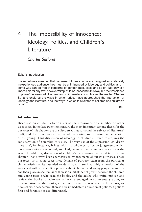# 4 The Impossibility of Innocence: Ideology, Politics, and Children's Literature

*Charles Sarland*

Editor's introduction

It is sometimes assumed that because children's books are designed for a relatively inexperienced audience they must be uninfluenced by ideology and politics, and in some way can be free of concerns of gender, race, class and so on. Not only is it impossible for any text, however 'simple', to be innocent in this way, but the 'imbalance of power' between adult writers and child readers complicates the matter. Charles Sarland explores the ways in which critics have approached the interaction of ideology and literature, and the ways in which this relates to children and children's fiction.

P.H.

#### **Introduction**

Discourse on children's fiction sits at the crossroads of a number of other discourses. In the late twentieth century the most important among these, for the purposes of this chapter, are the discourses that surround the subject of 'literature' itself, and the discourses that surround the rearing, socialisation, and education of the young. Thus discussion of ideology in children's literature requires the consideration of a number of issues. The very use of the expression 'children's literature', for instance, brings with it a whole set of value judgements which have been variously espoused, attacked, defended, and counterattacked over the years. In addition, discussion of children's fiction—my preferred term in this chapter—has always been characterised by arguments about its purposes. These purposes, or in some cases these denials of purpose, stem from the particular characteristics of its intended readership, and are invariably a product of the views held within the adult population about children and young people themselves and their place in society. Since there is an imbalance of power between the children and young people who read the books, and the adults who write, publish and review the books, or who are otherwise engaged in commentary upon, or dissemination of the books, either as parents, or teachers, or librarians, or booksellers, or academics, there is here immediately a question of politics, a politics first and foremost of age differential.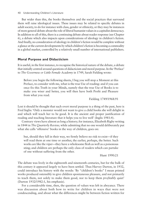But wider than this, the books themselves and the social practices that surround them will raise ideological issues. These issues may be related to specific debates in adult society, to do for instance with class, gender or ethnicity, or they may be instances of more general debate about the role of liberal humanist values in a capitalist democracy. In addition to all of this, there is a continuing debate about reader response (see Chapter 6), a debate which also impacts upon considerations of ideology in children's fiction. And finally, no consideration of ideology in children's fiction would be complete without a glance at the current developments by which children's fiction is becoming a commodity in a global market, controlled by a relatively small number of international publishers.

## **Moral Purpose and Didacticism**

It is useful, in the first instance, to recognise the historical nature of the debate, a debate that initially centred around questions of didacticism and moral purpose. In the 'Preface' to *The Governess or Little Female Academy* in 1749, Sarah Fielding wrote:

Before you begin the following sheets, I beg you will stop a Moment at this Preface, to consider with me, what is the true Use of reading: and if you can once fix this Truth in your Minds, namely that the true Use of Books is to make you wiser and better, you will then have both Profit and Pleasure from what you read.

Fielding 1749/1968:91

Lest it should be thought that such overt moral purpose is a thing of the past, here is Fred Inglis: 'Only a monster would not want to give a child books she will delight in and which will teach her to be good. It is the ancient and proper justification of reading and teaching literature that it helps you to live well' (Inglis 1981:4).

Contrary views have almost as long a history; for instance, Elizabeth Rigby writing in 1844 in *The Quarterly Review,* while admitting that no one would deliberately put what she calls 'offensive' books in the way of children, goes on:

but, should they fall in their way, we firmly believe no risk to exist—if they will read them at one time or another, the earlier, perhaps, the better. Such works are like the viper—they have a wholesome flesh as well as a poisonous sting; and children are perhaps the only class of readers which can partake of one without suffering from the other.

Hunt 1990:21

The debate was lively in the eighteenth and nineteenth centuries, but for the bulk of this century it appeared largely to have been settled. Thus Harvey Darton, in 1932, could introduce his history with the words: 'By "children's books" I mean printed works produced ostensibly to give children spontaneous pleasure, and not primarily to teach them, not solely to make them good, nor to keep them *profitably* quiet' (Darton 1932/1982:1, his emphasis).

For a considerable time, then, the question of values was left in abeyance. There was discussion about both how to write for children in ways that were not condescending, and about what the differences might be between fiction written for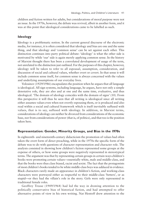children and fiction written for adults, but considerations of moral purpose were not an issue. In the 1970s, however, the debate was revived, albeit in another form, and it was at this point that ideological considerations came to be labelled as such.

#### **Ideology**

Ideology is a problematic notion. In the current general discourse of the electronic media, for instance, it is often considered that ideology and bias are one and the same thing, and that ideology and 'common sense' can be set against each other. This distinction continues into party political debate: 'ideology' is what the other side is motivated by while 'our' side is again merely applying common sense. In the history of Marxist thought there has been a convoluted development of usage of the term, not unrelated to the distinction just outlined. For the purposes of this chapter, however, ideology will be taken to refer to all espousal, assumption, consideration, and discussion of social and cultural values, whether overt or covert. In that sense it will include common sense itself, for common sense is always concerned with the values and underlying assumptions of our everyday lives.

Volosinov (1929/1986) encapsulates the position when he argues that all language is ideological. All sign systems, including language, he argues, have not only a simple denotative role, they are also and at one and the same time, evaluative, and thus ideological. 'The domain of ideology coincides with the domain of signs' (10). From this perspective it will thus be seen that all writing is ideological since all writing either assumes values even when not overtly espousing them, or is produced and also read within a social and cultural framework which is itself inevitably suffused with values, that is to say, suffused with ideology. In addition, in Marxist terms, considerations of ideology can neither be divorced from considerations of the economic base, nor from considerations of power (that is, of politics), and that too is the position taken here.

#### **Representation: Gender, Minority Groups, and Bias in the 1970s**

In eighteenth- and nineteenth-century didacticism the promotion of values had often taken the overt form of direct preaching, while in the 1970s the specific form of the debate was to do with questions of character representation and character role. The analysis consisted in showing how children's fiction represented some groups at the expense of others, or how some groups were negatively represented in stereotypical terms. The argument was that by representing certain groups in certain ways children's books were promoting certain values—essentially white, male and middle-class, and that the books were thus class biased, racist and sexist. The fact that the protagonists of most children's books tended to be white middle-class boys was adduced in evidence. Black characters rarely made an appearance in children's fiction, and working-class characters were portrayed either as respectful to their middle-class 'betters', or as stupid—or they had the villain's role in the story. Girls were only represented in traditional female roles.

Geoffrey Trease (1949/1964) had led the way in drawing attention to the politically conservative bias of historical fiction, and had attempted to offer alternative points of view in his own writing. Nat Hentoff drew attention to the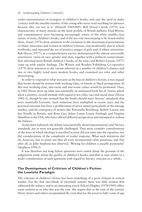under-representation of teenagers in children's books, and saw the need to make 'contact with the sizeable number of the young who never read anything for pleasure because they are not in it' (Hentoff 1969:400). Bob Dixon's work (1974) was characteristic of many attacks on the most prolific of British authors, Enid Blyton, and commentators were becoming increasingly aware of the white middle-class nature of many children's books, and of the sex-role stereotyping to be found within them. Zimet (1976) drew attention to the exclusion or the stereotypical presentation of ethnic minorities and women in children's fiction, and incidentally also in school textbooks, and espoused the use of positive images of girls and of ethnic minorities. Bob Dixon (1977), in a comprehensive survey, demonstrated the almost universally reactionary views on race, gender and class, together with a political conservatism, that informed most British children's books of the time, and Robert Leeson (1977) came up with similar findings. The Writers and Readers Publishing Co-operative (1979) drew attention to the racism inherent in a number of children's classics and one or two highly rated more modern books, and examined sex roles and other stereotyping.

In order to respond to what was seen as the bias in children's fiction, it was argued that books should be written with working-class, or female or black protagonists. In this way working-class, anti-racist and anti-sexist values would be promoted. Thus, in 1982 Dixon drew up what was essentially an annotated book list of 'stories which show a positive, overall attitude with regard to sex roles, race and social class' (Dixon 1982:3), though he also insisted that the books should meet 'literary' standards that were essentially Leavisite. Such initiatives have multiplied in recent years and the practical outcome has been a proliferation of series aimed particularly at the teenage market, and the emergence of writers like Petronella Breinburg, Robert Leeson and Jan Needle in Britain, and Rosa Guy, Julius Lester, Louise Fitzhugh and Virginia Hamilton in the USA, who have offered different perspectives and attempted to redress the balance.

As has been indicated, the debate was essentially about representation, and 'literary standards' *per se* were not generally challenged. Thus more complex considerations of the ways in which ideology is inscribed in texts did not enter into the equation, nor did considerations of the complexity of reader response. What such initiatives did do, however, was to point out that all texts incorporated value positions, and that after all, as John Stephens has observed, 'Writing for children is usually purposeful' (Stephens 1992:3)

It was therefore not long before questions were raised about the grounds of the judgements made about the quality of children's books, and that in turn relates to a wider consideration of such questions with regard to literary criticism as a whole.

## **The Development of Criticism of Children's Fiction: the Leavisite Paradigm**

The criticism of children's fiction has been something of a poor relation in critical studies. For the first two-thirds of twentieth century there was little written that addressed the subject, and in an interesting article Felicity Hughes (1978/1990) offers some analysis as to why this was the case. She argues that at the turn of the century Henry James and others encapsulated the view that for the novel to fully come of age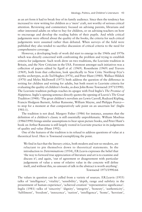as an art form it had to break free of its family audience. Since then the tendency has increased to view writing for children as a 'mere' craft, not worthy of serious critical attention. Reviewing and commentary focused on advising parents, librarians and other interested adults on what to buy for children, or on advising teachers on how to encourage and develop the reading habits of their pupils. And while critical judgements were offered about the quality of the books, the criteria for such critical judgements were assumed rather than debated. When surveys of the field were published they also tended to sacrifice discussion of critical criteria to the need for comprehensive coverage.

However, a developing body of work did start to emerge in the 1960s and 1970s which was directly concerned with confronting the problem and trying to establish criteria for judgement. Such work drew on two traditions, the Leavisite tradition in Britain, and the New Criticism in the USA. Foremost amongst such initiatives was a collection of papers edited by Egoff *et al.* (1969). Rosenheim (1969) and Travers (1969), both from that collection, look specifically to New Critic Northrop Frye's mythic archetypes, as do Ted Hughes (1976), and Peter Hunt (1980). Wallace Hildick (1970) and Myles McDowell (1973) both address the question of the difference in writing for children and writing for adults, but both resort to Leavisite criteria for evaluating the quality of children's books, as does John Rowe Townsend (1971/1990). The Leavisite tradition perhaps reaches its apogee with Fred Inglis's *The Promise of Happiness.* Inglis's opening sentence directly quotes the opening of Leavis's *The Great Tradition* (1948): 'The great children's novelists are Lewis Carroll, Rudyard Kipling, Francis Hodgson Burnett, Arthur Ransome, William Mayne, and Philippa Pearce to stop for a moment at that comparatively safe point on an uncertain list' (Inglis 1981:1).

The tradition is not dead. Margery Fisher (1986) for instance, assumes that the definition of a children's classic is still essentially unproblematic. William Moebius (1986/1990) brings similar assumptions to bear upon picture books, and Peter Hunt's book on Arthur Ransome is still largely rooted in Leavisite practice in its judgements of quality and value (Hunt 1992).

One of the features of the tradition is its refusal to address questions of value at a theoretical level. Here is Townsend exemplifying the point.

We find in fact that the literary critics, both modern and not-so-modern, are reluctant to pin themselves down to theoretical statements. In the introduction to *Determinations* (1934), F.R.Leavis expresses the belief that 'the way to forward true appreciation of literature and art is to examine and discuss it'; and again, 'out of agreement or disagreement with particular judgements of value a sense of relative value in the concrete will define itself, and without this, no amount of talk in the abstract is worth anything'. Townsend 1971/1990:66

The values in question can be culled from a variety of sources. F.R.Leavis (1955) talks of 'intelligence', 'vitality', 'sensibility', 'depth, range and subtlety in the presentment of human experience', 'achieved creation' 'representative significance'. Inglis (1981) talks of 'sincerity' 'dignity', 'integrity', 'honesty', 'authenticity', 'fulfilment', 'freedom', 'innocence', 'nation', 'intelligence', 'home', 'heroism',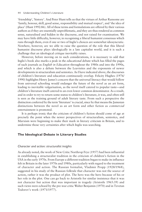'friendship', 'history'. And Peter Hunt tells us that the virtues of Arthur Ransome are 'family, honour, skill, good sense, responsibility and mutual respect', and 'the idea of place' (Hunt 1992:86). All of these terms and formulations are offered by their various authors as if they are essentially unproblematic, and they are thus rendered as common sense, naturalised and hidden in the discourse, and not raised for examination. We may have little difficulty, however, in recognising a liberal humanist consensus which runs through them, even if one or two of Inglis's choices are somewhat idiosyncratic. Nowhere, however, are we able to raise the question of the role that this liberal humanist discourse plays ideologically in a late capitalist world, and it is such a challenge that an ideological critique inevitably raises.

However, before moving on to such considerations, it is necessary to add that Inglis's book also marks a peak in the *educational* debate which has filled the pages of such journals as *English in Education* throughout the 1980s and into the 1990s, and which is also a debate between the Leavisites and the exponents of newer developments in structuralism and semiotics. As I have indicated above, the discourses of children's literature and education continuously overlap. Felicity Hughes (1976/ 1990) highlights Henry James's concern that the universal literacy that would follow from universal schooling would endanger the future of the novel as an art form, leading to inevitable vulgarisation, as the novel itself catered to popular taste—and children's literature itself catered to an even lower common denominator. As a result, and in order to try to return some status to children's literature, it was, and often still is seen as the training ground of adult literary taste. From such a perspective the distinction conferred by the term 'literature' is crucial, since by that means the Jamesian distinctions between the novel as an art form and other fiction as *commercial* entertainment is promoted.

It is perhaps ironic that the criticism of children's fiction should come of age at precisely the point when the newer perspectives of structuralism, semiotics, and Marxism were beginning to make their mark in literary criticism in Britain, and to undermine those very certainties after which Inglis was searching.

## **The Ideological Debate in Literary Studies**

#### *Character and action: structuralist insights*

As already noted, the work of New Critic Northrop Frye (1957) had been influential in establishing a structuralist tradition in the criticism of children's fiction in the USA in the early 1970s. From Europe a different tradition began to make its influence felt in Britain in the later 1970s and 1980s, particularly with regard to the treatment of character and action. The Russian formalist, Vladimir Propp (1928/1968), suggested in his study of the Russian folktale that character was not the source of action, rather it was the product of plot. The hero was the hero because of his or her role in the plot. One can go back to Aristotle for similar insistence that it was not character but action that was important in tragedy (Aristotle 1965:39) and such views were echoed by the pre-war critic Walter Benjamin (1970) and in Tzvetan Todorov's work (1971/1977).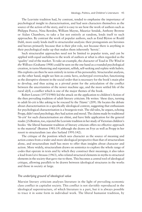The Leavisite tradition had, by contrast, tended to emphasise the importance of psychological insight in characterisation, and had seen characters themselves as the source of the action of the story, and it is easy to see how the work of authors such as Philippa Pearce, Nina Bawden, William Mayne, Maurice Sendak, Anthony Browne or Aidan Chambers, to take a list not entirely at random, lends itself to such approaches. By contrast the work of popular authors, such as Enid Blyton or Roald Dahl, more easily lends itself to structuralist analysis: their protagonists are heroines and heroes primarily because that is their plot role, not because there is anything in their psychological make up that makes them inherently 'heroic'.

Such structuralist approaches need not be limited to popular texts, and can be applied with equal usefulness to the work of authors at what is often regarded as the 'quality' end of the market. To take an example, the character of Toad in *The Wind in the Willows* (Grahame 1908) could be seen on the one hand as a rounded psychological creation, in turns blustering and repentant, selfish, self-seeking and replete with hubris. His exploits can then be seen entirely in terms of his personality. Structuralist analysis, on the other hand, might see him as comic hero, archetypal overreacher, functioning as the disruptive element in the social order that is necessary for the book's main plot to develop, and thus acting as a pivotal point for the articulation of the conflict between the uncertainties of the newer machine age, and the more settled life of the rural idyll, a conflict which is one of the major themes of the book.

Robert Leeson (1975/1980) led the attack on the application to children's fiction of the then prevailing tradition of adult literary criticism. He writes: 'these days, turning to adult lit-crit is like asking to be rescued by the *Titanic*' (209). He locates the debate about characterisation in a specifically ideological context, suggesting that enthusiasm for psychological characterisation is a bourgeois trait. The old tales, he argues, echoing Propp, didn't need psychology, they had action and moral. The claims made by traditional 'lit-crit' for such characterisation are elitist, and have little application for the general reader. J.S.Bratton, too, rejected the Leavisite tradition in her study of Victorian children's books: 'the liberal humanist tradition of literary criticism offers no effective approach to the material' (Bratton 1981:19) although she draws on Frye as well as Propp in her resort to structuralism (see also Sarland 1991:142).

The critique of the position which sees character as the source of meaning and action comes from a wider and more ideological perspective than that of structuralism alone, and structuralism itself has more to offer than insights about character and action. More widely, structuralism draws on semiotics to explore the whole range of codes that operate in texts and by which they construct their meanings; it also takes a lead from Lévi-Strauss (1963), who related structural elements in myths to structural elements in the society that gave rise to them. This becomes a central tool of ideological critique, allowing parallels to be drawn between ideological structures in the works and those in society at large.

#### *The underlying ground of ideological value*

Marxist literary criticism analyses literature in the light of prevailing economic class conflict in capitalist society. This conflict is not slavishly reproduced in the ideological superstructure, of which literature is a part, but it is always possible to trace it in some form in individual work. The liberal humanist tradition, by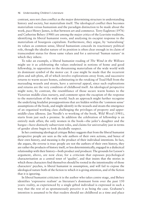contrast, sees not class conflict as the major determining structure in understanding history and society, but materialism itself. The ideological conflict then becomes materialism versus humanism and the paradigm distinction to be made about the work, *pace* Henry James, is that between art and commerce. Terry Eagleton (1976) and Catherine Belsey (1980) are among the major critics of the Leavisite tradition, identifying its liberal humanist roots, and analysing its escapist response to the materialism of bourgeois capitalism. Furthermore, they argue, by 'naturalising' its values as common sense, liberal humanism conceals its reactionary political role, though the idealist nature of its position is often clear enough in its claim of transcendent status for those same values and for a universal 'human nature' in which they inhere.

To take an example, a liberal humanist reading of *The Wind in the Willows* might see it as celebrating the values enshrined in notions of home and good fellowship, in opposition to the threatening materialism of the wide world with its dominant symbol of the motor car. A case might be made that the recurrent plots and sub-plots, all of which involve explorations away from, and successive returns to warm secure homes, culminating in the retaking of Toad Hall from the marauding weasels and stoats, have a universal appeal, since such explorations and returns are the very condition of childhood itself. An ideological perspective might note, by contrast, the resemblance of those secure warm homes to the Victorian middle-class nursery, and comment upon the escapism of the response to the materialism of the wide world. Such an approach might further recognise the underlying feudalist presuppositions that are hidden within the 'common sense' assumptions of the book, and might identify in the weasels and stoats the emergence of an organised working class challenging the privileges of property and uppermiddle-class idleness. Jan Needle's re-working of the book, *Wild Wood* (1981), starts from just such a premise. In addition the celebration of fellowship is an entirely male affair, the only women in the book—the jailer's daughter and the bargee—have distinctly subservient roles, and claims for universality just in terms of gender alone begin to look decidedly suspect.

In her continuing ideological critique Belsey suggests that from the liberal humanist perspective people are seen as the sole authors of their own actions, and hence of their own history, and meaning is the product of their individual intentions. In fact, she argues, the reverse is true: people are not the authors of their own history, they are rather the products of history itself, or less deterministically, engaged in a dialectical relationship with their history—both product and producer. The grounds for Leeson's argument, above, are now clear, for a criticism that espouses psychological characterisation as a central tenet of 'quality', and that insists that the stories in which those characters find themselves should be rooted in the intentionality of those characters' psyches, is liberal humanist in assumption, and will fail to expose the ideological nature both of the fiction to which it is giving attention, and of the fiction that it is ignoring.

In liberal humanist criticism it is the author who takes centre stage, and Belsey identifies 'expressive realism' as literature's dominant form over the past 150 years: reality, as experienced by a single gifted individual is expressed in such a way that the rest of us spontaneously perceive it as being the case. Grahame's intention is assumed to be that readers should see childhood as a time and place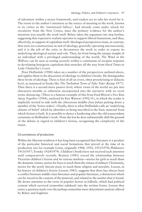of adventure within a secure framework, and readers are to take his word for it. The resort to the author's intention as the source of meaning in the work, known to its critics as the 'intentional fallacy', had already come under attack for circularity from the New Critics, since the primary evidence for the author's intention was usually the work itself. Belsey takes the argument one step further, suggesting that expressive realism operates to support liberal humanism, and thus, effectively, in support of capitalism itself. Ideological perspectives insist, in contrast, that texts are constructions in and of ideology, generally operating unconsciously, and it is the job of the critic to deconstruct the work in order to expose its underlying ideological nature and role. Thus, far from being the unique insight of an individual with a privileged understanding of the world, *The Wind in the Willows* can be seen as resting securely within a continuum of escapist response to developing bourgeois capitalism that stretches all the way from *Hard Times* to *Lady Chatterley's Lover.*

Peter Hollindale (1988) takes on a number of the perspectives outlined above, and applies them to his discussion of ideology in children's books. He distinguishes three levels of ideology. There is first of all an overt, often proselytising or didactic level, as instanced in books like *The Turbulent Term of Tyke Tyler* (Kemp 1977). Then there is a second more passive level, where views of the world are put into characters mouths or otherwise incorporated into the narrative with no overt ironic distancing. (There is a famous example of this from Enid Blyton's *Five Run Away Together* (1944), analysed by Ken Watson (1992:31), in which the reader is implicitly invited to side with the obnoxious middle-class Julian putting down a member of the 'lower orders'.) Finally, there is what Hollindale calls an 'underlying climate of belief' which he identifies as being inscribed in the basic material from which fiction is built. It is possible to detect a hankering after the old transcendent certainties in Hollindale's work. None the less he does substantially shift the ground of the debate in regard to children's fiction, recognising the complexity of the issues.

#### *Circumstances of production*

Within the Marxist tradition it has long been recognised that literature is a product of the particular historical and social formations that prevail at the time of its production (see for example Lenin, originally 1908, 1910, 1911/1978; Plekhanov 1913/1957; Trotsky 1924/1974). Children's books have not received such attention until comparatively recently. Bratton (1981) traced the relationship between Victorian children's fiction and its various markets—stories for girls to teach them the domestic virtues, stories for boys to teach them the virtues of military Christianity, stories for the newly literate poor, to teach them religion and morality. Leeson, in his history of children's fiction (Leeson 1985), suggests that there has always been a conflict between middle-class literature and popular literature, a distinction which can be traced in the content of the material, and related to the market that it found. He draws attention to the roots of popular fiction in folktale, which had political content which survived (somewhat subdued) into the written forms. Leeson thus raises a question mark over the perhaps somewhat more determinist analysis offered by Belsey and Eagleton.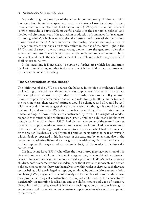More thorough exploration of the issues in contemporary children's fiction has come from feminist perspectives, with a collection of studies of popular teen romance fiction edited by Linda K.Christian-Smith (1993a). Christian-Smith herself (1993b) provides a particularly powerful analysis of the economic, political and ideological circumstances of the growth in production of romances for 'teenagers' or 'young adults', which is now a global industry, with most of the publishing houses based in the USA. She traces the relationship between the imperatives of 'Reaganomics', the emphasis on family values in the rise of the New Right in the 1980s, and the need to enculturate young women into the gendered roles that serve such interests. The collection as a whole analyses how such material both constructs and meets the needs of its market in a rich and subtle exegesis which I shall return to below.

In the meantime it is necessary to explore a further area which has important ideological implication, and that is the way in which the child reader is constructed by the texts he or she is reading.

#### **The Construction of the Reader**

The initiatives of the 1970s to redress the balance in the bias of children's fiction took a straightforward view about the relationship between the text and the reader. At its simplest an almost directly didactic relationship was assumed. If you wrote books with positive characterisations of, and roles for, girls, ethnic minorities and the working class, then readers' attitudes would be changed and all would be well with the world. I do not suggest that anyone, even then, thought it would be quite that simple, and since the 1970s there has been something of a revolution in our understandings of how readers are constructed by texts. The insights of readerresponse theoreticians like Wolfgang Iser (1978), applied to children's books most notably by Aidan Chambers (1980), had alerted us to some of the textual devices by which an implied reader is written into the text. Iser himself had drawn attention to the fact that texts brought with them a cultural repertoire which had to be matched by the reader. Macherey (1978) brought Freudian perspectives to bear on ways in which ideology operated in hidden ways in the text, and by extension, also in the reader, and Catherine Belsey drew insights from Althusser, Derrida and Lacan to further explore the ways in which the subjectivity of the reader is ideologically constructed.

It is Jacqueline Rose (1984) who offers the most thoroughgoing exposition of this view with respect to children's fiction. She argues that, by a combination of textual devices, characterisation and assumptions of value position, children's books construct children, both as characters and as readers, as without sexuality, innocent, and denied politics, either a politics between themselves or within wider society. As such they are seen as beings with a privileged perception, untainted by culture. More recently, John Stephens (1992), engages in a detailed analysis of a number of books to show how they produce ideological constructions of implied child readers. He concentrates particularly on narrative focalisation and the shifts, moves and gaps of narrative viewpoint and attitude, showing how such techniques imply certain ideological assumptions and formulations, and construct implied readers who must be expected to share them.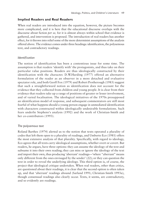### **Implied Readers and Real Readers**

When real readers are introduced into the equation, however, the picture becomes more complicated, and it is here that the educational discourse overlaps with the discourse about fiction *per se,* for it is almost always within school that evidence is gathered, and intervention is proposed. The introduction of real readers has another effect, for it throws into relief some of the more determinist assumptions of the analysis offered above. The evidence comes under three headings: identification, the polysemous text, and contradictory readings.

#### *Identification*

The notion of identification has been a contentious issue for some time. The assumption is that readers 'identify with' the protagonists, and thus take on their particular value positions. Readers are thus ideologically constructed by their identification with the character. D.W.Harding (1977) offered an alternative formulation of the reader as an observer in a more detached and evaluative spectator role, and both Geoff Fox (1979) and Robert Protherough (1983) suggest that such a straightforward notion as identification does not account for the evidence that they collected from children and young people. It is clear from their evidence that readers take up a range of positions of greater or lesser involvement, and of varied focalisation. The ideological initiatives of the 1970s presupposed an identification model of response, and subsequent commentators are still most fearful of what happens should a young person engage in unmediated identification with characters constructed within ideologically undesirable formulations. Such fears underlie Stephens's analysis (1992) and the work of Christian-Smith and her co-contributors (1993).

#### *The polysemous text*

Roland Barthes (1974) alerted us to the notion that texts operated a plurality of codes that left them open to a plurality of readings, and Umberto Eco (1981) offers the most extensive analysis of that plurality. Specifically, with regard to ideology, Eco agrees that all texts carry ideological assumptions, whether overt or covert. But readers, he argues, have three options: they can assume the ideology of the text and subsume it into their own reading; they can miss or ignore the ideology of the text and import their own, thus producing 'aberrant' readings—'where "aberrant" means only different from the ones envisaged by the sender' (22); or they can question the text in order to reveal the underlying ideology. This third option is, of course, the project that ideological critique undertakes. When real readers, other than critics, are questioned about their readings, it is clear that the second option is often taken up, and that 'aberrant' readings abound (Sarland 1991; Christian-Smith 1993a), though consensual readings also clearly occur. Texts, it seems, are contradictory, and so evidently are readings.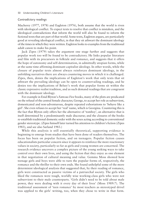#### *Contradictory readings*

Macherey (1977, 1978) and Eagleton (1976), both assume that the world is riven with ideological conflict. To expect texts to resolve that conflict is mistaken, and the ideological contradictions that inform the world will also be found to inform the fictional texts that are part of that world. Some texts, Eagleton argues, are particularly good at revealing ideological conflict, in that they sit athwart the dominant ideology of the times in which they were written. Eagleton looks to examples from the traditional adult canon to make his point.

Jack Zipes (1979) takes the argument one stage further and suggests that popular work too will be found to be contradictory. He links popular literature and film with its precursors in folktale and romance, and suggests that it offers the hope of autonomy and self-determination, in admittedly utopian forms, while at the same time affirming dominant capitalist ideology. In other words, while the closure of popular texts almost always reinforces dominant ideology, in the unfolding narratives there are always countering moves in which it is challenged. Zipes, then, denies the implications of Eagleton's work that only texts that sit athwart the prevailing ideology can be open to countervailing readings, and he denies too the implications of Belsey's work that popular forms sit within the classic expressive realist tradition, and as such demand readings that are congruent with the dominant ideology.

For example in Enid Blyton's *Famous Five* books, many of the plots are predicated on the refusal of the central female character, George, to accept her role as subservient, domesticated and non-adventurous, despite repeated exhortations to 'behave like a girl'. She even refuses to accept her 'real' name, which is Georgina. Countering this is the fact that Blyton only offers her the alternative of 'tomboy', an alternative that is itself determined by a predominantly male discourse; and the closures of the books re-establish traditional domestic order with the sexes acting according to conventional gender stereotype. (Zipes himself later turned his attention to children's fiction (Zipes 1983), and see also Sarland 1983.)

While this analysis is still essentially theoretical, supporting evidence is beginning to emerge from studies that have been done of readers themselves. The focus has been on popular fiction, and on teenagers. Popular fiction causes educationalists particular concern since it appears to reinforce the more reactionary values in society, particularly so far as girls and young women are concerned. The research evidence uncovers a complex picture of the young seeking ways to take control over their own lives, and using the fiction that they enjoy as one element in that negotiation of cultural meaning and value. Gemma Moss showed how teenage girls and boys were able to turn the popular forms of, respectively, the romance and the thriller to their own ends. She found unhelpful some of the more determinist ideological analysis that suggested that, by their reading of romance, girls were constructed as passive victims of a patriarchal society. The girls who liked the romances were tough, worldly wise working-class girls who were not subservient to their male counterparts. 'Girls didn't need to be told about male power, they were dealing with it every day of their lives' (Moss 1989:7). The traditional assessment of 'teen romance' by most teachers as stereotyped drivel was applied to the girls' writing, too, when they chose to write in that form.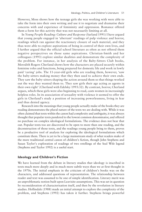However, Moss shows how the teenage girls she was working with were able to take the form into their own writing and use it to negotiate and dramatise their concerns with and experience of femininity and oppression. Romance offered them a form for this activity that was not necessarily limiting at all.

In *Young People Reading: Culture and Response* (Sarland 1991) I have argued that young people engaged in 'aberrant' readings of pulp violence and horror, readings which ran against the reactionary closure of such material, and they thus were able to explore aspirations of being in control of their own lives, and I further argued that the official school literature as often as not offered them negative perspectives on those same aspirations. Christian-Smith and her colleagues (1993) explore similar dualities and demonstrate the complexity of the problem. For instance, in her analysis of the Baby-Sitters Club books, Meredith Rogers Cherland shows how the characters are placed securely within feminine roles and functions, being prepared for domestic life and work in lowly paid 'caring' jobs. The 11-year-old girls who are reading them, however, 'saw the baby-sitters making money that they then used to achieve their own ends. They saw the baby-sitters shaping the action around them so that things worked out the way they wanted them to. They saw girls their age acting as agents in their own right' (Cherland with Edelsky 1993:32). By contrast, horror, Cherland argues, which these girls were also beginning to read, casts women in increasingly helpless roles. In its association of sexuality with violence it seemed to offer the girls in Cherland's study a position of increasing powerlessness, living in fear and thus denied agency.

Research into the meanings that young people actually make of the books they are reading demonstrates the plural nature of the texts we are dealing with. While it was often claimed that texts within the canon had complexity and ambiguity, it was always thought that popular texts pandered to the lowest common denominator, and offered no purchase on complex ideological formulations. The evidence does not bear that out. Popular texts too are discovered to be open to more than one reading, and the deconstruction of those texts, and the readings young people bring to them, proves be a productive tool of analysis for exploring the ideological formulations which constitute them. There is yet to be a large mainstream study of what readers make of the more traditional central canon of children's fiction, though John Stephens and Susan Taylor's exploration of readings of two retellings of the Seal Wife legend (Stephens and Taylor 1992) is a useful start.

#### **Ideology and Children's Fiction**

We have learned from the debate in literary studies that ideology is inscribed in texts much more deeply and in much more subtle ways than we at first thought in the 1970s. The initial emphasis in the criticism of children's books was on the characters, and addressed questions of representation. The relationship between reader and text was assumed to be one of simple identification. Literary merit was an unproblematic notion built upon Leavisite assumptions. This was set in question by reconsideration of characterisation itself, and then by the revolution in literary studies. Hollindale (1988) made an initial attempt to explore the complexity of the problem, and Stephens (1992) has taken it further. Stephens brings powerful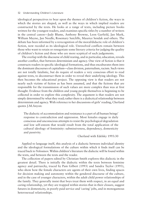ideological perspectives to bear upon the themes of children's fiction, the ways in which the stories are shaped, as well as the ways in which implied readers are constructed by the texts. He looks at a range of texts, including picture books written for the youngest readers, and examines specific titles by a number of writers in the central canon—Judy Blume, Anthony Browne, Leon Garfield, Jan Mark, William Mayne, Jan Needle, Rosemary Sutcliffe, Maurice Sendak and others. The debate has been informed by a rerecognition of the moral/didactic role of children's fiction, now receded as its ideological role. Unresolved conflicts remain between those who want to retain or renegotiate some literary criteria for judging the quality of children's fiction and those who are more sceptical of such judgements.

The overlap with the discourse of child rearing, and in particular, education, reveals another conflict, that between determinism and agency. One view of fiction is that it constructs readers in specific ideological formations, and thus enculturates them into the dominant discourses of capitalism—class division, paternalism, racism. Such views are not totally fatalistic, but do require of readers a very conscious effort to read against texts, to deconstruct them in order to reveal their underlying ideology. This then becomes the educational project. The opposing view is that readers are not nearly such victims of fiction as has been assumed, and that the fictions that are responsible for the transmission of such values are more complex than was at first thought. Evidence from the children and young people themselves is beginning to be collected in order to explore this complexity. The argument is that readers are not simply determined by what they read; rather there is a dialectical relationship between determinism and agency. With reference to her discussions of girls' reading, Cherland quotes J.M.Anyon:

The dialectic of accommodation and resistance is a part of all human beings' response to contradiction and oppression. Most females engage in daily conscious and unconscious attempts to resist the psychological degradation and low self-esteem that would result from the total application of the cultural ideology of femininity: submissiveness, dependency, domesticity and passivity.

Cherland with Edelsky 1993:30

Applied to language itself, this analysis of a dialectic between individual identity and the ideological formulations of the culture within which it finds itself can be traced back to Volosinov. Within children's literature the dialectic will be found within the texts, and between the texts and the reader.

The collection of papers edited by Christian-Smith explores this dialectic in the greatest detail. There is initially the dialectic within the texts between feminine agency and patriarchy, traced by Pam Gilbert (1993) and Sandra Taylor (1993), who show how the female characters are agents of their own lives, finding spaces for decision making and autonomy within the gendered discourse of the culture, and in the case of younger characters, within the adult child power relationships of the family. They generally insist that boys treat them with respect, in an equal and caring relationship, yet they are trapped within stories that in their closure, suggest futures in domesticity, in poorly paid service and 'caring' jobs, and in monogamous heterosexual relationships.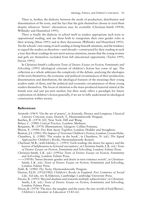There is, further, the dialectic between the mode of production, distribution and dissemination of the texts, and the fact that the girls themselves choose to read them despite whatever 'better' alternatives may be available (Christian-Smith 1993b; Willinsky and Hunniford 1993).

There is finally the dialectic in school itself as readers appropriate such texts as oppositional reading, and use them both to renegotiate their own gender roles in their writing (Moss 1993) and in their discussions (Willinsky and Hunniford 1993). Yet the schools' own rating of such reading as being beneath attention, and the tendency to regard the readers as therefore—and already—constructed by their reading in such a way that those readings do not merit serious attention, means that the young women and girls are themselves excluded from full educational opportunity (Taylor 1993, Davies 1993).

In Christian-Smith's collection *Texts of Desire: Essays on Fiction, Femininity and Schooling* (1993) ideological criticism of children's fiction has come of age. The collection as a whole addresses the complexity of the debate, analysing the ideologies of the texts themselves, the economic and political circumstances of their production, dissemination and distribution, the ideological features of the meanings their young readers make of them, and the political and economic circumstances of those young readers themselves. The focus of attention is the mass-produced material aimed at the female teen and just pre-teen market, but their study offers a paradigm for future exploration of children's fiction generally, if we are to fully understand its ideological construction within society.

#### **References**

- Aristotle (1965) 'On the art of poetry', in Aristotle, Horace and Longinus, *Classical Literary Criticism,* trans. Dorsch, T., Harmondsworth: Penguin.
- Barthes, R. (1974) *S/Z,* New York: Hill and Wang.
- Belsey, C. (1980) *Critical Practice,* London: Methuen.
- Benjamin, W. (1970) *Illuminations,* Glasgow: Collins Fontana.
- Blyton, E. (1944) *Five Run Away Together,* London: Hodder and Stoughton.
- Bratton, J.S. (1981) *The Impact of Victorian Children's Fiction,* London: Croom Helm.
- Chambers, A. (1980) 'The reader in the book', in Chambers, N. (ed.) *The Signal Approachto Children's Books*, Harmondsworth: Kestrel.
- Cherland, M.R., with Edelsky, C. (1993) 'Girls reading: the desire for agency and the horror of helplessness in fictional encounters', in Christian-Smith, L.K. (ed.) *Texts of Desire: Essays on Fiction, Femininity and Schooling,* London: Falmer Press.
- Christian-Smith, L.K. (ed.) (1993a) *Texts of Desire: Essays on Fiction, Femininity and Schooling,* London: Falmer Press.
- ——(1993b) 'Sweet dreams: gender and desire in teen romance novels', in Christian-Smith, L.K. (ed.) *Texts of Desire: Essays on Fiction, Femininity and Schooling,* London: Falmer Press.
- Dahl, R. (1980) *The Twits,* Harmondsworth: Penguin.
- Darton, P.J.H. (1932/1982) *Children's Books in England: Five Centuries of Social Life,* 3rd edn, rev. B.Alderson, Cambridge: Cambridge University Press.
- Davies, B. (1993) 'Beyond dualism and towards multiple subjectivities', in Christian-Smith, L.K. (ed.) *Texts of Desire: Essays on Fiction, Femininity and Schooling,* London: Falmer Press.
- Dixon, B. (1974) 'The nice, the naughty and the nasty: the tiny world of Enid Blyton', *Children's Literature in Education* 15:43–62.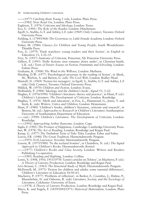- ——(1977) *Catching them Young* 2 vols, London: Pluto Press.
- ——(1982) *Now Read On,* London: Pluto Press.
- Eagleton, T. (1976) *Criticism and Ideology,* London: Verso.
- Eco, U. (1981) *The Role of the Reader,* London: Hutchinson.
- Egoff, S., Stubbs, G.T. and Ashley, L.F. (eds) (1969) *Only Connect,* Toronto: Oxford University Press.
- Fielding, S. (1749/1968) *The Governess or, Little Female Academy,* London: Oxford University Press.
- Fisher, M. (1986) *Classics for Children and Young People,* South Woodchester: Thimble Press.
- Fox, G. (1979) 'Dark watchers: young readers and their fiction', in *English in Education* 13, 1:32–35.
- Frye, N. (1957) *Anatomy of Criticism,* Princeton, NJ: Princeton University Press.
- Gilbert, P. (1993) 'Dolly fictions: teen romance down under', in Christian-Smith, L.K. (ed.) *Texts of Desire: Essays on Fiction, Femininity and Schooling,* London: Falmer Press.
- Grahame, K. (1908) *The Wind in the Willows,* London: Methuen.
- Harding, D.W. (1977) 'Psychological processes in the reading of fiction', in Meek, M., Warlow, A. and Barton, G. (eds) *The Cool Web,* London: Bodley Head.
- Hentoff, N. (1969) 'Fiction for teenagers', in Egoff, S., Stubbs, G.T. and Ashley, L.F (eds) *Only Connect,* Toronto: Oxford University Press.
- Hildick, W. (1970) *Children and Fiction,* London: Evans.
- Hollindale, P. (1988) 'Ideology and the children's book', *Signal* 55, 3–22.
- Hughes, F. (1976/1990) 'Children's literature: theory and practice', in Hunt, P. (ed.) *Children's Literature: The Development of Criticism,* London: Routledge.
- Hughes, T. (1976) 'Myth and education', in Fox, G., Hammond, G., Jones, T. and Sterk, K. (eds) *Writers, Critics and Children,* London: Heinemann.
- Hunt, P. (1980) 'Children's books, children's literature, criticism and research', in Benton, M. (ed.) *Approaches to Research in Children's Literature,* Southampton: University of Southampton Department of Education.
- ——(ed.) (1990) *Children's Literature: The Development of Criticism,* London: Routledge.
- ——(1992) *Approaching Arthur Ransome,* London: Cape.
- Inglis, F. (1981) *The Promise of Happiness,* Cambridge: Cambridge University Press.
- Iser, W. (1978) *The Act of Reading,* London: Routledge and Kegan Paul.
- Kemp, G. (1977) *The Turbulent Term of Tyke Tyler,* London: Faber and Faber.
- Leavis, F.R. (1948) *The Great Tradition,* Harmondsworth: Penguin.
- ——(1955) *D.H.Lawrence: Novelist,* Harmondsworth: Penguin.
- Leeson, R. (1975/1980) 'To the toyland frontier', in Chambers, N. (ed.) *The Signal Approach to Children's Books,* Harmondsworth: Kestrel.
- ——(1977) *Children's Books and Class Society,* London: Writers and Readers Publishing Co-operative.
- ——(1985) *Reading and Righting,* London: Collins.
- Lenin, V. (1908, 1910, 1911/1978) 'Lenin's articles on Tolstoy', in Macherey, P. (ed.) *A Theory of Literary Production,* London: Routledge and Kegan Paul.
- Lévi-Strauss, C. (1963) *The Structural Study of Myth,* Harmondsworth: Penguin.
- McDowell, M. (1973) 'Fiction for children and adults: some essential differences', *Children's Literature in Education* 10:50–63.
- Macherey, P. (1977) 'Problems of reflection', in Barker, F., Coombes, J., Hulme, P., Musselwhite, D. and Osborne, R. (eds) *Literature, Society, and the Sociology of Literature,* Colchester: University of Essex.
	- ——(1978) *A Theory of Literary Production,* London: Routledge and Kegan Paul.
- Marx, K. and Engels, F. (1859/1892/1971) *Historical Materialism,* London: Pluto Press.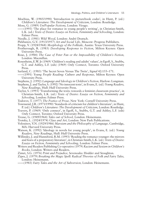- Moebius, W. (1985/1990) 'Introduction to picturebook codes', in Hunt, P. (ed.) *Children's Literature: The Development of Criticism,* London: Routledge.
- Moss, G. (1989) *Un/Popular Fictions,* London: Virago.
- ——(1993) 'The place for romance in young people's writing', in Christian-Smith, L.K. (ed.) *Texts of Desire: Essays on Fiction, Femininity and Schooling,* London: Falmer Press.
- Needle, J. (1981) *Wild Wood,* London: André Deutsch.
- Plekhanov, G.V. (1913/1957) *Art and Social Life,* Moscow: Progress Publishers.
- Propp, V. (1928/1968) *Morphology of the Folktale,* Austin: Texas University Press.
- Protherough, R. (1983) *Developing Response to Fiction,* Milton Keynes: Open University Press.
- Rose, J. (1984) *The Case of Peter Pan or the Impossibility of Children's Fiction,* London: Macmillan.
- Rosenheim, E.W. Jr (1969) 'Children's reading and adults' values', in Egoff, S., Stubbs, G.T. and Ashley, L.F. (eds) (1969) *Only Connect,* Toronto: Oxford University Press.
- Sarland, C. (1983) 'The Secret Seven Versus The Twits', *Signal* 42:155–171.
- ——(1991) *Young People Reading: Culture and Response,* Milton Keynes: Open University Press.
- Stephens, J. (1992) *Language and Ideology in Children's Fiction,* Harlow: Longman.
- Stephens, J. and Taylor, S. (1992) 'No innocent texts', in Evans, E. (ed.) *Young Readers, New Readings,* Hull: Hull University Press.
- Taylor, S. (1993) 'Transforming the texts: towards a feminist classroom practice', in Christian-Smith, L.K. (ed.) *Texts of Desire: Essays on Fiction, Femininity and Schooling,* London: Falmer Press.
- Todorov, T. (1977) *The Poetics of Prose,* New York: Cornell University Press.
- Townsend, J.R. (1971/1990) 'Standards of criticism for children's literature', in Hunt, P. (ed.) *Children's Literature: The Development of Criticism,* London: Routledge.
- Travers, P. (1969) 'Only connect', in Egoff, S., Stubbs, G.T. and Ashley, L.F. (eds) *Only Connect,* Toronto: Oxford University Press.
- Trease, G. (1949/1964) *Tales out of School,* London: Heinemann.
- Trotsky, L. (1924/1974) *Class and Art,* London: New Park Publications.
- Volosinov, V.N. (1929/1986) *Marxism and the Philosophy of Language,* Cambridge, MA: Harvard University Press.
- Watson, K. (1992) 'Ideology in novels for young people', in Evans, E. (ed.) *Young Readers, New Readings,* Hull: Hull University Press.
- Willinsky, J. and Hunniford, R.M. (1993) 'Reading the romance younger: the mirrors and fears of a preparatory literature', in Christian-Smith, L.K. (ed.) *Texts of Desire: Essays on Fiction, Femininity and Schooling,* London: Falmer Press.
- Writers and Readers Publishing Co-operative (1979) *Racism and Sexism in Children's Books,* London: Writers and Readers.
- Zimet, S.G. (1976) *Print and Prejudice,* Sevenoaks: Hodder and Stoughton.
- Zipes, J. (1979) *Breaking the Magic Spell: Radical Theories of Folk and Fairy Tales,* London: Heinemann.
	- ——(1983) *Fairy Tales and the Art of Subversion,* London: Heinemann.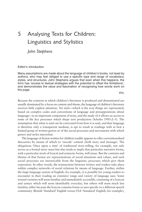# 5 Analysing Texts for Children: Linguistics and Stylistics

## *John Stephens*

#### Editor's introduction

Many assumptions are made about the language of children's books, not least by authors, who may feel obliged to use a specific type and range of vocabulary, styles, and structures. John Stephens argues that even when this happens, the form has 'access to textual strategies with the potential to offset the limitations', and demonstrates the value and fascination of recognising how words work on the page.

PH.

Because the contexts in which children's literature is produced and disseminated are usually dominated by a focus on content and theme, the language of children's literature receives little explicit attention. Yet style—which is the *way* things are represented, based on complex codes and conventions of language and presuppositions about language—is an important component of texts, and the study of it allows us access to some of the key processes which shape text production (Scholes 1985:2–3). The assumption that what is said can be extricated from how it is said, and that language is therefore only a transparent medium, is apt to result in readings with at best a limited grasp of written genres or of the social processes and movements with which genres and styles interrelate.

The language of fiction written for children readily appears to offer conventionalised discourses by means of which to 'encode' content (both story and message). The ubiquitous 'Once upon a time' of traditional story-telling, for example, not only serves as a formal story onset but also tends to imply that particular narrative forms, with a particular stock of lexical and syntactic forms, will ensue. But the contents and themes of that fiction are representations of social situations and values, and such social processes are inextricable from the linguistic processes which give them expression. In other words, the transactions between writers and readers take place within complex networks of social relations by means of language. Further, within the large language system of English, for example, it is possible for young readers to encounter in their reading an extensive range and variety of language uses. Some textual varieties will seem familiar and immediately accessible, consisting of a lexicon and syntax which will seem identifiably everyday, but others will seem much less familiar, either because the lexicon contains forms or uses specific to a different speech community (British 'Standard' English versus USA 'Standard' English, for example),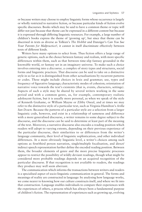or because writers may choose to employ linguistic forms whose occurrence is largely or wholly restricted to narrative fiction, or because particular kinds of fiction evolve specific discourses. Books which may be said to have a common theme or topic will differ not just because that theme can be expressed in a different content but because it is expressed through differing linguistic resources. For example, a large number of children's books express the theme of 'growing up', but since that theme can be discerned in texts as diverse as Tolkien's *The Hobbit* and Danziger's *Can You Sue Your Parents for Malpractice?,* it cannot in itself discriminate effectively between texts of different kinds.

Writers have many options to select from. Thus fiction offers a large range of generic options, such as the choice between fantasy and realism, with more specific differences within them, such as that between time-slip fantasy grounded in the knowable world, or fantasy set in an imaginary universe. To make such a choice involves entering into a *discourse,* a complex of story types and structures, social forms and linguistic practices. That discourse can be said to take on a distinctive style in so far as it is distinguished from other actualisations by recurrent patterns or codes. These might include choices in lexis and grammar; use, types and frequency of figurative language; characteristic modes of cohesion; orientation of narrative voice towards the text's existents (that is, events, characters, settings). Aspects of such a style may be shared by several writers working in the same period and with a common genre, as, for example, contemporary realistic adolescent fiction, but it is usually more personal, as when we speak of the style of Kenneth Grahame, or William Mayne or Zibby Oneal, and at times we may refer to the distinctive style of a particular text, such as Virginia Hamilton's *Arilla Sun Down.* Because the patterns of a particular style are a selection from a larger linguistic code, however, and exist in a relationship of sameness and difference with a more generalised discourse, a writer remains to some degree subject to the discourse, and the discourse can be said to determine at least part of the meaning of the text. Moreover, a narrative discourse also encodes a reading position which readers will adopt to varying extents, depending on their previous experience of the particular discourse, their similarities to or differences from the writer's language community, their level of linguistic sophistication, and other individual differences. At a more obviously linguistic level, a writer's choices among such options as first/third person narration, single/multiple focalisation, and direct/ indirect speech representation further define the encoded reading position. Between them, the broader elements of genre and the more precise linguistic processes appear to restrict the possibility of wildly deviant readings, though what might be considered more probable readings depends on an acquired recognition of the particular discourse. If that recognition is not available to readers, the readings they produce may well seem aberrant.

The communication which informs the transactions between writers and readers is a specialised aspect of socio-linguistic communication in general. The forms and meanings of reality are constructed in language: by analysing how language works, we come nearer to knowing how our culture constructs itself, and where we fit into that construction. Language enables individuals to compare their experiences with the experiences of others, a process which has always been a fundamental purpose of children's fiction. The representation of experiences such as growing up, evolving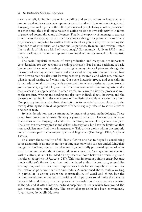a sense of self, falling in love or into conflict and so on, occurs in language, and guarantees that the experiences represented are shared with human beings in general. Language can make present the felt experiences of people living in other places and at other times, thus enabling a reader to define his or her own subjectivity in terms of perceived potentialities and differences. Finally, the capacity of language to express things beyond everyday reality, such as abstract thought or possible transcendent experiences, is imparted to written texts with all its potentiality for extending the boundaries of intellectual and emotional experience. Readers (and writers) often like to think of this as a kind of 'word magic' (for example, Sullivan 1985)—and numerous fantastic fictions so represent it—though it is in fact an explicable linguistic function.

The socio-linguistic contexts of text production and reception are important considerations for any account of reading processes. But beyond satisfying a basic human need for contact, reading can also give many kinds of pleasure, though the pleasures of reading are not discovered in a social or linguistic vacuum: as we first learn how to read we also start learning what is pleasurable and what not, and even what is good writing and what not. Our socio-linguistic group, and especially its formal educational structures, tends to precondition what constitutes a good story, a good argument, a good joke, and the better our command of socio-linguistic codes the greater is our appreciation. In other words, we learn to enjoy the process as well as the product. Writing and reading are also very individual acts, however, and the pleasure of reading includes some sense of the distinctive style of a writer or a text. One primary function of stylistic description is to contribute to the pleasure in the text by defining the individual qualities of what is vaguely referred to as the 'style' of a writer or text.

Stylistic description can be attempted by means of several methodologies. These range from an impressionistic 'literary stylistics', which is characteristic of most discussions of the language of children's literature, to complex systemic analyses. The latter can offer very precise and delicate descriptions, but have the limitation that non-specialists may find them impenetrable. This article works within the semiotic analysis developed in contemporary critical linguistics (Fairclough 1989; Stephens 1992a).

To discuss the textuality of children's fiction one has to begin by considering some assumptions about the nature of language on which it is grounded. Linguists recognise that language is a social semiotic, a culturally patterned system of signs used to communicate about things, ideas or concepts. As a system constructed within culture, it is not founded on any essential bond between a verbal sign and its referent (Stephens 1992a:246–247). This is an important point to grasp, because much children's fiction is written and mediated under the contrary, essentialist assumption, and this has major implications both for writing objectives and for the relationships between writers and readers. As mentioned above, fantasy writing in particular is apt to assert the inextricability of word and thing, but the assumption also underlies realistic writing which purports to minimise the distance between life and fiction, or which pivots on the evolution of a character's essential selfhood, and it often informs critical suspicion of texts which foreground the gap between signs and things. The essentialist position has been conveniently (over-)stated by Molly Hunter: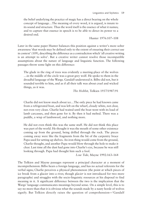the belief underlying the practice of magic has a direct bearing on the whole concept of language…The meaning of every word, it is argued, is innate to its sound and structure. Thus the word itself is the essence of what it names; and to capture that essence in speech is to be able to direct its power to a desired end.

Hunter 1976:107–108

Later in the same paper Hunter balances this position against a writer's more sober awareness 'that words may be defined only to the extent of ensuring their correct use in context' (109), describing the difference as a contradiction which 'all creative writing is an attempt to solve'. But a creative writer cannot resolve those incompatible assumptions about the nature of language and linguistic function. The following passages throw some light on this difference:

The glade in the ring of trees was evidently a meeting-place of the wolves …in the middle of the circle was a great grey wolf. He spoke to them in the dreadful language of the Wargs. Gandalf understood it. Bilbo did not, but it sounded terrible to him, and as if all their talk was about cruel and wicked things, as it was.

*The Hobbit,* Tolkien 1937/1987:91

Charlie did not know much about ice…The only piece he had known came from a refrigerated boat, and was left on the wharf, cloudy white, not clear, not even very clean. Charlie had waited until the boat went with its load of lamb carcasses, and then gone for it. By then it had melted. There was a puddle, a wisp of lambswool, and nothing more.

He did not even think this was the same stuff. He did not think this place was part of the world. He thought it was the mouth of some other existence coming up from the ground, being drilled through the rock. The pieces coming away were like the fragments from the bit of the carpentry brace Papa used for setting up shelves. An iron thing would come from the ground, Charlie thought, and another Papa would blow through the hole to make it clear. Last time all the dust had gone into Charlie's eye, because he was still looking through. Papa had thought him such a fool.

*Low Tide,* Mayne 1992:163–164

The Tolkien and Mayne passages represent a principal character at a moment of incomprehension: Bilbo hears a foreign language, and has no actual referents for the verbal signs; Charlie perceives a physical phenomenon (the point at which pieces of ice break from a glacier into a river, though *glacier* is not introduced for two more paragraphs) and struggles with the socio-linguistic resources at his disposal to find meaning in it. A significant difference between the two is the implication that the Wargs' language communicates meanings beyond sense. On a simple level, this is to say no more than that it is obvious what the sounds made by a nasty horde of wolves signify. But Tolkien directly raises the question of comprehension—'Gandalf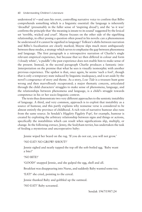understood it'—and uses his overt, controlling narrative voice to confirm that Bilbo comprehends something which is a linguistic essential: the language is inherently 'dreadful' (presumably in the fuller sense of 'inspiring dread'); and the 'as it was' confirms the principle that 'the meaning is innate to its sound' suggested by the lexical set 'terrible, wicked and cruel'. Mayne focuses on the other side of the sign/thing relationship, in effect posing a question often posed in his novels: can a phenomenon be understood if it cannot be signified in language? Tolkien's shifts between narration and Bilbo's focalisation are clearly marked; Mayne slips much more ambiguously between these modes, a strategy which serves to emphasise the gap between phenomena and language. The first paragraph is a retrospective narration of Charlie's single relevant empirical experience, but because that ice then differed in colour and form ('cloudy white', 'a puddle') the past experience does not enable him to make sense of the present. Instead, in the second paragraph Charlie produces a fantastic (mis- )interpretation on the premise that what he sees is visually isomorphic with another previous experience. The upshot is that, once again, he seems 'such a fool', though that is only a temporary state induced by linguistic inadequacy, and is set aside by the novel's congruence of story and theme. As a story, *Low Tide* is a treasure hunt gone wrong and then marvellously recuperated; a major thematic concern, articulated through the child characters' struggles to make sense of phenomena, language, and the relationships between phenomena and language, is a child's struggle towards competence in his or her socio-linguistic context.

The texts thus demonstrate two very different approaches to the semiotic instability of language. A third, and very common, approach is to exploit that instability as a source of humour, and this partly explains why nonsense verse is considered to be almost entirely the province of childhood. A rich vein of narrative humour also runs from the same source. In Sendak's *Higglety Pigglety Pop!,* for example, humour is created by exploiting the arbitrary relationship between signs and things or actions, specifically the instabilities which can result when significations slip, multiply, or change. In the following extract, Jenny, the Sealyham terrier, has undertaken the task of feeding a mysterious and uncooperative baby:

Jennie wiped her beard on the rug. 'If you do not eat, you will not grow.'

## 'NO EAT! NO GROW! SHOUT!'

Jennie sighed and neatly tapped the top off the soft-boiled egg. 'Baby want a bite?'

'NO BITE!'

'GOOD!' snapped Jennie, and she gulped the egg, shell and all.

Breakfast was disappearing into Nurse, and suddenly Baby wanted some too.

'EAT!' she cried, pointing to the cereal.

Jennie thanked Baby and gobbled up the oatmeal.

'NO EAT!' Baby screamed.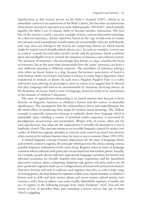Signification in this extract pivots on the Baby's shouted 'EAT!', which in its immediate context is an expression of the Baby's desire, but becomes an instruction when Jennie chooses to interpret it as such. Subsequently, 'NO EAT!', which initially signifies the Baby's act of refusal, shifts to become another instruction. The first line of the extract is itself a succinct example of how context determines meaning. As a discrete utterance, 'Jennie wiped her beard on the rug' would seem to violate two normal social assumptions: female names do not normally collocate with beards, and 'rug' does not belong to the lexical set comprising objects on which beards might be wiped (towel; handkerchief; sleeve; etc.). In such an example, 'correct use in context' extends beyond other nearby words and the grammar which combines them into intelligible form to include the situation of utterance and cultural context. The situation of utterance—the knowledge that Jennie is a dog—clarifies the focus of reference, but at the same time foregrounds how the 'same' utterance can have a very different meaning in different contexts. The instability of reference emerges even when we know Jennie is a dog, because the primary association of *beard* is with human (male) facial hair, and hence is always to some degree figurative when transferred to animals or plants. In such ways, *Higglety Pigglety Pop!* is a richly subversive text, playing on meanings to such an extent as to suggest that if allowed free play, language will tend to be uncontainable by situation, hovering always on the boundary of excess. Such a view of language, however, tends to be uncommon in the domain of children's literature.

The issue of sign/referent relationship is of central interest here because it bears directly on linguistic function in children's fiction and the notion of desirable significances. The assumption that the relationship is direct and unproblematic has the initial effect of producing what might be termed closed meanings. The Tolkien example is especially instructive because it explicitly shows how language which is potentially open, enabling a variety of potential reader responses, is narrowed by paradigmatic recursiveness and essentialism. Writers will, of course, often aim for such specification, but what are the implications if virtually all meaning in a text is implicitly closed? The outcome points to an invisible linguistic control by writer over reader. As Hunt has argued, attempts to exercise such control are much less obvious when conveyed by stylistic features than by lexis or story existents (Hunt 1991:109).

A related linguistic concept of major importance for the issue of language choice and writerly control is register, the principle which governs the choice among various possible linguistic realisations of the same thing. Register refers to types of language variation which collocate with particular social situations and written genres. Socially, for example, people choose different appropriate language variations for formal and informal occasions, for friendly disputes and angry arguments, and for specialised discourses: science, sport, computing, skipping rope games, role-play, and so on, all have particular registers made up of configurations of lexical and syntactical choices. Narrative fictions will seek to replicate such registers, but also, as with a wide range of writing genres, develop distinctive registers of their own. Genres familiar in children's fiction such as folk and fairy stories, ghost and terror stories, school stories, teen romance, and a host of others—use some readily identifiable registers. Consider the use of register in the following passage from Anna Fienberg's *Ariel, Zed and the Secret of Life.* It describes three girls watching a horror movie, but one of them (Ariel) is giggling: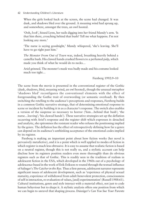#### 62 Understanding Children's Literature

When the girls looked back at the screen, the scene had changed. It was dusk, and shadows bled over the ground. A moaning wind had sprung up, and somewhere, amongst the trees, an owl hooted.

'Ooh, *look*', hissed Lynn, her nails digging into her friend Mandy's arm. 'Is that him there, crouching behind that bush? Tell me what happens. I'm not looking any more.'

'The nurse is saying goodnight,' Mandy whispered, 'she's leaving. She'll have to go right past him.'

*The Monster From Out of Town* was, indeed, breathing heavily behind a camellia bush. His clawed hands crushed flowers to a perfumed pulp, which made you think of what he would do to necks…

Ariel grinned. The monster's mask was badly made and his costume looked much too tight…

## Fienberg 1992:9–10

The scene from the movie is presented in the conventional register of the Gothic (dusk, shadows, bled, moaning wind, an owl hooted), though the unusual metaphor 'shadows bled' reconfigures the conventional elements with the effect of foregrounding the Gothic trait of overwording (or semantic overload). By then switching the retelling to the audience's perceptions and responses, Fienberg builds in a common Gothic narrative strategy, that of determining emotional response to scene or incident by building it in as a character's response. The switch also enables a version of the suspense so necessary to horror ('him…behind that bush'; 'the nurse…leaving'; 'his clawed hands'). These narrative strategies set up the deflation occurring with Ariel's response and the register shift which expresses it: detached and analytic, she epitomises the resistant reader who refuses the positioning implied by the genre. The deflation has the effect of retrospectively defining how far a genre can depend on its audience's unthinking acceptance of the emotional codes implied by its register.

Fienberg is making an important point about how fiction works (her novel is pervasively metafictive), and it is a point which is well applied to modes of fiction in which register is much less obtrusive. It is easy to assume that realistic fiction is based on a neutral register, though this is not really so, and a stylistic account can help disclose how its registers position readers even more thoroughly than do obvious registers such as that of Gothic. This is readily seen in the tradition of realism in adolescent fiction in the USA, which developed in the 1960s out of a psychology of adolescence based in the work of Erik Erikson re-routed through the textual influence of Salinger's *The Catcher in the Rye.* Thus a first-person, adolescent narrator represents significant issues of adolescent development, such as 'experience of physical sexual maturity, experience of withdrawal from adult benevolent protection, consciousness of self in interaction, re-evaluation of values, [and] experimentation' (Russell 1988:61). Cultural institutions, genre and style interact with a material effect, not just to code human behaviour but to shape it. A stylistic analysis offers one position from which we can begin to unravel that shaping process. Danziger's *Can You Sue Your Parents*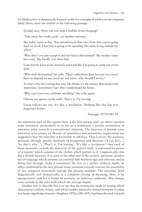*for Malpractice?* is thematically focused on the five concepts of adolescent development listed above; most are evident in the following passage:

[Linda] says, 'How can you stop a buffalo from charging?'

'Take away his credit cards', my mother answers.

My father turns to her. 'You should know that one. Now that you're going back to work, I bet you're going to be spending like mad, living outside my salary.'

'Why don't you just accept it and not feel so threatened?' My mother raises her voice. She hardly ever does that.

I can feel the knot in my stomach and I feel like I'm going to jump out of my skin.

'Who feels threatened?' he yells. 'That's ridiculous. Just because you won't have to depend on me, need me any more, why should I worry?'

So that's why he's acting this way. He thinks it's the money that makes him important. Sometimes I just don't understand his brain.

'Why can't you ever celebrate anything?' she yells again.

I throw my spoon on the table. That's it. I'm leaving.

Linda follows me out. It's like a revolution. Nothing like this has ever happened before.

## Danziger 1979/1987:64

An important part of the register here is the first person and—as often—present tense narration, particularly in so far as it constructs a precise orientation of narrative voice towards a conventional situation. The function of present tense narration is to convey an illusion of immediacy and instanteity, suppressing any suggestion that the outcome is knowable in advance. Thus Lauren, the narrator, proceeds through specific moments of recognition and decision—'I can feel…'; 'So that's why…'; 'That's it. I'm leaving'; 'It's like a revolution'—but each of these moments, as with the depiction of the quarrel itself, is expressed by means of a register which consists of the clichés which pertain to it. Linguistically, this has a double function. It is, now at the other end of the creative spectrum, another use of language which assumes an essential link between sign and referent; and in doing that through cliché it constitutes the text as a surface without depth, an effect reinforced by the way present tense narration severely restricts the possibility of any temporal movement outside the present moment. The outcome, both linguistically and thematically, is a complete closing of meaning: there is no interpretative task for a reader to perform, no inference undrawn. This closure even extends to the joke with which the passage begins.

Another way to describe this is to say that the metonymic mode of writing which characterises realistic fiction, and which enables particular textual moments to relate to a larger signifying structure (Stephens 1992a:248–249), has been directed towards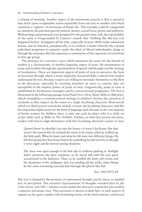a closing of meaning. Another aspect of the metonymic process is that a narrative may draw upon recognisable scenes repeatable from one text to another and which constitute a 'register' of metonyms of family life. This example could be categorised as: situation, the parental quarrel; pretext, money; actual focus, power and authority. With perhaps unintentional irony produced by the present tense verb, the repeatability of the scene is foregrounded by Lauren's remark that 'Nothing like this has ever happened before.' It happens all the time, especially in post-1960s realist adolescent fiction, and its function, paradoxically, is to confirm a model whereby the rational individual progresses to maturity under the ideal of liberal individuality, doing so through the assurance that the experience is metonymic of the experience of everybody in that age group.

The presence of a narrative voice which interprets the scene for the benefit of readers is a characteristic of another linguistic aspect of texts, the presentation of scene and incident through the representation of speech and thought and the strategy of focalisation. These are important aspects of point of view in narrative, the facet of narration through which a writer implicitly, but powerfully, controls how readers understand the text. Because readers are willing to surrender themselves to the flow of the discourse, especially by focusing attention on story or content, they are susceptible to the implicit power of point of view. Linguistically, point of view is established by focalisation strategies and by conversational pragmatics. The first is illustrated in the following passage from Paula Fox's *How Many Miles to Babylon?,* which exemplifies a common textual strategy in children's fiction, the narration of incidents as they impact on the mind of a single focalising character. Most novels which are third-person narrations include at least one focalising character, and this has important implications for the kind of language used, because in the vast majority of books written for children there is only one such focaliser, who is a child (or ersatz child, such as Bilbo in *The Hobbit*). Further, as with first person narrators, readers will tend to align themselves with that focalising character's point of view.

[James] *knew* he shouldn't go into the house—it wasn't his house. But that wasn't the reason why he wanted the street to be empty when he walked up the little path. What he knew and what he felt were two different things. He felt that going into that house had to be something he did secretly, as though it were night and he moved among shadows.

The door was open enough to let him slip in without pushing it. Sunlight didn't penetrate the dirty windows, so he stood still until his eyes grew accustomed to the darkness. Then, as he smelled the dusty old rooms and the dampness of the wallpaper that was peeling off the walls, other things he felt came swimming towards him through the gloom like fish.

Fox 1967/1972:28

The text is shaped by the presence of represented thought and by direct or implied acts of perception. The narrative representation of thought—marked here by the verbs 'knew' and 'felt'—situates events within the character's mind but also enables a separate narrating voice. This narration is always evident here in such aspects of register as the quite complex left-branching syntax of the final sentence and lexical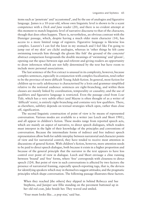items such as 'penetrate' and 'accustomed', and by the use of analogies and figurative language. James is a 10-year-old, whose own linguistic level is shown to be a scant competence with a *Dick and Jane* reader (20), and there is no evident attempt at this moment to match linguistic level of narrative discourse to that of the character, though that does often happen. There is, nevertheless, an obvious contrast with the Danziger passage, which, despite having a much older main character (14), has access to a more limited range of registers. Figurative language is likewise less complex. Lauren's I can feel the knot in my stomach and I feel like I'm going to jump out of my skin' are cliché analogies, whereas in 'other things he felt came swimming towards him through the gloom like fish' the ground of the concrete/ abstract comparison foregrounds the double meanings of 'swimming' and 'gloom', opening out the space between sign and referent and giving readers an opportunity to draw inferences which are not fully determined by the text but have room to include more personal associations.

The last sentence of the Fox extract is unusual in its complexity, however, because complex sentences, especially in conjunction with complex focalisation, tend rather to be the province of more difficult Young Adult fiction. In general, most fiction for children up to early adolescence is characterised by a lexis and grammar simplified relative to the notional audience: sentences are right-branching, and within them clauses are mainly linked by coordination, temporality or causality; and the use of qualifiers and figurative language is restricted. Even the passage cited from *Low Tide,* which has a very subtle effect (and Mayne is often thought of as a writer of 'difficult' texts), is entirely right-branching and contains very few qualifiers. There, as elsewhere, subtlety depends on textual strategies which open, rather than close off, signification.

The second linguistic construction of point of view is by means of represented conversation. Various modes are available to a writer (see Leech and Short 1981), and all appear in children's fiction. These modes range from reported speech acts, which are mainly an aspect of narrative, to direct speech dialogues, which readers must interpret in the light of their knowledge of the principles and conventions of conversation. Because the intermediate forms of indirect and free indirect speech representation allow both for subtle interplay between narratorial and character points of view and for narratorial control, they have tended to receive most attention in discussions of general fiction. With children's fiction, however, more attention needs to be paid to direct speech dialogue, both because it exists in a higher proportion and because of the general principle that the narrator in the text appears to have less control over point of view in dialogue. Leech and Short envisage a cline running between 'bound' and 'free' forms, where 'free' corresponds with closeness to direct speech (324). But point of view in such conversations is affected by two factors: the presence of narratorial framing, especially speech-reporting tags, that is, the devices for identifying speakers which may in themselves suggest attitudes; and the pragmatic principles which shape conversation. The following passage illustrates these factors.

When they reached [the others] they slipped in behind Rebecca and Sue Stephens, and Juniper saw Ellie standing on the pavement buttoned up in her old red coat, Jake beside her. They waved and smiled.

'Your mum looks like…a pop star,' said Sue.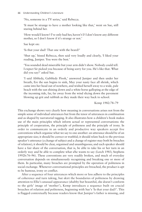#### 66 Understanding Children's Literature

'No, someone in a TV series,' said Rebecca.

'It must be strange to have a mother looking like that,' went on Sue, still staring behind her.

'How would I know? I've only had her, haven't I? I don't know any different mother, so I don't know if it's strange or not.'

Sue kept on:

'Is that your dad? That one with the beard?'

'Shut up,' hissed Rebecca, then said very loudly and clearly, 'I liked your reading, Juniper. You were the best.'

'You sounded dead miserable but your arm didn't show. Nobody could tell. I expect Sir picked you because of being sorry for you. He's like that. What did you say?' asked Sue.

'I said Abbledy, Gabbledy Flook,' answered Juniper and then under her breath, Ere the sun begins to sink, May your nasty face all shrink, which came into her head out of nowhere, and wished herself away to a wide, pale beach with the sun shining down and a white horse galloping at the edge of the incoming tide, far, far away from the wind slicing down the pavement blowing up grit and rubbish as they made their way back to school.

Kemp 1982:78–79

This exchange shows very clearly how meaning in conversations arises not from the simple sense of individual utterances but from the tenor of utterances in combination and as shaped by narratorial tagging. It also illustrates how a children's book makes use of the main principles which inform actual or represented conversations: the principle of cooperation, the principle of politeness and the principle of irony. In order to communicate in an orderly and productive way speakers accept five conventions which organise what we say to one another: an utterance should be of an appropriate size; it should be correct or truthful; it should relate back to the previous speaker's utterance (a change of subject and a change of register may both be breaches of relation); it should be clear, organised and unambiguous; and each speaker should have a fair share of the conversation, that is, be able to take his or her turn in an orderly way and be able to complete what s/he wants to say (Leech 1983; Stephens 1992b:76–96). These conventions are very readily broken, and much of everyday conversation depends on simultaneously recognising and breaking one or more of them. In particular, many breaches are prompted by the operation of politeness in social exchange. Whenever conversational principles are breached, the product is apt to be humour, irony or conflict.

After a sequence of four utterances which more or less adhere to the principles of coherence and turn taking, but skirt the boundaries of politeness by drawing attention to Ellie's unusual appearance (shabby but beautiful, she doesn't conform to the girls' image of 'mother'), Kemp introduces a sequence built on crucial breaches of relation and politeness, beginning with Sue's 'Is that your dad?'. This is flagged contextually because readers know that Juniper's father is missing, and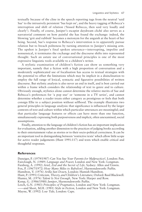textually because of the cline in the speech reporting tags from the neutral 'said Sue' to the intrusively persistent 'Sue kept on', and the heavy tagging of Rebecca's interruption and shift of relation ('hissed Rebecca, then said very loudly and clearly'). Finally, of course, Juniper's escapist daydream cliché also serves as a narratorial comment on how painful she has found the exchange: indeed, the blowing 'grit and rubbish' becomes a metonym for the anguish at the heart of her being. Second, Sue's response to Rebecca's intervention is to apparently pursue relation but to breach politeness by turning attention to Juniper's missing arm. The upshot is Juniper's final spoken utterance—interrupting, impolite and nonsensical, it terminates the exchange and the discourse shifts into represented thought. Such an astute use of conversational principles is one of the most expressive linguistic tools available to a children's writer.

A stylistic examination of children's fiction can show us something very important, namely that a fiction with a high proportion of conversation and a moderately sophisticated use of focalisation has access to textual strategies with the potential to offset the limitations which may be implicit in a disinclination to employ the full range of lexical, syntactic and figurative possibilities of written discourse. But stylistic analysis is also never an end in itself, and is best carried out within a frame which considers the relationship of text to genre and to culture. Obviously enough, stylistics alone cannot determine the relative merits of Sue and Rebecca's preferences for 'a pop star' or 'someone in a TV series', and cannot determine whether a reader treats either category as prestigious or feels that both consign Ellie to a subject position without selfhood. The example illustrates two general principles in language analysis: that significance is influenced by the larger contexts of text and culture within which particular utterances are meaningful; and that particular language features or effects can have more than one function, simultaneously expressing both purposiveness and implicit, often unexamined, social assumptions.

Finally, attention to the language of children's fiction has an important implication for evaluation, adding another dimension to the practices of judging books according to their entertainment value as stories or to their socio-political correctness. It can be an important tool in distinguishing between 'restrictive texts' which allow little scope for active reader judgements (Hunt 1991:117) and texts which enable critical and thoughtful responses.

## **References**

Danziger, P. (1979/1987) *Can You Sue Your Parents for Malpractice?,* London: Pan. Fairclough, N. (1989) *Language and Power,* London and New York: Longman. Fienberg, A. (1992) *Ariel, Zed and the Secret of Life,* Sydney: Allen and Unwin. Fox, P. (1967/1972) *How Many Miles to Babylon?,* Harmondsworth: Puffin. Hamilton, V. (1976) *Arilla Sun Down,* London: Hamish Hamilton. Hunt, P. (1991) *Criticism, Theory, and Children's Literature,* Oxford: Basil Blackwell. Hunter, M. (1976) *Talent Is Not Enough,* New York: Harper and Row. Kemp, G. (1986/1988) *Juniper*, Harmondsworth: Puffin. Leech, G.N. (1983) *Principles of Pragmatics,* London and New York: Longman. ——and Short, M.H. (1981) *Style in Fiction,* London and New York: Longman. Mayne, W. (1992) *Low Tide,* London: Cape.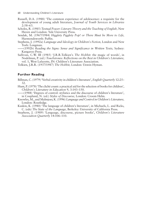- Russell, D.A. (1988) 'The common experience of adolescence: a requisite for the development of young adult literature, *Journal of Youth Services in Libraries* 2:58–63.
- Scholes, R. (1985) *Textual Power: Literary Theory and the Teaching of English,* New Haven and London: Yale University Press.
- Sendak, M. (1967/1984) *Higglety Pigglety Pop! or There Must be More to Life,* Harmondsworth: Puffin.
- Stephens, J. (1992a) *Language and Ideology in Children's Fiction,* London and New York: Longman.
- ——(1992b) *Reading the Signs: Sense and Significance in Written Texts,* Sydney: Kangaroo Press.
- Sullivan, C.W. III (1985) 'J.R.R.Tolkien's *The Hobbit:* the magic of words', in Nodelman, P. (ed.) *Touchstones: Reflections on the Best in Children's Literature,* vol. 1, West Lafayette, IN: Children's Literature Association.
- Tolkien, J.R.R. (1937/1987) *The Hobbit,* London: Unwin Hyman.

## **Further Reading**

- Billman, C. (1979) 'Verbal creativity in children's literature', *English Quarterly* 12:25– 32.
- Hunt, P. (1978) 'The cliché count: a practical aid for the selection of books for children', *Children's Literature in Education* 9, 3:143–150.
- ——(1988) 'Degrees of control: stylistics and the discourse of children's literature', in Coupland, N. (ed.) *Styles of Discourse,* London: Croom Helm.
- Knowles, M., and Malmjoer, K. (1996) *Language and Control in Children's Literature,* London: Routledge.
- Kuskin, K. (1980) 'The language of children's literature', in Michaels, L. and Ricks, C. (eds) *The State of the Language,* Berkeley: University of California Press.
- Stephens, J. (1989) 'Language, discourse, picture books', *Children's Literature Association Quarterly* 14:106–110.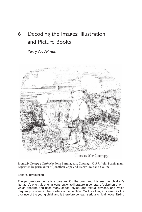# 6 Decoding the Images: Illustration and Picture Books

# *Perry Nodelman*



This is Mr Gumpy.

From *Mr Gumpy's Outing* by John Burningham. Copyright ©1971 John Burningham. Reprinted by permission of Jonathan Cape and Henry Holt and Co. Inc.

Editor's introduction

The picture-book genre is a paradox. On the one hand it is seen as children's literature's one truly original contribution to literature in general, a 'polyphonic' form which absorbs and uses many codes, styles, and textual devices, and which frequently pushes at the borders of convention. On the other, it is seen as the province of the young child, and is therefore beneath serious critical notice. Taking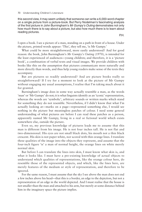this second view, it may seem unlikely that someone can write a 6,000-word chapter on a single picture from a picture-book. But Perry Nodelman's fascinating analysis of the first picture in John Burningham's Mr Gumpy's Outing demonstrates not only how much there is to say about a picture, but also how much there is to learn about reading pictures.

P.H.

I open a book. I see a picture of a man, standing on a path in front of a house. Under the picture, printed words appear: 'This', they tell me, 'is Mr Gumpy.'

What could be more straightforward, more easily understood? And for good reason: the book, John Burningham's *Mr Gumpy's Outing* (1970), is intended for the least experienced of audiences—young children; and therefore, it is a 'picture book', a combination of verbal texts and visual images. We provide children with books like this on the assumption that pictures communicate more naturally and more directly than words, and thus help young readers make sense of the texts they accompany.

But are pictures so readily understood? And are picture books really so straightforward? If I try for a moment to look at the picture of Mr Gumpy without engaging my usual assumptions, I realise that I'm taking much about it for granted.

Burningham's image does in some way actually resemble a man, as the words 'man' or 'Mr Gumpy' do not; it is what linguists identify as an 'iconic' representation, whereas the words are 'symbolic', arbitrary sounds or written marks which stand for something they do not resemble. Nevertheless, if I didn't know that what I'm actually looking at—marks on a page—represented something else, I would see nothing in the picture but meaningless patches of colour. I need some general understanding of what pictures are before I can read these patches as a person, apparently named Mr Gumpy, living in a real or fictional world which exists somewhere else, outside the picture.

Even so, my previous knowledge of pictures leads me to assume that this man is different from his image. He is not four inches tall. He is not flat and two-dimensional. His eyes are not small black dots, his mouth not a thin black crescent. His skin is not paper-white, nor scored with thin orange lines. I translate these qualities of the image into the objects they represent, and assume that the four-inch figure 'is' a man of normal height, the orange lines on white merely normal skin.

But before I can translate the lines into skin, I must know what skin is, and what it looks like. I must have a pre-existing knowledge of actual objects to understand which qualities of representations, like the orange colour here, do resemble those of the represented objects, and which, like the lines here, are merely features of the medium or style of representation, and therefore to be ignored.

For the same reason, I must assume that the sky I see above the man does not end a few inches above his head—that this is a border, an edge to the depiction, but not a representation of an edge in the world depicted. And I must realise that the house is not smaller than the man and attached to his arm, but merely at some distance behind him in the imaginary space the picture implies.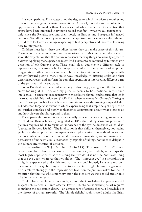But now, perhaps, I'm exaggerating the degree to which the picture requires my previous knowledge of pictorial conventions? After all, more distant real objects do appear to us to be smaller than closer ones. But while that's true, it's also true that artists have been interested in trying to record that fact—what we call perspective only since the Renaissance, and then mostly in Europe and European-influenced cultures. Not all pictures try to represent perspective, and it takes a culture-bound prejudice to look at visual images expecting to find perspective and therefore, knowing how to interpret it.

Children must learn these prejudices before they can make sense of this picture. Those who can accurately interpret the relative size of Mr Gumpy and the house do so on the expectation that the picture represents the way things do actually appear to a viewer. Applying that expectation might lead a viewer to be confused by Burningham's depiction of Mr Gumpy's eyes. These small black dots evoke a different style of representation, caricature, which conveys visual information by means of simplified exaggeration rather than resemblance. In order to make sense of this apparently straightforward picture, then, I must have knowledge of differing styles and their differing purposes, and perform the complex operation of interpreting different parts of the pictures in different ways.

So far I've dealt with my understanding of this image, and ignored the fact that I enjoy looking at it. I do; and my pleasure seems to be emotional rather than intellectual—a sensuous engagement with the colours, shapes, and textures that leads me to agree with Brian Alderson (1990:114), when he names *Mr Gumpy's Outing* as one of 'those picture books which have no ambitions beyond conveying simple delight'. But Alderson forgets the extent to which experiencing that simple delight depends on still further complex and highly sophisticated assumptions about what pictures do and how viewers should respond to them.

These particular assumptions are especially relevant in considering art intended for children. Ruskin famously suggested in 1857 that taking sensuous pleasure in pictures requires adults to regain an 'innocence of the eye' he described as 'childish' (quoted in Herbert 1964:2). The implication is that children themselves, not having yet learned the supposedly counterproductive sophistication that leads adults to view pictures only in terms of their potential to convey information, are automatically in possession of innocent eyes, automatically capable of taking spontaneous delight in the colours and textures of pictures.

But according to W.J.T.Mitchell (1986:118), This sort of "pure" visual perception, freed from concerns with function, use, and labels, is perhaps the most highly sophisticated sort of seeing that we do; it is not the "natural" thing that the eye does (whatever that would be). The "innocent eye" is a metaphor for a highly experienced and cultivated sort of vision.' Indeed, I suspect my own pleasure in the way Burningham captures effects of light falling on grass and bricks relates strongly to the impressionist tradition the picture evokes for me—a tradition that built a whole morality upon the pleasure viewers could and should take in just such effects.

Could I have the pleasure innocently, without the knowledge of impressionism? I suspect not; as Arthur Danto asserts (1992:431), 'To see something as art requires something the eye cannot descry—an atmosphere of artistic theory, a knowledge of the history of art: an artworld'. The 'simple delight' sophisticated adults like Brian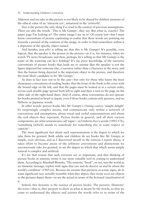Alderson and me take in this picture is not likely to be shared by children unaware of the ethical value of an 'innocent eye', untutored in the 'artworld'.

Nor is the picture the only thing I've read in the context of previous assumptions. There are also the words. 'This is Mr Gumpy', they say. But *what* is, exactly? The paper page I'm looking at? The entire image I see on it? Of course not—but I must know conventions of picture captioning to realise that these words are pointing me towards a perusal of the contents of the image, in order to find somewhere within it a depiction of the specific object named.

And besides, just *who* is telling me that this is Mr Gumpy? It's possible, even logical, that the speaker is the person in the picture—as it is, for instance, when we watch TV news broadcasts; and then, perhaps, he's telling us that Mr Gumpy is the name of the watering can he's holding? It's my prior knowledge of the narrative conventions of picture books that leads me to assume that the speaker is not the figure depicted but someone else, a narrator rather than a character in the story, and that the human being depicted is the important object in the picture, and therefore the most likely candidate to be 'Mr Gumpy'.

As does in fact turn out to be the case—but only for those who know the most elementary conventions of reading books: that the front of the book is the cover with the bound edge on the left, and that the pages must be looked at in a certain order, across each double-page spread from left to right and then a turn to the page on the other side of the right-hand sheet. And of course, these conventions do not operate for books printed in Israel or Japan, even if those books contain only pictures, and no Hebrew or Japanese words.

In other words: picture books like *Mr Gumpy's Outing* convey 'simple delight' by surprisingly complex means, and communicate only within a network of conventions and assumptions, about visual and verbal representations and about the real objects they represent. Picture books in general, and all their various components, are what semioticians call 'signs'—in Umberto Eco's words (1985:176), 'something [which] stands to somebody for something else in some respect or capacity'.

The most significant fact about such representations is the degree to which we take them for granted. Both adults and children do see books like *Mr Gumpy* as simple, even obvious, and as I discovered myself in the exercise I report above, it takes effort to become aware of the arbitrary conventions and distinctions we unconsciously take for granted, to see the degree to which that which seems simply natural is complex and artificial.

It's for that reason that such exercises are so important, and that thinking of picture books in semiotic terms is our most valuable tool in coming to understand them. According to Marshall Blonsky, 'The semiotic "head", or eye, sees the world as an immense message, replete with signs that can and do deceive us and lie about the world's condition' (1985:vii). Because we assume that pictures, as iconic signs, do in some significant way actually resemble what they depict, they invite us to see objects *as* the pictures depict them—to see the actual in terms of the fictional visualisation of it.

Indeed, this dynamic is the essence of picture books. The pictures 'illustrate' the texts—that is, they purport to show us what is meant by the words, so that we come to understand the objects and actions the words refer to in terms of the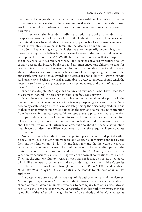qualities of the images that accompany them—the world outside the book in terms of the visual images within it. In persuading us that they do represent the actual world in a simple and obvious fashion, picture books are particularly powerful deceivers.

Furthermore, the intended audience of picture books is by definition inexperienced—in need of learning how to think about their world, how to see and understand themselves and others. Consequently, picture books are a significant means by which we integrate young children into the ideology of our culture.

As John Stephens suggests, 'Ideologies…are not necessarily undesirable, and in the sense of a system of beliefs by which we make sense of the world, social life would be impossible without them' (1992:8). But that does not mean that all aspects of social life are equally desirable, nor that all the ideology conveyed by picture books is equally acceptable. Picture books can and do often encourage children to take for granted views of reality that many adults find objectionable. It is for this reason above all that we need to make ourselves aware of the complex significations of the apparently simple and obvious words and pictures of a book like *Mr Gumpy's Outing.* As Blonsky says, 'Seeing the world as signs able to deceive, semiotics should teach the necessity to fix onto *every* fact, even the most mundane, and ask, "What do you mean?"' (1985:xxvii).

What, then, do John Burningham's picture and text mean? What have I been lead to assume is 'natural' in agreeing that this is, in fact, Mr Gumpy?

Most obviously, I've accepted that what matters most about the picture is the human being in it: it encourages a not particularly surprising species-centricity. But it does so by establishing a hierarchic relationship among the objects depicted: only one of them is important enough to be named by the text, and so require more attention from the viewer. Intriguingly, young children tend to scan a picture with equal attention to all parts; the ability to pick out and focus on the human at the centre is therefore a learned activity, and one that reinforces important cultural assumptions, not just about the relative value of particular objects, but also about the general assumption that objects do indeed have different values and do therefore require different degrees of attention.

Not surprisingly, both the text and the picture place the human depicted within a social context. He is *Mr* Gumpy, male and adult, his authority signalled by the fact that he is known only by his title and last name and that he wears the sort of jacket which represents business-like adult behaviour. The jacket disappears in the central portions of the book, as visual evidence that Mr Gumpy's boat trip is a vacation from business as usual, during which the normal conventions are relaxed. Then, at the end, Mr Gumpy wears an even fancier jacket as host at a tea party which, like the meals provided to children by adults at the end of children's stories from 'Little Red Riding Hood' through Potter's *Peter Rabbit* (1902) and Sendak's *Where the Wild Things Are* (1963), confirms the benefits for children of an adult's authority.

But despite the absence of this visual sign of his authority in many of the pictures, Mr Gumpy always remains *Mr* Gumpy in the text—and he is always undeniably in charge of the children and animals who ask to accompany him on his ride, always entitled to make the rules for them. Apparently, then, his authority transcends the symbolism of the jacket, which might be donned by anybody and therefore represents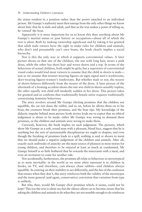the status resident in a position rather than the power attached to an individual person. Mr Gumpy's authority must then emerge from the only other things we know about him: that he is male and adult, and that as the text makes a point of telling us, he 'owned' the boat.

Apparently it is more important for us to know this than anything about Mr Gumpy's marital status or past history or occupation—about all of which the text is silent. Both by making ownership significant and by taking it for granted that adult male owners have the right to make rules for children and animals, who don't and presumably can't own boats, the book clearly implies a social hierarchy.

Nor is this the only way in which it supports conventional values. A later picture shows us that one of the children, the one with long hair, wears a pink dress, while the other has short hair and wears shorts and a top. In terms of the behaviour of actual children, both might be girls; but a repertoire of conventional visual codes would lead most viewers to assume that the child in shorts is male just as we assume that trouser-wearing figures on signs signal men's washrooms, skirt-wearing figures women's washrooms. But whether male or not, the wearer of shorts behaves differently from the wearer of the dress. A later picture of the aftermath of a boating accident shows the one wet child in shorts sensibly topless, the other equally wet child still modestly sodden in her dress. This picture takes for granted and so confirms that traditionally female attire requires traditionally constraining feminine behaviour.

The story revolves around Mr Gumpy eliciting promises that the children not squabble, the cat not chase the rabbit, and so on, before he allows them on to his boat; the creatures break their promises, and the boat tips. My knowledge of the didactic impulse behind most picture book stories leads me to expect that an ethical judgement is about to be made: either Mr Gumpy was wrong to demand these promises, or the children and animals were wrong to make them.

Curiously, however, the book implies no such judgement. The pictures, which show Mr Gumpy as a soft, round man with a pleasant, bland face, suggest that he is anything but the sort of unreasonable disciplinarian we ought to despise; and even though the breaking of promises leads to a spill, nothing is said or shown to insist that we should make a negative judgement of the children and animals. After all, exactly such outbreaks of anarchy are the main source of pleasure in most stories for young children, and therefore to be enjoyed at least as much as condemned. Mr Gumpy himself is so little bothered that he rewards the miscreants with a meal, and even an invitation to come for another ride.

Not accidentally, furthermore, the promises all relate to behaviour so stereotypical as to seem inevitable: in the world as we most often represent it to children in books, on TV, and elsewhere, cats always chase rabbits—and children always squabble. In centring on their inability to act differently, and the fun of the confusion that ensues when they don't, this story reinforces both the validity of the stereotypes and the more general (and again, conservative) conviction that variation from type is unlikely.

But why, then, would Mr Gumpy elicit promises which, it seems, could not be kept? This too the text is silent on; but the silence allows us to become aware that his asking the children and animals to do what they are not sensible enough to do reinforces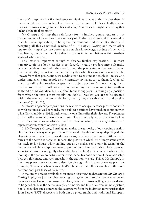the story's unspoken but firm insistence on his right to have authority over them. If they ever did mature enough to keep their word, then we couldn't so blindly assume they were unwise enough to need his leadership. Someone else might be wearing that jacket at the final tea party.

*Mr Gumpy's Outing* thus reinforces for its implied young readers a not uncommon set of ideas about the similarity of children to animals, the inevitability of child-like irresponsibility in both, and the resultant need for adult authority. In accepting all this as natural, readers of *Mr Gumpy's Outing* and many other apparently 'simple' picture books gain complex knowledge, not just of the world they live in, but also of the place they occupy as individual beings within it—their sense of who they are.

This latter is important enough to deserve further exploration. Like most narrative, picture book stories most forcefully guide readers into culturally acceptable ideas about who they are through the privileging of the point of view from which they report on the events they describe. Knowing only what can be known from that perspective, we readers tend to assume it ourselves—to see and understand events and people as the narrative invites us to see them. Ideological theorists call such narrative perspectives 'subject positions': in occupying them, readers are provided with ways of understanding their own subjectivity—their selfhood or individuality. But, as John Stephens suggests, 'in taking up a position from which the text is most readily intelligible, [readers] are apt to be situated within the frame of the text's ideology; that is, they are subjected to and by that ideology' (1992:67),

All stories imply subject positions for readers to occupy. Because picture books do so with pictures as well as words, their subject positions have much in common with what Christian Metz (1982) outlines as the one films offer their viewers. The pictures in both offer viewers a position of power. They exist only so that we can look at them: they invite us to observe—and to observe what, in its very nature as a representation, cannot observe us back.

In *Mr Gumpy's Outing,* Burningham makes the authority of our viewing position clear in the same way most picture book artists do: by almost always depicting all the characters with their faces turned towards us, even when that makes little sense in terms of the activities depicted. Indeed, the picture in which Mr Gumpy stands with his back to his house while smiling out at us makes sense only in terms of the conventions of photography or portrait painting; as in family snapshots, he is arranged so as to be most meaningfully observable by a (to him) unseen viewer who will be looking at the picture some time after it was made. In confirmation of the relationship between this image and such snapshots, the caption tells us, 'This *is* Mr Gumpy', in the same present tense we use to describe photographic images of events past (for example, 'This *is* me when I *was* a child'). The story that follows switches to the more conventional past tense of narratives.

In making their faces available to an unseen observer, the characters in *Mr Gumpy's Outing* imply, not just the observer's right to gaze, but also their somewhat veiled consciousness of an observer—and therefore, their own passive willingness, even desire, to be gazed at. Like the actors in a play or movie, and like characters in most picture books, they share in a somewhat less aggressive form the invitation to voyeurism that John Berger (1972) discovers in both pin-up photographs and traditional European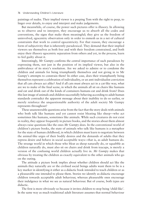paintings of nudes. Their implied viewer is a peeping Tom with the right to peep, to linger over details, to enjoy and interpret and make judgements.

But meanwhile, of course, the power such pictures offer is illusory. In allowing us to observe and to interpret, they encourage us to absorb all the codes and conventions, the signs that make them meaningful; they give us the freedom of uninvolved, egocentric observation only in order to enmesh us in a net of cultural constraints that work to control egocentricity. For that reason, they encourage a form of subjectivity that is inherently paradoxical. They demand that their implied viewers see themselves as both free and with their freedom constrained, and both enjoy their illusory egocentric separation from others and yet, in the process, learn to feel guilty about it.

Interestingly, *Mr Gumpy* confirms the central importance of such paradoxes by expressing them, not just in the position of its implied viewer, but also in the ambivalence of its story's resolution. Are we asked to admire or to condemn the children and animals for being triumphantly themselves and not giving in to Mr Gumpy's attempts to constrain them? In either case, does their triumphantly being themselves represent a celebration of individuality, or an anti-individualist conviction that all cats always act alike? And if all cats must always act in a cat-like way, what are we to make of the final scene, in which the animals all sit on chairs like humans and eat and drink out of the kinds of containers humans eat and drink from? Does this last image of animals and children successfully behaving according to adult human standards contradict the apparent message about their inability to do so earlier, or merely reinforce the unquestionable authority of the adult society Mr Gumpy represents throughout?

These unanswerable questions arise from the fact that the story deals with animals who both talk like humans and yet cannot resist bleating like sheep—who act sometimes like humans, sometimes like animals. While such creatures do not exist in reality, they appear frequently in picture books, and the stories about them almost always raise questions like the ones *Mr Gumpy* does. In the conventional world of children's picture books, the state of animals who talk like humans is a metaphor for the state of human childhood, in which children must learn to negotiate between the animal-like urges of their bodily desires and the demands of adults that they repress desire and behave in social acceptable ways—that is, as adult humans do. The strange world in which those who bleat as sheep naturally do, or squabble as children naturally do, must also sit on chairs and drink from teacups, is merely a version of the confusing world children actually live in. *Mr Gumpy* makes that obvious by treating the children as exactly equivalent to the other animals who go on the outing.

The attitude a picture book implies about whether children should act like the animals they naturally are or the civilised social beings adults want them to be is a key marker in identifying it either as a didactic book intended to teach children or as a pleasurable one intended to please them. Stories we identify as didactic encourage children towards acceptable adult behaviour, whereas pleasurable ones encourage their indulgence in what we see as natural behaviour. But of course, both types are didactic.

The first is more obviously so because it invites children to stop being 'child-like'. In the same way as much traditional adult literature assumes that normal behaviour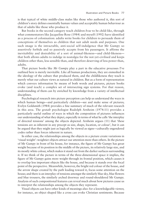is that typical of white middle-class males like those who authored it, this sort of children's story defines essentially human values and acceptably human behaviour as that of adults like those who produce it.

But books in the second category teach children *how* to be child-like, through what commentators like Jacqueline Rose (1984) and myself (1992) have identified as a process of colonisation: adults write books for children to persuade them of conceptions of themselves as children that suit adult needs and purposes. One such image is the intractable, anti-social self-indulgence that Mr Gumpy so assertively forbids and so passively accepts from his passengers. It affirms the inevitability and desirability of a sort of animal-likeness—and child-likeness that both allows adults to indulge in nostalgia for the not-yet-civilised and keeps children other than, less sensible than, and therefore deserving of less power than, adults.

That picture books like *Mr Gumpy* play a part in the educative processes I've outlined here is merely inevitable. Like all human productions, they are enmeshed in the ideology of the culture that produced them, and the childlikeness they teach is merely what our culture views as natural in children. But as a form of representation which conveys information by means of both words and pictures, picture books evoke (and teach) a complex set of intersecting sign systems. For that reason, understanding of them can by enriched by knowledge from a variety of intellectual disciplines.

Psychological research into picture perception can help us understand the ways in which human beings—and particularly children—see and make sense of pictures; Evelyn Goldsmith (1984) provides a fine summary of much of the relevant research in this area. The *gestalt* psychologist Rudolph Arnheim (1974:11) provides a particularly useful outline of ways in which the composition of pictures influences our understanding of what they depict, especially in terms of what he calls 'the interplay of directed tensions' among the objects depicted. Arnheim argues (11) that 'these tensions are as inherent in any precept as size, shape, location, or colour', but it can be argued that they might just as logically be viewed as signs—culturally engendered codes rather than forces inherent in nature.

In either case, the relationships among the objects in a picture create variations in 'visual weight': weightier objects attract our attention more than others. In the picture of Mr Gumpy in front of his house, for instance, the figure of Mr Gumpy has great weight because of its position in the middle of the picture, its relatively large size, and its mostly white colour, which makes it stand out from the darker surfaces surrounding it. If we think of the picture in terms of the three-dimensional space it implies, the figure of Mr Gumpy gains more weight through its frontal position, which causes it to overlap less important objects like the house, and because it stands over the focal point of the perspective. Meanwhile, however, the bright red colour of the house, and the arrow shape created by the path leading toward it, focus some attention on the house; and there is an interplay of tensions amongst the similarly blue sky, blue flowers and blue trousers, the similarly arched doorway and round-shouldered Mr Gumpy. Analysis of such compositional features can reveal much about how pictures cause us to interpret the relationships among the objects they represent.

Visual objects can have other kinds of meanings also: for a knowledgeable viewer, for instance, an object shaped like a cross can evoke Christian sentiments. Because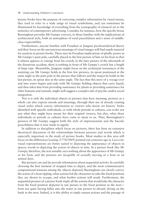picture books have the purpose of conveying complex information by visual means, they tend to refer to a wide range of visual symbolisms, and can sometimes be illuminated by knowledge of everything from the iconography of classical art to the semiotics of contemporary advertising. Consider, for instance, how the specific house Burningham provides Mr Gumpy conveys, to those familiar with the implications of architectural style, both an atmosphere of rural peacefulness and a sense of middleclass respectability.

Furthermore, anyone familiar with Freudian or Jungian psychoanalytical theory and their focus on the unconscious meanings of visual images will find ample material for analysis in picture books. There may be Freudian implications of phallic power in Mr Gumpy's punt pole, carefully placed in the first picture of him on his boat so that it almost appears to emerge from his crotch; in the later picture of the aftermath of the disastrous accident, there is nothing in front of Mr Gumpy's crotch but a length of limp rope. Meanwhile, Jungians might focus on the archetypal resonances of the watering can Mr Gumpy holds in the first few pictures, its spout positioned at the same angle as the punt pole in the picture that follows and the teapot he holds in the last picture, its spout also at the same angle. The fact that this story of a voyage over and into water begins and ends with Mr Gumpy holding objects that carry liquid, and thus takes him from providing sustenance for plants to providing sustenance for other humans and animals, might well suggest a complex tale of psychic and/or social integration.

Nor is it only the individual objects in pictures that have meaning: pictures as a whole can also express moods and meanings, through their use of already existing visual styles which convey information to viewers who know art history. Styles identified with specific individuals, or with whole periods or cultures, can evoke not just what they might have meant for their original viewers, but also, what those individuals or periods or cultures have come to mean to us. Thus, Burningham's pictures of Mr Gumpy suggest both the style of impressionism and the bucolic peacefulness that it now tends to signify.

In addition to disciplines which focus on pictures, there has been an extensive theoretical discussion of the relationships between pictures and words which is especially important in the study of picture books. Most studies in this area still focus on the differences Lessing (1776/1969) pointed out centuries ago in *Laocoön:* visual representations are better suited to depicting the appearance of objects in spaces, words to depicting the action of objects in time. In a picture book like *Mr Gumpy,* therefore, the text sensibly says nothing about the appearance of Mr Gumpy or his boat, and the pictures are incapable of actually moving as a boat or an animal does.

But pictures can and do provide information about sequential activity. In carefully choosing the best moment of stopped time to depict, and the most communicative compositional tensions among the objects depicted, Burningham can clearly convey the action of a boat tipping, what actions led the characters to take the fixed positions they are shown to occupy, and what further actions will result. Furthermore, the sequential pictures of a picture book imply all the actions that would take the character from the fixed position depicted in one picture to the fixed position in the next from not quite having fallen into the water in one picture to already drying on the bank in the next. Indeed, it is this ability to imply unseen actions and the passage of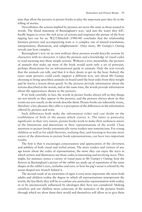time that allow the pictures in picture books to play the important part they do in the telling of stories.

Nevertheless, the actions implied by pictures are never the same as those named in words. The bland statement of Burningham's text, 'and into the water they fell', hardly begins to cover the rich array of actions and responses the picture of the boat tipping lays out for us. W.J.T.Mitchell (1986:44) concludes that the relationship between pictures and accompanying texts is 'a complex one of mutual translation, interpretation, illustration, and enlightenment'. Once more, *Mr Gumpy's Outing* reveals just how complex.

Burningham's text on its own without these pictures would describe actions by characters with no character: it takes the pictures and a knowledge of visual codes to read meaning into these simple actions. Without a text, meanwhile, the pictures of animals that make up most of the book would seem only a set of portraits, perhaps illustrations for an informational guide to animals. Only the text reveals that the animals can talk, and that it is their desire to get on the boat. Indeed, the exact same pictures could easily support a different text, one about Mr Gumpy choosing to bring speechless animals on board until the boat sinks from their weight and he learns a lesson about greed. So the pictures provide information about the actions described in the words; and at the same time, the words provide information about the appearances shown in the pictures.

If we look carefully, in fact, the words in picture books always tell us that things are not merely as they appear in the pictures, and the pictures always show us that events are not exactly as the words describe them. Picture books are inherently ironic, therefore: a key pleasure they offer is a perception of the differences in the information offered by pictures and texts.

Such differences both make the information richer and cast doubt on the truthfulness of both of the means which convey it. The latter is particular significant: in their very nature, picture books work to make their audiences aware of the limitations and distortions in their representations of the world. Close attention to picture books automatically turns readers into semioticians. For young children as well as for adult theorists, realising that, and learning to become more aware of the distortions in picture book representations, can have two important results.

The first is that it encourages consciousness and appreciation of the cleverness and subtlety of both visual and verbal artists. The more readers and viewers of any age know about the codes of representation, the more they can enjoy the ways in which writers and illustrators use those codes in interesting and involving ways. They might, for instance, notice a variety of visual puns in *Mr Gumpy's Outing:* how the flowers in Burningham's picture of the rabbit are made up of repetitions of the same shapes as the rabbit's eyes, eyelashes and ears, or how his pig's snout is echoed by the snout-shaped tree branch behind it.

The second result of an awareness of signs is even more important: the more both adults and children realise the degree to which all representations misrepresent the world, the less likely they will be to confuse any particular representation with reality, or to be unconsciously influenced by ideologies they have not considered. Making ourselves and our children more conscious of the semiotics of the pictures books through which we show them their world and themselves will allow us to give them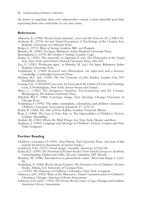the power to negotiate their own subjectivities—surely a more desirable goal than repressing them into conformity to our own views.

# **References**

Alderson, B. (1990) 'Picture book anatomy', *Lion and the Unicorn* 14, 2:108–114.

- Arnheim, R. (1974) *Art and Visual Perception: A Psychology of the Creative Eye,* Berkeley: University of California Press.
- Berger, J. (1972) *Ways of Seeing,* London: BBC and Penguin.
- Blonsky, M. (1985) *On Signs,* Baltimore: Johns Hopkins University Press.

Burningham, J. (1970) *Mr Gumpy's Outing,* London: Cape.

- Danto, A. (1992) 'The artworld', in Alperson, P. (ed.) *The Philosophy of the Visual Arts,* New York and Oxford: Oxford University Press, 426–433.
- Eco, U. (1985) 'Producing signs', in Blonsky, M. (ed.) *On Signs,* Baltimore: Johns Hopkins University Press.
- Goldsmith, E. (1984) *Research into Illustration: An Approach and a Review,* Cambridge: Cambridge University Press.
- Herbert, R.L. (ed.) (1964) *The Art Criticism of John Ruskin,* Garden City, NY: Doubleday Anchor.
- Lessing, G.E. (1766/1969) *Laocoön: An Essay upon the Limits of Poetry and Painting,* trans. E.Frothingham, New York: Farrar Straus and Giroux.
- Metz, C. (1982) *The Imaginary Signifier: Psychoanalysis and the Cinema,* Bloomington, IN: Indiana University Press.
- Mitchell, W.J.T. (1986) *Iconology: Image, Text, Ideology,* Chicago: University of Chicago Press.
- Nodelman, P. (1992) 'The other: orientalism, colonialism, and children's literature', *Children's Literature Association Quarterly* 17, 1:29–35.
- Potter, B. (1902) *The Tale of Peter Rabbit,* London: Frederick Warne.
- Rose, J. (1984) *The Case of Peter Pan, or The Impossibility of Children's Fiction,* London: Macmillan.
- Sendak, M. (1963) *Where the Wild Things Are,* New York: Harper and Row.
- Stephens, J. (1992) *Language and Ideology in Children's Fiction,* London and New York: Longman.

# **Further Reading**

- *Children's Literature* 19 (1991). New Haven: Yale University Press. (An issue of this journal devoted to discussions of picture books.)
- Gombrich, E.H. (1972) 'Visual image', *Scientific American* 227:82–94.
- Kiefer, B.Z. (1995) *The Potential of Picture Books: From Visual Literacy to Aesthetic Understanding,* Englewood Cliffs, NJ and Columbus, OH: Merrill.
- Moebius, W. (1986) 'Introduction to picturebook codes', *Word and Image* 2, 2:63– 66.
- Nodelman, P. (1988) *Words About Pictures: The Narrative Art of Children's Picture Books,* Athens, GA: University of Georgia Press.
- ——(1992) *The Pleasures of Children's Literature,* New York: Longman.
- Schwarcz, J.H. (1982) *Ways of the Illustrator: Visual Communication in Children's Literature,* Chicago: American Library Association.
- Schwarcz, J.H. and C. (1991) *The Picture Book Comes of Age,* Chicago and London: American Library Association.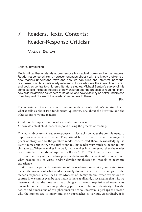# 7 Readers, Texts, Contexts: Reader-Response Criticism

# *Michael Benton*

## Editor's introduction

Much critical theory stands at one remove from actual books and actual readers. Reader-response criticism, however, engages directly with the knotty problems of how readers understand texts and how we can elicit and interpret individual responses; it is thus particularly relevant to those who see the interaction of child and book as central to children's literature studies. Michael Benton's survey of this complex field includes theories of how children see the process of reading fiction, how children develop as readers of literature, and how texts may be better understood from the point of view of the readers' responses to them.

P.H.

The importance of reader-response criticism in the area of children's literature lies in what it tells us about two fundamental questions, one about the literature and the other about its young readers:

- who is the implied child reader inscribed in the text?
- how do actual child readers respond during the process of reading?

The main advocates of reader-response criticism acknowledge the complementary importance of text and reader. They attend both to the form and language of poem or story, and to the putative reader constructed there, acknowledging, as Henry James put it, that the author makes 'his reader very much as he makes his characters…When he makes him well, that is makes him interested, then the reader does quite half the labour' (quoted in Booth 1961:302). Equally, they attend to the covert activity of the reading process, deducing the elements of response from what readers say or write, and/or developing theoretical models of aesthetic experience.

Whatever the particular orientation of the reader-response critic, one central issue recurs: the mystery of what readers actually do and experience. The subject of the reader's response is the Loch Ness Monster of literary studies: when we set out to capture it, we cannot even be sure that it is there at all; and, if we assume that it is, we have to admit that the most sensitive probing with the most sophisticated instruments has so far succeeded only in producing pictures of dubious authenticity. That the nature and dimensions of this phenomenon are so uncertain is perhaps the reason why the hunters are so many and their approaches so various. Accordingly, it is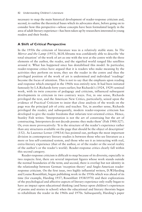necessary to map the main historical development of reader-response criticism and, second, to outline the theoretical bases which its advocates share, before going on to consider how this perspective—whose concepts have been formulated largely in the area of adult literary experience—has been taken up by researchers interested in young readers and their books.

# **A Shift of Critical Perspective**

In the 1950s the criticism of literature was in a relatively stable state. In *The Mirror and the Lamp* (1953), M.H.Abrams was confidently able to describe 'the total situation' of the work of art as one with the text at the centre with the three elements of the author, the reader, and the signified world ranged like satellites around it. What has happened since has destabilised this model. In particular, reader-response critics have argued that it is readers who make meaning by the activities they perform on texts; they see the reader in the centre and thus the privileged position of the work of art is undermined and individual 'readings' become the focus of attention. This is not to say that the emphasis upon reading and response which emerged in the 1960s was entirely new. It had been initiated famously by I.A.Richards forty years earlier; but Richards's (1924, 1929) seminal work, with its twin concerns of pedagogy and criticism, influenced subsequent developments in criticism in two contrary ways. For, in one sense, Richards privileged the text, and the American New Critics, particularly, seized upon the evidence of *Practical Criticism* to insist that close analysis of the words on the page was the principal job of critic and teacher. Yet, in another sense, Richards privileged the reader; and subsequently, modern reader-response criticism has developed to give the reader freedoms that infuriate text-oriented critics. Hence, Stanley Fish writes: 'Interpretation is not the art of construing but the art of constructing. Interpreters do not decode poems: they make them' (Fish 1980:327). Or, even more provocatively: 'It is the structure of the reader's experience rather than any structures available on the page that should be the object of description' (152). As Laurence Lerner (1983:6) has pointed out, perhaps the most important division in contemporary literary studies is between those who see literature as a more or less self-contained system, and those who see it as interacting with real, extra-literary experience (that of the author, or of the reader or the social reality of the author's or the reader's world). Reader-response critics clearly fall within this second category.

Reader-response criticism is difficult to map because of its diversity, especially in two respects: first, there are several important figures whose work stands outside the normal boundaries of the term; and second, there is overlap but not identity in the relationship between German 'reception theory' and Anglo-American readerresponse criticism. On the first issue, two highly influential writers, D.W.Harding and Louise Rosenblatt, began publishing work in the 1930s which was ahead of its time (for example, Harding 1937; Rosenblatt 1938/1970) and their explorations of the psychological and affective aspects of literary experience only really began to have an impact upon educational thinking (and hence upon children's experiences of poems and stories in school) when the educational and literary theorists began to rehabilitate the reader in the 1960s and 1970s. Subsequently, Harding's paper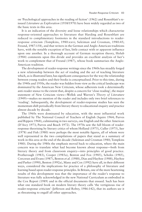on 'Psychological approaches in the reading of fiction' (1962) and Rosenblatt's reissued *Literature as Exploration* (1938/1970) have been widely regarded as two of the basic texts in this area.

It is an indication of the diversity and loose relationships which characterise response-oriented approaches to literature that Harding and Rosenblatt are reduced to complimentary footnotes in the standard introductions to readerresponse criticism (Tompkins, 1980:xxvi; Suleiman and Crosman, 1980:45; Freund, 1987:158), and that writers in the German and Anglo-American traditions have, with the notable exception of Iser, little contact with or apparent influence upon one another. In a thorough account of German reception theory, Holub (1984) comments upon this divide and provides an excellent analysis of Iser's work to complement that of Freund (1987), whose book summarises the Anglo-American tradition.

The development of reader-response writings since the 1960s has steadily forged a new relationship between the act of reading and the act of teaching literature which, as is illustrated later, has significant consequences for the way the relationship between young readers and their books is conceptualised. Prior to this time, during the 1940s and 1950s, the reader was hidden from view as the critical landscape was dominated by the American New Criticism, whose adherents took a determinedly anti-reader stance to the extent that, despite a concern for 'close reading', the major statement of New Criticism views—Wellek and Warren's *Theory of Literature* (1949)—makes no mention of the reader and includes only two brief references to 'reading'. Subsequently, the development of reader-response studies has seen the momentum shift periodically from literary theory to educational enquiry and practice almost decade by decade.

The 1960s were dominated by education, with the most influential work published by The National Council of Teachers of English (Squire 1964; Purves and Rippere 1968), culminating in two surveys, one English and the other American (D'Arcy 1973; Purves and Beach 1972). The 1970s saw the full bloom of readerresponse theorising by literary critics of whom Holland (1975), Culler (1975), Iser (1978) and Fish (1980) were perhaps the most notable figures, all of whom were well represented in the two compilations of papers that stand as a summary of work in this area at the end of the decade (Suleiman and Crosman 1980; Tompkins 1980). During the 1980s the emphasis moved back to education, where the main concern was to translate what had become known about response—both from literary theory and from classroom enquiry—into principles of good practice. Protherough (1983), Cooper (1985a), Benton and Fox (1985), Scholes (1985), Corcoran and Evans (1987), Benton *et al.* (1988), Dias and Hayhoe (1988), Hayhoe and Parker (1990), Benton (1992a), Many and Cox (1992) have all, in their different ways, considered the implications for practice of a philosophy of literature and learning based upon reader-response principles. In Britain, one of the more heartening results of this development was that the importance of the reader's response to literature was fully acknowledged in the new National Curriculum as embodied in the Cox Report (1989) and in the official documents that ensued. Such has been what one standard book on modern literary theory calls 'the vertiginous rise of reader-response criticism' (Jefferson and Robey, 1986:142), that its authors see it as threatening to engulf all other approaches.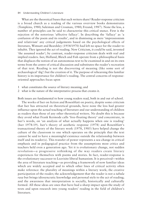What are the theoretical bases that such writers share? Reader-response criticism is a broad church as a reading of the various overview books demonstrates (Tompkins, 1980; Suleiman and Crosman, 1980; Freund, 1987). None the less, a number of principles can be said to characterise this critical stance. First is the rejection of the notorious 'affective fallacy'. In describing the 'fallacy' as 'a confusion of the poem and its results', and in dismissing as mere 'impressionism and relativism' any critical judgements based on the psychological effects of literature, Wimsatt and Beardsley (1954/1970) had left no space for the reader to inhabit. They ignored the act of reading. New Criticism, it could be said, invented 'the assumed reader'; by contrast, reader-response criticism deals with real and implied readers. Iser, Holland, Bleich and Fish operate from a philosophical basis that displaces the notion of an autonomous text to be examined in and on its own terms from the centre of critical discussion and substitutes the reader's recreation of that text. Reading is not the discovering of meaning (like some sort of archaeological 'dig') but the creation of it. The purpose of rehearsing this familiar history is its importance for children's reading. The central concerns of responseoriented approaches focus upon

- 1 what constitutes the source of literary meaning; and
- 2 what is the nature of the interpretative process that creates it.

Both issues are fundamental to how young readers read, both in and out of school.

The works of Iser on fiction and Rosenblatt on poetry, despite some criticism that Iser has attracted on theoretical grounds, have none the less had greater influence upon the actual teaching of literature and our understanding of children as readers than those of any other theoretical writers. No doubt this is because they avoid what Frank Kermode calls 'free-floating theory' and concentrate, in Iser's words, on 'an analysis of what actually happens when one is reading' (Iser 1978:19). Iser's theory of aesthetic response (1978) and Rosenblatt's transactional theory of the literary work (1978, 1985) have helped change the culture of the classroom to one which operates on the principle that the text cannot be said to have a meaningful existence outside the relationship between itself and its reader(s). This transfer of power represents a sea-change in critical emphasis and in pedagogical practice from the assumptions most critics and teachers held even a generation ago. Yet it is evolutionary change, not sudden revolution—a progressive rethinking of the way readers create literary experiences for themselves with poems and stories. In fact, reader-response is the evolutionary successor to Leavisite liberal humanism. It is perceived—within the area of literature teaching—as providing a framework of now familiar ideas which are widely accepted and to which other lines of critical activity often make reference: the plurality of meanings within a literary work; the creative participation of the reader; the acknowledgement that the reader is not a *tabula rasa* but brings idiosyncratic knowledge and personal style to the act of reading; and the awareness that interpretation is socially, historically and culturally formed. All these ideas are ones that have had a sharp impact upon the study of texts and upon research into young readers' reading in the field of children's literature.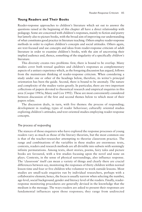# **Young Readers and Their Books**

Reader-response approaches to children's literature which set out to answer the questions raised at the beginning of this chapter all have a direct relationship with pedagogy. Some are concerned with children's responses, mainly to fiction and poetry but latterly also to picture books, with the broad aim of improving our understanding of what constitutes good practice in literature teaching. Others employ reader-response methods in order to explore children's concepts and social attitudes. Others again, are text-focused and use concepts and ideas from reader-response criticism of adult literature in order to examine children's books, with the aim of uncovering their implied audience and, thence, something of the singularity of a specifically *children's* literature.

This diversity creates two problems: first, there is bound to be overlap. Many studies cover both textual qualities and children's responses as complementary aspects of a unitary experience which, as the foregoing discussion has argued, follows from the mainstream thinking of reader-response criticism. When considering a study under one or other of the headings below, therefore, its writer's principal orientation has been the guide. Second, there is bound to be anomaly. The nature and complexity of the studies varies greatly. In particular, there are two important collections of papers devoted to theoretical research and empirical enquiries in this area (Cooper 1985a; Many and Cox 1992). These are most conveniently considered between discussion of the first and second themes below to which most of their papers relate.

The discussion deals, in turn, with five themes: the process of responding; development in reading; types of reader behaviour; culturally oriented studies exploring children's attitudes; and text-oriented studies employing reader-response concepts.

# *The process of responding*

The stances of those enquirers who have explored the response processes of young readers vary as much as those of the literary theorists, but the most common one is that of the teacher-researcher attempting to theorise classroom practice. The range and combinations of the variables in these studies are enormous: texts, contexts, readers and research methods are all divisible into subsets with seemingly infinite permutations. Among texts, short stories, poems, fairy tales and picture books are favoured, with a few studies focusing upon the novel and none on plays. Contexts, in the sense of physical surroundings, also influence response. The 'classroom' itself can mean a variety of things and clearly there are crucial differences between say, monitoring the responses of thirty children within normal lesson time and four or five children who volunteer to work outside lessons. Most studies are small-scale enquiries run by individual researchers, perhaps with a collaborative element; hence, the focus is usually narrow when selecting the number, age-level, social background, gender and literacy level of the readers. Finally, readerresponse monitoring procedures are generally devised in the knowledge that the medium is the message. The ways readers are asked to present their responses are fundamental influences upon those responses; they range from undirected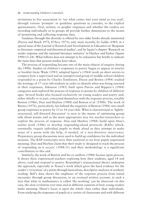invitations to free association or 'say what comes into your mind as you read', through various 'prompts' or guideline questions to consider, to the explicit questionnaire. Oral, written, or graphic responses and whether the readers are recording individually or in groups all provide further dimensions to the means of monitoring and collecting response data.

Guidance through this diversity is offered by two older books already mentioned (Purves and Beach 1972; D'Arcy 1973); and, more recently, by Galda (1983) in a special issue of the *Journal of Research and Development in Education* on 'Response to literature: empirical and theoretical studies', and by Squire's chapter 'Research on reader response and the national literature initiative' in Hayhoe and Parker (Squire 1990:13–24). What follows does not attempt to be exhaustive but briefly to indicate the main lines that process studies have taken.

The process of responding became one of the main objects of enquiry during the 1980s. Studies of children's responses to poetry began to appear in articles or booklet form: Wade (1981) adapted Squire's (1964) work on short stories to compare how a supervised and an unsupervised group of middle-school children responded to a poem by Charles Tomlinson. Dixon and Brown (1984) studied the writings of 17-year-old students in order to identify what was being assessed in their responses; Atkinson (1985) built upon Purves and Rippere's (1968) categories and explored the process of response to poems by children of different ages. Several books also focused exclusively on young readers and poetry and, either wholly or in part, concerned themselves with the response process, notably Benton (1986), Dias and Hayhoe (1988) and Benton *et al.* (1988). The work of Barnes (1976), particularly, lies behind the enquiries of Benton (1986) into small group responses to poetry by 13 to 14-year-olds. What is characterised as 'lightlystructured, self-directed discussion' is seen as the means of optimising group talk about poems and as the most appropriate way for teacher-researchers to explore the process of response. Dias and Hayhoe (1988) build upon Dias's earlier work (1986) to develop responding-aloud protocols (RAPs) which, essentially, require individual pupils to think aloud as they attempt to make sense of a poem with the help, if needed, of a non-directive interviewer. Preparatory group discussions were used to build up confidence for the individual sessions. The RAP transcripts were then analysed to see how pupils negotiated meaning. Dias and Hayhoe claim that their study is 'designed to track the process of responding as it occurs' (1988:51) and their methodology is a significant contribution to this end.

Similarly, the work of Benton and his co-authors (1988) focuses upon process. It shows three experienced teachers exploring how their students, aged 14 and above, read and respond to poetry. Rosenblatt's transactional theory underpins the approach, especially in Teasey's work which gives the hard evidence for the reader's 'evocation' of a poem through meticulous, descriptive analyses of aesthetic reading. Bell's data shows the emphases of the response process from initial encounter through group discussion, to an eventual written account, in such a way that what in mathematics is called 'the working' can be observed—in this case, the slow evolution over time and in different contexts of how young readers make meaning. Hurst's focus is upon the whole class rather than individuals. From studying the responses of pupils in a variety of classrooms and with different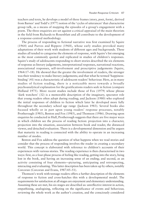teachers and texts, he develops a model of three frames (story, poet, form), derived from Barnes' and Todd's (1977) notion of the 'cycles of utterances' that characterise group talk, as a means of mapping the episodes of a group's engagement with a poem. The three enquiries are set against a critical appraisal of the main theorists in the field from Richards to Rosenblatt and all contribute to the development of a response-centred methodology.

The process of responding to fictional narrative was first examined by Squire (1964) and Purves and Rippere (1968), whose early studies provoked many adaptations of their work with students of different ages and backgrounds. These studies all tended to categorise the elements of response, with Squire's list emerging as the most commonly quoted and replicated in studies of children's responses. Squire's study of adolescents responding to short stories described the six elements of response as literary judgements, interpretational responses, narrational reactions, associational responses, self-involvement and prescriptive judgements (Squire, 1964:17–18). He showed that the greater the involvement of readers, the stronger was their tendency to make literary judgements; and that what he termed 'happinessbinding' (41) was a characteristic of adolescent readers' behaviour. Here, as in many studies of fiction reading, there is a noticeable move towards a broadly psychoanalytical explanation for the gratifications readers seek in fiction (compare Holland 1975). More recent studies include those of Fox (1979) whose phrase 'dark watchers' (32) is a memorable description of the imaginary, spectator role that young readers often adopt during reading; and Jackson (1980) who explored the initial responses of children to fiction which later he developed more fully throughout the secondary school age range (Jackson 1983). Several books also focused wholly or in part upon young readers' response processes, notably Protherough (1983), Benton and Fox (1985), and Thomson (1986). Drawing upon enquiries he conducted in Hull, Protherough suggests that there are five major ways in which children see the process of reading fiction: projection into a character, projection into the situation, association between book and reader, the distanced viewer, and detached evaluation. There is a developmental dimension and he argues that maturity in reading is connected with the ability to operate in an increasing number of modes.

Benton and Fox address the question of what happens when we read stories and consider that the process of responding involves the reader in creating a secondary world. This concept is elaborated with reference to children's accounts of their experiences with various stories. The reading experience is then characterised in two ways: first, as a four-phase process of feeling like reading, getting into the story, being lost in the book, and having an increasing sense of an ending; and second, as an activity consisting of four elements—picturing, anticipating and retrospecting, interacting and evaluating. This latter description has been taken up by others, notably Corcoran (Corcoran and Evans, 1987:45–51).

Thomson's work with teenage readers offers a further description of the elements of response to fiction and cross-hatches this with a developmental model. The requirements for satisfaction at all stages are enjoyment and elementary understanding. Assuming these are met, his six stages are described as: unreflective interest in action, empathising, analogising, reflecting on the significance of events and behaviour, reviewing the whole work as the author's creation, and the consciously considered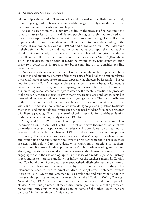relationship with the author. Thomson's is a sophisticated and detailed account, firmly rooted in young readers' fiction reading, and drawing effectively upon the theoretical literature summarised earlier in this chapter.

As can be seen from this summary, studies of the process of responding tend towards categorisation of the different psychological activities involved and towards descriptions of what constitutes maturation in reading. Two collections of papers which should contribute more than they do to our understanding of the process of responding are Cooper (1985a) and Many and Cox (1992), although in their defence it has to be said that the former has a focus upon the theories that should guide our study of readers and the research methodologies that derive from them, and the latter is primarily concerned with reader 'stance' (Rosenblatt 1978) as the discussion of types of reader below indicates. Brief comment upon these two collections is appropriate before moving on to consider reading development.

Only some of the seventeen papers in Cooper's compilation bear upon the subject of children and literature. The first of the three parts of the book is helpful in relating theoretical issues of response to practice, especially the chapters by Rosenblatt, Purves and Petrosky. In Part 2, Kintgen's piece stands out, not only because its focus is poetry (a comparative rarity in such company), but because it faces up to the problems of monitoring responses, and attempts to describe the mental activities and processes of the reader. Kintgen's subjects (as with many researchers) are graduate students but the methodology here could readily transfer to younger readers. The four contributors to the final part of the book on classroom literature, whom one might expect to deal with children and their books, studiously avoid doing so, preferring instead to discuss theoretical and methodological issues such as the need to identify response research with literary pedagogy (Bleich), the use of school surveys (Squire), and the evaluation of the outcomes of literary study (Cooper 1985b).

Many and Cox (1992) take their impetus from Cooper's book and their inspiration from Rosenblatt (1978). The first part gives theoretical perspectives on reader stance and response and includes specific consideration of readings of selected children's books (Benton:1992b) and of young readers' responses (Corcoran). The papers in Part two focus upon students' perspectives when reading and responding and tell us more about types of readers than about process; these are dealt with below. Part three deals with classroom interactions of teachers, students and literature. Hade explores 'stance' in both silent reading and reading aloud, arguing its transactional and triadic nature in the classroom. Zancella writes engagingly about the use of biography, in the sense of a reader's personal history, in responding to literature and how this influences the teacher's methods. Zarrillo and Cox build upon Rosenblatt's efferent/aesthetic distinction and urge more of the latter in classroom teaching in the light of their empirical findings that 'elementary teachers tend to direct children to adopt efferent stances towards literature' (245). Many and Wiseman take a similar line and report their enquiries into teaching particular books (for example, Mildred Taylor's *Roll of Thunder, Hear My Cry* (1976)) with efferent and aesthetic emphases to different, parallel classes. At various points, all these studies touch upon the issue of the process of responding; but, equally, they also relate to some of the other issues that are discussed in the remainder of this chapter.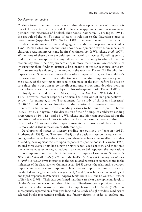## *Development in reading*

Of these issues, the question of how children develop as readers of literature is one of the most frequently raised. This has been approached in four main ways: personal reminiscences of bookish childhoods (Sampson, 1947; Inglis, 1981); the growth of the child's sense of story in relation to the Piagetian stages of development (Applebee 1978; Tucker 1981); the development of literacy, with the idea of matching individual and age-group needs to appropriate books (Fisher 1964; Meek 1982); and, deductions about development drawn from surveys of children's reading interests and habits (Jenkinson 1940; Whitehead *et al.* 1977). While none of these writers would see their work as necessarily falling strictly under the reader-response heading, all are in fact listening to what children as readers say about their experiences and, in more recent years, are conscious of interpreting their findings against a background of reader-response criticism. This awareness is evident, for example, in the work of Tucker (1980) who, in a paper entitled 'Can we ever know the reader's response?' argues that children's responses are different from adults' (in, say, the relative emphasis they give to the quality of the writing as opposed to the pace of the plot) before he goes on to relate their responses to intellectual and emotional development as psychologists describe it (the subject of his subsequent book (Tucker 1981)). In the highly influential work of Meek, too, from *The Cool Web* (Meek *et al.* 1977) onwards, reader-response criticism has been one of her perspectives evident, for example, in her 'Prolegomena for a study of children's literature' (1980:35) and in her exploration of the relationship between literacy and literature in her account of the reading lessons to be found in picture books (Meek 1988). Or again, in the discussion of their findings of children's reading preferences at 10+, 12+ and 14+, Whitehead and his team speculate about the cognitive and affective factors involved in the interaction between children and their books. All are aware that response-oriented criticism should be able to tell us more about this interaction at different ages.

Developmental stages in literary reading are outlined by Jackson (1982), Protherough (1983), and Thomson (1986) on the basis of classroom enquiries with young readers as we have already seen; and there have been some small-scale studies of reading development focused upon responses to specific books. Hickman (1983) studied three classes, totalling ninety primary school-aged children, and monitored their spontaneous responses, variations in solicited verbal responses, the implications of non-responses, and the role of the teacher in respect of two texts: Silverstein's *Where the Sidewalk Ends* (1974) and McPhail's *The Magical Drawings of Moony B.Finch* (1978). She was interested in the age-related patterns of responses and in the influences of the class teacher. Cullinan *et al.* (1983) discuss the relationship between pupils' comprehension and response to literature and report the results of a study, conducted with eighteen readers in grades, 4, 6 and 8, which focused on readings of and taped responses to Paterson's *Bridge to Terabithia* (1977) and Le Guin's, *A Wizard of Earthsea* (1968). Their data confirmed that there are clear developmental levels in children's comprehension and they claim that: 'Reader-response provides a way to look at the multidimensional nature of comprehension' (37). Galda (1992) has subsequently reported on a four-year longitudinal study of eight readers' readings of selected books representing realistic and fantasy fiction in order to explore any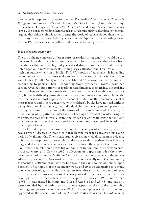differences in responses to these two genres. The 'realistic' texts included Paterson's *Bridge to Terabithia* (1977) and S.E.Hinton's *The Outsiders* (1968); the 'fantasy' texts included L'Engle's *A Wind in the Door* (1973) and Cooper's *The Dark is Rising* (1981). She considers reading factors, such as developing analytical ability; text factors, arguing that children find it easier to enter the world of realistic fiction than they do of fantasy stories; and concludes by advocating the 'spectator role' (Harding 1937; Britton 1970) as a stance that offers readers access to both genres.

# *Types of reader behaviour*

The third theme concerns different sorts of readers or readings. It would be too much to claim that there is an established typology of readers; there have been few studies that venture beyond generalised discussions such as that between 'interrogative' and 'acquiescent' reading styles (Benton and Fox 1985:16–17), itself a tentative extension of Holland's (1975) notion of personal style in reading behaviour. One study that does make some clear category decisions is that of Dias and Hayhoe (1988:52–58) in respect of 14- and 15-year-old pupils reading and responding to poems. Their 'Responding-aloud protocols' (RAPs), described earlier, revealed four patterns of reading: paraphrasing, thematising, allegorising and problem solving. They stress that these are patterns of reading not readers (57) but have difficulty throughout in maintaining this discrimination. None the less, theirs is the most sophisticated account to date of that phenomenon that most teachers and others concerned with children's books have noticed without being able to explain, namely, that individual children reveal personal patterns of reading behaviour irrespective of the nature of the book being read. The study of these four reading patterns under the sub-headings of what the reader brings to the text, the reader's moves, closure, the reader's relationship with the text, and other elements is one that needs to be replicated and developed in relation to other types of text.

Fry (1985) explored the novel reading of six young readers (two 8-year-olds; two 12-year-olds; two 15-year-olds) through tape-recorded conversations over a period of eight months. The six case studies give some vivid documentary evidence of individual responses (for example, on the ways readers see themselves in books (99)) and also raise general issues such as re-readings, the appeal of series writers like Blyton, the relation of text fiction and film fiction, and the developmental process. Many and Cox's (1992) collection of papers includes their own development of Rosenblatt's efferent/aesthetic distinction in respect of the stances adopted by a class of 10-year-olds in their responses to Byars's *The Summer of the Swans* (1970) and other stories. Encisco, in the same collection, builds upon Benton's (1983) model of the secondary world and gives an exhaustive case-study of one ten-year-old girl's reading of chapters from three stories in order to observe the strategies she uses to create her story world from these texts. Benton's development of the secondary world concept, after Tolkien (1938) and Auden (1968), is reappraised in Many and Cox (1992:15–18 and 23–48) and has also been extended by the author to incorporate aspects of the visual arts, notably paintings and picture-books (Benton 1992). The concept as originally formulated appeared in the special issue of the *Journal of Research and Development of*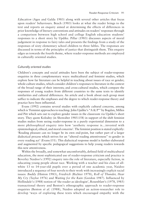*Education* (Agee and Galda 1983) along with several other articles that focus upon readers' behaviours. Beach (1983) looks at what the reader brings to the text and reports an enquiry aimed at determining the effects of differences in prior knowledge of literary conventions and attitudes on readers' responses through a comparison between high school and college English education students' responses to a short story by Updike. Pillar (1983) discusses aspects of moral judgement in response to fairy tales and presents the findings from a study of the responses of sixty elementary school children to three fables. The responses are discussed in terms of the principles of justice that distinguish them. This enquiry edges us towards the fourth theme, where reader-response methods are employed in culturally oriented studies.

### *Culturally oriented studies*

Children's concepts and social attitudes have been the subject of reader-response enquiries in three complementary ways: multicultural and feminist studies, which explore how far literature can be helpful in teaching about issues of race or gender; whole-culture studies, which consider children's responses to literature in the context of the broad range of their interests; and cross-cultural studies, which compare the responses of young readers from different countries to the same texts to identify similarities and cultural differences. An article and a book about each group must suffice to indicate the emphases and the degree to which reader-response theory and practice have been influential.

Evans (1992) contains several studies with explicitly cultural concerns, among which is 'Feminist approaches to teaching: John Updike's "A & P"' by Bogdan, Millen and Pitt which sets out to explore gender issues in the classroom via Updike's short story. They quote Kolodny (in Showalter 1985:158) in support of the shift feminist studies makes from seeing reader-response in a purely experiential dimension to a more philosophical enquiry into how 'aesthetic response is…invested with epistemological, ethical, and moral concerns'. The feminist position is stated explicitly: 'Reading pleasure can no longer be its own end-point, but rather part of a larger dialectical process which strives for an "altered reading attentiveness" to gender in every reading act' (Evans:151). This dialectical response model is further elaborated and augmented by specific pedagogical suggestions to help young readers towards this new attentiveness.

Within the broadly, and somewhat uncomfortably, defined field of multicultural education, the most sophisticated use of reader-response criticism and practice is Beverley Naidoo's (1992) enquiry into the role of literature, especially fiction, in educating young people about race. Working with a teacher and his class of allwhite 13 to 14-year-old pupils over a period of one academic year, Naidoo introduced a sequence of four novels to their work with increasingly explicit racial issues: *Buddy* (Hinton 1983), *Friedrich* (Richter 1978), *Roll of Thunder, Hear My Cry* (Taylor 1976) and *Waiting for the Rain* (Gordon 1987). Influenced by Hollindale's (1988) notion of 'the reader as ideologist', Rosenblatt's (1978, 1985) transactional theory and Benton's ethnographic approach to reader-response enquiries (Benton *et al.* (1988), Naidoo adopted an action-researcher role to develop 'ways of exploring these texts which encouraged empathy with the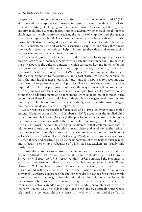perspective of characters who were victims of racism but who resisted it' (22). Written and oral responses in journals and discussion were at the centre of the procedures. Many challenging and provocative issues are examined through this enquiry, including overt and institutionalised racism, whether teaching about race challenges or merely reinforces racism, the nature of empathy and the gender differences pupils exhibited. The cultural context, especially the subculture of the particular classroom, emerged as a dominant theme. The subtle interrelatedness of text, context, readers and writers, is sensitively explored in a study that shows how reader-response methods can help to illuminate the values and attitudes that readers sometimes hide, even from themselves.

The second group of whole-culture studies tends to focus upon adolescent readers. Stories and poems, especially those encountered in school, are seen as but one aspect of the cultural context in which teenagers live and in which books are low on their agenda after television, computer games, rock music, comics and magazines. Beach and Freedman's (1992) paper, 'Responding as a cultural act: adolescents' responses to magazine ads and short stories' widens the perspective from the individual reader's 'personal' and 'unique' responses to accommodate the notion of response as a cultural practice. They discuss the cultural practices required in adolescent peer groups and note the ways in which these are derived from experiences with the mass media, with examples from adolescents' responses to magazine advertisements and short stories. Particular points of interest in the responses of these 115 8th and 11th grade pupils are the gender differences, the tendency to blur fiction and reality when talking about the advertising images, and the low incidence of critical responses.

Reader-response criticism also influences Sarland's (1991) study of young people's reading. He takes seriously both Chambers's (1977) account of the implied child reader (discussed below) and Meek's (1987) plea for an academic study of children's literature which situates it within the whole culture of young people. Building on Fry's (1985) work, he considers the popular literature that children read both in relation to a culture dominated by television and video, and in relation to the 'official' literature read in school. By eliciting and analysing students' responses to such books as King's *Carrie* (1974) and Herbert's *The Fog* (1975), Sarland draws upon responseoriented theory and practice to discuss the importance of these texts to their readers and to begin to open up a subculture of which, at best, teachers are usually only hazily aware.

Cross-cultural studies are relatively uncommon for the obvious reason that they are more difficult to set up and sustain. Bunbury and Tabbert's article for *Children's Literature in Education* (1989; reprinted Hunt 1992) compared the responses of Australian and German children to an Australian bush-ranger story, Stow's *Midnite* (1967/1982). Using Jauss's notion of 'ironic identification', where the reader is drawn in and willingly submits to the fictional illusion only to have the author subvert this aesthetic experience, the enquiry considered a range of responses; while there are interesting insights into individual readings, it none the less ends inconclusively by stating: 'The best we can say is that the capacity to experience ironic identification extends along a spectrum of reading encounters which vary in intensity' (Hunt:124). The study is ambitious in tackling two difficult topics whose relationship is complex: children's sense of the tone of a text and the effect of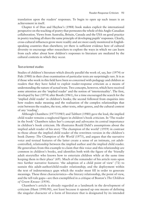translation upon the readers' responses. To begin to open up such issues is an achievement in itself.

Chapter 6 of Dias and Hayhoe's (1988) book makes explicit the international perspective on the teaching of poetry that permeates the whole of this Anglo-Canadian collaboration. Views from Australia, Britain, Canada and the USA on good practice in poetry teaching all share the same principle of developing pupils' responses. Clearly, cross-cultural influences grow more readily and are more easily monitored in Englishspeaking countries than elsewhere; yet there is sufficient evidence here of cultural diversity to encourage other researchers to explore the ways in which we can learn from each other about how children's responses to literature are mediated by the cultural contexts in which they occur.

## *Text-oriented studies*

Studies of children's literature which directly parallel the work of, say, Iser (1974) or Fish (1980) in their close examination of particular texts are surprisingly rare. It is as if those who work in this field have been so concerned with pedagogy and children as readers that they have failed to exploit reader-response criticism as a means of understanding the nature of actual texts. Two concepts, however, which have received some attention are the 'implied reader' and the notion of 'intertextuality'. The first, developed by Iser (1974) after Booth (1961), for a time encouraged the search for the 'implied child reader' in children's books; the second followed from enquiries into how readers make meaning and the realisation of the complex relationships that exist between the readers, the text, other texts, other genres, and the cultural context of any 'reading'.

Although Chambers (1977/1985) and Tabbert (1980) gave the lead, the implied child reader remains a neglected figure in children's book criticism. In 'The reader in the book' Chambers takes Iser's concept and advocates its central importance in children's book criticism. He illustrates Roald Dahl's assumptions about the implied adult reader of his story 'The champion of the world' (1959) in contrast to those about the implied child reader of the rewritten version in the children's book *Danny: The Champion of the World* (1975), and argues that the narrative voice and textual features of the latter create a sense of an intimate, yet adultcontrolled, relationship between the implied author and the implied child reader. He generalises from this example to claim that this voice and this relationship are common in children's books, and identifies both with the figure of the 'friendly adult storyteller who knows how to entertain children while at the same time keeping them in their place' (69). Much of the remainder of his article rests upon two further narrative features: 'the adoption of a child point of view' (72) to sustain this adult-author/child-reader relationship; and the deployment within the text of indeterminacy gaps which the reader must fill in order to generate meanings. These three characteristics—the literary relationship, the point of view, and the tell-tale gaps—are then exemplified in a critique of Boston's *The Children of Green Knowe* (1954).

Chambers's article is already regarded as a landmark in the development of criticism (Hunt 1990:90), not least because it opened up one means of defining the singular character of a form of literature that is designated by its intended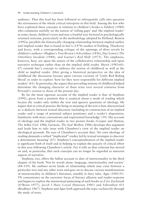audience. That this lead has been followed so infrequently calls into question the seriousness of the whole critical enterprise in this field. Among the few who have exploited these concepts in relation to children's books is Tabbert (1980) who comments usefully on the notion of 'telling gaps' and 'the implied reader' in some classic children's texts and sees a fruitful way forward in psychologically oriented criticism, particularly in the methodology adopted by Holland. Benton (1992a) parallels the historically changing relationship between implied author and implied reader that is found in Iser's (1974) studies of Fielding, Thackeray and Joyce, with a corresponding critique of the openings of three novels by children's authors—Hughes's *Tom Brown's Schooldays* (1856), Day Lewis's *The Otterbury Incident* (1948), and Garner's *Red Shift* (1973). The emphases, however, here, are upon the nature of the collaborative relationship and upon narrative technique rather than on the implied child reader. Shavit (1983:60– 67) extends Iser's concept to embrace the notion of childhood as well as the child as implied reader. After giving a historical perspective on the idea of childhood the discussion focuses upon various versions of 'Little Red Riding Hood' in order to explore 'how far they were responsible for different implied readers' (61). In particular, she argues that prevailing notions of childhood helped determine the changing character of these texts over several centuries from Perrault's version to those of the present day.

By far the most rigorous account of the implied reader is that of Stephens (1992), given from a position that is sceptical about a mode of reading which locates the reader only within the text and ignores questions of ideology. He argues that in critical practice the being or meaning of the text is best characterised as 'a dialectic between textual discourse (including its construction of an implied reader and a range of potential subject positions) and a reader's disposition, familiarity with story conventions and experiential knowledge' (59). His account of ideology and the implied reader in two picture books (Cooper and Hutton, *The Selkie Girl,* 1986; Gerstein, *The Seal Mother,* 1986) develops this argument and leads him to take issue with Chambers's view of the implied reader on ideological grounds. He says of Chambers's account that: 'his own ideology of reading demands a reified "implicated" reader, led by textual strategies to discover a determinate meaning' (67). Stephens's conceptualisation of the implied reader is significant both of itself and in helping to explain the paucity of critical effort in this area following Chambers's article. For it tells us that criticism has moved on and, in particular, that such concepts can no longer be regarded as innocent aspects of narrative.

Stephens, too, offers the fullest account to date of intertextuality in the third chapter of his book 'Not by words alone: language, intertextuality and society' (84–119). He outlines seven kinds of relationship which may exist between a particular text and any other texts and goes on to discuss various manifestations of intertextuality in children's literature, notably in fairy tales. Agee (1983:55– 59) concentrates on the narrower focus of literary allusion and reader-response and begins to explore the intertextual patterning of such books as *Z for Zachariah* (O'Brien 1977), *Jacob I Have Loved* (Paterson 1981) and *Fahrenheit 451* (Bradbury 1967). Stephens and Agee both approach the topic exclusively through the study of texts.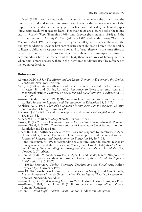Meek (1988) keeps young readers constantly in view when she draws upon the intertext of oral and written literature, together with the Iserian concepts of the implied reader and indeterminacy gaps, in her brief but widely acclaimed paper 'How texts teach what readers learn'. Her main texts are picture books: the telling gaps in *Rosie's Walk* (Hutchins 1969) and *Granpa* (Burningham 1984) and the play of intertexts in *The Jolly Postman* (Ahlberg 1986) and the short story 'William's Version' (Mark 1980) are explored with great subtlety, and display, above all, the quality that distinguishes the best sort of criticism of children's literature: the ability to listen to children's responses to a book and to 'read' these with the same effort of attention that is afforded to the text themselves. Reader-response criticism accommodates both the reader and the text; there is no area of literary activity where this is more necessary than in the literature that defines itself by reference to its young readership.

# **References**

- Abrams, M.H. (1953) *The Mirror and the Lamp: Romantic Theory and the Critical Tradition,* New York: Norton.
- Agee, H. (1983) 'Literary allusion and reader response: possibilities for research', in Agee, H. and Galda, L. (eds) 'Response to literature: empirical and theoretical studies', *Journal of Research and Development in Education* 16, 3:55–59.
- ——and Galda, L. (eds) (1983) 'Response to literature: empirical and theoretical studies', *Journal of Research and Development in Education* 16, 3:8–75.
- Applebee, A.N. (1978) *The Child's Concept of Story: Ages Two to Seventeen,* Chicago and London: Chicago University Press.
- Atkinson, J. (1985) 'How children read poems at different ages', *English in Education* 19, 1: 24–34.
- Auden, W.H. (1968) *Secondary Worlds,* London: Faber.
- Barnes, D. (1976) *From Communication to Curriculum,* Harmondsworth: Penguin. ——and Todd, F. (1977) *Communication and Learning in Small Groups,* London: Routledge and Kegan Paul.
- Beach, R. (1983) 'Attitudes, social conventions and response to literature', in Agee, H. and Galda, L. (eds) 'Response to literature: empirical and theoretical studies', *Journal of Research and Development in Education* 16, 3:47–54.
- ——and Freedman, K. (1992) 'Responding as a cultural act: adolescents' responses to magazine ads and short stories', in Many, J. and Cox, C. (eds) *Reader Stance and Literary Understanding: Exploring the Theories, Research and Practice,* Norwood, NJ: Ablex.
- Benton, M. (1983) 'Secondary worlds', in Agee, H. and Galda, L. (eds) 'Response to literature: empirical and theoretical studies', *Journal of Research and Development in Education* 16, 3:68–75.
- ——(1992a) *Secondary Worlds: Literature Teaching and the Visual Arts,* Milton Keynes: Open University Press.
	- ——(1992b) 'Possible worlds and narrative voices', in Many, J. and Cox, C. (eds) *Reader Stance and Literary Understanding: Exploring the Theories, Research and Practice,* Norwood, NJ: Ablex.
- ——and Fox, G. (1985) *Teaching Literature 9–14,* Oxford: Oxford University Press.
- ——Teasey, J., Bell, R. and Hurst, K. (1988) *Young Readers Responding to Poems,* London: Routledge.
- Benton, P. (1986) *Pupil, Teacher, Poem,* London: Hodder and Stoughton.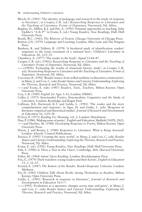- Bleich, D. (1985) 'The identity of pedagogy and research in the study of response to literature', in Cooper, C.R. (ed.) *Researching Response to Literature and the Teaching of Literature: Points of Departure,* Norwood, NJ: Ablex.
- Bogdan, D., Millen, K.J. and Pitt, A. (1992) 'Feminist approaches to teaching: John Updike's "A & P"' in Evans, E. (ed.) *Young Readers, New Readings,* Hull: Hull University Press.
- Booth, W.C. (1961) *The Rhetoric of Fiction,* Chicago: University of Chicago Press.
- Britton, J.N. (1970) *Language and Learning,* London: Allen Lane and The Penguin Press.
- Bunbury, R. and Tabbert, R. (1978) 'A bicultural study of identification: readers' responses to the ironic treatment of a national hero', *Children's Literature in Education,* 20, 1:25–35.
- Chambers, A. (1977) 'The reader in the book', *Signal* 23:64–87.
- Cooper, C.R. (ed.) (1985a) *Researching Response to Literature and the Teaching of Literature: Points of Departure,* Norwood, NJ: Ablex.
- ——(1985b) 'Evaluating the results of classroom literary study', in Cooper, C.R. (ed.) *Researching Response to Literature and the Teaching of Literature: Points of Departure,* Norwood, NJ: Ablex.
- Corcoran, B. (1992) 'Reader stance: from willed aesthetic to discursive construction', in Many, J. and Cox, C. (eds) *Reader Stance and Literary Understanding: Exploring the Theories, Research and Practice,* Norwood, NJ: Ablex.
- ——and Evans, E. (eds) (1987) *Readers, Texts, Teachers,* Milton Keynes: Open University Press.
- Cox, C.B. (1989) *English for Ages 5–16,* London: HMSO.
- Culler, J. (1975) *Structuralist Poetics: Structuralism, Linguistics and the Study of Literature,* London: Routledge and Kegan Paul.
- Cullinan, B.E, Harwood, K.T. and Galda, L. (1983) 'The reader and the story comprehension and response', in Agee, H. and Galda, L. (eds) 'Response to literature: empirical and theoretical studies', *Journal of Research and Development in Education* 16, 3:29–38.
- D'Arcy, P. (1973) *Reading For Meaning,* vol. 2, London: Hutchinson.
- Dias, P. (1986) 'Making sense of poetry', *English and Education,* Sheffield: NATE, 20(2). ——and Hayhoe, M. (1988) *Developing Response to Poetry,* Milton Keynes: Open University Press.
- Dixon, J. and Brown, J. (1984) *Responses to Literature: What is Being Assessed?* London: Schools' Council Publications.
- Encisco, P. (1992) 'Creating the story world', in Many, J. and Cox, C. (eds) *Reader Stance and Literary Understanding: Exploring the Theories, Research and Practice,* Norwood, NJ: Ablex.
- Evans, E. (ed.) (1992) *Young Readers, New Readings,* Hull: Hull University Press.
- Fish, S. (1980) *Is There a Text in this Class?,* Cambridge, MA: Harvard University Press.
- Fisher, M. (1964) *Intent Upon Reading,* London: Brockhampton Press.
- Fox, G. (1979) 'Dark watchers: young readers and their fiction', *English in Education* 13, 1: 32–35.
- Freund, E. (1987) *The Return of the Reader: Reader-Response Criticism,* London: Methuen.
- Fry, D. (1985) *Children Talk About Books: Seeing Themselves as Readers,* Milton Keynes: Open University Press.
- Galda, L. (1983) 'Research in response to literature', *Journal of Research and Development in Education* 16:1–7.
	- ——(1992) 'Evaluation as a spectator: changes across time and genre', in Many, J. and Cox, C. (eds) *Reader Stance and Literary Understanding: Exploring the Theories, Research and Practice,* Norwood, NJ: Ablex.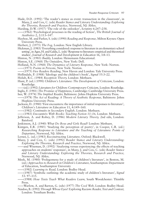- Hade, D.D. (1992) 'The reader's stance as event: transaction in the classroom', in Many, J. and Cox, C. (eds) *Reader Stance and Literary Understanding: Exploring the Theories, Research and Practice,* Norwood, NJ: Ablex.
- Harding, D.W. (1937) 'The role of the onlooker', *Scrutiny* 6:247–258.
- ——(1962) 'Psychological processes in the reading of fiction', *The British Journal of Aesthetics* 2, 2:113–147.
- Hayhoe, M. and Parker, S. (eds) (1990) *Reading and Response,* Milton Keynes: Open University Press.
- Herbert, J. (1975) *The Fog,* London: New English Library.
- Hickman, J. (1983) 'Everything considered: response to literature in an elementary school setting', in Agee, H. and Galda, L. (eds) 'Response to literature: empirical and theoretical studies', *Journal of Research and Development in Education* 16, 3:8–13.
- Hinton, N. (1983) *Buddy,* London: Heinemann Educational.
- Hinton, S.E. (1968) *The Outsiders,* New York: Dell.
- Holland, N.N. (1968) *The Dynamics of Literary Response,* New York: Norton. ——(1973) *Poems in Persons,* New York: Norton.
- ——(1975) *Five Readers Reading,* New Haven and London: Yale University Press.
- Hollindale, P. (1988) 'Ideology and the children's book', *Signal* 55:3–22.
- Holub, R.C. (1984) *Reception Theory,* London: Methuen.
- Hunt, P. (ed.) (1990) *Children's Literature: The Development of Criticism,* London: Routledge.
- ——(ed.) (1992) *Literature for Children: Contemporary Criticism,* London: Routledge.
- Inglis, F. (1981) *The Promise of Happiness*, Cambridge: Cambridge University Press. Iser, W. (1974) *The Implied Reader,* Baltimore: Johns Hopkins University Press.
- ——(1978) *The Act of Reading: A Theory of Aesthetic Response,* Baltimore: Johns Hopkins University Press.
- Jackson, D. (1980) 'First encounters: the importance of initial responses to literature', *Children's Literature in Education* 11, 4:149–160.
	- ——(1982) *Continuity in Secondary English,* London: Methuen.
- ——(1983) *Encounters With Books: Teaching Fiction 11–16,* London: Methuen.
- Jefferson, A. and Robey, D. (1986) *Modern Literary Theory,* 2nd edn, London: Batsford.
- Jenkinson, A.J. (1940) *What Do Boys and Girls Read?* London: Methuen.
- Kintgen, E.R. (1985) 'Studying the perception of poetry', in Cooper, C.R. (ed.) *Researching Response to Literature and the Teaching of Literature: Points of Departure,* Norwood, NJ: Ablex.
- Lerner, L. (ed.) (1983) *Reconstructing Literature,* Oxford: Blackwell.
- Many, J. and Cox, C. (eds) (1992) *Reader Stance and Literary Understanding: Exploring the Theories, Research and Practice,* Norwood, NJ: Ablex.
- ——and Wiseman, D. (1992) 'Analysing versus experiencing: the effects of teaching approaches on students' responses', in Many, J. and Cox, C. (eds) *Reader Stance and Literary Understanding: Exploring the Theories, Research and Practice,* Norwood, NJ: Ablex.
- Meek, M. (1980) 'Prolegomena for a study of children's literature', in Benton, M. (ed.) *Approaches to Research in Children's Literature,* Southampton: Department of Education, Southampton University
	- ——(1982) *Learning to Read,* London: Bodley Head.
- ——(1987) 'Symbolic outlining: the academic study of children's literature', *Signal* 53: 97–115.
- ——(1988) *How Texts Teach What Readers Learn,* South Woodchester: Thimble Press.
- ——Warlow, A. and Barton, G. (eds) (1977) *The Cool Web,* London: Bodley Head.
- Naidoo, B. (1992) *Through Whose Eyes? Exploring Racism: Reader, Text and Context,* London: Trentham Books.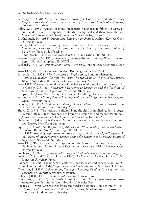- Petrosky, A.R. (1985) 'Response: a way of knowing', in Cooper, C.R. (ed.) *Researching Response to Literature and the Teaching of Literature: Points of Departure,* Norwood, NJ: Ablex.
- Pillar, A.M. (1983) 'Aspects of moral judgement in response to fables', in Agee, H. and Galda, L. (eds) 'Response to literature: empirical and theoretical studies', *Journal of Research and Development in Education* 16, 3:39–46.
- Protherough, R. (1983) *Developing Response to Fiction,* Milton Keynes: Open University Press.
- Purves, A.C. (1985) 'That sunny dome: those caves of ice', in Cooper, C.R. (ed.) *Researching Response to Literature and the Teaching of Literature: Points of Departure,* Norwood, NJ: Ablex.
- ——and Beach, R. (1972) *Literature and the Reader,* Urbana, IL: NCTE.
- ——and Rippere, V. (1968) *Elements of Writing About a Literary Work,* Research Report No. 9, Champaign, IL: NCTE.
- Richards, I.A. (1924) *Principles of Literary Criticism,* London: Routledge and Kegan Paul.
- ——(1929) *Practical Criticism,* London: Routledge and Kegan Paul.

Rosenblatt, L. (1938/1970) *Literature as Exploration,* London: Heinemann.

- ——(1978) *The Reader, The Text, The Poem: The Transactional Theory of the Literary Work,* Carbondale, IL: Southern Illinois University Press.
- ——(1985) 'The transactional theory of the literary work: implications for research', in Cooper, C.R. (ed.) *Researching Response to Literature and the Teaching of Literature: Points of Departure,* Norwood, NJ: Ablex.
- Sampson, G. (1947) *Seven Essays,* Cambridge: Cambridge University Press.
- Sarland, C. (1991) *Young People Reading: Culture and Response,* Milton Keynes: Open University Press.
- Scholes, R. (1985) *Textual Power: Literary Theory and the Teaching of English,* New Haven and London: Yale University Press.
- Shavit, Z. (1983) 'The notion of childhood and the child as implied reader', in Agee, H. and Galda, L. (eds) 'Response to literature: empirical and theoretical studies', *Journal of Research and Development in Education* 16, 3:60–67.
- Showalter, E. (ed.) (1985) *The New Feminist Criticism: Essays on Women, Literature and Theory,* New York: Pantheon.
- Squire, J.R. (1964) *The Responses of Adolescents While Reading Four Short Stories,* Research Report No. 2, Champaign, IL: NCTE.
- ——(1985) 'Studying response to literature through school surveys', in Cooper, C.R. (ed.) *Researching Response to Literature and the Teaching of Literature: Points of Departure,* Norwood, NJ: Ablex.
- ——(1990) 'Research on reader response and the National Literature initiative', in Hayhoe, M. and Parker, S. (eds) *Reading and Response,* Milton Keynes: Open University Press.
- Stephens, J. (1992) *Language and Ideology in Children's Fiction,* London: Longman.
- Suleiman, S.R. and Crosman, I. (eds) (1980) *The Reader in the Text,* Princeton, NJ: Princeton University Press.
- Tabbert, R. (1980) 'The impact of children's books: cases and concepts', in Fox, G. and Hammond, G. (eds) *Responses to Children's Literature,* New York: K.G.Saur.
- Thomson, J. (1986) *Understanding Teenagers Reading: Reading Processes and the Teaching of Literature,* Sydney: Methuen.
- Tolkien, J.R.R. (1938) *Tree and Leaf,* London: Unwin Books.
- Tompkins, J.P. (1980) *Reader-Response Criticism: From Formalism to Post-Structuralism,* Baltimore: Johns Hopkins University Press.
- Tucker, N. (1980) 'Can we ever know the reader's response?', in Benton, M. (ed.) *Approaches to Research in Children's Literature,* Southampton: Department of Education, Southampton University.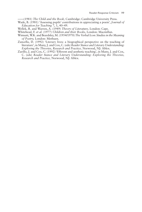——(1981) *The Child and the Book,* Cambridge: Cambridge University Press.

- Wade, B. (1981) 'Assessing pupils' contributions in appreciating a poem', *Journal of Education for Teaching* 7, 1, 40–49.
- Wellek, R. and Warren, A. (1949) *Theory of Literature,* London: Cape.
- Whitehead, F. *et al.* (1977) *Children and their Books,* London: Macmillan.
- Wimsatt, W.K. and Beardsley, M. (1954/1970) *The Verbal Icon: Studies in the Meaning of Poetry,* London: Methuen.
- Zancella, D. (1992) 'Literary lives: a biographical perspective on the teaching of literature', in Many, J. and Cox, C. (eds) *Reader Stance and Literary Understanding: Exploring the Theories, Research and Practice,* Norwood, NJ: Ablex.
- Zarillo, J. and Cox, C. (1992) 'Efferent and aesthetic teaching', in Many, J. and Cox, C. (eds) *Reader Stance and Literary Understanding: Exploring the Theories, Research and Practice,* Norwood, NJ: Ablex.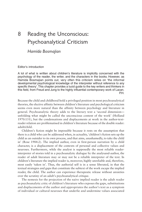# 8 Reading the Unconscious: Psychoanalytical Criticism

## *Hamida Bosmajian*

## Editor's introduction

A lot of what is written about children's literature is implicitly concerned with the psychology of the reader, the writer, and the characters in the books. However, as Hamida Bosmajian points out, very often this criticism relies on 'the informal developmental psychological knowledge of the interpreter without reference to any specific theory'. This chapter provides a lucid guide to the key writers and thinkers in this field, from Freud and Jung to the highly influential contemporary work of Lacan. P.H.

Because the child and childhood hold a privileged position in most psychoanalytical theories, the elective affinity between children's literature and psychological criticism seems even more natural than the affinity between psychology and literature in general. Psychoanalytic theory adds to the literary text a 'second dimension unfolding what might be called the unconscious content of the work' (Holland 1970:131), but the condensations and displacements at work in the author-textreader relation are problematised in children's literature because of the double reader: adult/child.

Children's fiction might be impossible because it rests on the assumption that there is a child who can be addressed when, in actuality, 'children's fiction sets up the child as an outsider to its own process, and that aims, unashamedly, to take the child in' (Rose 1984:2). The implied author, even in first-person narration by a child character, is a displacement of the contexts of personal and collective values and neuroses. Furthermore, while the analyst is supposedly the most reliable readerinterpreter of stories told in a psychoanalytic dialogue by the analysand-author, the reader of adult literature may or may not be a reliable interpreter of the text. In children's literature the implied reader is, moreover, highly unreliable and, therefore, most easily 'taken in'. Thus, the authorial self is in a sense liberated, in that the textual strategies and gaps that constitute the subtext of the work escape the implied reader, the child. The author can experience therapeutic release without anxieties over the scrutiny of an adult's psychoanalytical critique.

The nemesis for the projection of the naïve implied reader is the adult reader as psychoanalytic critic of children's literature who exposes the gaps, substitutions and displacements of the author and appropriates the author's text as a symptom of individual or cultural neuroses that underlie and undermine values associated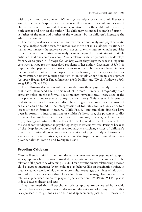with growth and development. While psychoanalytic critics of adult literature amplify the reader's appreciation of the text, those same critics will, in the case of children's literature, conceal their interpretation from the child and, therewith, both censor and protect the author. The child may be imaged as myth of origin as father of the man and mother of the woman—but in children's literature the adult is in control.

The correspondences between author-text-reader and analysand-psychoanalytic dialogue-analyst break down, for author-reader are not in a dialogical relation, no matter how intensely the reader *responds,* nor can the critic-interpreter make enquiries of a character in a narrative, as an analyst can in the psychoanalytic situation. While critics act as if one could ask about Alice's relation with her parents as she develops from pawn to queen in *Through the Looking Glass,* they forget that she is a linguistic construct, a trope for the unresolved problems of her author (Greenacre 1955). It is important that psychoanalytic critics are aware of the ambivalences inherent in their method and do not seize one aspect of a psychoanalytical theory as a tool for interpretation, thereby reducing the text to universals about human development (compare Hogan 1990; Knoepflmacher 1990; Phillips and Wojcik-Andrews 1990; Steig 1990; Zipes 1990).

The following discussion will focus on defining those psychoanalytic theories that have influenced the criticism of children's literature. Frequently such criticism relies on the informal developmental psychological knowledge of the interpreter without reference to any specific theory. This is especially true of realistic narratives for young adults. The strongest psychoanalytic tradition of criticism can be found in the interpretation of folktales and *märchen* and, to a lesser extent in fantasy literature. While Freud, Jung and their disciples have been important in interpretations of children's literature, the poststructuralist influence has not been as prevalent. Quite dominant, however, is the influence of psychological criticism that relates the development of the child character to the social context depicted in psychologically realistic narratives. Perhaps because of the deep issues involved in psychoanalytic criticism, critics of children's literature occasionally seem to screen discussions of psychoanalytical issues with analyses of social contexts, even where the topic is announced as being psychoanalytical (Smith and Kerrigan 1985).

## **Freudian Criticism**

Classical Freudian criticism interprets the work as an expression of psychopathography, as a symptom whose creation provided therapeutic release for the author. In 'The relation of the poet to daydreaming' (1908), Freud saw the crucial relationship between child-play/poet-language: 'every child at play behaves like an imaginative writer, in that he creates a world of his own or, more truly, he arranges the things of this world and orders it in a new way that pleases him better …Language has preserved this relationship between children's play and poetic creation' (1908/1963 9:144), just as it does between dream and text.

Freud assumed that all psychoneurotic symptoms are generated by psychic conflicts between a person's sexual desires and the strictures of society. The conflict is expressed through substitutions and displacements, just as in literature a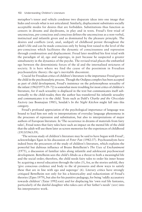metaphor's tenor and vehicle condense two disparate ideas into one image that hides and reveals what is not articulated. Similarly, displacement substitutes socially acceptable modes for desires that are forbidden. Substitutions thus function as censors in dreams and daydreams, in play and in texts. Freud's first triad of unconscious, pre-conscious and conscious defines the unconscious as a non-verbal, instinctual and infantile given and as dominated by the pleasure principle. The desires and conflicts (oral, anal, oedipal) of childhood persist throughout the adult's life and can be made conscious only by being first raised to the level of the pre-conscious which facilitates the dynamic of consciousness and repression through condensation and displacement. Freud later modified his first triad with the paradigm of id, ego and superego, in part because he suspected a greater simultaneity in the dynamics of the psyche. The revised triad places the embattled ego between the deterministic forces of the id and the internalised strictures of society. It is here where we find the cause of the pessimism in Freudian psychoanalytic theory: the ego's inevitable discontent.

Crucial for Freudian critics of children's literature is the importance Freud gave to the child in the psychoanalytic process. Though the Oedipus complex has been accepted as part of child development, Freud's insistence on the polymorphous sexuality of the infant (1962/1975:39–72) is somewhat more troubling for most critics of children's literature, for if such sexuality is displaced in the text but communicates itself subtextually to the child-reader, then the author has transferred his infantile sexuality and communicates it to the child. Texts such as Dahl's *Charlie and the Chocolate Factory* (see Bosmajian 1985), Sendak's *In the Night Kitchen* might fall into this category.

Freud's profound appreciation of the psychological importance of language was bound to lead him not only to interpretations of everyday language phenomena in the processes of repression and substitution, but also to interpretations of major authors of European literature. In 'The occurrence in dreams of materials from fairy tales', Freud notes that fairy tales have such an impact on the mental life of the child that the adult will use them later as screen memories for the experiences of childhood (1913/1963:59).

'The serious study of children's literature may be said to have begun with Freud', acknowledges Egan in his discussion of *Peter Pan* (1982:37). Psychoanalysts have indeed been the precursors of the study of children's literature, which explains the powerful but dubious influence of Bruno Bettelheim's *The Uses of Enchantment* (1975), a discussion of familiar tales along infantile and adolescent psychosexual development. Bettelheim sees the child's libido as a threat to both a meaningful life and the social order; therefore, the child needs fairy tales to order his inner house by acquiring a moral education through the tales (5), for, as the stories unfold, they 'give conscious credence and body to the id pressures and show ways to satisfy these that are in line with ego and superego' (6). Literary critics have strongly critiqued Bettelheim not only for his a-historicality and reductionism of Freud's theories (Zipes 1979), but also for his punitive pedagogy, for being 'oddly accusatory towards children' (Tatar 1992:xxii) and for displacing his 'own real life fantasies, particularly of the dutiful daughter who takes care of her father's needs' (xxv) into his interpretative work.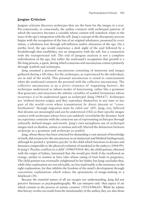## **Jungian Criticism**

Jungian criticism discovers archetypes that are the basis for the images in a text. Pre-consciously, or consciously, the author connects with archetypal patterns of which the narrative becomes a variable whose content will somehow relate to the issue of the ego's integration with the self. Jung's concept of the therapeutic process begins with the recognition of the loss of an original wholeness, possessed by every infant, a wholeness lost through self-inflation and/or alienation of the ego. On a mythic level, the ego would experience a dark night of the soul followed by a breakthrough that establishes, not an integration with the self, but a connection with the transpersonal self. The end of Jungian analysis is not a complete individuation of the ego, but rather the analysand's recognition that growth is a life-long process, a quest, during which conscious and unconscious connect primarily through symbols and archetypes.

Jung assumed a personal unconscious consisting of memories and images gathered during a life-time, for the archetypes, as experienced by the individual, are in and of the world. This personal unconscious is raised to consciousness when the analysand connects the personal with the collective unconscious. The collective unconscious is an *a priori* existence of 'organising factors', the archetypes understood as inborn modes of functioning, rather like a grammar that generates and structures the infinite variables of symbol formations whose recurrence is to be understood again as archetypal (Jung 1964:67). Archetypes are 'without known origin; and they reproduce themselves in any time or any part of the world—even where transmission by direct descent or "crossfertilisation" through migration must be ruled out' (69). Jung, too, believed that dreams are meaningful and can be understood (102) as their specific images connect with archetypes whose force can suddenly overwhelm the dreamer. Such an experience contrasts with the conscious use of representing archetypes through culturally defined images and motifs. Jung's own metaphoric use of archetypal images such as shadow, anima or animus and self, blurred the distinction between archetype as a grammar and archetype as symbol.

Jung, whose theory has been criticised for demanding a vast amount of knowledge of myth, did not perceive the unconscious as an instinctual and libidinal battleground, although he posited a 'primitive psyche' in the child which functions in dreams and fantasies comparable to the physical evolution of mankind in the embryo (1964:99). In Jung's 'Psychic conflicts in a child' (1946/1954:8–46), the child-patient, obsessed with the origin of babies, fantasised that she would give birth if she swallowed an orange, similar to women in fairy tales whose eating of fruit leads to pregnancy. The child-patient was eventually enlightened by her father, but Jung concludes that, while false explanation are not advisable, no less inadvisable is the insistence on the right explanation, for that inhibits the freedom of the mind's development through concretistic explanations which reduce the spontaneity of image-making to a falsehood (34).

Because the essential nature of all art escapes our understanding, Jung did not perceive literature as psychopathography. We can interpret only 'that aspect of art which consists in the process of artistic creation' (1931/1966:65). While he admits that literary works can result from the intentionality of the author, they are also those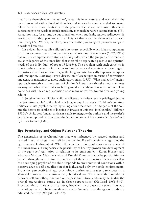that 'force themselves on the author', reveal his inner nature, and overwhelm the conscious mind with a flood of thoughts and images he never intended to create: 'Here the artist is not identical with the process of creation; he is aware that he is subordinate to his work or stands outside it, as though he were a second person' (73). An author may, for a time, be out of fashion when, suddenly, readers rediscover his work, because they perceive in it archetypes that speak to them with renewed immediacy (77). We can, therefore, only discuss the psychological phenomenology in a work of literature.

It is evident how readily children's literature, especially when it has components of fantasy, connects with Jungian theories. Marie Louise von Franz (1977, 1978) has written comprehensive studies of fairy tales which the Jungian critic tends to see as 'allegories of the inner life' that meet 'the deep-seated psychic and spiritual needs of the individual' (Cooper 1983:154). The problem with such criticism is that it reduces images in fairy tales to fixed allegorical meanings without regard for historical and social contexts, as the Jungian critic basically explains metaphor with metaphor. Northrop Frye's discussion of archetypes in terms of convention and genre is an attempt to avoid such reductionism (1957). What makes the Jungian approach attractive to interpreters of children's literature is that the theory assumes an original wholeness that can be regained after alienation is overcome. This coincides with the comic resolution of so many narratives for children and young adults.

In Jungian literary criticism children's literature is often seen as privileged, just as the 'primitive psyche' of the child is in Jungian psychoanalysis. 'Children's literature initiates us into psychic reality, by telling about the creatures and perils of the soul and the heart's possibilities of blessing in images of universal intelligibility' (Hillman 1980:5). At its best Jungian criticism is able to integrate the author's and the reader's needs as exemplified in Lynn Rosenthal's interpretation of Lucy Boston's *The Children of Green Knowe* (1980).

## **Ego Psychology and Object Relations Theories**

The generation of psychoanalysts that was influenced by, reacted against and revised Freud, distinguishes itself by overcoming Freud's pessimism regarding the ego's inevitable discontent. While the new focus does not deny the existence of the unconscious, it emphasises the possibility of healthy growth and development in the ego's self-realisation in relation to its environment. Karen Horney and Abraham Maslow, Melanie Klein and Donald Winnicott describe possibilities for growth through constructive management of the id's pressures. Each insists that the developing psyche of the child responds to environmental conditions with a positive urge to self-actualisation that is thwarted only by hostile environments. From the perspective of ego psychology, author and reader participate in a shareable fantasy that constructively breaks down 'for a time the boundaries between self and other, inner and outer, past and future, and…may neutralise the primal aggressions bound up in those separations' (Holland 1968:340). Psychoanalytic literary critics have, however, also been concerned that ego psychology tends to be in one direction only, 'namely from the ego as a publicly adjusted identity' (Wright 1984:57).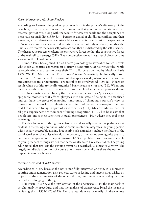#### *Karen Horney and Abraham Maslow*

According to Horney, the goal of psychoanalysis is the patient's discovery of the possibility of self-realisation and the recognition that good human relations are an essential part of this, along with the faculty for creative work and the acceptance of personal responsibility (1950:334). Persistent denial of childhood conflicts and their screening with defensive self-delusions block self-realisation. Irrational expectations or 'neurotic claims' such as self-idealisation obscure not only self-hate, but also 'the unique alive forces' that each self possesses and that are distorted by the self-illusions. The therapeutic process weakens the obstructive forces so that the constructive forces of the real self can emerge (348). The constructive forces in ego psychology become known as the 'Third Force'.

Bernard Paris has applied 'Third Force' psychology to several canonical novels whose self-alienating characters fit Horney's descriptions of neurotic styles, while self-activating characters express their 'Third Force' as defined by Maslow (Paris 1974:29). For Maslow, the 'Third Force' is our 'essentially biologically based inner nature', unique to the person but also species-wide, whose needs, emotions and capacities are 'either neutral, pre-moral or positively good' (1968:3). Neuroses result when our hierarchically organised basic needs are not met (21). When one level of needs is satisfied, the needs of another level emerge as persons define themselves existentially. During that process the person has 'peak experiences', epiphanic moments that afford glimpses into the state of being fully actualised and can have the effect of removing symptoms, of changing a person's view of himself and the world, of releasing creativity and generally conveying the idea that life is worth living in spite of its difficulties (101). Maslow admits that not all peak experiences are moments of 'Being recognition' (100), but he insists that people are 'most their identities in peak experiences' (103) where they feel most self-integrated.

The development of the ego as self-reliant and socially accepted is perhaps most evident in the young adult novel whose comic resolution integrates the young person with socially acceptable norms. Frequently such narratives include the figure of the social worker or therapist who aids the process, or the young protagonist plans to become a therapist so as to 'help kids in trouble'. Such problem narratives are accessible to young readers through stories that occasionally seem like case studies. The young adult novel that projects the genuine misfit as a worthwhile subject is a rarity. The largely middle-class context of young adult novels generally furthers the optimism implied in ego psychology.

#### *Melanie Klein and D.W.Winnicott*

According to Klein, because the ego is not fully integrated at birth, it is subject to splitting and fragmentation as it projects states of feeling and unconscious wishes on objects or absorbs qualities of the object through introjection where they become defined as belonging to the ego.

Like Freud, Klein saw the 'exploration of the unconscious [as] the main task of psycho-analytic procedure, and that the analysis of transference [was] the means of achieving this' (1955/1975a:123). Her analysands were primarily children whose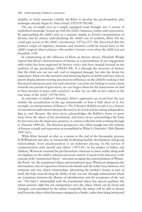inability to freely associate verbally led Klein to develop the psychoanalytic play technique already begun by Anna Freud (1925/1975b:146).

The use of simple toys in a simply equipped room brought out 'a variety of symbolical meanings' bound up with the child's fantasies, wishes and experiences. By approaching the child's play in a manner similar to Freud's interpretation of dreams, but by always individualising the child's use of symbols, Klein felt she could gain access to the child's unconscious (1975a:137). She discovered that the primary origin of impulses, fantasies and anxieties could be traced back to the child's original object relation—the mother's breast—even when the child was not breastfed (138).

In commenting on the influence of Klein on literary theory, Elizabeth Wright regrets that Klein's demonstration of fantasy as a precondition of any engagement with reality has been neglected by literary critics who have instead focused on the aesthetic of ego psychology (1984:83–84). It is through the structure of fantasy that the child acts out not only real or imagined damage, but also the desire for reparation. Klein saw the monsters and menacing figures of myths and fairy tales as parent displacements exerting unconscious influences on the child by making it feel threatened and persecuted, but such emotions 'can clear our feelings to some extent towards our parents of grievances, we can forgive them for the frustrations we had to bear, become at peace with ourselves' so that 'we are able to love others in the true sense of the word' (1975b:343).

In criticisms of children's literature, Klein's approach can reveal how the text enables the actualisation of the ego intentionally or how it falls short of it. For example, an interpretation of Bianco's *The Velveteen Rabbit* reveals it as a fantasy of unresolved ambivalence between the need to be loved and becoming independent, that is, real. Because 'the story never acknowledges the Rabbit's desire to grow away from the object of his attachment, and hence never acknowledges the basis for his entry into the depressive position, it cannot credit him with working through it' (Daniels 1990:26). The Kleinian perspective also offers insight into the relation of fantasy to guilt and reparation as exemplified in White's *Charlotte's Web* (Rustin 1987:161).

While Klein focused on play as a means to the end of the therapeutic process, D.W.Winnicott saw play as intrinsically facilitating healthy development and group relationships. Even psychoanalysis is an elaborate playing 'in the service of communication with oneself and others' (1971:41). In his studies of babies and children, Winnicott retained the psychoanalytic attention to inner reality along with an emphasis on the child's cultural and social context. Crucial in his discovery is the concept of the 'transitional object': 'one must recognise the central position of Winniethe-Pooh' (xi). By transitional object and transitional space Winnicott designates the intermediate area of experience between the thumb and the teddy bear, between oral eroticism and true object relationships. Identifying the mother's breast as part of itself, the baby must develop the ability of the 'not me' through substitutions which are transitions between the illusion of identification and the acceptance of the 'not me'. The baby's relationship with the transitional object has special qualities: the infant assumes right but not omnipotence over the object which can be loved and changed, even mutilated by the infant. Gradually, the infant will be able to detach itself from the object which becomes consigned to a limbo, rather than being introjected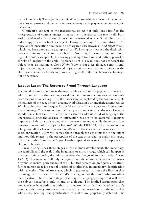by the infant  $(1-5)$ . The object is not a signifier for some hidden unconscious content, but a crucial partner in the game of intersubjectivity as the playing infant tests out the me/not me.

Winnicott's concept of the transitional object not only lends itself to the interpretation of content images in narratives, but also to the text itself. Both author and reader can claim the text as transitional object. Small children do indeed appropriate a book as object—loving it, adding to it, mutilating it. An especially Winnecottian book would be Margaret Wise Brown's *Good Night Moon,* which has been cited as an example of child's having just learned the distinction between animate and inanimate objects. 'Good night, bears' (toys) and 'good night, kittens' is acceptable, but saying good night to chairs and mittens provokes shrieks of laughter in the child (Applebee 1978:41) who does not yet accept the object 'bear' as inanimate. *Good Night Moon* is, for a certain age, a transitional object containing many transitional objects that assuage bedtime anxieties as the child connects with all of them, thus assuring itself of the 'me' before the lights go out at bedtime.

## **Jacques Lacan: The Return to Freud Through Language**

For Freud the subconscious is the irreducible radical of the psyche, its universal, whose paradox it is that nothing raised from it remains unconscious: we can only be conscious of *something.* Thus the unconscious is replaced by the comprehensible mental acts of the ego, be they dreams, symbolisation's or linguistic utterances. As Wright points out, for Jacques Lacan 'the dictum "the unconscious is structured like a language"' is borne out in that 'every word indicates the absence of what it stands for, a fact that intensifies the frustration of this child of language, the unconscious, since the absence of satisfaction has not to be accepted. Language imposes a chain of words along which the ego must move while the unconscious remains in search of the object it has lost' (Wright 1984:111). The unconscious as a language allows Lacan to revise Freud's self-sufficiency of the unconscious with social interaction. How this comes about through the development of the infant and how this relates to the perception of the text as psyche—a major shift away from the author's or reader's psyche—has special relevance to interpreters of children's literature.

Lacan distinguishes three stages in the infant's development: the imaginary, the symbolic and the real. In the imaginary or mirror stage, which can happen at the age of six months, the infant receives the *imago* of its own body (*Ecrits,* 1977:3). Having seen itself only as fragmentary, the infant perceives in the mirror a symbolic 'mental permanence of the I', but this perception prefigures alienation, for the mirror stage is a spatial illusion of totality (4), an imaginary identification with reflection. The mirror stage, which is pre-verbal, conveys the illusion that the image will respond to the child's wishes, as did the mother-breast-infant identification. The symbolic stage is the stage of language, a stage that will form the subject henceforth only in and as dialogue. The implied assumption that language may have definitive authority is undermined or deconstructed by Lacan's argument that every utterance is permeated by the unconscious in the sense that wholeness, meaning, and gratification of wishes are perpetually deferred. The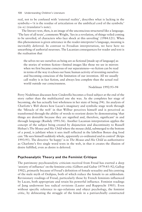real, not to be confused with 'external reality', describes what is lacking in the symbolic—'it is the residue of articulation or the umbilical cord of the symbolic' (ix–x) (translator's note).

The literary text, then, is an image of the unconscious structured like a language. 'The lure of all texts', comments Wright, 'lies in a revelation, of things veiled coming to be unveiled, of characters who face shock at this unveiling' (1984:121). When this phenomenon is given utterance in the reader-interpreter's language, meaning is inevitably deferred. In contrast to Freudian interpretation, we have here no unearthing of authorial neuroses. The Lacanian consequences for reader and text is the realisation that

the selves we see ourselves as being are as fictional [made up of language] as the stories of written fiction—limited images like those we see in mirrors when we first became conscious of our separateness—so fiction can be read in terms of the way it echoes our basic human activity of inventing ourselves and becoming conscious of the limitation of our invention. All we usually call reality is in fact fiction, and always less complete than the actual real world outside our consciousness.

Nodelman 1992:93–94

Perry Nodelman discusses how Cinderella becomes a fixed subject at the end of the story rather than the multifaceted one she was. As she completes her stage of becoming, she has actually lost wholeness in her state of being (94). An analysis of *Charlotte's Web* shows how Lacan's imaginary and symbolic stage work through the 'Miracle of the web' in that Wilbur perceives himself and is perceived as transformed through the ability of words to reorient desire by demonstrating 'that things are desirable because they are signified and, therefore, significant' in and through language (Rushdy 1991:56). Another Lacanian interpretation applies the concept of the subject being created by disjunction and discontinuity to Russell Hoban's *The Mouse and His Child* where the mouse child, submerged to the bottom of a pond, is jubilant when it sees itself reflected in the labelless Bonzo dog food can: 'He sees himself suddenly whole, apparently co-ordinated and in control' (Krips 1993:95). The directive 'be happy' is in *The Mouse and His Child* as authoritative as Charlotte's five single word texts in the web, in that it creates the illusion of desire fulfilled, even as desire is deferred.

## **Psychoanalytic Theory and the Feminist Critique**

The patrimony psychoanalytic criticism received from Freud has exerted a deep 'anxiety of influence' on the feminist critic (Gilbert and Gubar 1979:45–92; Gallop 1982), primarily because of Freud's definition of female sexuality and his centring of the male myth of Oedipus, both of which reduce the female to an addendum. Revisionary readings of Freud, particularly those by French feminists influenced by Lacan, both appropriate and retain his powerful influence. Feminist readings of Jung underwent less radical revisions (Lauter and Rupprecht 1985). Even without specific reference to ego-relations and object psychology, the feminist critic, by delineating the struggle of the female in a patriarchially constructed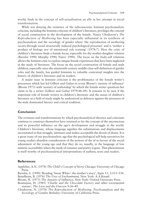world, finds in the concept of self-actualisation an ally in her attempt at social transformation.

While not denying the existence of the subconscious, feminist psychoanalytic criticism, including the feminist criticism of children's literature, privileges the concept of social construction in the development of the female. Nancy Chodorow's *The Reproduction of Mothering* has been especially influential in its synthesis of psychoanalysis and the sociology of gender where 'the reproduction of mothering occurs through social structurally induced psychological processes' and is 'neither a product of biology nor of intentional role training' (1978:7). Here the critic of children's literature finds a female focus, especially for the mother-daughter relation (Barzilai 1990; Murphy 1990; Natov 1990). The focus on the body-self relations allows the feminist critic to explore unique female experiences that have been neglected in the study of literature. The focus on the social construction of female and male children, especially since the nineteenth-century middle-class self-definition of gender roles and the family, has guided feminists to valuable contextual insights into the history of children's literature and its readers.

A major issue in feminist criticism is the problematics of the female writer's precursors which has led Gilbert and Gubar to revise Bloom's 'anxiety of influence' (Bloom 1973) with 'anxiety of authorship' by which the female writer questions her claim to be a writer (Gilbert and Gubar 1979:48–49). It remains to be seen if the important role of female writers in children's literature and the status of children's literature as a field of study might be understood as defences against the pressures of the male dominated literary and critical tradition.

## **Conclusion**

The revisions and transformations by which psychoanalytical theories and criticisms continue to construct themselves have retained so far the concept of the unconscious and its powerful influence on the ego's development and struggle in the world. Children's literature, whose language signifies the substitutions and displacements necessitated in that struggle, intimates and makes acceptable the dream of desire. It is a great irony of our psychoanalytic age that the psychological self-help narratives for young readers abandon consideration of the powers of the id in favour of the social adjustment of the young ego and that they do so, usually, in the language of low mimetic accessibility where the mode of romance and poetry is gone. That phenomenon is itself worthy of psychoanalytical interpretations of authors, texts and readers.

#### **References**

Applebee, A.N. (1978) *The Child's Concept of Story,* Chicago: University of Chicago Press.

Barzilai, S. (1990) 'Reading 'Snow White': the mother's story', *Signs* 15, 3:515–534. Bettelheim, B. (1976) *The Uses of Enchantment,* New York: A.A.Knopf.

Bloom, H. (1973) *The Anxiety of Influence,* New York: Oxford University Press.

Bosmajian, H. (1985) '*Charlie and the Chocolate Factory* and other excremental visions', *The Lion and the Unicorn* 9:36–49.

Chodorow, N. (1978) *The Reproduction of Mothering. Psychoanalysis and the Sociology of Gender,* Berkeley: University of California Press.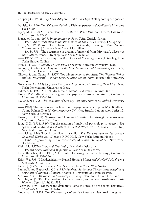- Cooper, J.C. (1983) *Fairy Tales: Allegories of the Inner Life,* Wellingborough: Aquarian Press.
- Daniels, S. (1990) '*The Velveteen Rabbit:* a Kleinian perspective', *Children's Literature* 18: 17–30.
- Egan, M. (1982) 'The neverland of id: Barrie, *Peter Pan,* and Freud', *Children's Literature* 10:37–55.
- Franz, M.-L. von (1977) *Individuation in Fairy Tales,* Zurich: Spring.
- ——(1978) *An Introduction to the Psychology of Fairy Tales,* Irving, TX: Spring.
- Freud, S., (1908/1963) 'The relation of the poet to daydreaming', *Character and Culture,* trans. J.Strachey, New York: Macmillan.
- ——(1913/1958) 'The occurrence in dreams of material from fairy tales', *Character and Culture,* trans. J.Strachey, New York: Macmillan.
- ——(1962/1975) *Three Essays on the Theory of Sexuality,* trans. J.Strachey, New York: Harper Collins.
- Frye, N. (1957) *Anatomy of Criticism,* Princeton: Princeton University Press.
- Gallop, J. (1982) *The Daughter's Seduction: Feminism and Psychoanalysis,* Ithaca, NY: Cornell University Press.
- Gilbert, S. and Gubar, S. (1979) *The Madwoman in the Attic: The Woman Writer and the Nineteenth Century Literary Imagination,* New Haven: Yale University Press.
- Greenacre, P. (1955) *Swift and Carroll: A Psychoanalytic Study of Two Lives,* New York: International Universities Press.
- Hillman, J. (1980) 'The children, the children!' *Children's Literature* 8:3–6.
- Hogan, P. (1990) 'What's wrong with the psychoanalysis of literature?', *Children's Literature* 18:135–140.
- Holland, N. (1968) *The Dynamics of Literary Response,* New York: Oxford University Press.

——(1970) 'The 'unconscious' of literature: the psychoanalytic approach', in Bradbury, N. and Palmer, D. (eds) *Contemporary Criticism,* Stratford-upon-Avon Series 12, New York: St Martin's.

- Horney, K. (1950) *Neurosis and Human Growth: The Struggle Toward Self-Realization*, New York: Norton.
- Jung, C.G. (1931/1966) 'On the relation of analytical psychology to poetry', *The Spirit in Man, Art, and Literature. Collected Works* vol. 15, trans. R.F.C.Hull, New York: Random House.
- ——(1946/1954) 'Psychic conflicts in a child', *The Development of Personality. Collected Works* vol. 17, trans. R.F.C.Hull, New York: Random House.
- ——(1964) 'Approaching the unconscious', *Man and His Symbols,* New York: Doubleday.
- Klein, M. (1975a) *Envy and Gratitude,* New York: Delacorte.
- ——(1975b) *Love, Guilt and Reparation,* New York: Delacorte.
- Knoepflmacher, U.C. (1990) 'The doubtful marriage: a critical fantasy', *Children's Literature* 18:131–134.
- Krips, V. (1993) 'Mistaken identity: Russell Hoban's *Mouse and His Child*', *Children's Literature* 21:92–100.
- Lacan, J. (1977) *Ecrits*, trans. Alan Sheridan, New York: W.W.Norton.
- Lauter, E. and Rupprecht, C.S. (1985) *Feminist Archetypal Theory. Interdisciplinary Revisions of Jungian Thought,* Knoxville: University of Tennessee Press.
- Maslow, A. (1968) *Toward a Psychology of Being,* New York: D.Van Nostrand.
- Murphy, A. (1990) 'The borders of ethical, erotic, and artistic possibilities, *Little Women*', *Signs* 15, 3:562–585.
- Natov, R. (1990) 'Mothers and daughters: Jamaica Kincaid's pre-oedipal narrative', *Children's Literature* 18:1–16.
- Nodelman, P. (1992) *The Pleasures of Children's Literature,* New York: Longman.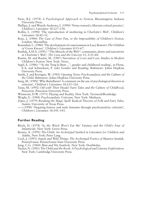- Paris, B.J. (1974) *A Psychological Approach to Fiction,* Bloomington: Indiana University Press.
- Phillips, J. and Wojcik-Andrews, I. (1990) 'Notes toward a Marxist critical practice', *Children's Literature* 18:127–130.
- Rollin, L. (1990) 'The reproduction of mothering in *Charlotte's Web', Children's Literature* 18:42–52.
- Rose, J. (1984) *The Case of Peter Pan, or the Impossibility of Children's Fiction,* London: Macmillan.
- Rosenthal, L. (1980) 'The development of consciousness in Lucy Boston's *The Children of Green Knowe', Children's Literature* 8:53–67.
- Rushdy, A.H.A. (1991) '"The Miracle of the Web": community, desire and narrativity in *Charlotte's Web', The Lion and the Unicorn* 15, 2:35–60.
- Rustin, M. and Rustin, M. (1987) *Narratives of Love and Loss: Studies in Modern Children's Fiction,* New York: Verso.
- Segel, E. (1986) '"As the Twig Is Bent…", gender and childhood reading', in Flynn, E.A. and Schweikart, P. (eds) *Gender and Reading,* Baltimore: Johns Hopkins University Press.
- Smith, J. and Kerrigan, W. (1985) *Opening Texts: Psychoanalysis and the Culture of the Child,* Baltimore: Johns Hopkins University Press.
- Steig, M. (1990) 'Why Bettelheim? A comment on the use of psychological theories in criticism', *Children's Literature* 18:125–126.
- Tatar, M. (1992) *Off with Their Heads! Fairy Tales and the Culture of Childhood,* Princeton: Princeton University Press.
- Winnicott, D.W. (1971) *Playing and Reality,* New York: Tavistock/Routledge.
- Wright, E. (1984) *Psychoanalytic Criticism,* New York: Methuen.
- Zipes, J. (1979) *Breaking the Magic Spell: Radical Theories of Folk and Fairy Tales,* Austin: University of Texas Press.
- ——(1990) 'Negating history and male fantasies through psychoanalytic criticism', *Children's Literature* 18:141–143.

#### **Further Reading**

- Bloch, D. (1978) *'So the Witch Won't Eat Me' Fantasy and the Child's Fear of Infanticide,* New York: Grove Press.
- Byrnes, A. (1995) *The Child: An Archetypal Symbol in Literature for Children and Adults,* New York: Peter Lang.
- Cech, J. (1995) *Angels and Wild Things: The Archetypal Poetics of Maurice Sendak,* Pennsylvania: Pennsylvania State University Press.
- Jung, C.G. (1964) *Man and His Symbols,* New York: Doubleday.
- Tucker, N. (1981) *The Child and the Book: A Psychological and Literary Exploration,* New York: Cambridge University Press.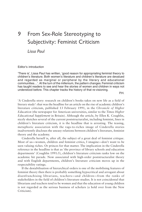## 9 From Sex-Role Stereotyping to Subjectivity: Feminist Criticism

*Lissa Paul*

#### Editor's introduction

'There is', Lissa Paul has written, 'good reason for appropriating feminist theory to children's literature. Both women's literature and children's literature are devalued and regarded as marginal or peripheral by the literary and educational communities…'. At the turn of the millenium, the pattern changes. Feminist criticism has taught readers to see and hear the stories of women and children in ways not understood before. This chapter tracks the history of that re-visioning.

PH.

'A Cinderella story: research on children's books takes on new life as a field of literary study': that was the headline for an article on the rise of academic children's literature criticism, published 13 February 1991, in the *Chronicle of Higher Education* (the newspaper for American universities, similar to the *Times Higher Educational Supplement* in Britain). Although the article, by Ellen K. Coughlin, nicely sketches several of the current poststructuralist, including feminist, lines in children's literature criticism, it is the headline that is arresting. The teasing, metaphoric association with the rags-to-riches image of Cinderella stories inadvertently discloses the uneasy relations between children's literature, feminist theory and the academy.

Cinderella herself is, after all, the subject of a great deal of feminist critique. Most of us—women, children and feminist critics, I imagine—don't want to be seen valuing riches. Or princes for that matter. The implication in the Cinderella reference in the headline is that as 'the province of library schools and education departments' (Coughlin 1991:5), children's literature criticism ranks low on the academic hit parade. Now associated with high-order poststructuralist theory and with English departments, children's literature criticism moves up in the respectability ratings.

If the destabilisation of hierarchical orders is one of the mobilising features of feminist theory then there is probably something hypocritical and arrogant about disenfranchising librarians, teachers—and children—from the ranks of stakeholders in the field of children's literature studies. It is not coincidental that librarians and teachers tend to be women and that the education of young children is not regarded as the serious business of scholars (a hold over from the New Criticism).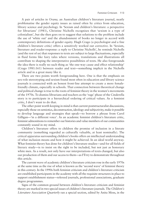A pair of articles in *Orana,* an Australian children's literature journal, neatly problematise the gender equity issues as raised often by critics from education, library science and psychology. In 'Sexism and children's literature: a perspective for librarians' (1981), Christine Nicholls recognises that 'sexism is a type of colonialism', but she then goes on to suggest that solutions to the problem include the use of 'white out' and the abandonment of books no longer in accord with contemporary definitions of gender equity. Hugh Crago (a psychologist and a fine children's literature critic) offers a sensitively worked out corrective. In 'Sexism, literature and reader-response: a reply to Christine Nicholls', he reminds Nicholls (and the rest of us) that responses to texts are subject to large fluctuations, especially in fluid forms like fairy tales where versions, translations and illustrations all contribute to shaping the interpretative possibilities of texts. He also foregrounds the idea there is really no such thing as 'the one-way cause and effect relationship' (Crago 1981:161) between reader and text—something implicit in the Nicholls article and in a great many like it.

There are two points worth foregrounding here. One is that the emphasis on sex-role stereotyping and sexism found most often in education and library science journals is connected with an honest front-line attempt to create a more femalefriendly climate, especially in schools. That connection between theoretical change and political change is true to the roots of feminist theory in the women's movements of the 1970s. To dismiss librarians and teachers as the 'rags' phase of the Cinderella story is to participate in a hierarchical ordering of critical values. As a feminist critic, I don't want to do that.

The other point worth keeping in mind is that current poststructuralist discussions, especially those on semiotics, deconstruction, ideology and subjectivity, make it possible to develop language and strategies that speak—to borrow a phrase from Carol Gilligan—'in a different voice'. As an academic feminist children's literature critic, feminist admonitions to remember our histories and value members of our communities constantly sound in my mind.

Children's literature offers to children the promise of inclusion in a literate community (something regarded as culturally valuable, at least nominally). The critical apparatus surrounding children's books offers an intellectual understanding of what inclusion means and how it might be achieved. In an ideal world anyway. What feminist theory has done for children's literature studies—and for all fields of literary study—is to insist on the right to be included, but not just as honorary white men. As a result, not only have our interpretations of texts changed, but also our production of them and our access to them—as I'll try to demonstrate throughout this article.

The current wave of academic children's literature criticism rose in the early 1970s at the same time as the rise of what is known as the 'second wave' of feminist theory in this century. In the 1990s both feminist criticism and children's literature criticism are established participants in the academy with all the requisite structures in place to support establishment status—refereed journals, professional associations, graduate degree programmes.

Signs of the common ground between children's literature criticism and feminist theory are marked in two special issues of children's literature journals. The *Children's Literature Association Quarterly* ran a special section, edited by Anita Moss, in the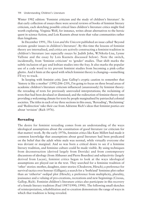Winter 1982 edition: 'Feminist criticism and the study of children's literature'. In that early collection of essays there were several reviews of books of feminist literary criticism, each sketching possible critical lines children's literature critics might find worth exploring. Virginia Wolf, for instance, writes about alternatives to the heroic quest in science fiction; and Lois Kuznets about texts that value communities rather than kingdoms.

In December 1991, *The Lion and the Unicorn* published an issue called 'Beyond sexism: gender issues in children's literature'. By this time the lessons of feminist theory are internalised, and critics are actively constructing a feminist tradition in children's literature (see especially essays by Judith John, W.Nikola-Lisa, Lynne Vallone and the essay by Lois Kuznets discussed below). Note the switch, incidentally, from 'feminist criticism' to 'gender' studies. That shift marks the subtle inclusion of gay and lesbian studies into the fray. It also marks the popular use of a code word to try prevent feminist studies from becoming a pink-collar ghetto. And it hints at the speed with which feminist theory is changing—something I'll try to track.

In keeping with feminist critic Jane Gallop's cryptic caution to remember that 'history is like a mother' (1992:206–239), I'm going to focus on three broad areas of academic children's literature criticism influenced (unanxiously) by feminist theory: the rereading of texts for previously unrevealed interpretations; the reclaiming of texts that had been devalued or dismissed; and the redirection of feminist theory into providing a welcoming climate for texts by people marginalised by patriarchal colonial societies. The titles in each of my three sections in this essay, 'Rereading', 'Reclaiming' and 'Redirection' take their cue from Adrienne Rich's ideas that feminist poetics are about 'revision' (Rich 1976).

## **Rereading**

The desire for feminist rereading comes from an understanding of the ways ideological assumptions about the constitution of good literature (or criticism for that matter) work. By the early 1970s, feminist critics like Kate Millett had made it common knowledge that assumptions about good literature had been predicated on the belief that the adult white male was normal, while virtually everyone else was deviant or marginal. And so was born a critical desire to see if a feminine literary tradition, and feminine culture could be made visible. By using techniques from deconstruction (derived largely from Derrida) and from contemporary discussions of ideology (from Althusser and Pierre Bourdieu) and subjectivity (largely derived from Lacan), feminist critics began to look at the ways ideological assumptions are played out in the text. They searched for a feminine tradition of 'other' stories: mother, daughter, sister stories (Chodorow, Hirsch); a preference for survival tactics over honour (Gilligan); a search for a 'both/and' feminine plot rather than an 'either/or' oedipal plot (Hirsch); a preference from multiplicity, plurality, jouissance and a valuing of pro-creations, recreations and new beginnings (Cixous, Gallop, Rich). Feminist children's literature critics also participate in this recovery of a female literary tradition (Paul 1987/1990; 1990). The following small sketches of reinterpretation, rehabilitation and re-creation demonstrate the range of ways in which that tradition is being revealed.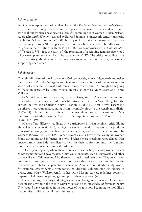#### *Reinterpretation*

Feminist reinterpretations of familiar classics like *The Secret Garden* and *Little Women* turn stories we thought were about struggles to conform to the social order into stories about women's healing and successful communities of women (Bixler, Nelson, Auerbach). *Little Women*—as read by Edward Salmon (a nineteenth-century authority on children's literature) in his 1888 obituary of Alcott in *Atalanta*—is a story about instructing girls to be 'the proper guardians of their brothers' and to be 'all-powerful for good in their relations with men' (449). But for Nina Auerbach, in *Communities of Women* (1978), it is the story of 'the formation of a reigning feminist sisterhood whose exemplary unity will heal a fractured society' (37). The critical rereading turns it from a story about women learning how to serve men into a story of women supporting each other.

#### *Rehabilitation*

The rehabilitation of works by Mary Wollstonecraft, Maria Edgeworth and other 'lady moralists' of the Georgian and Romantic periods, is one of the major success stories of academic feminist children's literature criticism. Although I am going to focus on criticism by Mitzi Myers, credit also goes to Anita Moss and Lynne Vallone.

As Mitzi Myers pointedly states, texts by Georgian 'lady' moralists as rendered in standard overviews of children's literature, suffer from 'something like the critical equivalent of urban blight' (Myers 1986:31). John Rowe Townsend dismisses these women as ranging 'from the mildly pious to the sternly moralistic' (1974:39). Harvey Darton refers to 'the truculent dogmatic leanings of Mrs Sherwood and Mrs Trimmer' and the 'completely dogmatic' Mary Godwin (1982:156, 196).

Myers offers different readings. She participates in what feminist critic Elaine Showalter calls 'gynocriticism', that is, criticism that attends to 'the woman as producer of textual meaning, with the history, themes, genres, and structures of literature by women' (Showalter 1985:128). What Myers asks is how those Georgian women found autonomy and influence in a world where those freedoms were denied. Her answers transform lady moralists scorned for their conformity, into the founding mothers of a feminist pedagogical tradition.

In Georgian England, where there were few roles for (upper class) women except as wives, mothers and governesses, Mary Wollstonecraft, Maria Edgeworth and other women like Mrs Trimmer and Mrs Sherwood transformed their roles. They constructed 'an almost unrecognised literary tradition', one that 'accepts and emphasises the instructive and intellectual potential of narrative' (Myers 1986:33). Maria Edgeworth, for example, creates female protagonists as 'desiring' subjects, not just objects of desire. And Mary Wollstonecraft, in her 'Mrs Mason' stories, redefines power in unpatriarchal terms 'as pedagogic and philanthropic power' (43).

The autonomy, creativity and integrity of those Georgian women would not have been possible without the eyes of Mitzi Myers and her knowledge of feminist theory. They would have remained in the footnotes of what is now beginning to look like a masculinist tradition of children's literature.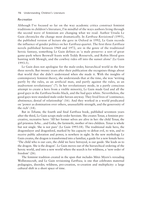#### *Re-creation*

Although I've focused so far on the way academic critics construct feminist traditions in children's literature, I'm mindful of the ways authors living through the second wave of feminism are changing what we read. Author Ursula Le Guin chronicles the change most dramatically. In *Earthsea Revisioned* (1993), the published version of lecture she gave in Oxford in 1992, Le Guin records the influence of gender politics on her *Earthsea* quartet. The first three *Earthsea* novels published between 1968 and 1972, are in the genre of the traditional heroic fantasy, something Le Guin defines as 'a male preserve: a sort of great game-park where Beowulf feasts with Teddy Roosevelt, and Robin Hood goes hunting with Mowgli, and the cowboy rides off into the sunset alone' (Le Guin 1993:5).

Le Guin does not apologise for the male-order, hierarchical world in the first three novels. But twenty years after their publication she recognises things about that world that she didn't understand when she made it. With the insights of contemporary feminist theory, she understands that at the time, she was 'writing partly by the rules, as an artificial man, and partly against the rules, as an inadvertent revolutionary' (7). In her revolutionary mode, in a partly conscious attempt to create a hero from a visible minority, Le Guin made Ged and all the good guys in the *Earthsea* books black, and the bad guys white. Nevertheless, the good guys were standard male-order heroes anyway. They lived lives of 'continence; abstinence; denial of relationship' (16). And they worked in a world predicated on 'power as domination over others, unassailable strength, and the generosity of the rich' (14).

But in *Tehanu,* the fourth and final *Earthsea* book, published seventeen years after the third, Le Guin scraps male-order heroism. She creates Tenar, a feminist procreative, recreative hero: 'All her former selves are alive in her: the child Tenar, the girl priestess Arha…and Goha, the farmwife, mother of two children. Tenar is whole but not single. She is not pure' (Le Guin 1993:18). The traditional male hero, the dragonslayer and dragonlord, marked by his capacity to defeat evil, to win, and to receive public adoration and power, is nowhere in sight. In the new mythology Le Guin creates, the dragon is transformed into a familiar, a guide for a new female hero: 'The child who is our care, the child we have betrayed, is our guide. She leads us to the dragon. She is the dragon'. Le Guin moves out of the hierarchical ordering of the heroic world, and into a new world where the search is for wildness, a 'new order of freedom' (26).

The feminist tradition created in the span that includes Mitzi Myers's rereading Wollstonecraft, and Le Guin revisioning *Earthsea,* is one that celebrates maternal pedagogies, disorder, wildness, pro-creation, re-creation and multiplicity: a large cultural shift in a short space of time.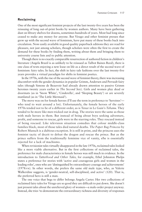## **Reclaiming**

One of the most significant feminist projects of the last twenty-five years has been the reissuing of long out-of-print books by women authors. Many have been gathering dust on library shelves for dozens, sometimes hundreds of years. Most had long since ceased to make any money for anyone. But Virago and other feminist presses that grew up with the second wave of feminism, have put many of these books back into circulation. Now easily available in good quality paperback editions they are read for pleasure, not just among scholars, though scholars were often the first to create the demand for these books by finding them, writing about them and bringing them to university course lists and to public attention.

Though there is no exactly comparable resurrection of authored fiction in children's literature (Angela Brazil is as unlikely to be reissued as Talbot Baines Reed), there is one class of texts enjoying a new lease on life as a direct result of the second wave of feminism: fairy tales. In fact, the shift in fairy tale fashions over the last twenty-five years provides a virtual paradigm for shifts in feminist poetics.

In the 1970s, with the rise of the second wave of feminist theory, there was increasing discomfort with the gender dynamics in popular Grimm, Andersen and Perrault fairy tales (though Simone de Beauvoir had already drawn attention to passive Grimm heroines twenty years earlier in *The Second Sex*). Girls and women play dead or doormats (as in 'Snow White', 'Cinderella', and 'Sleeping Beauty') or are severely mutilated (as in 'The Little Mermaid').

The move was on for female heroes (I'll use the term in preference to 'heroines' who tend to wait around a lot). Unfortunately, the female heroes of the early 1970s tended not to be of a different order, as is Tenar in Le Guin's *Tehanu.* They tended to be more like men tricked out in drag. The stories were the same as those with male heroes in them. But instead of being about boys seeking adventure, profit, and someone to rescue, girls were in the starring roles. They rescued instead of being rescued. Like television situation comedies that colour middle-class families black, most of those tales died natural deaths. *The Paper Bag Princess* by Robert Munsch is a dubious exception. It is still in print, and the princess uses the feminist tactic of deceit to defeat the dragon and rescue the prince. But as the prince suffers from the traditionally feminine vice of vanity, s/he is essentially rejected for a lack of machismo.

When revisionist tales virtually disappeared in the late 1970s, reclaimed tales looked like a more viable alternative. But in the first collections of reclaimed tales, the preference for male characteristics in female heroes was still much in evidence. In the introduction to *Tatterhood and Other Tales,* for example, Ethel Johnston Phelps states a preference for stories with 'active and courageous girls and women in the leading roles', ones who are 'distinguished by extraordinary courage and achievements' (1978:vx). In other words, she prefers the same old male type, who, as Valerie Walkerdine suggests, is 'gender-neutral, self-disciplined, and active' (120). That is, the preferred hero is still a man.

The one voice that begs to differ belongs Angela Carter. Her two collections of reclaimed fairy tales for Virago are so good they are difficult to put down. She doesn't just present tales about the unrelieved glory of women—a male-order project anyway. Instead, she tries 'to demonstrate the extraordinary richness and diversity of responses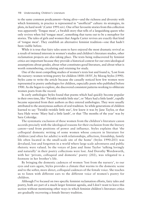to the same common predicament—being alive—and the richness and diversity with which femininity, in practice is represented in "unofficial" culture: its strategies, its plots, its hard work' (Carter 1991:xiv). One of her favourite stories from this collection was apparently 'Tongue meat', a Swahili story that tells of a languishing queen who only revives when fed 'tongue meat', something that turns out to be a metaphor for stories. The tales of girls and women that Angela Carter revives are exactly that kind of 'tongue meat'. They establish an alternative feminist tradition—one that hadn't been visible before.

While it is true that fairy tales seem to have enjoyed the most dramatic revival as a result of twinned interests in women's studies and children's literature studies, other reclamation projects are also taking place. The texts being rediscovered by feminist critics are important because they provide a historical context for our own ideological assumptions about gender, about what constitutes good literature, and about what is worth remembering, circulating and retaining for study.

One of the most compelling studies of women's texts lost and found is, 'Lost from the nursery: women writing poetry for children 1800–1850', by Morag Styles (1990). Styles came to write the article because she casually noticed how few women were represented in poetry anthologies for children, especially poets who published before 1900. As she began to explore, she discovered consistent patterns working to obliterate women poets from the record.

In early anthologies Styles found that poems which had quickly become popular in their own time, like 'Twinkle twinkle little star', or 'Mary had a little lamb', rapidly became separated from their authors as they entered anthologies. They were usually attributed to the anonymous authors of oral tradition. So while generations of children learned to say 'Twinkle twinkle little star', few knew it was by Jane Taylor, or that Sara Hale wrote 'Mary had a little lamb', or that 'The months of the year' was by Sara Coleridge.

The systematic exclusion of these women from the children's literature canon accords precisely with the ideological reasons for their exclusion from the literary canon—and from positions of power and influence. Styles explains that 'the colloquial domestic writing of some women whose concern in literature for children (and often for adults) is with relationships, affection, friendship, family life often located in the small-scale site of the home' (Styles 1990:203) was devalued, lost and forgotten in a world where large scale adventures and public rhetoric were valued. So the voices of Jane and Anne Taylor 'talking lovingly and naturally' in their poetry collections were lost. And Dorothy Wordsworth, with her 'private, colloquial and domestic' poetry (202), was relegated to a footnote in her brother's life.

By bringing the domestic cadences of women 'lost from the nursery', to our eyes and ears again, Styles provides a climate that warms to the domestic scene and to the softer, more direct, colloquial cadences of the female voice. She teaches us to listen with different ears to the different voice of women's poetry for children.

Although I've focused on two specific feminist reclamation efforts, fairy tales and poetry, both are part of a much larger feminist agenda, and I don't want to leave this section without mentioning other ways in which feminist children's literature critics are gradually recovering a female literary tradition.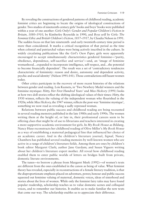By revealing the constructions of gendered patterns of childhood reading, academic feminist critics are beginning to locate the origins of ideological constructions of gender. Two studies of nineteenth-century girls' books and boys' books were published within a year of one another: *Girls Only?: Gender and Popular Children's Fiction in Britain, 1880–1910,* by Kimberley Reynolds in 1990, and *Boys will be Girls: The Feminist Ethic and British Children's Fiction, 1857–1917,* by Claudia Nelson in 1991. The sudden focus on that late nineteenth- and early twentieth-century time period is more than coincidental. It marks a critical recognition of that period as the time when colonial and patriarchal values were being actively inscribed in the culture. In widely circulating publications like the *Girl's Own Paper,* girls were apparently encouraged to accept simultaneously characteristics gendered feminine—'purity, obedience, dependence, self-sacrifice and service'—and, an 'image of feminine womanhood…expanded to incorporate intelligence, self-respect, and…the potential to become financially dependent'. The result was a set of 'contradictory tendencies characteristic of femininity: reason and desire, autonomy and dependent activity, psychic and social identity' (Nelson 1991:141). Those contradictions still haunt women today.

Other critics participate in the recovery of more recent histories of the relations between gender and reading. Lois Kuznets, in 'Two Newbery Medal winners and the feminine mystique: *Hitty, Her First Hundred Years'* and *Miss Hickory* (1991) looks at how two doll stories reflect the shifting ideological values of their times: *Hitty,* the 1930 winner, reflects the valuing of the independent woman who flourished in the 1920s; while *Miss Hickory,* the 1947 winner, reflects the post-war 'feminine mystique', something we now read as revealing a sadly repressed woman.

Relations between public success and childhood reading are being recounted in several reading memoirs published in the late 1980s and early 1990s. The women writing them at the height of, or late in, their professional careers seem to be offering clues that might be of use to librarians and teachers interested in creating a more supportive academic environment for girls. In *My Book House as Bildung,* Nancy Huse reconstructs her childhood reading of Olive Miller's *My Book House* as a way of establishing a maternal pedagogical line that influenced her choice of an academic career. And in the children's literature journal, *Signal,* Nancy Chambers has published several reading memoirs by well-known women who are active in a range of children's literature fields. Among them are ones by children's book editor Margaret Clark; author Jane Gardam; and Susan Viguers writing about her children's literature expert mother. All reveal how childhood reading enabled them to enter public worlds of letters on bridges built from private, domestic literate environments.

The tunes—to borrow a phrase from Margaret Meek (1992)—of women's texts are different from the ones established in the canon as being of value. What feminist theory has revealed, especially in reconstructions of a female literary tradition, is that the disproportionate emphasis placed on adventure, power, honour and public success squeezed out feminine valuing of maternal, domestic voices, ideas of sisterhood and stories about the lives of women. While only the feminist fairy tales may have found popular readership, scholarship teaches us to value domestic scenes and colloquial voices, and to remember our histories. It enables us to make familiar the new texts that come our way. The scholarship enables us to appreciate their difference.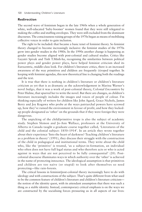## **Redirection**

The second wave of feminism began in the late 1960s when a whole generation of white, well-educated 'baby-boomer' women found that they were still relegated to making the coffee and stuffing envelopes. They were still excluded from the dominant discourses. The consciousness-raising groups of the 1970s began as means of mobilising collective voices in order to gain inclusion.

The right to be included: that became a basic tenet of feminist theory. So feminist theory changed to become increasingly inclusive: the feminist studies of the 1970s grew into gender studies in the 1980s. In the 1990s another change is happening as gender studies become aligned with post-colonial and cultural studies. Critics like Gayatri Spivak and Tinh T.Minh-ha, recognising the similarities between political power plays and gender power plays, have helped feminist criticism shed its Eurocentric, middle-class look. For children's literature critics, there is an increased awareness of the way primitives and children are frequently (t)roped together. In keeping with feminist agendas, this new theoretical line is changing both the readings and the text.

It is true that there is nothing in children's literature or children's literature criticism as yet that is as dramatic as the acknowledgement in Marina Warner's novel *Indigo,* that it was a work of post-colonial theory, *Colonial Encounters* by Peter Hulme, that spurred her to write the novel. But there are changes, as children's literature increasingly includes the images and voices of people of colour. I'm thinking especially of writers for children like John Agard, Grace Nichols, James Berry and Joy Kogawa who probe at the ways patriarchal powers have screwed up, how they've ruined the environment in favour of profit, and how they lockedup people designated as 'other' on the grounds that if they were foreign they were dangerous.

The unpicking of the child/primitive trope is also the subject of academic study. Stephen Slemon and Jo-Ann Wallace, professors at the University of Alberta in Canada taught a graduate course together called, 'Literatures of the child and the colonial subject: 1850–1914'. In an article they wrote together about their experience 'Into the heart of darkness? Teaching children's literature as a problem in theory' (1991), they discuss their struggle with the construction of the child in pedagogical and institutional terms. They write about the child who, like the 'primitive' is treated, 'as a subject-in-formation, an individual who often does not have full legal status and who therefore acts or who is acted against in ways that are not perceived to be fully consequential' (20). Postcolonial discourse illuminates ways in which authority over the 'other' is achieved in the name of protecting innocence. The ideological assumption is that primitives and children are too naïve (or stupid) to look after themselves so need protecting—like rain-forests.

The critical lessons in feminist/post-colonial theory increasingly have to do with ideology and with constructions of the subject. That's quite different from what used to be the common feature of children's literature and children's literature criticism the notion of the identity quest, with its attendant assumption that there was such a thing as a stable identity. Instead, contemporary critical emphasis is on the ways we are constructed by the socialising forces pressuring us in all aspects of our lives: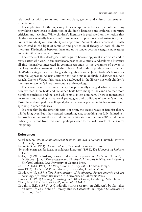relationships with parents and families, class, gender and cultural patterns and expectations.

The implications for the unpicking of the child/primitive trope are part of something provoking a new crisis of definition in children's literature and children's literature criticism and teaching. While children's literature is predicated on the notion that children are essentially blank or naïve and in need of protection and instruction, then issues of suitability or unsuitability are important. But as children become differently constructed in the light of feminist and post-colonial theory, so does children's literature. Distinctions between them and us no longer become categorising features and suitability recedes as an issue.

The effects of this ideological shift begin to become apparent in criticism and in texts. Critics who work in feminist theory, post-colonial studies and children's literature all find themselves interested in common grounds: in the dynamics of power, in ideology, in the construction of the subject. And authors produce texts in which child/adult categories are no longer the significant ones. Jane Gardam's books, for example, appear in Abacus editions that don't make adult/child distinctions. And Angela Carter's Virago fairy tales are catalogued in the library not with children's literature or women's literature—but as anthropology.

The second wave of feminist theory has profoundly changed what we read and how we read. New texts and reclaimed texts have changed the canon so that more people are included and the 'dead white male' is less dominant. There is an increased awareness and valuing of maternal pedagogies and traditions of women's writing. Tastes have developed for colloquial, domestic voices pitched in higher registers and speaking in other cadences.

It is true that by the time this text is in print, the second wave of feminist theory will be long over. But it has created something else, something not fully defined yet. An article on feminist theory and children's literature written in 2006 would look radically different from this one—perhaps closer to the wild world of Le Guin's imaginings.

## **References**

- Auerbach, N. (1978) *Communities of Women: An Idea in Fiction,* Harvard: Harvard University Press.
- Beauvoir, S.de (1953) *The Second Sex,* New York: Random House.
- 'Beyond sexism: gender issues in children's literature' (1991), *The Lion and the Unicorn* 15, 2.
- Bixler, P. (1991) 'Gardens, houses, and nurturant power in *The Secret Garden*', in McGavran, J. (ed.) *Romanticism and Children's Literature in Nineteenth Century England,* Athens, GA: University of Georgia Press.
- Carter, A. (ed.) (1991) *The Virago Book of Fairy Tales,* London: Virago.
- ——(1992) *The Second Virago Book of Fairy Tales,* London: Virago.
- Chodorow, N. (1978) *The Reproduction of Mothering: Psychoanalysis and the Sociology of Gender,* Berkeley, CA: University of California Press.

Cixous, H. (1991) *Coming to Writing and Other Essays,* Cambridge MA: Harvard. Clark, M. (1991) 'Early to Read', *Signal* 65:112–119.

Coughlin, E.K. (1991) 'A Cinderella story: research on children's books takes on new life as a field of literary study', *Chronicle of Higher Education* 13 February: 5–7.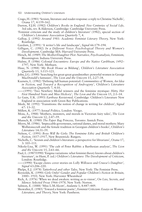- Crago, H. (1981) 'Sexism, literature and reader-response: a reply to Christine Nicholls', *Orana* 17, 4:159–162.
- Darton, F.J.H. (1982) *Children's Books in England: Five Centuries of Social Life,* 3rd edn, rev. B.Alderson, Cambridge: Cambridge University Press.
- 'Feminist criticism and the study of children's literature' (1982), special section of *Children's Literature Association Quarterly* 7, 4.
- Gallop, J. (1992) *Around 1981: Academic Feminist Literary Theory,* New York: Routledge.
- Gardam, J. (1991) 'A writer's life and landscape', *Signal* 66:179–194.
- Gilligan, C. (1982) *In a Different Voice: Psychological Theory and Women's Development,* Cambridge MA: Harvard University Press.
- Hirsch, M. (1989) *The Mother/Daughter Plot: Narrative, Psychoanalysis, Feminism,* Bloomington: Indiana University Press.
- Hulme, P. (1986) *Colonial Encounters: Europe and the Native Caribbean, 1492– 1797,* New York: Methuen.
- Huse, N. (1988) '*My Book House* as Bildung', *Children's Literature Association Quarterly* 13, 3:115–121.
- John, J.G. (1990) 'Searching for great-great grandmother: powerful women in George MacDonald's fantasies', *The Lion and the Unicorn* 15, 2:27–34.
- Kuznets, L. (1982) 'Defining full human potential: *Communities of Women, An Idea in Fiction,* and *Toward a Recognition of Androgyny', Children's Literature Association Quarterly* 7, 4:10.
- ——(1991) 'Two Newbery Medal winners and the feminine mystique: *Hitty, Her First Hundred Years* and *Miss Hickory', The Lion and the Unicorn* 15, 2:1–14.
- Le Guin, U.K. (1993) *Earthsea Revisioned,* Cambridge: Children's Literature New England in association with Green Bay Publications.
- Meek, M. (1992) 'Transitions: the notion of change in writing for children', *Signal* 67: 13–32.
- Millett, K. (1977) *Sexual Politics,* London: Virago.
- Moss, A., 1988) 'Mothers, monsters, and morals in Victorian fairy tales', *The Lion and the Unicorn* 12, 2:47–59.
- Munsch, R. (1980) *The Paper Bag Princess,* Toronto: Annick Press.
- Myers, M. (1986). 'Impeccable governesses, rational dames, and moral mothers: Mary Wollstonecraft and the female tradition in Georgian children's books', *Children's Literature* 14:31–59.
- Nelson, C. (1991) *Boys Will Be Girls: The Feminine Ethic and British Children's Fiction, 1857–1917,* New Brunswick: Rutgers.
- Nicholls, C. 'Sexism and children's literature: a perspective for librarians', *Orana* 17, 3: 105–111.
- Nikola-Lisa, W. (1991) 'The cult of Peter Rabbit: a Barthesian analysis', *The Lion and the Unicorn* 15, 2:61–66.
- Paul, L. (1987/1990) 'Enigma variations: what feminist theory knows about children's literature', in Hunt, P. (ed.) *Children's Literature: The Development of Criticism,* London: Routledge.
	- ——(1990) 'Escape claws: cover stories on *Lolly Willowes* and *Crusoe's Daughter', Signal* 63:206–220.
- Phelps, E.J. (1978) *Tatterhood and other Tales,* New York: The Feminist Press.
- Reynolds, K. (1990) *Girls Only? Gender and Popular Children's Fiction in Britain, 1880– 1910,* New York: Harvester Wheatsheaf
- Rich, A. (1976) 'When we dead awaken: writing as re-vision', *On Lies, Secrets, and Silence: Selected Prose 1966–1978,* New York: Norton.
- Salmon, E. (1888) 'Miss L.M.Alcott', *Atalanta* 1, 8:447–449.
- Showalter, E. (1985) 'Toward a feminist poetic', *Feminist Criticism: Essays on Women, Literature, and Theory,* New York: Pantheon.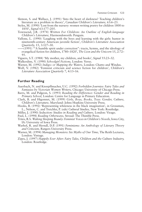- Slemon, S. and Wallace, J. (1991) 'Into the heart of darkness? Teaching children's literature as a problem in theory', *Canadian Children's Literature,* 63:6–23.
- Styles, M. (1990) 'Lost from the nursery: women writing poetry for children 1800 to 1850', *Signal* 63:177–205.
- Townsend, J.R. (1974) *Written For Children: An Outline of English-language Children's Literature,* Harmondsworth: Penguin.
- Vallone, L. (1990) 'Laughing with the boys and learning with the girls: humor in nineteenth-century American juvenile fiction', *Children's Literature Association Quarterly,* 15, 3:127–30.
- ——(1991) '"A humble spirit under correction": tracts, hymns, and the ideology of evangelical fiction for children, 1780–1820', *The Lion and the Unicorn* 15, 2:72– 95.
- Viguers, S.T. (1988) 'My mother, my children, and books', *Signal* 55:23–32.
- Walkerdine, V. (1990) *Schoolgirl Fictions,* London: Verso.
- Warner, M. (1992) *Indigo: or Mapping the Waters,* London: Chatto and Windus.
- Wolf, V. (1982) 'Feminist criticism and science fiction for children', *Children's Literature Association Quarterly* 7, 4:13–16.

#### **Further Reading**

- Auerbach, N. and Knoepflmacher, U.C. (1992) *Forbidden Journies: Fairy Tales and Fantasies by Victorian Women Writers,* Chicago: University of Chicago Press.
- Barrs, M. and Pidgeon, S. (1993) *Reading the Difference: Gender and Reading in Primary School,* London: Centre for Language in Primary Education.
- Clark, B. and Higonnet, M. (1999) *Girls, Boys, Books, Toys: Gender, Culture, Children's Literature,* Maryland: Johns Hopkins University Press.
- Hooks, B. (1992) 'Representing whiteness in the black imagination', in Grossman, L., Nelson, C. and Treichler, P. (eds) *Cultural Studies,* New York: Routledge.
- Miller, J. (1990) *Seduction: Studies in Reading and Culture,* London: Virago.
- Paul, L. (1998) *Reading Otherways,* Stroud: The Thimble Press.
- Trites, R.S. *Waking Sleeping Beauty: Feminist Voices in Children's Novels,* Iowa City, IA: University of Iowa Press.
- Warhol, R. and Herndl, D.P. (1991) *Feminisms: An Anthology of Literary Theory and Criticism,* Rutgers University Press.
- Warner, M. (1994) *Managing Monsters: Six Myths of Our Time,* The Reith Lectures, London: Vintage.
- Zipes, J. (1997) *Happily Ever After: Fairy Tales, Children and the Culture Industry,* London: Routledge.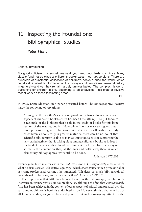# 10 Inspecting the Foundations: Bibliographical Studies

*Peter Hunt*

#### Editor's introduction

For good criticism, it is sometimes said, you need good texts to criticise. Many classic (and not so classic) children's books exist in corrupt versions. There are hundreds of substantial collections of children's books around the world, which could yield invaluable information on the history of children's literature—and history in general—and yet they remain largely uninvestigated. The complex history of publishing for children is only beginning to be unravelled. This chapter reviews recent work on these fascinating areas.

P.H.

In 1975, Brian Alderson, in a paper presented before The Bibliographical Society, made the following observations:

Although in the past this Society has enjoyed one or two addresses on detailed aspects of children's books…there has been little attempt…to put forward a rationale of the bibliographer's role in the study of books for this large section of the reading public…Now while I do not wish to suggest that a more professional grasp of bibliographical skills will itself enable the study of children's books to gain greater maturity, there can be no doubt that scientific bibliography is able to play as important a role in supporting the very varied activity that is taking place among children's books as it does in the field of literary studies elsewhere…Implicit in all that I have been saying so far is the contention that, at the nuts-and-bolts level, there is much elementary bibliographical work still to be done.

Alderson 1977:203

Twenty years later, in a review in the *Children's Books History Society Newsletter* of what he dismissed as 'sub-critical ego-trips' which characterise 'much professorial or assistant professorial writing', he lamented, 'Oh dear, so much bibliographical groundwork to be done, and all we get is floss' (Alderson 1995:17).

The impression that little has been achieved in the bibliography of children's literature in twenty years is undoubtedly false, although the fact that *comparatively little* has been achieved in the context of other aspects of critical and practical activity surrounding children's books is undoubtedly true. However, this is a characteristic of all literary studies, as John Harwood pointed out in his swingeing attack on the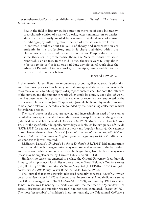literary-theoretical/critical establishment, *Eliot to Derrida: The Poverty of Interpretation:*

Few in the field of literary studies question the value of good biography, or a scholarly edition of a writer's works, letters, manuscripts or diaries. We are not constantly assailed by warnings that the demise of editing or bibliography will bring about the end of civilisation as we know it. In contrast, doubts about the value of theory and interpretation are endemic in the profession, and it is these activities which are characteristically satirised by sceptical outsiders. Despite the efforts of some theorists to problematise them, the 'service industries' seem remarkably crisis-free. In the mid-1980s, theorists were talking about a 'return to history' as if no one had done any historical work since the advent of Derrida.) Literary works, manuscripts, letters and diaries are better edited than ever before…

Harwood 1995:25–26

In the case of children's literature, resources are, of course, directed towards education and librarianship as well as literary and bibliographical studies; consequently the resources available to bibliography is disproportionately small for both the influence of the subject, and the amount of work which could be done. A good deal of work, then has been the result of privately financed enterprise, or has been supported by the major research collections (see Chapter 47). Juvenile bibliography might thus seem to be a poor relation, a paradox compounded by the flourishing collector's market for children's books.

The 'core' books in the area are ageing, and increasingly in need of revision as detailed bibliographical work changes the historical map. However, nothing has been published that matches the work of Darton (1932/1982), Muir (1954), Thwaite (1963/ 1972) or the specifically bibliophile, but widely available, 'collector's guides' of Quayle (1971; 1983) (as against the avalanche of theory and 'popular' history). (One attempt to supplement them has been Mary V. Jackson's *Engines of Instruction, Mischief and Magic: Children's Literature in England from its Beginning to 1839* (1990), which was not critically well-received.)

F.J.Harvey Darton's *Children's Books in England* (1932/1982) laid an important foundation (although its organisation may seem somewhat arcane to the lay reader), and the revised edition contains extensive bibliographies, from fables to magazines (these may be supplemented by Thwaite 1963/1972:283–313).

Similarly, no series has emerged to replace the Oxford University Press Juvenile Library, which produced facsimiles of, for example, Sarah Fielding's *The Governess* (ed. Jill E.Grey 1968), Isaac Watts's *Divine Songs* (ed. J.H.P.Pafford 1971) and John Newbery's *A Little Pretty Pocket Book* (ed. M.F.Thwaite 1966).

The journal that most seriously addressed scholarly concerns, *Phaedrus* (which began as a Newsletter in 1973 and ended as an International Annual) did not survive the 1980s (it merged with *Die Schiefertafel* in 1989), and even by 1977 its editor, James Fraser, was lamenting his disillusion with the fact that the 'groundswell of serious discussion and superior research' had not been stimulated. (Fraser 1977:2). The most 'respectable' of children's literature journals, the Yale annual *Children's*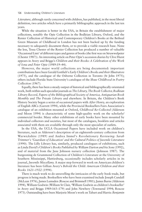*Literature,* although rarely concerned with children, has published, in the most liberal definition, two articles which have a primarily bibliographic approach in the last ten years.

While the situation is better in the USA, in Britain the establishment of major collections, notably the Opie Collection in the Bodleian Library, Oxford, and the Renier Collection of Historical and Contemporary Children's Books at the Bethnal Green Museum of Childhood in London has not been backed up by the funding necessary to adequately document them, or to provide a viable research base. None the less, Tessa Chester of the Renier Collection has produced a number of valuable 'Occasional Lists' of different types and genres of books (the first was on Struwwelpeter (Chester 1987)). An interesting article on Peter Opie's accession diaries by Clive Hurst appears in Avery and Briggs's *Children and their Books: A Celebration of the Work of Iona and Peter Opie* (1989:19–44).

However, the major world collections are being documented: important contributions have been Gerald Gottlieb's *Early Children's Books and their Illustrators* (1975), and the catalogue of the Osborne Collection in Toronto (St John 1975); others include Florida State University's catalogue of the *Shaw Childhood in Poetry Collection* (1967).

Equally, there has been a steady output of historical and bibliographically orientated work, both within such specialist journals as *The Library, The Book Collector, Bodleian Library Record, Papers of the Bibliographical Society of America, Antiquarian Book Monthly* and *The Private Library* and elsewhere. In Britain, the Children's Book History Society began a series of occasional papers with *After Henry,* an exploration of English ABCs (Garrett 1994), while the Provincial Booksellers Fairs Association's catalogue of an exhibition mounted at Oxford, *Childhood Re-Collected* (Alderson and Moon 1994) is characteristic of some high-quality work on the scholarly/ commercial border. Many other exhibitions of early books have been mounted by individual collectors and societies, but most of the catalogues, booklets and articles associated with them are available through only the most specialist of outlets.

In the USA, the UCLA Occasional Papers have included work on children's literature, such as Alderson's description of an eighteenth-century collection from Warwickshire (1989) and Andrea Immel's *Revolutionary Reviewing: Sarah Trimmer's 'Guardian of Education' and the Cultural Politics of Juvenile Literature* (1990). The Lilly Library has, similarly, produced catalogues of exhibitions, such as Linda David's *Children's Books Published by William Darton and his Sons* (1992), and of material from the Jane Johnson nursery collection (Johnson 1987). The burgeoning de Grummond Collection of Children's Literature at the University of Southern Mississippi, Hattiesburg, occasionally includes scholarly articles in its journal, *Juvenile Miscellany.* A major step forward in work on American children's literature has been Gillian Avery's *Behold the Child: American Children and their Books 1621–1922* (1994).

There is much work to do unravelling the intricacies of the early book trade, but progress is being made. Booksellers who have been examined include Joseph Cundall (McLean 1976), James Lumsden (Roscoe and Brimmell 1981); James Burns (Alderson 1994), William Godwin (William St Clair, 'William Godwin as children's bookseller' in Avery and Briggs 1989:165–179) and John Newbery (Townsend 1994; Roscoe 1973). Outstanding have been Marjorie Moon's work on Tabart and Harris: *Benjamin*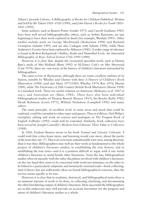*Tabart's Juvenile Library: A Bibliography of Books for Children Published, Written and Sold by Mr Tabart 1801–1920* (1990), and *John Harris's Books for Youth 1801– 1843* (1992).

Some authors, such as Beatrix Potter (Linder 1971) and Carroll (Guiliano 1981) have been well served bibliographically; others, such as Arthur Ransome, are just beginning to have their work explored in detail (for example, Wardale 1995). Other studies include work on George MacDonald (Shaberman 1990) and Richmal Crompton (Schutte 1993; and see also Cadogan with Schutte 1990), while Hans Andersen's *Eventyr* have been explored by Alderson (1982). A wider range of reference is found in Robert Kirkpatrick's *Bullies, Beaks and Flannelled Fools: An Annotated Bibliography of Boys' School Fiction 1742–1990* (1990).

However, it is clear that, despite the occasional specialist work, such as Dennis Butt's study of Mrs Holland (Butts 1992) or M.Nancy Cutt's on Mrs Sherwood (Cutt 1974), there are vast tracts of the history of children's literature untouched by bibliographers.

The same is true of illustration, although there are some excellent outlines of its history, notably by Whalley and Chester with their *A History of Children's Book Illustration* (1988) (and also Muir, 1971/1985; Whalley 1974; Ray 1976; Martin 1989), while *The Dictionary of 20th Century British Book Illustrators* (Horne 1994) is a standard work. There are useful volumes on American (Mahoney *et al.* 1947 *et seq.*), and Australian art (Muir, 1982). There have also been individual bibliographical studies of Thomas Bewick (Roscoe 1953), the Brocks (Kelly 1982) Heath Robinson (Lewis 1973), William Nicholson (Campbell 1992) and many others.

The same principle, of excellent work in some areas and much that could be explored, could be extended to other types and genres. Thus in folklore, Neil Philip's exemplary editing and work on sources and analogues in *The Penguin Book of English Folktales* (1992) could well be extended. Similarly, book collectors have been served by Joseph Connolly's *Modern First Editions: Their Value to Collectors* (1988).

In 1966, Fredson Bowers wrote in his book *Textual and Literary Criticism:* 'I could wish that critics knew more, and knowing would care more, about the purity of the texts they use' (7). This is an even more unfashionable view now, among theorists, than it was then. Bibliographers may well see their work as fundamental to the whole project of children's literature studies, in establishing the true history, and in establishing the true texts—and it is a position difficult to argue with if one wants children's literature to stand beside other literatures. None the less, bibliographical studies often sit uneasily with the other disciplines involved with children's literature: on the one hand they seem to be concerned with irrelevant minutiae; on the other to be linked to a particularly solipsistic and monetarily oriented trade—book collecting. And if theory has not sufficiently taken on board bibliographical concerns, then the reverse seems equally to be true.

However, it is clear that in academic, historical, and bibliographical terms there is an immense amount of work to be done, in collecting, clarifying, and documenting the often bewildering output of children's literature. How successful the bibliographers are in this endeavour may well provide an accurate barometer for the progress and status of children's literature studies as a whole.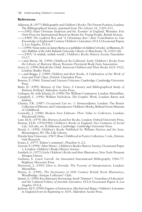## **References**

- Alderson, B. (1977) *Bibliography and Children's Books: The Present Position,* London: The Bibliographical Society, reprinted from *The Library* 32, 3:203–213.
- ——(1982) *Hans Christian Andersen and his 'Eventyr' in England,* Wormley: Five Owls Press for International Board on Books for Young People, British Section.
- ——(1989) *The Ludford Box and 'A Christmass Box': their Contribution to Our Knowledge of Eighteenth Century Children's Literature,* UCLA Occasional Papers 2, Los Angeles, UCLA.
- ——(1994) 'Some notes on James Burns as a publisher of children's books', in Blamires, D. (ed.) *Bulletin of the John Rylands University Library of Manchester,* 76, 3:103–126.
- ——(1995) 'A widish, widish world', *Children's Books History Society Newsletter* 51:17.
- ——and Moon, M. (1994) *Childhood Re-Collected: Early Children's Books from the Library of Marjorie Moon,* Royston: Provincial Book Fairs Association.
- Avery, G. (1994) *Behold the Child: American Children and Their Books 1621–1922,* London: Bodley Head.
- ——and Briggs, J. (1989) *Children and their Books. A Celebration of the Work of Iona and Peter Opie,* Oxford: Clarendon Press.
- Bowers, F. (1966) *Textual and Literary Criticism,* Cambridge: Cambridge University Press.
- Butts, D. (1992) *Mistress of Our Tears: A Literary and Bibliographical Study of Barbara Hofland,* Aldershot: Scolar Press.
- Cadogan, M. with Schutte, D. (1990) *The William Companion,* London: Macmillan.
- Campbell, C. (1992) *William Nicholson: The Graphic Work,* London: Barrie and Jenkins.
- Chester, T.R. (1987) *Occasional List no. 1: Struwwelpeter,* London: The Renier Collection of Historic and Contemporary Children's Books, Bethnal Green Museum of Childhood.
- Connolly, J. (1988) *Modern First Editions: Their Value to Collectors,* London: Macdonald Orbis.
- Cutt, M.N. (1974) *Mrs Sherwood and her Books,* London: Oxford University Press.
- Darton, F.J.H. (1932/1982) *Children's Books in England: Five Centuries of Social Life,* 3rd edn, rev. B.Alderson, Cambridge: Cambridge University Press.
- David, L. (1992) *Children's Books Published by William Darton and his Sons,* Bloomington, IN: The Lilly Library.
- Florida State University (1967) *Shaw Childhood in Poetry Collection,* 5 vols., Detroit: Gale Research.
- Fraser, J. (1977) 'Editor's comment', *Phaedrus* 4, 2:3.
- Garrett, P. (1994) 'After Henry', Children's Books History Society, Occasional Paper 1, London: Children's Books History Society.
- Gottlieb, G. (1975) *Early Children's Books and their Illustrators,* New York: Pierpont Morgan Library.
- Guiliano, E. *Lewis Carroll. An Annotated International Bibliography 1960–77,* Brighton: Harvester Press.
- Harwood, J. (1995) *Eliot to Derrida: The Poverty of Interpretation,* London: Macmillan.
- Horne, A. (1994), *The Dictionary of 20th Century British Book Illustrators*, Woodbridge: Antique Collectors' Club.
- Immel, A. (1990) *Revolutionary Reviewing: Sarah Trimmer's 'Guardian of Education' and the Cultural Politics of Juvenile Literature,* UCLA Occasional Papers 4, Los Angeles: UCLA.
- Jackson, M.V. (1990) *Engines of Instruction, Mischief and Magic: Children's Literature in England from its Beginning to 1839,* Aldershot: Scolar Press.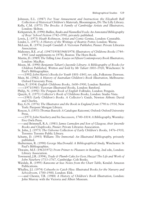- Johnson, E.L. (1987) *For Your Amusement and Instruction: the Elizabeth Ball Collection of Historical Children's Materials,* Bloomington, IN: The Lilly Library.
- Kelly, C.M. (1975) *The Brocks: A Family of Cambridge Artists and Illustrators,* London: Skilton.
- Kirkpatrick, R. (1990) *Bullies, Beaks and Flannelled Fools: An Annotated Bibliography of Boys' School Fiction 1742–1990,* privately published.
- Lewis, J. (1973) *Heath Robinson, Artist and Comic Genius,* London: Constable.
- Linder, L. (1971) *A History of the Writings of Beatrix Potter,* London: Warne.
- McLean, R. (1976) *Joseph Cundall: A Victorian Publisher,* Pinner: Private Libraries Association.
- Mahoney, B.E. *et al.* (1947/1958/1968/1978) *Illustrators of Childrens Books 1744– 1945* (and supplements to 1978), Boston: The Horn Book.
- Martin, D. (1989) *The Telling Line: Essays on Fifteen Contemporary Book Illustrators,* London: MacRae.
- Moon, M. (1990) *Benjamin Tabart's Juvenile Library: A Bibliography of Books for Children Published, Written and Sold by Mr Tabart 1801–1920,* Winchester: St Paul's Bibliographies.
- ——(1992) *John Harris's Books for Youth 1801–1843,* rev. edn, Folkstone: Dawson.
- Muir, M. (1982) *A History of Australian Children's Book Illustration,* Melbourne: Oxford University Press.
- Muir, P. (1954) *English Childrens Books, 1600–1900,* London: Batsford.
- ——(1971/1985) *Victorian Illustrated Books,* London: Batsford.
- Philip, N. (1992) *The Penguin Book of English Folktales,* London: Penguin.
- Quayle, E. (1971) *Collector's Book of Childrens Books,* London: Studio Vista.
- ——(1983) *Early Children's Books. A Collector's Guide,* Newton Abbott: David and Charles.
- Ray, G.N. (1976) *The Illustrator and the Book in England from 1790 to 1914,* New York: Pierpont Morgan Library.
- Roscoe, S. (1953) *Thomas Bewick: A Catalogue Raisonné,* Oxford: Oxford University Press.
	- ——(1973) *John Newbery and his Successors, 1740–1814: A Bibliography,* Wormley: Five Owls Press.
- ——and Brimmell, R.A. (1981) *James Lumsden and Son of Glasgow, their Juvenile Books and Chapbooks,* Pinner: Private Libraries Association.
- St. John, J. (1975) *The Osborne Collection of Early Children's Books, 1476–1910,* Toronto: Toronto Public Library.
- Schutte, D. (1993) *William: The Immortal: An Illustrated Bibliography,* privately published.
- Shaberman, R. (1990) *George MacDonald: A Bibliographical Study,* Winchester: St Paul's Bibliographies.
- Thwaite, M.F. (1963/1972) *From Primer to Pleasure in Reading,* 2nd edn, London: Library Association.
- Townsend, J.R. (1994), *Trade & Plumb-Cake for Ever, Huzza! The Life and Work of John Newbery 1713–1767,* Cambridge: Colt Books.
- Wardale, R. (1995) *Ransome at Sea: Notes from the Chart Table,* Kendal: Amazon Publications.
- Whalley, J.I. (1974) *Cobwebs to Catch Flies: Illustrated Books for the Nursery and Schoolroom, 1700–1900,* London: Elek.
- ——and Chester, T.R. (1988) *A History of Children's Book Illustration,* London: John Murray with the Victoria and Albert Museum.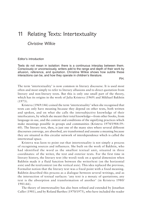## 11 Relating Texts: Intertextuality

*Christine Wilkie*

### Editor's introduction

Texts do not mean in isolation: there is a continuous interplay between them. Consciously or unconsciously, writers add to the range and depth of their work by allusion, reference, and quotation. Christine Wilkie shows how subtle these interactions can be, and how they operate in children's literature.

P.H.

The term 'intertextuality' is now common in literary discourse. It is used most often and most simply to refer to literary allusions and to direct quotation from literary and non-literary texts. But this is only one small part of the theory, which has its origins in the work of Julia Kristeva (1969) and Mikhael Bakhtin (1973).

Kristeva (1969:146) coined the term 'intertextuality' when she recognised that texts can only have meaning because they depend on other texts, both written and spoken, and on what she calls the intersubjective knowledge of their interlocutors, by which she meant their total knowledge—from other books, from language-in-use, and the context and conditions of the signifying practices which make meanings possible in groups and communities (Kristeva 1974/1984:59– 60). The literary text, then, is just one of the many sites where several different discourses converge, are absorbed, are transformed and assume a meaning because they are situated in this circular network of interdependence which is called the intertextual space.

Kristeva was keen to point out that intertextuality is not simply a process of recognising sources and influences. She built on the work of Bakhtin, who had identified the word as the smallest textual unit, situated in three coordinates: of the writer, the text and exterior texts. For the first time in literary history, the literary text (the word) took on a spatial dimension when Bakhtin made it a fluid function between the writer/text (on the horizontal axis) and the text/context (on the vertical axis). This idea replaced the previous, Formalist notion that the literary text was a fixed point with a fixed meaning. Bakhtin described this process as a dialogue between several writings, and as the intersection of textual surfaces: 'any text is a mosaic of quotations; any text is the absorption and transformation of another' (in Kristeva 1980/ 1981:66).

The theory of intertextuality has also been refined and extended by Jonathan Culler (1981), and by Roland Barthes (1970/1975), who have included the reader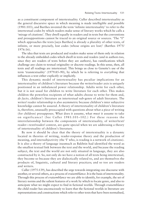as a constituent component of intertextuality. Culler described intertextuality as the general discursive space in which meaning is made intelligible and possible (1981:103), and Barthes invented the term 'infinite intertextuality' to refer to the intertextual codes by which readers make sense of literary works which he calls a 'mirage of citations'. They dwell equally in readers and in texts but the conventions and presuppositions cannot be traced to an original source or sources. 'The "I" which approaches the texts [says Barthes] is already a plurality of other texts, of infinite, or more precisely, lost codes (whose origins are lost)' (Barthes 1975/ 1976:16).

The idea that texts are produced and readers make sense of them only in relation to the already embedded codes which dwell in texts and readers (and in authors too, since they are readers of texts before they are authors), has ramifications which challenge any claim to textual originality or discrete readings. In this sense, then, all texts and all readings are intertextual. This brings us close to Genette's use of the term 'transtextuality' (1979:85–90), by which he is referring to *everything* that influences a text either explicitly or implicitly.

This dynamic model of intertextuality has peculiar implications for an intertextuality of children's literature because the writer/reader axis is uniquely positioned in an imbalanced power relationship. Adults write for each other, but it is not usual for children to write literature for each other. This makes children the powerless recipients of what adults choose to write for them and, *de facto,* children's literature an intertextual sub-genre of adult literature. The writer/ reader relationship is also asymmetric because children's inter subjective knowledge cannot be assured. A theory of intertextuality of children's literature is, therefore, unusually preoccupied with questions about what a piece of writing (for children) presupposes. What does it assume, what *must* it assume to take on significance? (See Culler 1981:101–102.) For these reasons the interrelationship between the components of intertextuality, of writer/text/ reader—text/reader/ context, are quite special when we are addressing a theory of intertextuality of children's literature.

By now it should be clear that the theory of intertextuality is a dynamic located in theories of writing, reader-response theory and the production of meaning, and intersubjectivity (the 'I' who, is reading is a network of citations). It is also a theory of language inasmuch as Bakhtin had identified the word as the smallest textual link between the text and the world, and because the reading subject, the text and the world are not only situated in language, they are also constructed by it. So, not only do we have a notion of all texts being intertextual, they become so because they are dialectically related to, and are themselves the products of, linguistic, cultural and literary practices; and so too are readers and writers.

Culler (1975:139), has described the urge towards integrating one discourse with another, or several others, as a process of *vraisemblance.* It is the basis of intertextuality. Through this process of *vraisemblance* we are able to identify, for example, the set of literary norms and the salient features of a work by which to locate genre, and also to anticipate what we might expect to find in fictional worlds. Through *vraisemblance* the child reader has unconsciously to learn that the fictional worlds in literature are representations and constructions which refer to other texts that have been normalised,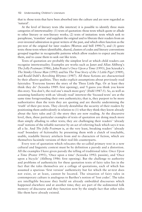that is: those texts that have been absorbed into the culture and are now regarded as 'natural'.

At the level of literary texts (the intertext) it is possible to identify three main categories of intertextuality: (1) texts of quotation: those texts which quote or allude to other literary or non-literary works; (2) texts of imitation: texts which seek to paraphrase, 'translate' and supplant the original and to liberate their readers from an over-invested admiration in great writers of the past, and which often function as the pre-text of the original for later readers (Worton and Still 1990:7); and (3) genre texts: those texts where identifiable, shared, clusters of codes and literary conventions grouped together in recognisable patterns which allow readers to expect and locate them, and to cause them to seek out like texts.

Texts of quotation are probably the simplest level at which child readers can recognise intertextuality. Examples are works such as Janet and Allan Ahlberg's *The Jolly Postman* (1986), John Prater's *Once Upon a Time* (1993), Jon Scieszka's *The Stinky Cheese Man* (1992) and his *The True Story of the 3 Little Pigs!* (1989), and Roald Dahl's *Revolting Rhymes* (1987). All these fictions are characterised by their allusive qualities. They make explicit assumptions about previously read fairytales: 'Everyone knows the story of the Three Little Pigs. Or at least they think they do' (Scieszka 1989: first opening), and 'I guess you think you know this story. You don't, the real one's much more gory' (Dahl 1987:5). So, as well as assuming familiarity with an 'already read' intertext the 'focused texts' are at the same time foregrounding their own authenticity; that is, they purport to be more authoritative than the texts they are quoting and are thereby undermining the 'truth' of their pre-texts. They cleverly destabilise the security of their readers by positioning them ambivalently in relation to (1) what they think they know already about the fairy tales and (2) the story they are now reading. At the discursive level, then, these particular examples of texts of quotation are doing much more than simply alluding to other texts; they are challenging their readers' 'already read' notions of the reliable narrator by an act of referring back which says it was all a lie. And *The Jolly Postman* is, at the very least, breaking readers' 'already read' boundary of fictionality by presenting them with a clutch of touchable, usable, readable literary artefacts from and to characters of fiction, which are themselves facsimile versions of their real-life counterparts.

Every text of quotation which relocates the so-called primary text in a new cultural and linguistic context must be by definition a parody and a distortion. All the examples I have given parody the telling of traditional tales: *Once Upon a Time* (Prater 1993), 'Once upon a time' (Scieszka 1992: passim), and 'Once upon a bicycle' (Ahlberg 1986: first opening). But the challenge to authority and problems of authenticity for these quotation texts of fairy tales lies in the fact that the tales themselves are a collage of quotations, each of which has assumed a spurious 'first version' authenticity but for which the ur-text does not exist, or at least, cannot be located. The situation of fairy tales in contemporary culture is analogous to Barthes's notion of 'lost codes'. The tales are intelligible because they build on already embedded discourses which happened elsewhere and at another time; they are part of the sedimented folk memory of discourse and they function now by the simple fact that other tales like them have already existed.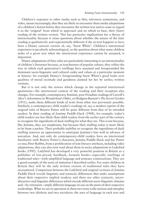Children's exposure to other media such as film, television animations, and video, means increasingly, that they are likely to encounter these media adaptations of a children's fiction before they encounter the written text and to come to regard it as the 'original' from which to approach and on which to base, their (later) reading of the written version. This has particular implications for a theory of intertextuality because it raises questions about whether the nature of the later reading is qualitatively and experientially different if the ur-text happens to have been a Disney cartoon version of, say, 'Snow White'. Children's intertextual experience is peculiarly achronological, so the question about what sense children make of a given text when the intertextual experience cannot be assumed, is important.

Disney adaptations of fairy tales are particularly interesting to an intertextuality of children's literature because, as touchstones of popular culture, they reflect the way in which each generation's retellings have assumed and foregrounded the dominant socio-linguistic and cultural codes and values at a particular moment in history: for example Disney's foregrounding Snow White's good looks over qualities of moral rectitude and goodness claimed for her by earlier, written versions.

But it is not only the stories which change in the repeated intertextual quotations—the intertextual context of the reading and their reception also changes. For example, contemporary, feminist, post-Freudian readings of Carroll's *Alice's Adventures in Wonderland* (1866), or Hodgson Burnett's *The Secret Garden* (1911), make them different kinds of texts from what was previously possible. Similarly, a contemporary child reader's readings of, say, a modern reprint of the original tales of Beatrix Potter will be quite different from that of its intended readers. In their reading of *Jemima Puddle-Duck* (1908), for example, today's child readers are less likely than child readers from the earlier part of the century to recognise the ingredients of duck stuffing for what they are. This is not because, like Jemima, they are simpletons, but because their stuffing today is more likely to be from a packet. Their probable inability to recognise the ingredients of duck stuffing removes an opportunity to anticipate Jemima's fate well in advance of narration. And, not only do contemporary-child readers have an intertextual familiarity with Beatrix Potter's character, Jemima Puddle-Duck and her Potter co-star, Peter Rabbit, from a proliferation of non-literary artefacts, including video adaptations, they can also now read about them in series adaptations in Ladybird books (1992). Ladybird has developed a very powerful position in Britain as a publisher of low-priced, hardback, formula books—especially retellings of traditional tales—with simplified language and sentence constructions. They are a good example of the texts of imitation I described earlier. For some children in Britain they will be the only written version of traditional tales they have encountered. Comparison between the Ladybird and original versions of *Jemima Puddle-Duck* reveals linguistic and syntactic differences that make assumptions about their respective implied readers; and there are other syntactic, microdiscursive and linguistic differences which encode different socio-linguistic climates and—by extension—imply different language-in-use on the parts of their respective readerships. What we see in operation in these two texts is the tension and interplay between two idiolects and two sociolects: the uses of language in each text and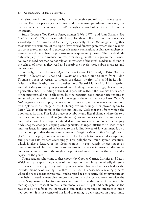their situation in, and reception by their respective socio-historic contexts and readers. Each is operating as a textual and intertextual paradigm of its time, but the first-version text can only be 'read' through a network of late-twentieth-century intertexts.

Susan Cooper's *The Dark is Rising* quintet (1966–1977), and Alan Garner's *The Owl Service* (1967), are texts which rely for their fullest reading on a reader's knowledge of Arthurian and Celtic myth, especially of the *Mabinogion.* Together these texts are examples of the type of two-world fantasy genre where child readers can come to recognise, and to expect, such generic conventions as character archetype, stereotype and the archetypal plot structures of quest and journeys. The novels allude only obliquely to their mythical sources, even though myth is integral to their stories. So, even in readings that do not rely on knowledge of the myth, readers might intuit the echoes of myth as they read and absorb the novels' more subtle messages and connections.

Similarly, Robert Cormier's *After the First Death* (1979), and Jill Paton Walsh's novels *Goldengrove* (1972) and *Unleaving* (1976), allude to lines from Dylan Thomas's poem 'A refusal to mourn the death, by fire, of a child in London' (After the first death, there is no other) and Gerard Manley Hopkins's 'Spring and fall' (Margaret, are you grieving/Over Goldengrove unleaving?). In each case, a perfectly coherent reading of the text is possible without the reader's knowledge of the intertextual poetic allusions; but the potential for a metaphoric reading is enhanced by the reader's previous knowledge of them. In the case of Paton Walsh's *Goldengrove,* for example, the metaphor for metaphysical transience first mooted by Hopkins in his image of the Goldengrove unleaving, is employed again by Paton Walsh as the name of the fictional house, 'Goldengrove', from which the book takes its title. This is the place of symbolic and literal change where the two teenage characters spend their (significantly) late-summer vacation of maturation and realisation. The image is extended in numerous other references: changing body-shapes, changed sleeping arrangements, changed attitudes to each other, and not least, in repeated references to the falling leaves of late summer. It also invokes and parodies the style and content of Virginia Woolf's *To The Lighthouse* (1927), with a polyphony which moves effortlessly between several viewpoints, and positions its readers accordingly. This polyphonic, multilayered structure, which is also a feature of the Cormier novel, is particularly interesting to an intertextuality of children's literature because it breaks the intertextual discursive codes and conventions of the single viewpoint and linear narrative that are usually typical of the genre.

Young readers who come to these novels by Cooper, Garner, Cormier and Paton Walsh with an explicit knowledge of their intertexts will have a markedly different experience of reading. They will experience what Barthes has described as the 'circular memory of reading' (Barthes 1975:36). This describes a reading process where the need consciously to recall and to refer back to specific, obligatory intertexts now being quoted as metaphor and/or metonomy in the focused texts, restricts the reader's opportunity for free intertextual interplay at the point of reading. The reading experience is, therefore, simultaneously centrifugal and centripetal as the reader seeks to refer to the 'borrowing' and at the same time to integrate it into a new context. It is the essence of this kind of reading to deny readers an opportunity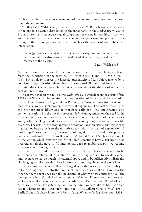for linear reading as they move in and out of the text to make connections between it and the intertext(s).

Another Paton Walsh novel, *A Parcel of Patterns* (1983), is a fictionalised account of the bubonic plague's destruction of the inhabitants of the Derbyshire village of Eyam. It uses many secondary signals to ground the events in their historic context and to ensure that readers locate the events in these pretextual happenings by, for example, the use of paratextual devices such as the words of the publisher's introduction:

Eyam (pronounced Eem) is a real village in Derbyshire and many of the events in this evocative novel are based on what actually happened there in the year of the Plague.

Paton Walsh 1983

Another example is the use of direct quotation from historic artefacts, not least, from the inscription of the great bell of Eyam 'SWEET JESU BE MY SPEDE' (54). The book reinforces the historic authenticity of its subject matter by a consistent capitalisation throughout of the word Plague, and by use of an invented dialect which pastiches what we know about the dialect of sixteenthcentury Derbyshire.

In contrast, Robert Westall's novel *Gulf* (1992), is embedded in the events of the 1991 Gulf War which began after the Iraqi invasion of Kuwait and the retaliation by the United Nations. *Gulf,* unlike *A Parcel of Patterns,* assumes (for its Western readers) a shared, contemporary, intertextual experience. This makes recovery of the pre-text more likely and it therefore calls for little explanation and contextualisation. But the novel's foregrounded meaning centres on the need for its readers to see the connection between the out-of-body experiences of the narrator's younger brother, Figgis, and the experiences of a young Iraqi boy soldier whose life he shares. The detail of the geography and history of Iraq is an intertextual experience that cannot be assumed; so the narrative deals with it by way of explanation, 'I looked up Tikrit in our atlas; it was north of Baghdad. Then I read in the paper it was where Saddam Hussein himself came from' (Westall 1992:47). This is an example of the way in which texts written for children sometimes have a felt need to be overreferential; the need to fill intertextual gaps to mobilise a positive reading experience in its young readers.

Literature for children has to tread a careful path between a need to be sufficiently overreferential in its intertextual gap filling so as not to lose its readers, and the need to leave enough intertextual space and to be sufficiently stylistically challenging to allow readers free intertextual interplay. It is on the one hand a formally conservative genre that is charged with the awesome responsibility to initiate young readers into the dominant literary codes of the culture. On the other hand, the genre has seen the emergence of what we now confidently call the 'new picture books' and the 'new young adult' novel. Picture book writers such as John Scieszka, Maurice Sendak, the Ahlbergs, Ruth Brown, David McKee, Anthony Browne, John Burningham; young adult writers like Robert Cormier, Aidan Chambers and Peter Hunt, and books like Gillian Cross's *Wolf* (1990), Berlie Doherty's *Dear Nobody* (1991), Nadia Wheatley's *The Blooding* (1988),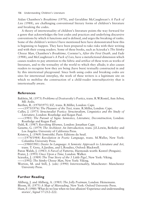Aidan Chambers's *Breaktime* (1978), and Geraldine McCaughrean's *A Pack of Lies* (1988), are challenging conventional literary forms of children's literature and breaking the codes.

A theory of intertextuality of children's literature points the way forward for a genre that acknowledges the lost codes and practices and underlying discursive conventions by which it functions and is defined, and urges the breaking of ranks. Some of the children's writers I have mentioned here have demonstrated how this is beginning to happen. They have been prepared to take risks with their writing and with their young readers. Some of these books, such as Scieszka's *The Stinky Cheese Man,* Chambers's *Breaktime,* Cormier's, *After the First Death,* and *Fade* (1988), and McCaughrean's *A Pack of Lies,* have a metafictional dimension which causes readers to pay attention to the fabric and artifice of these texts as works of literature, and to the textuality of the world to which they allude; it also causes readers to recognise how they are being (have been) textually constructed in and by this intertextual playground. Since both using codes and breaking codes are sites for intertextual interplay, the work of these writers is a legitimate site on which to mobilise the construction of a child-reader intersubjectivity that is intertextually aware.

### **References**

- Bakhtin, M. (1973) *Problems of Dostoevsky's Poetics,* trans. R.W.Rostel, Ann Arbor, MI: Ardis.
- Barthes, R. (1970/1975) *S/Z,* trans. R.Miller, London: Cape.
- ——(1975/1976) *The Pleasure of the Text,* trans. R.Miller, London: Cape.
- Culler, J. (1975) *Structuralist Poetics: Structuralism, Linguistics and the Study of Literature,* London: Routledge and Kegan Paul.
- ——(1981) *The Pursuit of Signs: Semiotics, Literature, Deconstruction,* London: Routledge and Kegan Paul.
- Dahl, R. (1987) *Revolting Rhymes,* London: Jonathan Cape.
- Genette, G. (1979) *The Architext: An Introduction,* trans. J.E.Lewin, Berkeley and Los Angeles: University of California Press.
- Kristeva, J. (1969) *Semiotiké,* Paris: Editions du Seuil.
- ——(1974/1984) *Revolution in Poetic Language,* trans. M.Waller, New York: Columbia University Press.
- ——(1980/1981) *Desire In Language: A Semiotic Approach to Literature and Art,* trans. T. Gora, A.Jardine, and L.Roudiez, Oxford: Blackwell.

Paton Walsh, J. (1983) *A Parcel of Patterns,* Harmonds worth: Kestrel (Penguin).

Prater, J. (1993) *Once Upon a Time,* London: Walker.

Scieszka, J. (1989) *The True Story of the 3 Little Pigs!,* New York: Viking.

——(1992) *The Stinky Cheese Man,* New York: Viking.

Worton, M. and Still, J. (eds) (1990) *Intertextuality,* Manchester: Manchester University Press.

### **Further Reading**

Ahlberg, J. and Ahlberg, A. (1985) *The Jolly Postman,* London: Heinemann.

Bloom, H. (1975) *A Map of Misreading,* New York: Oxford University Press.

Hunt, P. (1988) 'What do we lose when we lose allusion? Experience and understanding stories', *Signal* 57:212–222.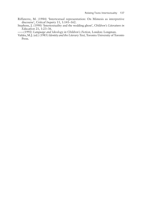- Riffaterre, M. (1984) 'Intertextual representation: On Mimesis as interpretive discourse', *Critical Inquiry* 11, 1:141–162.
- Stephens, J. (1990) 'Intertextuality and the wedding ghost', *Children's Literature in Education* 21, 1:23–36.

——(1992) *Language and Ideology in Children's Fiction,* London: Longman.

Valdes, M.J. (ed.) (1985) *Identity and the Literary Text,* Toronto: University of Toronto Press.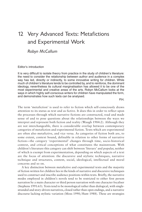# 12 Very Advanced Texts: Metafictions and Experimental Work

# *Robyn McCallum*

### Editor's introduction

It is very difficult to isolate theory from practice in the study of children's literature: the need to consider the relationship between author and audience in a complex way has led, directly or indirectly, to some innovative writing for children. While much of children's literature tends to be controlled by, and to reinforce, the dominant ideology, nevertheless its cultural marginalisation has allowed it to be one of the most experimental and creative areas of the arts. Robyn McCallum looks at the ways in which highly self-conscious writers for children have manipulated the form, and demonstrates how such texts can be analysed.

P.H.

The term 'metafiction' is used to refer to fiction which self-consciously draws attention to its status as text and as fictive. It does this in order to reflect upon the processes through which narrative fictions are constructed, read and made sense of and to pose questions about the relationships between the ways we interpret and represent both fiction and reality (Waugh 1984:2). Although they are not interchangeable, there is considerable overlap between contemporary categories of metafiction and experimental fiction. Texts which are experimental are often also metafictive, and vice versa. As categories of fiction both are, to some extent, context bound, definable in relation to other forms of narrative fiction—the category 'experimental' changes through time, socio-historical context, and critical conceptions of what constitutes the mainstream. With children's literature this category can shift between 'literary' and popular, neither of which is exempt from experimentation, depending on which aspects of a text are the focus of attention: the discursive and stylistic techniques, narrative technique and structures, content, social, ideological, intellectual and moral concerns and so on.

A key distinction between metafictive and experimental texts and the majority of fiction written for children lies in the kinds of narrative and discursive techniques used to construct and inscribe audience positions within texts. Briefly, the narrative modes employed in children's novels tend to be restricted to either first person narration by a main character or third person narration with one character focaliser (Stephens 1991:63). Texts tend to be monological rather than dialogical, with singlestranded and story-driven narratives, closed rather than open endings, and a narrative discourse lacking stylistic variation (Moss 1990; Hunt 1988). These are strategies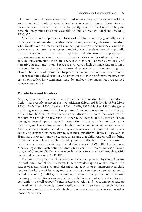which function to situate readers in restricted and relatively passive subject positions and to implicitly reinforce a single dominant interpretive stance. Restrictions on narrative point of view in particular frequently have the effect of restricting the possible interpretive positions available to implied readers (Stephens 1991:63; 1992b:27).

Metafictive and experimental forms of children's writing generally use a broader range of narrative and discursive techniques: overly obtrusive narrators who directly address readers and comment on their own narration; disruptions of the spatio-temporal narrative axis and of diegetic levels of narration; parodic appropriations of other texts, genres and discourses; typographic experimentation; mixing of genres, discourse styles, modes of narration and speech representation; multiple character focalisers, narrative voices, and narrative strands and so on. These are strategies which distance readers from a text and frequently frustrate conventional expectations about meaning and closure. Implied readers are thereby positioned in more active interpretive roles. By foregrounding the discursive and narrative structuring of texts, metafictions can show readers how texts mean and, by analogy, how meanings are ascribed to everyday reality.

# **Metafiction and Readers**

Although the use of metafictive and experimental narrative forms in children's fiction has recently received positive criticism (Moss 1985; Lewis 1990; Moss 1990, 1992; Hunt 1992; Stephens 1991, 1992b, 1993; Mackey 1990), the genre can still generate resistance and scepticism. A common response is that it is too difficult for children. Metafictive texts often draw attention to their own artifice through the parody or inversion of other texts, genres and discourses. These strategies depend upon a reader's recognition of the parodied text, genre, or discourse, and hence assume certain levels of literary and interpretive competence. As inexperienced readers, children may not have learned the cultural and literary codes and conventions necessary to recognise metafictive devices. However, as Hunt has observed 'it may be correct to assume that child-readers will not bring to the text a complete or sophisticated system of codes, but is this any reason to deny them access to texts with a potential of rich codes?' (1991:101). Furthermore, Mackey argues that metafictive children's texts can 'foster an awareness of how a story works' and implicitly teach readers how texts are structured through specific codes and conventions (1990:181).

The instructive potential of metafiction has been emphasised by many theorists (of both adult and children's texts). Hutcheon's description of the activity of a reader of metafiction also aptly describes the activity of an inexperienced child reader: that is, 'one of learning and constructing a new sign-system, a new set of verbal relations' (1980:19). By involving readers in the production of textual meanings, metafictions can implicitly teach literary and cultural codes and conventions, as well as specific interpretive strategies, and hence empower readers to read more competently: more explicit forms often seek to teach readers conventions and strategies with which to interpret metafictions as well as other more closed texts.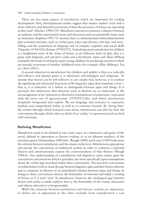There are two main aspects of metafiction which are important for reading development. First, developmental studies suggest that mature readers 'read with a more reflective and detached awareness of how the processes of fiction are operating as they read' (Mackey 1990:179). Metafictive narratives construct a distance between an audience and the represented events and characters and can potentially foster such an awareness (Stephens 1991:75). Second, there is a demonstrated relationship between play-oriented activities, such as verbal puns, jokes and rhymes, role play and storytelling, and the acquisition of language and of complex cognitive and social skills (Vygotsky 1934/1962; Britton 1970/1972). Underlying much metafiction for children is a heightened sense of the status of fiction as an elaborate form of play, that is a game with linguistic and narrative codes and conventions. Janet and Allan Ahlberg exemplify this kind of writing for quite young children, by producing narratives which are parodic reversions of familiar childhood texts (for example Allan Ahlberg's *Ten in a Bed* (1983)).

A second objection to metafiction (for children and adults) is that as a radically self-reflexive and playful genre it is ultimately self-indulgent and solipsistic. To assume that fiction can be self-reflexive in any simple way, however, is to confuse the signifying and referential functions of the linguistic signs that constitute a text that is, it is indicative of a failure to distinguish between signs and things. It is precisely this distinction that theorists such as Britton see as important in the encouragement of an 'openness to alternative formulations of experience' associated with the move out of egocentricism (1970/1972:86), and which metafictions frequently foreground and exploit. We use language and narrative to represent, mediate and comprehend reality, as well as to construct fictions. By 'laying bare' the artifice through which fictional texts mean, metafictions can also lay bare the conventions through which what we think of as 'reality' is represented and ascribed with meanings.

# **Defining Metafiction**

Metafiction tends to be defined in two main ways: as a distinctive sub-genre of the novel, defined in opposition to literary realism; or as an inherent tendency of the novelistic genre (Ommundsen 1989:266). Waugh (1984) and Lewis (1990) both stress the relation between metafiction and the classic realist text. Metafictions appropriate and parody the conventions of traditional realism in order to construct a fictional illusion and simultaneously expose the constructedness of that illusion (Waugh 1984:6). Our understanding of a metafiction will depend to some extent upon the conventions and intertexts which it parodies, but more specifically upon assumptions about the verbal sign inscribed within these conventions. The narrative conventions of realist fiction work to mask the gap between linguistic signs and their fictive referents and to construct an illusion of an unmediated relation between signs and things. In doing so, these conventions obscure the fictionality of referents and imply a reading of fiction as if it were 'real'. In metafiction, however, the ontological gap between fiction and reality is made explicit; that is, the fictionality of the events, characters and objects referred to is foregrounded.

While the relations between metafiction and literary realism are important, to define one in opposition to the other excludes from consideration a vast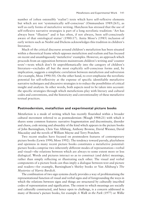number of (often ostensibly 'realist') texts which have self-reflexive elements but which are not 'systematically self-conscious' (Ommundsen 1989:265), as well as early forms of metafictive writing. Hutcheon has stressed that the use of self-reflexive narrative strategies is part of a long novelistic tradition: 'Art has always been "illusion" and it has often, if not always, been self-consciously aware of that ontological status' (1980:17). Anita Moss's (1985) inclusion of early writers such as Nesbit and Dickens acknowledges this tradition in children's literature.

Much of the critical discourse around children's metafiction has been situated within a theoretical frame which opposes metafiction and realism and has focused on recent and unambiguously 'metafictive' examples. However, an approach which proceeds from an opposition between mainstream children's writing and 'counter texts'—texts which don't fit unproblematically into the category of children's literature—excludes all but the most explicitly self-conscious forms and, by implication, suggests a simplistic correlation between metafiction and subversion (for example, Moss 1990:50). On the other hand, to over-emphasise the novelistic potential for self-reflexivity at the expense of specific identifiable metafictive narrative techniques and discursive strategies is to reduce the possibilities of critical insight and analysis. In other words, both aspects need to be taken into account: the specific strategies through which metafictions play with literary and cultural codes and conventions, and the historicity and conventionality of these metafictive textual practices.

### **Postmodernism, metafiction and experimental picture books**

Metafiction is a mode of writing which has recently flourished within a broader cultural movement referred to as postmodernism (Waugh 1984:21) with which it shares some common features: narrative fragmentation and discontinuity, disorder and chaos, code mixing and absurdity of the kind which appears in the picture books of John Burningham, Chris Van Allsburg, Anthony Browne, David Wiesner, David Macaulay and the novels of William Mayne and Terry Pratchett.

Two recent studies have focused on postmodern features of contemporary picture books (Lewis 1990; Moss 1992). The tendency toward parody, playfulness and openness in many recent picture books constitutes a metafictive potential: picture books comprise two inherently different modes of representation—verbal and visual—the relations between which are always to some extent more or less dialogical. Words and pictures interact so as to construct (and defer) meanings, rather than simply reflecting or illustrating each other. The visual and verbal components of a picture book can thus imply a dialogue between text and picture and readers—for example, Burningham's Shirley books or Van Allsburg's *The Mysteries of Harris Burdick.*

The combination of two sign systems clearly provides a way of problematising the representational function of visual and verbal signs and of foregrounding the ways in which the relations between signs and things are structured by culturally inscribed codes of representation and signification. The extent to which meanings are socially and culturally constructed, and hence open to challenge, is a concern addressed in many of Browne's picture books, for example *A Walk in the Park* (1977) or *Willie*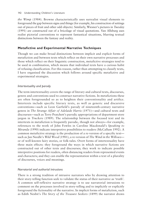*the Wimp* (1984). Browne characteristically uses surrealist visual elements to foreground the gap between signs and things (for example, his construction of settings out of pieces of fruit and other odd objects). Similarly, Wiesner's pictures in *Tuesday* (1991) are constructed out of a bricolage of visual quotations. Van Allsburg uses realist pictorial conventions to represent fantastical situations, blurring textual distinctions between the fantasy and reality.

# **Metafictive and Experimental Narrative Techniques**

Though we can make broad distinctions between implicit and explicit forms of metafiction and between texts which reflect on their own narrative processes and those which reflect on their linguistic construction, metafictive strategies tend to be used in combination, which means that individual texts have a curious habit of refusing classification. For this reason, rather than attempting to classify texts, I have organised the discussion which follows around specific metafictive and experimental strategies.

# *Intertextuality and parody*

The term intertextuality covers the range of literary and cultural texts, discourses, genres and conventions used to construct narrative fictions. In metafictions these are often foregrounded so as to heighten their conventionality and artifice. Intertexts include specific literary texts, as well as generic and discursive conventions—such as Leon Garfield's parody of nineteenth-century narrative genres in *The Strange Affair of Adelaide Harris* (1971)—and cultural texts and discourses—such as Terry Pratchett's parodic appropriations of department store jargon in *Truckers* (1989). The relationship between the focused text and its intertexts in metafiction is frequently parodic, though not always—for example, references to the work of John Fowles in Caroline Macdonald's *Speaking to Miranda* (1990) indicate interpretive possibilities to readers (McCallum 1992). A common metafictive strategy is the production of a re-version of a specific text such as Jan Needle's *Wild Wood* (1981), a re-version of *The Wind in the Willows* or of well-known fairy stories, or folk-tales. Overt forms of intertextuality have three main effects: they foreground the ways in which narrative fictions are constructed out of other texts and discourses; they work to indicate possible interpretive positions for readers, often distancing readers from represented events and characters; and they can enable the representation within a text of a plurality of discourses, voices and meanings.

# *Narratorial and authorial intrusions*

There is a strong tradition of intrusive narrators who by drawing attention to their story-telling function seek to validate the status of their narrative as 'truth'. A common self-reflexive narrative strategy is to use narratorial intrusions to comment on the processes involved in story-telling and to implicitly or explicitly foreground the fictionality of the narrative. In implicit forms of metafiction, such as Edith Nesbit's *The Story of the Treasure Seekers* (1899) the narrator draws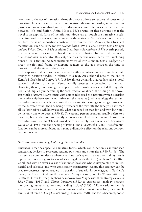attention to the act of narration through direct address to readers, discussion of narrative choices about material, tone, register, diction and order, self-conscious parody of conventionalised narrative discourses, and references to the relations between 'life' and fiction. Anita Moss (1985) argues on these grounds that the novel is an explicit form of metafiction. However, although the narrative is selfreflective and readers may go on to infer the status of Nesbit's text as a literary artefact, this is not a position constructed within the text. More explicit forms of metafiction, such as Terry Jones's *Nicobobinus* (1985) Gene Kemp's *Jason Bodger and the Priory Ghost* (1985) or Aidan Chambers's *Breaktime* (1978) overtly parody the intrusive narrator so as to break the fictional illusion. In the final paragraph of *Nicobobinus* the narrator, Basilcat, discloses that the whole narrative—including himself—is a fiction. Anachronistic narratorial intrusions in *Jason Bodger* also break the fictional frame by alerting readers to the gap between the time of narration and the time of the story.

In experimental fictions narratorial and authorial intrusions often function quite overtly to position readers in relation to a text. An authorial note at the end of Kemp's *I Can't Stand Losing* (1987/1989) almost demands that readers take a moral stance in relation to the text. Kemp morally censures the behaviour of the main character, thereby confirming the implied reader position constructed through the novel and implicitly undermining the contrived fictionality of the ending of the novel. Jan Mark's *Finders Losers* opens with a note addressed to a narratee which describes the relationship between the narrative and the narratee (and by analogy the text and its readers) in terms which constitute the story and its meanings as being constructed by the narratee rather than as being artefacts of the text: 'By the time you have read all six [stories] you will know exactly what happened on that day, and why, but you'll be the only one who does' (1990:6). The second person pronoun usually refers to a narratee, but is also used to directly address an implied reader (as in 'choose your own adventure' novels). When it is used more extensively—as it is in Peter Dickinson's *Giant Cold* (1984) and the opening of Peter Hunt's *Backtrack* (1986)—its referential function can be more ambiguous, having a disruptive effect on the relations between text and reader.

### *Narrative forms: mystery, fantasy, games and readers*

Hutcheon describes specific narrative forms which can function as internalised structuring devices to represent reading positions and strategies (1980:71–86). The mystery is a common device whereby a character's quest to solve a central mystery is represented as analogous to a reader's struggle with the text (Stephens 1993:102). Combined with an extensive use of character focalisers whose viewpoints are limited, partial and selective and who consistently misinterpret events, this strategy can be used to construct implied readers in a position of superior knowledge, as in Garfield's parody of Conan Doyle in the character Selwyn Raven, in *The Strange Affair of Adelaide Harris.* Further, Stephens has shown how Mayne uses these strategies in *Salt River Times* (1980) and *Winter Quarters* (1982) to express an 'analogy between interpreting human situations and reading fictions' (1993:102). A variation on this structuring device is the construction of a mystery which remains unsolved, for example Hunt's *Backtrack* or Gary Crew's *Strange Objects* (1990). The focus becomes, not so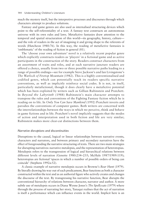much the mystery itself, but the interpretive processes and discourses through which characters attempt to produce solutions.

Fantasy and game genres are also used as internalised structuring devices which point to the self-referentiality of a text. A fantasy text constructs an autonomous universe with its own rules and laws. Metafictive fantasies draw attention to the temporal and spatial structuration of this world—its geography, history, culture and the role of readers in the act of imagining it and giving shape to the referents of words (Hutcheon 1980:76). In this way, the reading of metafictive fantasies is 'emblematic' of the reading of fiction in general (81).

The 'choose your own adventure' novel is a relatively recent popular genre which explicitly constructs readers as 'players' in a fictional game and as active participants in the construction of the story. Readers construct characters from an assortment of traits and roles, and at each narrative juncture readers are offered a choice, usually from two or three possible narrative paths leading to a range of possible endings—see for example Steve Jackson's and Ian Livingstone's *The Warlock of Firetop Mountain* (1982). This is a highly conventionalised and codified genre, which can potentially teach its readers specific narrative conventions, as well as implicitly reinforce social codes. It is not, in itself, particularly metafictional, though it does clearly have a metafictive potential which has been exploited by writers such as Gillian Rubinstein and Pratchett. In *Beyond the Labyrinth* (1988) Rubinstein's main character attempts to transpose the rules and conventions of the Fighting Fantasy fiction which he is reading on to life. In *Only You Can Save Mankind* (1992) Pratchett inverts and parodies the conventions of computer games. Both writers are concerned with the interrelationships between the ways in which we perceive, think and behave in game fictions and in life. Pratchett's novel implicitly suggests that the modes of action and interpretation used in both fiction and life are very similar; Rubinstein makes more clear-cut distinctions between them.

### *Narrative disruptions and discontinuities*

Disruptions to the causal, logical or linear relationships between narrative events, characters and narrators, and between primary and secondary narratives have the effect of foregrounding the narrative structuring of texts. There are two main strategies for disrupting narratives: narrative metalepsis, and the representation of heterotopias. Metalepsis refers to the transgression of logical and hierarchical relations between different levels of narration (Genette 1980:234–235; McHale 1987/1989:119); heterotopias are fictional 'spaces in which a number of possible orders of being can coincide' (Stephens 1992a:52).

A classic example of narrative metalepsis occurs in Browne's *Bear Hunt* (1979). By literally drawing his way out of each predicament, Bear functions as both a character constructed within the text and as an authorial figure who actively creates and changes the discourse of the text. By transgressing his narrative function, Bear disrupts the conventional hierarchy of relations between character, narrator and author. A more subtle use of metalepsis occurs in Diana Wynne Jones's *The Spellcoats* (1979) where through the process of narrating her story, Tanaqui realises that the act of narration is itself a performance which can influence events in the world. Implicit here is an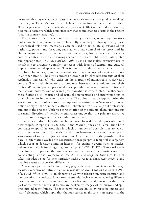awareness that any narration of a past simultaneously re-constructs (and fictionalises) that past, but Tanaqui's narratorial role literally shifts from scribe to that of author. What begins as retrospective narration of past events (that is a secondary narrative) becomes a narrative which simultaneously shapes and changes events in the present (that is a primary narrative).

The relationships between authors, primary narrators, secondary narrators and characters are usually hierarchical. By inverting or transgressing these hierarchical relations, metalepsis can be used to articulate questions about authority, power, and freedom, such as who has control of the story and its characters—the narrator, her narratees, an author, his readers, or the sociocultural context within and through which stories are told, heard, interpreted and appropriated. In *A Step off the Path* (1985) Hunt makes extensive use of metalepsis to articulate complex concerns with forms of textual and cultural appropriation and displacement. This is a multistranded novel, in which a story told by a character (Jo) in one narrative strand is a version of events occurring in another strand. The story concerns a group of knights (descendants of their Arthurian namesakes) who exist on the margins of mainstream society and culture. The novel hinges on a discrepancy between these knights, and their 'fictional' counterparts represented in the popular medieval romance fictions of mainstream culture, out of which Jo's narrative is constructed. Furthermore, these fictions also inform and obscure the perceptions and interpretations of other characters in the primary narrative. The point is that by appropriating the stories and culture of one social group and re-writing it as 'romance' (that is, fiction or myth), the dominant culture effectively writes this group out of 'history' and out of the present. With his representation of the knights, then, Hunt inverts the usual direction of metaleptic transgression, so that the primary narrative disrupts and transgresses the secondary narrative.

Fantastic children's literature is characterised by widespread representation of heterotopias (Stephens 1992a:52). Diana Wynne Jones and Peter Hunt both construct temporal heterotopias in which a number of possible time zones coexist in order to overtly play with the relations between history and the temporal structuring of narrative. Jones's *Witch Week* is premised on the possibility that parallel alternative worlds are constructed through spatio-temporal divergences which occur at decisive points in history—for example events such as battles, 'where it is possible for things to go two ways' (1982/1989:171). This works selfreflectively to represent the kinds of narrative choices which writers make in constructing fictions (Waterhouse 1991:5). In *The Maps of Time* (1983) Hunt takes this idea a step further: narrative paths diverge as characters perceive and imagine events as occurring differently.

Macaulay's picture books quite overtly play with narrative and temporal linearity. He uses a recursive narrative structure in *Why the Chicken Crossed the Road* (1991). *Black and White* (1990) is an elaborate play with perception, representation and interpretation. It consists of four narrative strands. Each is represented using different narrative and pictorial techniques, and they become visually mixed in the latter part of the text as the visual frames are broken by images which mirror and spill over into adjacent frames. The four narratives are linked by repeated images and 'story' elements, which imply that the four stories might constitute aspects of the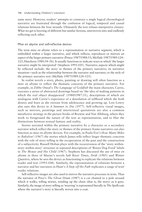same story. However, readers' attempts to construct a single logical chronological narrative are frustrated through the confusion of logical, temporal and causal relations between the four strands. Ultimately the text refuses interpretive closure. What we get is layering of different but similar fictions, interwoven into and endlessly reflecting each other.

### Mise en abyme and *self-ref lective devices*

The term *mise en abyme* refers to a representation or narrative segment, which is embedded within a larger narrative, and which reflects, reproduces or mirrors an aspect of the larger primary narrative (Prince 1987/1988:53; McHale 1987/1989:124– 125; Hutcheon 1980:54–56). It usually functions to indicate ways in which 'the larger narrative might be interpreted' (Stephens 1993:105). Narrative aspects which might be reflected include: the story or themes of the primary narrative; its narrative situation—such as the relationship between the narrator and narratee; or the style of the primary narrative text (McHale 1987/1989:124–125).

In realist novels a story, photo, painting or drawing will often function as a *mise en abyme* to reflect the thematic concerns of the primary narrative. For example, in Zibby Oneal's *The Language of Goldfish* the main character, Carrie, executes a series of abstracted drawings based on 'the idea of making patterns in which the real object disappeared' (1980/1987:31), descriptions of which are analogous with Carrie's experience of a dissolution of selfhood which she both desires and fears as she retreats from adolescence and growing up. Lois Lowry also uses this device in *A Summer to Die* (1977). Self-reflective visual images, such as mirrors, paintings and intertextual quotations are also a common metafictive strategy in the picture books of Browne and Van Allsburg, where they work to foreground the nature of the text as representation, and to blur the distinctions between textual fantasy and reality.

Stories narrated within the primary narrative by a character or a secondary narrator which reflect the story or themes of the primary frame-narrative can also function as *mise en abyme* devices. For example, in Paula Fox's *How Many Miles to Babylon?* (1967) the stories which James tells reflect larger thematic concerns with the role of story-telling in the recuperation of the past and the construction of a subjectivity. Russell Hoban plays with the recursiveness of the 'story-withinstory-within-story' structure in repeated descriptions of 'Bonzo Dog Food' labels in *The Mouse and His Child* (1967). Stephens has discussed the use of *mise en abyme* in three of Mayne's novels *Salt River Times, Drift* (1985) and *Winter Quarters,* where he sees the device as functioning to replicate the relations between reader and text (1993:108). Similarly, the representation of relations between a narrator and her narratees in Hunt's *A Step off the Path* replicates a range of text/ reader relations.

Self-reflective images are also used to mirror the narrative processes in texts. Thus the narrator of Price's *The Ghost Drum* (1987) is a cat chained to a pole around which it walks, telling stories, winding up the chain (that is, the story) as it goes. Similarly, the image of story-telling as 'weaving' is represented literally in *The Spellcoats* where the narrator's story is literally woven into a coat.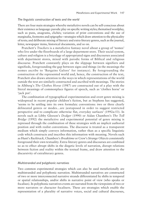### *The linguistic construction of texts and the world*

There are four main strategies whereby metafictive novels can be self-conscious about their existence as language: parodic play on specific writing styles; thematised wordplay, such as puns, anagrams, clichés; variation of print conventions and the use of marginalia, footnotes and epigraphs—strategies which draw attention to the physicality of texts; and deliberate mixing of literary and extra-literary genres, such as the journal, letter, newspaper items, historical documents, and so on.

Pratchett's *Truckers* is a metafictive fantasy novel about a group of 'nomes' who live under the floorboards of a large department store. Their social system, culture and religion is a bricolage of appropriated signs and discourses associated with department stores, mixed with parodic forms of Biblical and religious discourse. Pratchett constantly plays on the slippage between signifiers and signifieds, foregrounding the gap between signs and things (in the meanings the nomes ascribe to 'Bargains Galore' for instance). By foregrounding the construction of the represented world and, hence, the construction of the text, Pratchett also draws attention to the ways in which representations of the world outside the text are similarly constructed and ascribed with meanings. The stories in Alhberg's *The Clothes Horse* (1987) are constructed out of a play with the literal meanings of commonplace figures of speech, such as 'clothes horse' or 'jack pot'.

The combination of typographical experimentation and overt genre mixing is widespread in recent popular children's fiction, but as Stephens has suggested, 'seems to be settling into its own formulaic conventions: two or three clearly delineated genres or modes…are juxtaposed in order to suggest restricted perspective and to complicate otherwise flat, everyday surfaces' (1992a:53). In novels such as Libby Gleeson's *Dodger* (1990) or Aidan Chambers's *The Toll Bridge* (1992) the metafictive and experimental potential of genre mixing is repressed through the combination of these strategies with an implicit authorial position and with realist conventions. The discourse is treated as a transparent medium which simply conveys information, rather than as a specific linguistic code which constructs and inscribes this information with meaning. Novels such as Hunt's *Backtrack,* Chambers's *Breaktime* or Crew's *Strange Objects* consistently foreground their own textuality. Extra-literary genres and discourses are combined so as to effect abrupt shifts in the diegetic levels of narration, disrupt relations between fiction and reality within the textual frame, and draw attention to the discursivity of extraliterary genres.

### *Multistranded and polyphonic narratives*

Two common experimental strategies which can also be used metafictionally are multistranded and polyphonic narration. Multistranded narratives are constructed of two or more interconnected narrative strands differentiated by shifts in temporal or spatial relationships, and/or shifts in narrative point of view (who speaks or focalises). In polyphonic narratives events are narrated from the viewpoints of two or more narrators or character focalisers. These are strategies which enable the representation of a plurality of narrative voices, social and cultural discourses,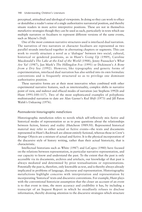perceptual, attitudinal and ideological viewpoints. In doing so they can work to efface or destabilise a reader's sense of a single authoritative narratorial position, and thereby situate readers in more active interpretive positions. These are not in themselves metafictive strategies though they can be used as such, particularly in texts which use multiple narrators or focalisers to represent different versions of the same events, such as Mayne's *Drift.*

One of the most common narrative structures used is interlaced dual narration. The narratives of two narrators or character focalisers are represented as two parallel strands interlaced together in alternating chapters or segments. This can work to overtly structure a novel as a 'dialogue' between two social, cultural, historical or gendered positions, as in Hunt's *Going Up* (1989), Caroline Macdonald's *The Lake at the End of the World* (1988), Jenny Pausacker's *What Are Ya?* (1987), Jan Mark's *The Hillingdon Fox* (1991) or Dickinson's *A Bone from a Dry Sea* (1992). However, like typographic and generic forms of experimentation, interlaced dual narration has also settled into its own formulaic conventions and is frequently structured so as to privilege one dominant authoritative position.

These narrative forms are at their most innovative when combined with other experimental narrative features, such as intertextuality, complex shifts in narrative point of view, and indirect and effaced modes of narration (see Stephens 1992b and Hunt 1991:100–117). Two of the most sophisticated examples of polyphonic multistranded narration to date are Alan Garner's *Red Shift* (1973) and Jill Paton Walsh's *Unleaving* (1976).

### *Postmodernist historiographic metaf ictions*

Historiographic metafiction refers to novels which self-reflexively mix fictive and historical modes of representation so as to pose questions about the relationships between fiction, history and reality (Hutcheon 1989:50). Represented historical material may refer to either actual or fictive events—the texts and documents represented in Hunt's *Backtrack* are almost entirely fictional, whereas those in Crew's *Strange Objects* are a mixture of actual and fictive. It is the physical incorporation of the discursive style of history writing, rather than their actual historicity, that is characteristic.

Intellectual historians such as White (1987) and LaCapra (1980) have focused on the relations between representation, in particular narrative representation, and our capacity to know and understand the past. To the extent that the past is only accessible via its documents, archives and artefacts, our knowledge of that past is always mediated and determined by prior textualisations or representations. Potentially the past is, therefore, only knowable as text, and is thereby always already implicated in problems of language, discourse and representation. Historiographic metafictions highlight concerns with interpretation and representation by incorporating 'historical' texts and discursive conventions. For example, Hunt plays with the conventional historicist assumption that the closer an account of an event is to that event in time, the more accuracy and credibility it has, by including a transcript of an Inquest Report in which he steadfastly refuses to disclose information, thereby drawing attention to the discursive strategies which structure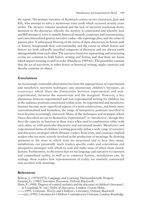the report. The primary narrative of *Backtrack* centres on two characters, Jack and Rill, who attempt to solve a mysterious train crash which occurred seventy years earlier. The mystery remains unsolved and the lack of narrative resolution draws attention to the discourses whereby the mystery is constructed and whereby Jack and Rill attempt to solve it: namely, historical research, conjecture and reconstruction, and conventionalised generic narrative codes—the espionage plot, and the crime of passion plot. A subsequent blurring of the status of these discourses, as fiction and/ or history, foregrounds their conventionality and the extent to which fiction and history are both culturally inscribed categories of discourse and not always easily distinguishable from each other. The narrative forms for representing and structuring events are common to both history writing and fiction, and that these are forms which impart meaning as well as order (Hutcheon 1989:62). The possibility remains that the act of narration, in either fictive or historical writing, might construct and thereby construe its object.

### **Conclusions**

An increasingly noticeable phenomena has been the appropriation of experimental and metafictive narrative techniques into mainstream children's literature, an occurrence which blurs the distinctions between experimental and nonexperimental, between the mainstream and the marginal. However, a key distinction between experimental and non-experimental writing for children lies in the audience positions constructed within texts. As experimental and metafictive features become more superficial aspects of a texts construction, and hence more conventionalised and formulaic, the range of interpretive positions inscribed in texts become increasingly restricted. Many of the techniques and strategies which I have described are not in themselves 'experimental' or 'metafictive', though they have the capacity to function in these ways when used in combination either with each other, or with particular discursive and narrational modes. Metafictive and experimental forms of children's writing generally utilise a wide range of narrative and discursive strategies which distance readers from texts, and construct implied readers who are more actively involved in the production of meanings. By drawing attention to the ways in which texts are structured and to how they mean, metafictions can potentially teach readers specific codes and conventions and interpretive strategies with which to read and make sense of other, more closed, fictions. Furthermore, to the extent that we use language and narrative to represent and comprehend reality, as well as to construct fictions, metafictions can, by analogy, show readers how representations of reality are similarly constructed and ascribed with meanings.

### **References**

Britton, J. (1970/1972) *Language and Learning,* Harmondsworth: Penguin. Genette, G. (1980) *Narrative Discourse,* Oxford: Blackwell.

Hunt, P. (1988) 'Degrees of control: stylistics and the discourse of children's literature', in Coupland, N. (ed.) *Styles of Discourse,* London: Croom Helm.

——(1991) *Criticism, Theory and Children's Literature,* Oxford: Blackwell.

——(ed.) (1992) *Literature for Children: Contemporary Criticism,* London: Routledge.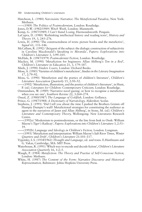- Hutcheon, L. (1980) *Narcissistic Narrative: The Metafictional Paradox,* New York: Methuen.
- ——(1989) *The Politics of Postmodernism,* London: Routledge.
- Jones, D.W. (1982/1989) *Witch Week,* London: Mammoth.
- Kemp, G. (1987/1989) *I Can't Stand Losing,* Harmondsworth: Penguin.
- LaCapra, D. (1980) 'Rethinking intellectual history and reading texts', *History and Theory* 19, 3, 245–276.
- Lewis, D. (1990) 'The constructedness of texts: picture books and the metafictive', *Signal* 61, 131–146.
- McCallum, R. (1992) '(In)quest of the subject: the dialogic construction of subjectivity in Caroline Macdonald's *Speaking to Miranda', Papers: Explorations into Children's Literature* 3, 3:99–105.
- McHale, B. (1987/1979) *Postmodernist Fiction,* London: Routledge.
- Mackey, M. (1990) 'Metafiction for beginners: Allan Ahlberg's *Ten in a Bed', Children's Literature in Education* 21, 3, 179–187.
- Mark, J. (1990) *Finders Losers,* London: Orchard Books.
- Moss, A. (1985) 'Varieties of children's metafiction', *Studies in the Literary Imagination* 17, 2:79–92.
- Moss, G. (1990) 'Metafiction and the poetics of children's literature', *Children's Literature Association Quarterly* 15, 2:50–52.
- $-(1992)$  'Metafiction, illustration, and the poetics of children's literature', in Hunt, P. (ed.) *Literature for Children: Contemporary Criticism,* London: Routledge.
- Ommundsen, W. (1989) 'Narrative navel gazing: or how to recognise a metafiction when you see one', *Southern Review* 22, 3:264–274.
- Oneal, Z. (1980/1987) *The Language of Goldfish,* London: Gollancz.
- Prince, G. (1987/1988) *A Dictionary of Narratology,* Aldershot: Scolar.
- Stephens, J. (1991) 'Did I tell you about the time I pushed the Brothers Grimm off Humpty Dumpty's wall? Metafictional strategies for constituting the audience as agent in the narratives of Janet and Allan Ahlberg', in Stone, M. (ed.) *Children's Literature and Contemporary Theory,* Wollongong: New Literatures Research Centre.
- ——(1992a) 'Modernism to postmodernism, or the line from Insk to Onsk: William Mayne's *Tiger's Railway', Papers: Explorations into Children's Literature* 3, 2:51– 59.
- ——(1992b) *Language and Ideology in Children's Fiction,* London: Longman.
- ——(1993) 'Metafiction and interpretation: William Mayne's *Salt River Times, Winter Quarters* and *Drift', Children's Literature* 21:101–117.
- Vygotsky, L.S. (1934/1962) *Thought and Language,* ed. and trans. E.Hanfmann and G. Vakar, Cambridge, MA: MIT Press.
- Waterhouse, R. (1991) 'Which way to encode and decode fiction', *Children's Literature Association Quarterly* 16, 1:2–5.
- Waugh, P. (1984) *Metafiction: The Theory and Practise of Self-Conscious Fiction,* London: Methuen.
- White, H. (1987) *The Content of the Form: Narrative Discourse and Historical Representation,* Baltimore: Johns Hopkins University Press.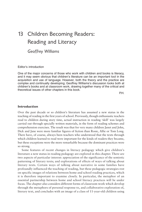# 13 Children Becoming Readers: Reading and Literacy

*Geoffrey Williams*

### Editor's introduction

One of the major concerns of those who work with children and books is literacy, and it may seem obvious that children's literature can be an important tool in the acquisition and use of language. However, both the theory and the practice are complex and continually developing; Geoffrey Williams's discussion looks both at children's books and at classroom work, drawing together many of the critical and theoretical issues of other chapters in this book.

PH.

### **Introduction**

Over the past decade or so children's literature has assumed a new status in the teaching of reading in the first years of school. Previously, though enthusiastic teachers read to children during story time, actual instruction in reading 'skill' was largely carried out through specially written materials, in the form of reading schemes and comprehension exercises. The result was that for very many children Janet and John, Dick and Jane were more familiar figures of fiction than Rosie, Alfie or Tom Long. There have, of course, always been teachers who understood that the texts through which children learned to read were important for the kinds of readers they became, but these exceptions were the more remarkable because the dominant practices were so strong.

Some features of recent changes in literacy pedagogy which give children's literature a new status in reading pedagogy are explored in this chapter. There are two aspects of particular interest: appreciation of the significance of the semiotic patterning of literary texts; and explorations of effects of ways of talking about literary texts. Certain ways of talking about narrative in some families have profoundly influenced the teaching of reading, but these pedagogic strategies rest on specific images of relations between home and school reading practices, which it is therefore important to examine closely. In particular, the metaphor of an essential partnership between home and school literacy practices will be under focus. The chapter also considers different forms of classroom work which develop through the metaphors of personal response to, and collaborative exploration of, literary text, and concludes with an image of a class of 11-year-old children using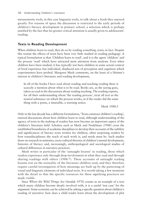metasemiotic tools, in this case linguistic tools, to talk about a book they enjoyed greatly. For reasons of space the discussion is restricted to the early periods of children's literacy development in primary school, a selection which is perhaps justified by the fact that far greater critical attention is usually given to adolescents' reading.

### **Texts in Reading Development**

When children learn to read, they do so by reading *something,* texts, in fact. Despite this truism the effects of texts have been very little studied in reading pedagogy. A typical formulation is that 'Children learn to read', and it is the agent 'children' and the process 'read' which have attracted most attention from analysts. Even when children have been studied, it has typically not been children in some actual context of lived experience but individual, displaced acts of perception and cognition which experimenters have probed. Margaret Meek comments, on the basis of a lifetime's interest in children's literature and reading development,

In all of the books I have read about reading and teaching reading there is scarcely a mention about what is to be read. Books are, as the saying goes, taken as read in the discussions about reading teaching. The reading experts, for all their understanding about 'the reading process', treat all text as the neutral substance on which the process works, as if the reader did the same thing with a poem, a timetable, a warning notice.

Meek 1988:5

Only in the last decade has a different formulation, 'Texts construct children's reading', entered discussions about how children learn to read, although understanding of the agency of texts in the making of readers has now become an important aspect of the children's literature field. Scholars such as Meek and Nodelman (1988) cross the established boundaries of academic disciplines to develop their accounts of the subtlety and significances of literary texts written for children, often surprising readers by how transdisciplinary the reach of such work is, and needs must be. Such studies draw on research in semiotics, socio-cultural theories of children's mental development, histories of literacy and, increasingly, anthropological and sociological studies of cultural differences in narrative practices.

Meek writes in particular of the 'untaught lessons' in reading, those which readers experience only through deep involvement in what they read and through sharing readings with others (1988:7). These accounts of untaught reading lessons rest on the textuality of the literature children read, and they therefore require careful investigation of how meanings are built up by the patterning of visual and linguistic elements of individual texts. It is worth taking a few moments with the detail so that the specific resources for these signifying practices are made visible.

Since *Where the Wild Things Are* (Sendak 1970) counts as an example of a text which many children become deeply involved with, it is a useful 'test case' for the argument. Some economy can be achieved by asking a specific question about children's reading of narrative: how does a child reader learn about the development of plot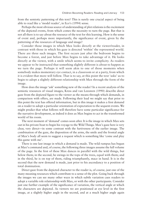from the semiotic patterning of this text? This is surely one crucial aspect of being able to read like a 'model reader', in Eco's (1994) sense.

Perhaps the most obvious source of understanding of plot relations is the excitement of the depicted events, from which comes the necessity to turn the page. But that is not all there is to say about the resource of the text for this learning. How is the sense of event and, perhaps more importantly, the significance of event, given by the patterning of the resources of language and image?

Consider those images in which Max looks directly at the viewer/reader, in contrast with those in which his gaze is directed 'within' the represented world. There are three such images. The first occurs just after the bedroom begins to become a forest, and just before Max begins to take advantage of it. He looks directly at the viewer, with a smile which seems to invite complicity. As readers we appear to be instructed that something slightly different is about to happen as we turn the page. Perhaps it will seem akin to one of those moments when somebody makes momentary eye contact, in a classroom or at a party, from which it is evident that more will follow. That is to say, at this point the text 'asks' us to begin to adopt a slightly different relationship with Max through the form of the image.

How does the image 'ask' something new of the reader? In a recent analysis of the semiotic resources of visual images, Kress and van Leeuwen (1990) describe direct gaze from the depicted figure to the viewer as the means through which demands, in comparison with offers, are made. Following their lead we might say that prior to this point the text has offered information, but in this image it makes a first demand on a reader to adopt a particular orientation of expectation to the sequent events. We might predict that what follows will therefore have some particular significance for the narrative development, as indeed it does as Max begins to act in the transformed world of his room.

The next moment of 'demand' comes soon after. It is the image in which Max sets out in his private boat to begin his voyage to the Wild Things. Max's gaze here is very clear, very direct—in some contrast with the furtiveness of the earlier image. The combination of the gaze, the disposition of the arms, the smile and the frontal angle of Max's body all seem to suggest a request which is something like 'come and play this game with me'.

There is one last image in which a demand is made. The wild rumpus has begun at Max's command and, of course, the following three images assume the full volume of the page. In the first of these Max dances in parallel with the wild things, but below them; in the second, he swings in the tops of the trees, equal with them; and in the third, he is on top of them, riding triumphantly, mace in hand. It is in the second that the new demand is made, just prior to his ascendancy to a position of total domination.

Direct gaze from the depicted character to the reader is, of course, just one of the many meaning resources which contribute to a sense of the plot. Going back through the images we can see many other ways in which subtle variation cues readers to adopt a variable role relationship with Max, or with the other participants. Consider just one further example of the significance of variation, the vertical angle at which the characters are depicted. As viewers we are positioned at eye level in the first image, at a slightly higher angle in the second, and at a much higher angle again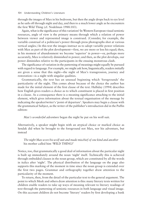through the images of Max in his bedroom, but then the angle drops back to eye level as he sails off through night and day, and then to a much lower angle as he encounters the first Wild Thing (cf. Nodelman 1988:183).

Again, what is the significance of this variation? In Western European visual semiotic resources, angle of view is the primary means through which a relation of power between viewer and represented image is construed. (Consider, for example, the variable construal of a politician's power through press photographs shot at various vertical angles.) In this text the images instruct us to adopt variable power relations with Max as part of the plot development—first, we are more or less his equal; then, in his moment of abandonment we become 'superior' in power—or, perhaps more accurately, Max is relatively diminished in power; and then, as the plot develops, our power diminishes relative to the participants in the ensuing monstrous clash.

The significance of variation in the patterning of meanings might equally be pursued with regard to language. For example, we might ask how, linguistically, readers *initially* are given a sense that this night—the night of Max's transgression, journey and restoration—is a night with singular qualities.

Grammatically, the text has an unusual beginning which 'foregrounds' the particularity of the night. This comes about because of the choice the author has made for the initial element of the first clause of the text. Halliday (1994) describes how English gives readers a choice as to which constituent is placed in first position in a clause. As a consequence there is a meaning significance attaching to the initial element, which gives information about the textual organisation of the message by indicating the speaker/writer's 'point of departure'. Speakers may begin a clause with the grammatical Subject, as the writer of the publisher's introduction did in the Puffin edition:

*Max's wonderful adventure* began the night he put on his wolf suit.

Alternatively, a speaker might begin with an atypical choice or marked choice as Sendak did when he brought to the foreground not Max, nor his adventure, but instead

### *The night Max wore his wolf suit and made mischief of one kind and another* his mother called him 'WILD THING!'

Notice, too, that grammatically a good deal of information about the particular night is built up immediately around the noun 'night' itself. Technically this is achieved through embedded clauses in the noun group, which are constituted by all the words in italics after 'night'. The physical distribution of the language on the page also supports this marking of the moment in time since the noun group is extended over the first two pages. Grammar and orthography together draw attention to the particularity of the moment.

To return, then, from the detail of the particular text to the general argument. The point to which Meek and others draw attention is this: many literary texts written for children enable readers to take up ways of meaning relevant to literary readings of text through the patterning of semiotic resources in both language and visual image. On this account children do not become 'literary' readers by first developing a bank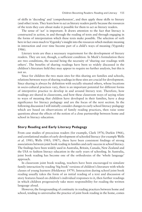of skills in 'decoding' and 'comprehension', and then apply these skills to literary (and other) texts. They learn how to act as literary readers partly because the resources of the texts they care about make it possible for them to act as literary readers.

The sense of 'act' is important. It draws attention to the fact that literacy is constructed in action, in and through the reading of texts and through engaging in the forms of interpretation which these texts make possible. The selection of verb here in fact owes much to Vygotsky's insight into the resources which mediate meaning in interaction and over time become part of a child's ways of meaning (Vygotsky 1986).

Literary texts are thus a necessary requirement for the development of literary readers. They are not, though, a sufficient condition. In Meek's formulation there are two conditions, the second being the necessity of 'sharing our readings with others'. The benefits of sharing readings have been so widely discussed in the children's literature field they may appear to require no further analysis, but this is not so.

Since for children the two main sites for this sharing are families and schools, relations between ways of sharing readings in these sites are crucial for development. Since sharing is always by definition with socially situated others, whose locations in socio-cultural practices vary, there is an important potential for different forms of interpretive practice to develop in and around literary text. Therefore, how readings are shared in classrooms, and how these classroom ways of saying relate to ways of meaning that children have developed in their families, have a deep significance for literacy pedagogy and are the focus of the next section. In the following discussion I will initially consider changes to early school literacy pedagogy which are based on observations of family reading practices, then raise some questions about the effects of the notion of a close partnership between home and school in literacy education.

### **Story Reading and Early Literacy Pedagogy**

From case studies of precocious readers (for example, Clark 1976; Durkin 1966), and correlational studies of early development of schooled literacy (for example Wells *et al.* 1981; Wells 1985; 1987), there have been consistent findings of strong associations between joint book reading in families and early success in school literacy. The findings have been widely used in Australia, Britain, Canada, New Zealand and the USA to fashion literacy education in the early years of schooling. In Australia, joint book reading has become one of the orthodoxies of the 'whole language' approach.

In classroom joint book reading, teachers have been encouraged to simulate family interaction by reading 'big book' versions of children's literature with whole classes of young learners (Holdaway 1979). Interaction during school joint book reading usually takes the form of an initial reading of a text and discussion of story features based on children's individual responses to it, then further readings in which children progressively take more responsibility for reading the written language aloud.

However, the foregrounding of continuity in reading practices between home and school, tending to universalise the practice of joint book reading in the home, comes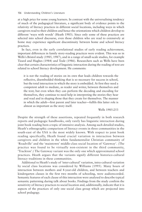at a high price for some young learners. In contrast with the universalising tendency of much of the pedagogical literature, a significant body of evidence points to the relativity of literacy practices in different social locations, including ways in which caregivers read to their children and hence the orientations which children develop to different 'ways with words' (Heath 1983). Since only some of these practices are selected into school discourse, even those children who are read to extensively at home may experience significant discontinuity between home and school literacy practices.

In fact, even in the early correlational studies of early reading achievement, important differences in family story-reading practices were evident. This was so in Wells's Bristol study (1985, 1987), and in a range of small-scale studies, for example Tizard and Hughes (1984) and Teale (1986). Researchers such as Wells have been clear that certain characteristics of linguistic interaction during the reading of text are related to school literacy development. He comments:

it is not the reading of stories on its own that leads children towards the reflective, disembedded thinking that is so necessary for success in school, but the total interaction in which the story is embedded. At first they need a competent adult to mediate, as reader and writer, between themselves and the text; but even when they can perform the decoding and encoding for themselves, they continue to need help in interpreting the stories they hear and read and in shaping those that they create for themselves. The manner in which the adult—first parent and later teacher—fulfils this latter role is almost as important as the story itself.

Wells 1985:253

Despite the strength of these assertions, repeated frequently in both research reports and pedagogic handbooks, only rarely has linguistic interaction during joint book reading been a topic of intensive analysis. Among such detailed studies, Heath's ethnographic comparison of literacy events in three communities in the south-east of the USA is the most widely known. With respect to joint book reading specifically, Heath found crucial variation in interaction between caregivers and children in the white fundamentalist Christian community of 'Roadville' and the 'maintown' middle-class social location of 'Gateway'. (The practice was found to be virtually non-existent in the third community, 'Trackton'.) The Gateway variant was the only one which approximated school practices. Heath argues that the variants signify different historico-cultural literacy traditions in these communities.

Additional to Heath's study of 'inter-cultural' variation, intra-cultural variation by social class locations was considered by Williams (1995). Many hours of interaction between mothers and 4-year-old children, and between teachers and kindergarten classes in the first two months of schooling, were audiorecorded. Semantic features of each clause of this interaction were analysed to describe typical semantic patterning during talk about books. Findings from the study confirm the sensitivity of literacy practices to social location and, additionally, indicate that it is aspects of the practices of only one social class group which are projected into school pedagogy.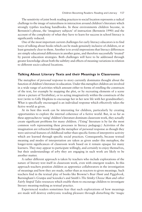The sensitivity of joint book reading practices to social location represents a radical challenge to the image of naturalness in interaction around children's literature which strongly typifies teaching handbooks. In these environments children become, in Bernstein's phrase, the 'imaginary subjects' of instruction (Bernstein 1990) and the account of the complexity of what they have to learn for success in school literacy is significantly reduced.

One of the most important current challenges for early literacy educators is to find ways of talking about books which can be made genuinely inclusive of children, or at least genuinely clear to them. Another is to avoid impressions that literacy differences are simply educational differences in another guise, and therefore successfully 'treated' by parent education strategies. Both challenges will have to be addressed through greater knowledge about both the subtlety and effects of meaning variations in relation to different socio-cultural locations.

### **Talking About Literary Texts and their Meanings in Classrooms**

The metaphor of *personal response* to story currently dominates thought about the function of children's literature in education. Under this metaphor children are involved in a wide range of activities which amount either to forms of retelling the constructs of the text, for example by mapping the plot, or by recreating elements of a scene (draw a picture of Terabithia), or to acting imaginatively within the constructs of the text (write to Gilly Hopkins to encourage her in her new life with her grandmother). What is specifically encouraged is an individual response which effectively takes the fictive world as given.

At its best this work can be interesting for children, particularly by creating opportunities to explore the internal coherence of a fictive world. But, in so far as these approaches to 'using' children's literature dominate classroom work, they actually create significant problems for many children. ('Using' literature is by far the most common verb representing these processes in literacy pedagogy.) Activities of the imagination are refracted through the metaphor of personal response as though they were universal features of childhood rather than specific forms of interpretive activity which are learned through specific social practices. Consequently, because textual meaning and modes of interpretation are taken as given under this metaphor, the longer-term significances of classroom work based on it remain opaque for many learners. They may appear to participate willingly, and certainly to enjoy themselves, but their understandings of *why* they are engaging in such work are likely to be another matter.

A rather different approach is taken by teachers who include explorations of the nature of literary text itself in classroom work, even with emergent readers. In this approach teachers position children as apprentice collaborators in the investigation of meanings and how they are made, rather than as reactors to given meanings. Such teachers find in the textual play of books like Browne's *Bear Hunt* and *Piggybook,* Burningham's *Granpa* and Scieszka's and Smith's *The Stinky Cheese Man and other Fairly Stupid Tales* resources which enable them to encourage children to investigate literary meaning-making as textual practice.

Experienced readers sometimes fear that such explorations of how meanings are made will destroy embryonic reading pleasure through disturbing the 'magic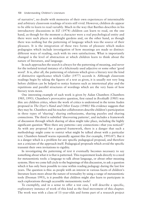of narrative', no doubt with memories of their own experiences of interminable and arbitrary classroom readings of texts still vivid. However, children do appear to be able to learn to read variably. Much in the way that Barthes describes in his introductory discussions in *S/Z* (1974) children can learn to read, on the one hand, as though for the moment a character were a real psychological entity and there were such places as midnight gardens and, on the other hand, as though there was nothing but the patterning of language which was the source of their pleasure. It is the integration of these two forms of pleasure which makes pedagogies which include investigation of how meanings are made so distinct: different ways of reading, each with its own satisfactions. What is importantly changed is the level of abstraction at which children learn to think about the nature of literature, and language.

In such approaches the search is always for the patterning of meaning, and never for the isolated textual instance of a felicitously used adjective or some other 'good word'. It is, after all, the patterning of relations which gives a literary text the kind of distinctive significance which Culler (1977) accords it. Although classroom readings begin by taking the figures of a text as given, it is usually not very long before children can be helped to notice features such as intertextual play and the repetitions and parallel structures of wordings which are the very basis of how literary texts mean.

One interesting example of such work is given by Aidan Chambers (Chambers 1985, 1993). Chambers's provocative question, first raised in *Booktalk* (1985) was this: are children critics, where the work of critics is understood in the terms Auden proposed in *The Dyer's Hand and Other Essays* (1948)? His evidence suggests that they may be. Chambers and his teacher collaborators describe children's participation in three types of 'sharing': sharing enthusiasms, sharing puzzles and sharing connections. The third is subtitled 'discovering patterns', and includes a framework of discussion through which sharing of ideas might take place, including the highly significant question 'Were there any patterns—any connections—that you noticed?' As with any proposal for a general framework, there is a danger that such a methodology might come to restrict what might be talked about with a particular text. Chambers himself warns repeatedly against this (for example, 1993:87). But it is a danger which is a problem for any specific pedagogical proposal, and therefore not a criticism of the approach itself. Pedagogical proposals which avoid the specific transmit their own invitations to rigidity.

In investigating the patterning of text it eventually becomes necessary to say something about what it is that is patterned. This requirement leads directly to a need for metasemiotic tools: a language to talk about language, or about other meaning systems. Here we come full circle to the beginnings of this discussion, to ask a question which it has only been possible to raise within reading pedagogy during the last few years. The question is this: as people with an interest in various facets of children's literature learn more about the nature of textuality by using a range of metasemiotic tools (Doonan 1993), is it possible that children might also learn to participate in such explorations through accessible metasemiotic tools?

To exemplify, and in a sense to offer a test case, I will describe a specific, exploratory instance of work of this kind as the final movement of this chapter. The work was with a class of 11-year-olds and forms part of a research project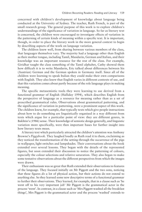concerned with children's development of knowledge about language being conducted at the University of Sydney. The teacher, Ruth French, is part of the small research group. The general purpose of this work is to explore children's understandings of the significance of variation in language. So far as literary text is concerned, the children were encouraged to investigate effects of variation in the patterning of certain kinds of meaning within a specific text. It is important, though, in order to place the literary work in the more general context to begin by describing aspects of the work on language variation.

The children knew well, from sharing between various members of the class, that languages themselves vary. The majority had a language other than English as their mother tongue, including Tamil, Mandarin, German and Italian, and their knowledge was an important resource for the rest of the class. For example, Giridhar taught the class something of the Tamil alphabet, Cathy showed them how difficult it is to write Mandarin, Eric talked about differences between his (Austrian) German and the German spoken in Germany itself. Since all of the children were learning to speak Italian they could make their own comparisons with English. They also knew that English varies in different contexts of use, and that this variation comes about partly because of the role language plays in making meaning.

The specific metasemiotic tools they were learning to use derived from a functional grammar of English (Halliday 1994), which describes English from the perspective of language as a resource for meaning rather than as a set of prescribed grammatical rules. Observations about grammatical patterning, and the significance of variation in patterning, were a prominent aspect of this work. The children knew, for example, that typically texts which give people instructions about how to do something are linguistically organised in a way different from texts which argue for a particular point of view: they are different genres, in Bakhtin's (1986) sense. Their knowledge of semiotic design generally, and linguistic variation more specifically, were then important bases for further insight into how literary texts mean.

A literary text which particularly attracted the children's attention was Anthony Browne's *Piggybook.* They laughed loudly as Ruth read it to them, exclaiming as they noticed the transformation of the setting through the occurrence of the pigs in wallpaper, light switches and lampshades. Their conversations about the book extended over several lessons. They began with the details of the represented figures, but soon extended their discussion to notice the patterning of colours, especially the colour selections and relative saturation. They also began to make some tentative observations about the different perspectives from which the images were drawn.

Their enthusiasm was so great that Ruth extended their observations to features of the language. They focused initially on Mr Piggott and the two sons, noticing that these figures *do* a lot of physical action, but their actions do not extend to anything else. So they learned some new descriptive terms of a functional grammar to further their observations. They learned, for example, that in a clause such as 'he went off to his very important job' Mr Piggott is the grammatical actor in the process 'went'. In contrast, in a clause such as 'Mrs Piggott washed all the breakfast things', Mrs Piggott is the grammatical actor and the process 'washed' extends to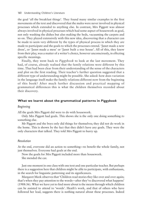the goal 'all the breakfast things'. They found many similar examples in the first movements of the text and discovered that the males were never involved in physical processes which extended to anything else. In contrast, Mrs Piggott was almost always involved in physical processes which had some aspect of housework as goal, not only washing the dishes but also making the beds, vacuuming the carpets and so on. They played extensively with this new idea, discovering that a character can be made to seem very different by the types of physical process in which they are made to participate and the goals to which the processes extend. 'Janet made a new dress', or 'Janet made a mess' or 'Janet built a tree house'. All of this, they knew from their play, was a matter of a writer's choice, however unconsciously, in effecting specific meanings.

Finally, they went back to *Piggybook* to look at the last movement. They had, of course, already realised that the family relations were different by this time. That had been clear from their understanding of the sense of the characters and plot on the first reading. Their teacher's further question suggested that a different type of understanding might be possible. She asked: how does variation in the language itself make the family relations different now from the beginning of this book? After much further discussion and practical mapping of grammatical differences this is what the children themselves recorded about their discovery.

### **What we learnt about the grammatical patterns in** *Piggybook*

#### *Beginning*

All the goals Mrs Piggott did were to do with housework.

Only Mrs Piggott had goals. This shows she is the only one doing something *to* something else.

Mr Piggott and the boys only did things for themselves; they did not do work in the home. This is shown by the fact that they didn't have any goals. They were the only characters that talked. They told Mrs Piggott to hurry up.

### *Resolution*

At the end, everyone did an action to something—to benefit the whole family, not just themselves. Everyone had goals at the end.

Now the goals for Mrs Piggott included more than housework. She mended the car.

Just one moment in one class with one text and one particular teacher. But perhaps there is a suggestion here that children might be able to participate, with enthusiasm, in the search for linguistic patterning and its significances.

Margaret Meek observes that 'Children read stories they like over and over again; that's when they pay attention to the words—after they've discovered what happens' (1988:36). What we have yet to find more about is the means through which children can be assisted to attend to 'words'. Heath's work, and that of others who have followed her lead, suggests there is nothing natural about these processes. Indeed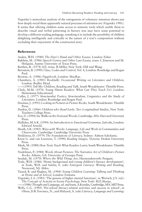Vygotsky's meticulous analysis of the ontogenesis of voluntary attention shows just how deeply social these apparently natural processes of attention are (Vygotsky 1981). It seems that offering children some access to semiotic tools which enable them to describe visual and verbal patterning in literary text may have some potential to develop a different reading pedagogy, remaking it to include the possibility of children delighting intelligently and critically in the nature of a text's composition without excluding their enjoyment of the constructed story.

### **References**

- Auden, W.H. (1948) *The Dyer's Hand and Other Essays,* London: Faber.
- Bakhtin, M. (1986) *Speech Genres and Other Late Essays,* trans. C.Emerson and M. Holquist, Austin: University of Texas Press.
- Barthes, R. (1974) *S/Z,* trans. R.Miller, New York: Hill and Wang.
- Bernstein, B. (1990) *Class, Codes and Control,* Vol. 4, London: Routledge and Kegan Paul.
- Browne, A. (1986) *Piggybook,* London: MacRae.
- Chambers, A. (1985) *Booktalk: Occasional Writing on Literature and Children,* London: Bodley Head.
- ——(1993) *Tell Me: Children, Reading and Talk,* South Woodchester: Thimble Press.
- Clark, M.M. (1976) *Young Fluent Readers: What Can They Teach Us?,* London: Heinemann Educational.
- Culler, J. (1977) *Structuralist Poetics: Structuralism, Linguistics and the Study of Literature,* London: Routledge and Kegan Paul.
- Doonan, J. (1993) *Looking at Pictures in Picture Books,* South Woodchester: Thimble Press.
- Durkin, D. (1966) *Children who Read Early: Two Longitudinal Studies,* New York: Teachers College Press.
- Eco, U. (1994) *Six Walks in the Fictional Woods,* Cambridge, MA: Harvard University Press.
- Halliday, M.A.K. (1994) *An Introduction to Functional Grammar,* 2nd edn, London: Edward Arnold.
- Heath, S.B. (1983) *Ways with Words: Language, Life and Work in Communities and Classrooms,* Cambridge: Cambridge University Press.
- Holdaway, D. (1979) *The Foundations of Literacy,* Sydney: Ashton Scholastic.
- Kress G. and van Leeuwen, T. (1990) *Reading Images,* Victoria: Deakin University Press.
- Meek, M. (1988) *How Texts Teach What Readers Learn,* South Woodchester: Thimble Press.
- Nodelman, P. (1988) *Words About Pictures: The Narrative Art of Children's Picture Books,* Athens, GA: University of Georgia Press.
- Sendak, M. (1970) *Where the Wild Things Are,* Harmondsworth: Penguin.
- Teale, W.H. (1986) 'Home background and young children's literacy development', in Teale, W.H. and Sulzby, E. (eds) *Emergent Literacy: Writing and Reading,* Norwood, NJ: Ablex.
- Tizard, B. and Hughes, M. (1984) *Young Children Learning: Talking and Thinking at Home and at School,* London: Fontana.
- Vygotsky, L.S. (1981) 'The genesis of higher mental functions', in Wertsch, J.V. (ed.) *The Concept of Activity in Soviet Psychology,* New York: M.E.Sharpe.
- ——(1986) *Thought and Language,* ed. and trans. A.Kozulin, Cambridge, MA: MIT Press.
- Wells, C.G. (1985) 'Pre-school literacy-related activities and success in school', in Olson, D.R.Torrance, N., and Hidyard, A. (eds) *Literacy, Language and Learning:*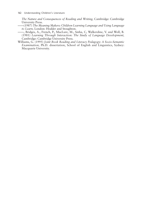*The Nature and Consequences of Reading and Writing,* Cambridge: Cambridge University Press.

——(1987) *The Meaning Makers: Children Learning Language and Using Language to Learn,* London: Hodder and Stoughton.

——, Bridges, A., French, P., MacLure, M., Sinha, C, Walkerdine, V. and Woll, B. (1981) *Learning Through Interaction: The Study of Language Development,* Cambridge: Cambridge University Press.

Williams, G. (1995) *Joint Book Reading and Literacy Pedagogy: A Socio-Semantic Examination,* Ph.D. dissertation, School of English and Linguistics, Sydney: Macquarie University.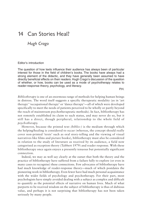# 14 Can Stories Heal?

*Hugh Crago*

### Editor's introduction

The question of how texts influence their audience has always been of particular interest for those in the field of children's books. The books have always had a strong element of the didactic, and they have generally been assumed to have directly beneficial effects on their readers. Hugh Crago's discussion of the question of whether, or how, books can be used as a mode of psychotherapy relates to reader-response theory, psychology, and literacy.

PH.

*Bibliotherapy* is one of an enormous range of methods for helping human beings in distress. The word itself suggests a specific therapeutic modality (as in 'art therapy' 'occupational therapy' or 'dance therapy'—all of which were developed specifically to meet the needs of patients perceived to be wholly or partly beyond the reach of mainstream psychotherapeutic methods). In fact, bibliotherapy has not remotely established its claim to such status, and may never do so, but it still has a direct, though peripheral, relationship to the whole field of *psychotherapy.*

However, because the printed text *(biblio-)* is the medium through which the helping/healing is considered to occur (whereas, the concept should really cover non-printed 'texts' such as oral story-telling and the viewing of visual narratives like films and picture books), bibliotherapy must also be considered in relation to the study of literature as received by its audience, a field now categorised as reception theory (Tabbert 1979) and reader response. With these bibliotherapy once again enjoys a presently tenuous but potentially significant connection.

Indeed, we may as well say clearly at the outset that both the theory and the practice of bibliotherapy have suffered from a failure fully to explore (or even in many cases to recognise) these connections. Few advocates of bibliotherapy have had much knowledge of reader-response theory—much of which postdates the pioneering work in bibliotherapy. Even fewer have had much personal acquaintance with the wider fields of psychology and psychotherapy. For their part, most psychologists have simply avoided dealing with a subject as complex and difficult to quantify as the potential effects of narrative on human lives. Much of what purports to be received wisdom on the subject of bibliotherapy is thus of dubious value, and perhaps it is not surprising that bibliotherapy has not been taken seriously by many people.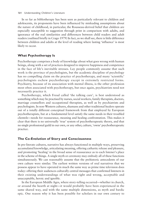In so far as bibliotherapy has been seen as particularly relevant to children and adolescents, its proponents have been influenced by misleading assumptions about the nature of childhood, in particular, the Rousseau-derived belief that children are especially susceptible to suggestion through print in comparison with adults, and ignorance of the real similarities and differences between child readers and adult readers (outlined briefly in Crago 1979) In fact, as we shall see, there is little difference between children and adults at the level of reading where lasting 'influence' is most likely to occur.

### **What Psychotherapy Is**

Psychotherapy comprises a body of knowledge about what goes wrong with human beings, along with a set of practices designed to improve happiness and competence in the face of life's inevitable stresses. Lay people commonly assume that such work is the province of psychologists, but the academic discipline of psychology has no compelling claim on the practice of psychotherapy, and many 'scientific' psychologists eschew psychotherapy except in extremely restricted forms. Psychiatry, because of its association with mental illness, is the other profession most often associated with psychotherapy, but once again, psychiatrists need not necessarily practice it.

Psychotherapy, which Freud called 'the talking cure', is best understood as something which may be practised by nurses, social workers, family therapists, doctors, marriage counsellors and occupational therapists, as well as by psychiatrists and psychologists. In non-Western cultures, shamans and other traditional healers operate out of a totally different conceptual framework from that employed by European psychotherapists, but at a fundamental level satisfy the same needs in their troubled clientele—needs for reassurance, meaning and healing confrontation. This makes it clear that there is no universally 'true' system of psychotherapeutic theory, and that no single professional guild in our own, or any other, culture, 'owns' psychotherapeutic practice.

# **The Co-Evolution of Story and Consciousness**

In pre-literate cultures, narrative has always functioned in multiple ways, preserving accumulated knowledge, articulating meaning, offering cathartic release and pleasure, and promoting 'healing' in the broad sense of reassurance as to each listener's place in the scheme of things. A single myth or ceremony may embody all of these functions simultaneously. We can reasonably assume that the prehistoric antecedents of our own culture were similar. The earliest written versions of oral narratives that we possess appear to have operated in much the same way as prime time television does today: offering their audiences culturally central messages that confirmed listeners in their existing understandings of what was right and wrong, acceptable and unacceptable, heroic and ignoble.

In the European Middle Ages, where story-telling occurred—whether in church, or around the hearth at night—it would probably have been experienced in the same shared way, and with the same multiple dimensions, as myth and bardic epic. One reason why it has been possible for scholars in our own century to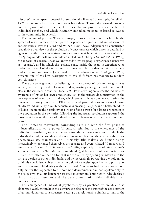'discover' the therapeutic potential of traditional folk tales (for example, Bettelheim 1976) is precisely because it has always been there. Those tales formed part of a collective, oral culture which spoke to a collective psyche, not a collection of individual psyches, and which inevitably embodied messages of broad relevance to the community in general.

The coming of print to Western Europe, followed a few centuries later by the spread of mass literacy, formed part of a process of gradual individualisation of consciousness. Jaynes (1976) and Wilber (1986) have independently constructed speculative overviews of the evolution of consciousness which differ in details, but agree on a shift from a collective consciousness in which individuals were embedded in a 'group mind' (brilliantly simulated in William Golding's *The Inheritors* (1955)) to the form of consciousness we know today, where people experience themselves as 'separate', and in which the 'private space inside the head' is experienced as under the control of the individual, and inaccessible to other individuals except under certain conditions. John Fowles's extraordinary novel *A Maggot* (1985) presents one of the best descriptions of this shift from pre-modern to modern consciousness.

There are some grounds for believing that the concept of 'private thoughts' was actually assisted by the development of diary-writing among the Protestant middle class in the seventeenth century (Stone 1976). Private writing enhanced the individual's awareness of his or her own uniqueness, just as the private documentation of the development of one's own children, which seems to have commenced during the nineteenth century (Steedman 1982), enhanced parental consciousness of those children's individuality. Simultaneously, an increasing life span, and a better standard of living (including the possibility of a 'room of one's own') for a larger proportion of the population in the centuries following the industrial revolution supported the movement to value the lives of individual human beings other than the famous and powerful.

The Romantic movement, coinciding as it did with the first phase of industrialisation, was a powerful cultural stimulus to the emergence of the individual sensibility, setting the tone for almost two centuries in which the individual mind, personality and emotions would become the central subject for poets, novelists, dramatists and (ultimately) film makers. As human beings increasingly experienced themselves as separate and even isolated ('I am a rock, I am an island', sang Paul Simon in the 1960s, explicitly contradicting Donne's seventeenth-century 'No Manne is an Islande'), it became doubly important for literature to offer validation for that individuality, by opening windows into the private worlds of other individuals, and by increasingly portraying a whole range of highly specialised subjects, which would of necessity appeal only to particular audiences who could identify with them. 'Bardic' literature had by contrast offered only matter that appealed to the common denominator, and had spoken only to the values which all its listeners possessed in common. Thus highly individualised fictions support and extend the development of highly individualised consciousness.

The emergence of individual psychotherapy as practised by Freud, and as elaborated vastly throughout this century, can also be seen as part of the development of an individualised consciousness, setting up a relationship similar to that of the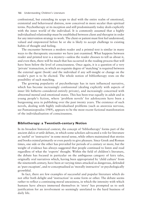confessional, but extending its scope to deal with the entire realm of emotional, existential and behavioural distress, now conceived in more secular than spiritual terms. Psychotherapy at its inception and still predominantly today deals explicitly with the inner world of the individual. It is commonly assumed that a highly individualised relationship must be established between client and therapist in order for any intervention strategy to work. The client or patient must first feel understood, valued and empowered before he or she is likely to accept challenge to existing habits of thought and feeling.

The encounter between a modern reader and a printed text is similar in many ways to the therapeutic encounter we have just examined. What happens between reader and printed text is a mystery—unless the reader chooses to tell us about it, and even then, there will be much that has occurred in the reading process that will have been below the level of consciousness. Once again, it is a question of a very 'private' transaction, in which an exquisite degree of 'matching' is required between the external agent (book) and the individual if any self-insight or change on the reader's part is to be elicited. The whole notion of bibliotherapy rests on the possibility of such matching.

The growing popularity of psychotherapy has in turn influenced narrative, which has become increasingly confessional (dealing explicitly with aspects of inner life hitherto considered entirely private), and increasingly concerned with abnormal mental and emotional states. This has been true equally in adult and in young people's fiction, where 'problem novels' for adolescents have been a burgeoning area in publishing over the past twenty years. The existence of such novels, dealing with highly individualised problems (such as anorexia nervosa, see Pantanizopoulos 1989), appears to be the most recent fictional manifestation of the individualisation of consciousness.

### **Bibliotherapy: a Twentieth-century Notion**

In its broadest historical context, the concept of 'bibliotherapy' forms part of the ancient *dulcis et utile* debate, in which some scholars advocated a role for literature as 'useful' or 'instructive' in some moral sense, while others maintained that stories and books existed primarily or even purely to give pleasure. Since Greek and Roman times, one side or the other has prevailed for periods of a century or more, but the weight of evidence has always suggested that people continued to listen and read regardless of what the 'experts' thought. Within the field of children's literature, the debate has focused in particular on the ambiguous category of fairy tales, originally oral narratives which, having been appropriated by 'child culture' from the nineteenth century, have been at varying times attacked as dangerous, defended as 'pure escapism', and re-conceptualised as 'morally instructive' or psychologically growthful.

In fact, there are few examples of successful and popular literature which do not offer both delight and 'instruction' in some form or other. The debate seems rather to reflect a continuing moral uneasiness, in which the intensity with which humans have always immersed themselves in 'story' has prompted us to seek justification for an involvement so seemingly unrelated to the hard business of daily life.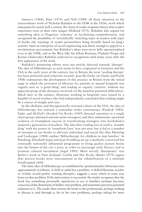Simsova (1968), Hatt (1976) and Nell (1988) all draw attention to the extraordinary work of Nicholas Rubakin in the USSR in the 1920s, work which anticipates by nearly half a century the claim of reader-response theory that readers experience texts in their own images (Holland 1975). Rubakin also argued for something akin to Piagetian 'schemas' as facilitating comprehension, and recognised the possibility of 'scientifically' matching types of readers with types of books (the typology of reader personalities being broadly based on Jung's system). Such an enterprise of social engineering was likely enough to appeal to a revolutionary government, but Rubakin's ideas were never fully operationalised even in the USSR, and in the West (like his fellow Russians Vladimir Propp and Kornei Chukovsky) Rubakin achieved no recognition until many years after the first appearance of his work.

Rubakin's pioneering efforts were not strictly directed towards 'therapy'. The idea of bibliotherapy as such seems to have originated in Germany and the USA in the early years of the century, but in Britain the term 'reading therapy' has been preferred until relatively recently. Jean M.Clarke (in Clarke and Postle 1988) summarises the development of this practice in Britain from the initial stage in which the provision of libraries for patients in mental hospitals was vaguely seen as 'a good thing' and reading as vaguely 'curative' without any apparent grasp of the dynamics involved (or the manifest potential difficulties). Much later in the century, librarians working in hospitals were joined by a handful of social workers who had independently concluded that reading might be a source of insight and cure.

In the idealistic and therapeutically oriented culture of the USA, the idea of bibliotherapy has enjoyed a somewhat wider constituency (Pardeck 1984). Fader and McNeil's *Hooked On Books* (1969) directed attention to a single client group (alienated and anti-print teenagers) and their enthusiastic anecdotal evidence of triumphant success in transforming teenagers into bookaholics inspired a generation of teachers. The idea that reading was in itself a 'wonder drug' with the power to 'transform lives' was not new, but it led to a number of attempts to use books to alleviate individual and social ills; thus Manning and Casbergue (1988) outline 'Bibliotherapy for children in step families'. In Pittsburg, Elizabeth Segal and Joan Friedberg set up a modestly-conceived but eventually nationally influential programme to bring quality picture books into the homes of the city's poor, in order to encourage early literacy and to promote cultural enrichment (Segal 1989). More strictly 'therapeutic' was Butler's work in New Zealand. *Cushla and Her Books* (Butler 1979) argues that picture books were instrumental in the rehabilitation of a multiple handicapped child.

The basic idea of bibliotherapy, as established by (predominantly) librarians runs approximately as follows. A child or adult has a problem. A skilled librarian, teacher or (Clarke would prefer) 'reading therapist', suggests a story which in some way bears on that problem. If the intervention is successful, the reader recognises that the book has something personally significant to say to him/her, perhaps becomes conscious of the dimensions of his/her own problem, and sometimes perceives potential solutions to it. The reader then returns the book to the professional, perhaps wishing to discuss it (and through it, his or her own problems), perhaps asking for more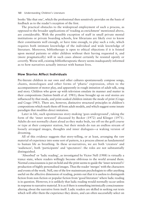books 'like that one', which the professional then sensitively provides on the basis of feedback as to the reader's reception of the first.

The practical obstacles to the widespread employment of such a process, as opposed to the broader applications of 'reading as enrichment' mentioned above, are considerable. With the possible exception of staff in small private mental institutions or private boarding schools, few librarians are likely ever to know their constituents well enough, or have time enough, to play such a role, which requires both intimate knowledge of the individual and wide knowledge of literature. Moreover, bibliotherapy is open to ethical objections if it is foisted upon mental patients or older children without their having requested it, and (more pragmatically) will in such cases almost certainly be resisted openly or covertly. Worse still, existing bibliotherapeutic theory seems inadequately informed as to how narratives actually interact with human lives.

### **How Stories Affect Individuals**

Pre-literate children in our own and other cultures spontaneously compose songs, chants, monologues and other forms of 'phatic' expression, often to the accompaniment of motor play, and apparently in rough imitation of adult talk, song and story. Children who grow up with television emulate its manner and matter in their compositions (Sutton-Smith *et al.* 1981); those brought up on oral stories are influenced by that mode, and print-soaked children imitate the mode of print (Crago and Crago 1983). There are, however, distinctive structural principles in children's compositions which mark them off from adult models, and which suggest some innate paradigm that modifies direct imitation.

Later in life, such spontaneous story-making 'goes underground', taking the form of the 'inner newsreel' discussed by Becker (1972) and Klinger (1971). Adults do not normally chant aloud as they make beds, tee off on the golf course or type at their computer station, but their minds do run an endless stream of loosely arranged images, thoughts and inner dialogues—a waking version of dreaming.

All of this evidence suggests that story-telling, or at least, arranging the raw material of experience into some sort of pattern, is a process almost as fundamental to human life as breathing. In these ur-narratives, we are both 'creators' and 'audiences', both 'participants' and 'spectators': the roles are not substantially distinguished.

'Absorbed' or 'ludic reading', as investigated by Victor Nell (1988) is virtually a trance state, where readers willingly become oblivious to the world around them. Normal consciousness is put on hold and the print seems to guide the 'inner newsreel's' production of highly personalised images. Thus the reader 'merges' with the characters and events of the work. Nell, one of the few mainstream psychologists to offer anything useful on the affective dimension of reading, points out that it is useless to distinguish fiction from non-fiction or popular fiction from 'good literature' where ludic reading is in question. However, it is unlikely that ludic reading would normally occur unless in response to narrative material. It is as if there is something intrinsically consciousnessaltering about the narrative form itself. Ludic readers are skilled in seeking out texts which will offer them the experience they desire, and can often successfully select on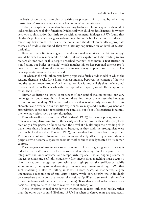the basis of only small samples of writing (a process akin to that by which we 'instinctively' assess strangers after a few minutes' acquaintance).

If deep absorption in narrative has nothing to do with literary quality, then adult ludic readers are probably functionally identical with child readers/listeners, for whom aesthetic sophistication has little to do with enjoyment. Schlager (1977) found that children's preferences among award-winning children's books had more to do with 'matching' between the themes of the books and the developmentally appropriate themes of middle childhood than with literary sophistication or level of textual difficulty.

Together, these findings suggest that the optimal conditions for 'bibliotherapy' would be when a reader (child or adult) already capable of ludic reading (many readers do not read in this deeply absorbed manner) encounters a text (fiction or non-fiction, pot-boiler or classic) which matches his or her personal criteria for 'a good read', and where the themes are in some way appropriate to his or her developmental stage and inner world.

But whereas the bibliotherapists have proposed a fairly crude model in which the reading therapist seeks for a literal correspondence between the content of the text and the reader's own 'problem' or life situation, it is far more likely that the 'merging' of reader and text will occur when the correspondence is partly or wholly metaphorical rather than literal.

Human addiction to 'story' is an aspect of our symbol-making nature: our very language is strongly metaphorical and our dreaming almost always uses the language of symbol and analogy. When we read a story that is obviously very similar in its characters and events to our own life experience, we may read it with enjoyment and appreciation, consciously appreciating the parallels; but if our life experience is painful, then we may reject such a story altogether.

Thus when offered a short text (Wild's *Beast* (1993)) featuring a protagonist with obsessive-compulsive symptoms, three early adolescent boys with similar symptoms read only a few pages, or failed to read the novel at all, although their reading skills were more than adequate for the task, because, as they said, the protagonists were too much like themselves. Daniels (1992), on the other hand, describes an orphaned Vietnamese adolescent living in Britain who was deeply affected by a novel about a porpoise who becomes separated from its mother and is cruelly treated by its human captors.

The emergence of ur-narrative so early in human life strongly suggests that story is indeed a 'natural' mode of self-expression and self-healing. But for a print text to 'plug into' the inner newsreel and temporarily replace it as an ongoing source of images, feelings and self-talk, exquisitely fine unconscious matching must occur, so that the reader 'recognises' something of high personal significance, while simultaneously failing to pin down its precise meaning. I maintain (Crago 1993) that such matching is akin to 'falling in love'. In both cases, an instinctive, largely unconscious recognition of similarity occurs, while consciously, the individuals concerned are aware only of a powerful emotional 'pull' and a sense of 'rightness' or 'fitness' in being with the other person (or text). Texts that are self-selected on such a basis are likely to be read and re-read with total absorption.

In this 'systemic' model of reader-text interaction, readers 'influence' books, rather than the other way around (Holland 1975) But when preferred texts are read again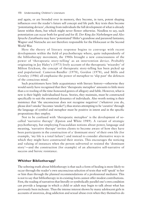and again, or are brooded over in memory, they become, in turn, potent shaping influences over the reader's future self concept and life path. Key texts then become 'potentiating devices', eliciting from individuals the full development of what is already latent within them, but which might never flower otherwise. Needless to say, such potentiation can occur both for good and for ill. *Der Ring des Niebelungen* and *Also Sprache Zarathustra* may have 'potentiated' Hitler's grandiose and paranoid fantasies; Wagner and Nietzsche are not therefore responsible for the Holocaust or the Second World War.

Here the theory of literary response begins to converge with recent developments within the field of psychotherapy where, quite independently of the bibliotherapy movement, the 1980s brought a new consciousness of the power of 'therapeutic story-telling' as an intervention device. Probably originating in Jay Haley's (1973) lively account of the therapeutic 'wizardry' of Milton Erickson, the concept of therapeutic story-telling has been picked up and popularised. Cameron-Bandler (1978), Gordon (1978), and Mills and Crowley (1986) all emphasise the power of metaphor to 'slip past' the defences of the conscious mind.

Such practitioners have little acquaintance with literary history—otherwise they would surely have recognised that their 'therapeutic metaphor' amounts to little more than a re-tooling of the time-honoured genres of allegory and fable. However, what is new is their highly individualised focus. Stories, they maintain, must be constructed specifically to suit the emotional dynamics of individuals. Also worth noting is their insistence that 'the unconscious does not recognise negatives' ('whatever you do, please don't smoke' becomes 'smoke!'); thus stories attempting to be 'curative' through the language of symbol and metaphor must be positive in intent and in the specific propositions they employ.

Not to be confused with 'therapeutic metaphor' is the development of socalled 'narrative therapy' (Epston and White 1989). A variant of strategic psychotherapy, but employing Foucauldian notions about power, language and meaning, 'narrative therapy' invites clients to become aware of how they have been participants in the construction of a 'dominant story' of their own life (for example, 'my life is a total failure') and instead to consider alternative ways in which they might have constructed their stories. This encourages the noticing and valuing of instances when the person subverted or resisted the 'dominant story'—and the construction (for example) of an alternative self-narrative of success and heroic resistance.

### **Whither Bibliotherapy?**

The sobering truth about bibliotherapy is that such a form of healing is more likely to occur through the reader's own unconscious selection of texts that will 'speak' to her or him than through the planned recommendations of a professional mediator. This is not to say that bibliotherapy in its existing form cannot offer modest contributions. First, the reading of narratives that literally or symbolically parallel one's own condition can provide a language in which a child or adult may begin to talk about what has previously been inchoate. Thus the intense interest shown by many adolescent girls in accounts of anorexia, drug addiction and sexual abuse even when they themselves do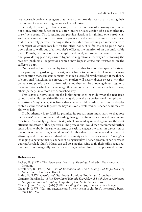not have such problems, suggests that these stories provide a way of articulating their own sense of alienation, aggression or low self esteem.

Second, the reading of books can provide the comfort of knowing that one is not alone, and thus function as a 'safer', more private version of a psychotherapy or self-help group. Third, reading can provide vicarious insight into one's problems, and even a measure of integration of previously disowned feelings. In the sense that it is entirely private, reading is thus far safer than seeking an interview with a therapist or counsellor; but on the other hand, it is far easier to put a book down than to walk out of a therapist's office at the mention of an uncomfortable truth. Fourth, reading can, at a metaphorical level, and sometimes even at a literal one, provide suggestions, akin to hypnotic suggestions, for ways of resolving the reader's problems—suggestions which may bypass conscious resistance on the sufferer's part.

On the other hand, reading by itself, like any other form of 'therapeutic' activity, from painting to gardening or sport, is not likely to embody the element of caring confrontation that seems fundamental to much successful psychotherapy. If the theory of emotional 'matching' is correct, then readers will nearly always reject a text that contains too painful a self-confrontation; and they will be drawn again and again to those narratives which will encourage them to construct their lives much as before, albeit, perhaps, in a more vivid, enriched way.

This leaves a heavy onus on the bibliotherapist to provide what the text itself cannot, and while a sensitive librarian may do as well as a professional therapist with a relatively 'easy' client, it is likely that clients (child or adult) with more deeplyrooted dysfunctions will prove far beyond even a well trained teacher or librarian's ability to help.

If bibliotherapy is to fulfil its promise, its practitioners must learn to diagnose their clients' patterns of preferred reading through careful observation and questioning over time. Personally significant texts, which are read again and again, are the most efficient indicators of those patterns. The professional could then recommend further texts which embody the same patterns, or seek to engage the client in discussion of one of his or her existing 'special books'. If bibliotherapy is understood as a way of affirming and extending an individual personality rather than as a way of 'curing' or 'changing' a person, then its chances of being useful will be far greater. In her Earthsea quartet, Ursula le Guin's Mages can call up a magical wind to fill their sails if required; but they cannot magically compel an existing wind to blow in the opposite direction.

#### **References**

- Becker, E. (1972) *The Birth and Death of Meaning*, 2nd edn, Harmondsworth: Penguin.
- Bettelheim, B. (1976) *The Uses of Enchantment: The Meaning and Importance of Fairy Tales,* New York: Knopf.
- Butler, D. (1979) *Cushla and Her Books,* London: Hodder and Stoughton.
- Cameron-Bandler, L. (1978) *They Lived Happily Ever After: A Book About Achieving Happy Endings in Coupling,* Cupertino, CA: Meta Publications.
- Clarke, J. and Postle, E. (eds) (1988) *Reading Therapy,* London: Clive Bingley
- Crago, H. (1979) 'Cultural categories and the criticism of children's literature', *Signal* 30: 140–150.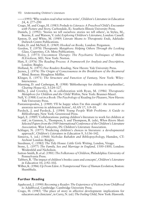- ——(1993) 'Why readers read what writers write', *Children's Literature in Education* 24, 4: 277–290
- Crago, M. and Crago, H. (1983) *Prelude to Literacy: A Preschool Child's Encounter with Picture and Story,* Carbondale, IL: Southern Illinois University Press.
- Daniels, J. (1992): 'Stories we tell ourselves: stories we tell others', in Styles, M., Bearne, E. and Watson, V. (eds) *Exploring Children's Literature,* London: Cassell.
- Epston, D. and White, M. (1989) *Literate Means to Therapeutic Ends,* Adelaide: Dulwich Centre Publications.
- Fader, D. and McNeil, E. (1969) *Hooked on Books,* London: Pergamon.
- Gordon, T. (1978) *Therapeutic Metaphors: Helping Others Through the Looking Glass,* Cupertino, CA: Meta Publications.
- Haley, J. (1973) *Uncommon Therapy: The Psychiatric Techniques of Milton H.Erickson, MD,* New York: Norton.
- Hatt, F. (1976) *The Reading Process: A Framework for Analysis and Description,* London: Bingley.
- Holland, N. (1975) *Five Readers Reading,* New Haven: Yale University Press.
- Jaynes, J. (1976) *The Origin of Consciousness in the Breakdown of the Bicameral Mind,* Boston: Houghton Mifflin.
- Klinger, E. (1971) *The Structure and Function of Fantasy,* New York: Wiley-Interscience.
- Manning, D. and Casbergue, R. (1988) 'Bibliotherapy for children in stepfamilies', *Clearing House* 62, 3:124–127.
- Mills, J. and Crowley, R. in collaboration with Ryan, M. (1986) *Therapeutic Metaphors for Children and the Child Within,* New York: Brunner-Mazel.
- Nell, V. (1988) *Lost in a Book: The Psychology of Reading for Pleasure,* New Haven: Yale University Press.
- Pantanizopoulos, J. (1989) 'I'll be happy when I'm thin enough': the treatment of anorexia nervosa in adolescent fiction', *ALAN* 17, 1:9–10.
- Pardeck, J. and Pardeck, J. (1984) *Young People With Problems: A Guide to Bibliotherapy,* New York: Greenwood Press.
- Segel, E. (1989) 'Collaborations: putting children's literature to work for children at risk', in Gannon, S., Thompson, S. and Thompson, R. (eds), *When Rivers Meet: Selected Papers from the 1989 International Conference of the Children's Literature Association,* West Lafayette, IN: Children's Literature Association.
- Schlager, N. (1977) 'Predicting children's choices in literature: a developmental approach', *Children's Literature in Education* 9, 3:136–142.
- Simsova, S. (ed.) (1968) *Nicholas Rubakin and Bibliopsychology,* Hamden, CT: Archon/ London: Bingley.
- Steedman, C. (1982) *The Tidy House: Little Girls Writing,* London, Virago.
- Stone, L. (1977) *The Family, Sex and Marriage in England, 1500–1800,* London: Weidenfeld and Nicholson.
- Sutton-Smith, B. *et al.* (1981) *The Folkstones of Children,* Philadelphia: University of Pennsylvania Press.
- Tabbert, R. 'The impact of children's books: cases and concepts', *Children's Literature in Education* 10, 2:92–102.
- Wilber, K. (1986) *Up From Eden: A Transpersonal View of Human Evolution,* Boston: Shambhala.

#### **Further Reading**

- Appleyard, J. (1990) *Becoming a Reader: The Experience of Fiction from Childhood to Adulthood,* Cambridge: Cambridge University Press.
- Crago, H. (1985) 'The place of story in affective development: implications for educators and clinicians', in Curry, N. (ed.) *The Feeling Child,* New York: Haworth.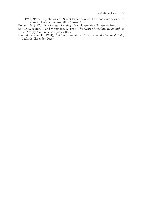——(1985) 'Prior Expectations of "Great Expectations": how one child learned to read a classic', *College English,* 58, 6:676–692.

Holland, N. (1975) *Five Readers Reading.* New Haven: Yale University Press.

- Kottler, J., Sexton, T. and Whitstone, S. (1994) *The Heart of Healing: Relationships in Therapy,* San Francisco: Jossey-Bass.
- Lesnik-Oberstein, K. (1994), *Children's Literature: Criticism and the Fictional Child,* Oxford: Clarendon Press.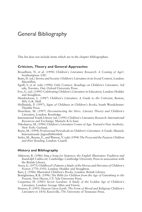## General Bibliography

This list does not include items which are in the chapter bibliographies.

#### **Criticism, Theory and General Approaches**

- Broadbent, N. *et al.* (1994) *Children's Literature Research: A Coming of Age?,* Southampton: LSU.
- Butts, D. (ed.) *Stories and Society: Children's Literature in its Social Context,* London: Macmillan.
- Egoff, S. *et al.* (eds) (1996) *Only Connect. Readings on Children's Literature,* 3rd edn, Toronto, Ont: Oxford University Press.
- Fox, G. (ed.) (1995) *Celebrating Children's Literature in Education,* London: Hodder and Stoughton.
- Hendrickson, L. (1987) *Children's Literature: A Guide to the Criticism,* Boston, MA: G.K. Hall.
- Hollindale, P. (1997), *Signs of Childness in Children's Books*, South Woodchester: Thimble Press.
- Hourihan, M. (1997) *Deconstructing the Hero. Literary Theory and Children's Literature,* London: Routledge.

International Youth Library (ed.) (1991) *Children's Literature Research: International Resources and Exchange,* Munich: K.G.Saur.

- Nikolajeva, M. (1996) *Children's Literature Comes of Age. Toward a New Aesthetic,* New York: Garland.
- Reetz, M. (1994) *Professional Periodicals in Children's Literature: A Guide,* Munich: Internationale Jugendbibliothek.
- Styles, M., Bearne, E., and Watson, V. (eds) (1994) *The Prose and the Passion: Children and their Reading,* London: Cassell.

#### **History and Bibliography**

- Alderson, B. (1986) *Sing a Song for Sixpence: the English Illustrative Tradition and Randolph Caldecott,* Cambridge: Cambridge University Press in association with the British Library.
- Avery, G. (1975) *Childhood's Pattern: a Study of the Heroes and Heroines of Children's Fiction 1770–1950,* London: Hodder and Stoughton.
- Barr, J. (1986) *Illustrated Children's Books,* London: British Library.
- Bottigheimer, R.B. (1996) *The Bible for Children from the Age of Gutenburg to the Present,* New Haven, CT: Yale University Press.
- Carpenter, H. (1985) *Secret Gardens: A Study of the Golden Age of Children's Literature,* London: George Allen and Unwin.
- Demers, P. (1993) *Heaven Upon Earth. The Form of Moral and Religious Children's Literature to 1850,* Knoxville, TN: University of Tennessee Press.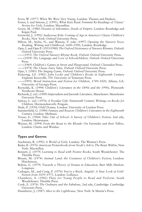Fever, W. (1977) *When We Were Very Young,* London: Thames and Hudson.

- Foster, S. and Simons, J. (1995), *What Katy Read. Feminist Re-Readings of 'Classic' Stories for Girls,* London: Macmillan.
- Green, M. (1980) *Dreams of Adventure, Deeds of Empire,* London: Routledge and Kegan Paul.
- Griswold, J. (1992) *Audacious Kids: Coming of Age in America's Classic Children's Books,* New York: Oxford University Press.
- Hilton, M., Styles, N., and Watson, V. (eds) (1997) *Opening the Nursery Door. Reading, Writing and Childhood, 1600–1900,* London: Routledge.
- Opie, I. and Opie P. (1951/1980) *The Oxford Dictionary of Nursery Rhymes,* Oxford: Oxford University Press.
	- ——(1955) *The Oxford Nursery Rhyme Book,* Oxford: Oxford University Press.
- ——(1959) *The Language and Lore of Schoolchildren,* Oxford: Oxford University Press.
- ——(1969) *Children's Games in Street and Playground,* Oxford: Clarendon Press.
	- ——(1974) *The Classic Fairy Tales,* Oxford: Oxford University Press.
- Opie, I. (1985) *The Singing Game,* Oxford: Oxford University Press.
- Pickering, S.F. (1981) *John Locke and Children's Books in Eighteenth Century England,* Knoxville, TN: University of Tennessee Press.
- ——(1993) *Moral Instruction and Fiction for Children, 1749–1820,* Athens, GA: University of Georgia Press.
- Reynolds, K. (1994) *Children's Literature in the 1890s and the 1990s,* Plymouth: Northcote House.
- Richards, J. (ed.) (1989) *Imperialism and Juvenile Literature,* Manchester: Manchester University Press.
- Salway, L. (ed.) (1976) *A Peculiar Gift: Nineteenth Century Writings on Books for Children,* Harmondsworth: Penguin.
- Slade, P. (1954) *Child Drama,* London: University of London Press.
- Summerfield, G. (1984) *Fantasy and Reason: Children's Literature in the Eighteenth Century,* London: Methuen.
- Trease, G. (1964) *Tales Out of School: A Survey of Children's Fiction,* 2nd edn, London: Heinemann.
- Warner, M. (1994) *From the Beast to the Blonde: On Fairytales and their Tellers,* London: Chatto and Windus.

#### **Types and Genres**

Auchmuty, R. (1992) *A World of Girls,* London: The Women's Press.

- Bader, B. (1976) *American Picturebooks from Noah's Ark to The Beast Within,* New York: Macmillan.
- Bennett, J. (1979) *Learning to Read with Picture Books,* South Woodchester: The Thimble Press.
- Blount, M. (1974) *Animal Land: the Creatures of Children's Fiction,* London: Hutchinson.
- Bolton, G. (1979) *Towards a Theory of Drama in Education,* Burt Mill, Harlow: Longman.
- Cadogan, M., and Craig, P. (1976) *You're a Brick, Angela!: A New Look at Girls' Fiction from 1839–1975,* London: Gollancz.
- Chambers, A. (1982) *Plays for Young People to Read and Perform,* South Woodchester: Thimble Press.
- Cook, E. (1976) *The Ordinary and the Fabulous,* 2nd edn, Cambridge: Cambridge University Press.
- Dusinberre, J. (1987) *Alice to the Lighthouse,* New York: St Martin's Press.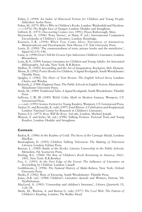- Fisher, J. (1994) *An Index of Historical Fiction for Children and Young People,* Aldershot: Scolar Press.
- Fisher, M. (1975) *Who's Who in Children's Books,* London: Weidenfeld and Nicolson. ——(1976) *The Bright Face of Danger,* London: Hodder and Stoughton.
- Gifford, D. (1971) *Discovering Comics* (rev. 1991), Prices Risborough: Shire.
- Haymonds, A. (1996) 'Pony Stories', in Hunt, P. (ed.) *International Companion Encyclopedia of Children's Literature,* London: Routledge.
- Kuznets, L.R. (1994) *When Toys Come Alive: Narratives of Animation, Metamorphosis and Development,* New Haven, CT: Yale University Press.
- Lewis, D. (1990) 'The constructedness of texts: picture books and the metafictive', *Signal* 62:131–146.
- Lurie, A. (1990) *Don't Tell the Grown-Ups: Subversive Children's Literature,* London: Bloomsbury.
- Lynn, R.N. (1989) *Fantasy Literature for Children and Young Adults: An Annotated Bibliography,* 3rd edn, New York: R.R.Bower.
- Mellon, N. (1992) *Storytelling and the Art of Imagination,* Rockport, MA: Element.
- Morse, B. (1992) *Poetry Books For Children, A Signal Bookguide,* South Woodchester: Thimble Press.
- Quigley, I. (1982) *The Heirs of Tom Brown: The English School Story,* London: Chatto and Windus.
- Richards, J. (1988) *Happiest Days: The Public Schools in English Fiction,* Manchester: Manchester University Press.
- Steele, M. (1989) *Traditional Tales: A Signal Bookguide,* South Woodchester: Thimble Press.
- Sullivan, C.W. III (1989) *Welsh Celtic Myth in Modern Fantasy,* Westport, CT: Greenwood Press.
- ——(ed.) (1993) *Science Fiction for Young Readers,* Westport, CT: Greenwood Press.
- Tucker, N. and Reynolds, K. (eds) (1997) *Enid Blyton: A Celebration and Reappraisal,* London: National Centre for Research in Children's Literature.
- Turner, E.S. (1975) *Boys Will Be Boys,* 3rd edn, London: Michael Joseph.
- Watson, V. and Styles, M. (ed.) (1996) *Talking Pictures. Pictorial Texts and Young Readers,* London: Hodder and Stoughton.

#### **Contexts**

- Barker, K. (1986) *In the Realms of Gold: The Story of the Carnegie Medal,* London: MacRae.
- Buckingham, D. (1993) *Children Talking Television: The Making of Television Literacy.* London: Falmer Press.
- Burress, L. (1989) *Battle of the Books: Literary Censorship in the Public Schools,* Metuchen, NJ: Scarecrow Press.
- Darling, R.L. (1968) *The Rise of Children's Book Reviewing in America, 1865– 1881,* New York: R.R.Bowker.
- Fox, C. (1993) *At the Very Edge of the Forest: The Influence of Literature on Storytelling by Children,* London: Cassell.
- Goldthwaite, J. (1996) *The Natural History of Make-Believe,* New York: Oxford University Press.
- Heeks, P. (1982) *Ways of Knowing,* South Woodchester: Thimble Press.
- Jones, D.B. (ed.) (1988) *Children's Literature Awards and Winners,* Detroit, VA: NealSchuman.
- MacLeod, A. (1983) 'Censorship and children's literature', *Library Quarterly* 53, 1:26–38.
- Meek, M., Warlow, A. and Barton G. (eds) (1977) *The Cool Web: The Pattern of Children's Reading,* London: The Bodley Head.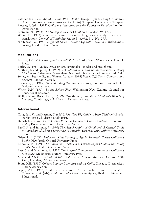Oittinen R. (1993) *I Am Me—I am Other: On the Dialogics of translating for Children* [Acta Universitatis Tamperensis ser A vol 386], Tampere: University of Tampere.

- Pinsent, P. (ed.) (1997) *Children's Literature and the Politics of Equality,* London: David Fulton.
- Postman, N. (1983) *The Disappearance of Childhood,* London: W.H.Allen.
- White, M. (1992) 'Children's books from other languages: a study of successful translations', *Journal of Youth Services in Libraries,* 5, 3:261–275.
- Whitehead, W. (1988) *Different Faces: Growing Up with Books in a Multicultural Society,* London: Pluto Press.

#### **Applications**

- Bennett, J. (1991) *Learning to Read with Picture Books,* South Woodchester: Thimble Press.
- Butler, D. (1980) *Babies Need Books,* Sevenoaks: Hodder and Stoughton.
- Mathias, B. and Spiers, D. (1982) *A Handbook on Death and Bereavement: Helping Children to Understand,* Wokingham: National Library for the Handicapped Child.
- Styles, M., Bearne, E., and Watson, V. (eds) (1996) *Voices Off: Texts, Contexts, and Readers,* London: Cassell.
- Thomson, J. (1987) *Understanding Teenagers Reading,* London: Croom Helm; Melbourne: Methuen.
- White, D.N. (1954) *Books Before Five,* Wellington: New Zealand Council for Educational Research.
- Wolf, S.A. and Brice Heath, S. (1992) *The Braid of Literature: Children's Worlds of Reading,* Cambridge, MA: Harvard University Press.

#### **International**

- Coughlan, V., and Keenan, C. (eds) (1996) *The Big Guide to Irish Children's Books,* Dublin: Irish Children's Book Trust.
- Danish Literature Centre (1992) *Roots in Denmark, Danish Children's Literature Today,* København: Danish Literature Centre.
- Egoff, S., and Saltman, J. (1990) *The New Republic of Childhood. A Critical Guide to Canadian Children's Literature in English,* Toronto, Ont: Oxford University Press.
- Griswold, J. (1992) *Audacious Kids: Coming of Age in America's Classic Children's Books,* New York: Oxford University Press.
- Khorana, M. (1991) *The Indian Sub-Continent in Literature for Children and Young Adults,* New York: Greenwood Press.
- Lees, S. and MacIntyre, P. (1993) *The Oxford Companion to Australian Children's Literature,* Melbourne: Oxford University Press.
- MacLeod, A.S. (1975) *A Moral Tale: Children's Fiction and American Culture 1820– 1860,* Hamden, CT: Archon Books
- Scott, D.H. (1980) *Chinese Popular Literature and the Child,* Chicago, IL: American Library Association.
- Segun, M.D. (1992) 'Children's literature in Africa: problems and prospects', in C.Ikonne *et al.* (eds), *Children and Literature in Africa,* Ibadan: Heinemann Educational.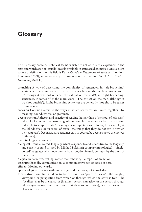# **Glossary**

This Glossary contains technical terms which are not adequately explained in the text, and which are not (usually) readily available in standard dictionaries. An excellent source of definitions in this field is Katie Wales's *A Dictionary of Stylistics* (London: Longman 1989); more generally, I have referred to the *Shorter Oxford English Dictionary* (SOED).

- **branching** A way of describing the complexity of sentences. In 'left-branching' sentences, the complex information comes before the verb or main noun ('Although it was hot outside, the cat sat on the mat'); in 'right-branching' sentences, it comes after the main word ('The cat sat on the mat, although it was hot outside'). Right-branching sentences are generally thought to be easier to understand.
- **cohesion** Cohesion refers to the ways in which sentences are linked together—by meaning, sound, words, or grammar.
- **deconstruction** A theory and practice of reading (rather than a 'method' of criticism) which looks on texts as possessing infinite complex meanings rather than as being reducible to simple, 'static' meanings or interpretations. It looks, for example, at the 'blindnesses' or 'silences' of texts—the things that they do not say (or which they suppress). Deconstructive readings can, of course, be deconstructed themselves (infinitely).

**dialectic** Logical argument.

**dialogical** 'Double-voiced' language which responds to and is sensitive to the language and society around it (used by Mikhail Bakhtin); compare **monological**—'singlevoiced' language which operates in isolation, dominated, perhaps, by the aims of the writer.

**diegetic** In narrative, 'telling' rather than 'showing': a report of an action.

**discourse** Broadly, communication; a communicative act, or series of acts. **efferent** Moving outwards.

**epistemological** Dealing with knowledge and the theory of knowledge.

**focalisation** Sometimes taken to be the same as 'point of view'—the 'angle', viewpoint, or perspective from which or through which the story is told. The 'focaliser' may be the narrator (in a first-person narrative) or the person through whose eyes we see things (in first- or third-person narrative), usually the central character of a story.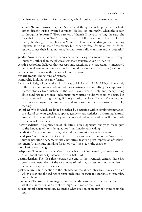- **formalism** An early form of structuralism, which looked for recurrent patterns in texts.
- **'free' and 'bound' forms of speech** Speech and thought can be presented in texts either 'directly', using inverted commas ('Hello!') or 'indirectly', where the speech or thought is 'reported' (How careless of them!) If there is no 'tag' (he said, she thought) the phase is 'free'; if a tag is used ('Hello!', she said; How careless of them, she thought), the phrase is 'bound'. There is some disagreement among linguists as to the use of the terms, but broadly 'free' forms allow (or force) readers to use their imaginations; 'bound' forms allow authors more (potential) control.
- **gender** Now widely taken to mean characteristics given to individuals through 'nurture', rather than the physical sex characteristics given by 'nature'.
- **gestalt psychology** Believes that perceptions, reactions, etc., are gestalts: integrated perceptual structures conceived as functionally more than their parts (SOED).
- **hermeneutics** Dealing with theories of interpretation.

**historiography** The writing of history.

**isomorphic** Linking the same forms.

- **Leavisite** Strictly, following the critical ideas of F.R.Leavis (1895–1978), an immensely influential Cambridge academic who was instrumental in shifting the emphasis of literary studies from history to the text. Leavis was broadly anti-theory, using close readings to produce judgements purporting to derive from the text, but actually lodged in a right-wing, if idiosyncratic, ideology. 'Leavisite' is now often used as a synonym for conservative and authoritarian (or alternatively, sensible) readings.
- **lexical set** Words which are linked together by occurring within similar grammatical or cultural contexts (such as supposed gender characteristics), or forming 'natural groups' (like the months of the year); genres and individual authors will recurrently use similar lexical sets.
- **literary stylistics** The application of 'objective', non-judgmental analytical techniques to the language of texts designed for 'non-functional' reading.
- **metafiction** Self-conscious fiction, which draws attention to its fictiveness.

**metalepsis** A term coined by Gerard Genette to mean the intrusion of the 'voice' of an author, narrator, or character into a narrative, to give a great impression of realism.

**metonym** An attribute standing for an object ('the stage'=the theatre).

**monological** see **dialogical.**

- **polyphonic** 'Having many voices'—texts which are not dominated by a single narrative or authorial authority (associated with Bakhtin).
- **postmodernism** The idea that towards the end of the twentieth century there has been a fragmentation of the certainties of culture, society and individualism in 'advanced' capitalist societies.
- **poststructuralism** In reaction to the intended universality of structuralism, a criticism which questions all readings of texts (including its own) and emphasises instability and ambiguity.
- **pragmatics** The study of language in context, in the sense of what it does, rather than what it is; intention and affect are important, rather than form.
- **psychological phenomenology** Deducing what goes on in an author's mind from the text.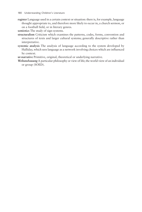**register** Language used in a certain context or situation: there is, for example, language thought appropriate to, and therefore more likely to occur in, a church sermon, or on a football field, or in literary genres.

**semiotics** The study of sign-systems.

- **structuralism** Criticism which examines the patterns, codes, forms, convention and structures of texts and larger cultural systems; generally descriptive rather than interpretative.
- **systemic analysis** The analysis of language according to the system developed by Halliday, which sees language as a network involving choices which are influenced by context.

**ur-narrative** Primitive, original, theoretical or underlying narrative.

*Weltanshauung* A particular philosophy or view of life; the world-view of an individual or group (SOED).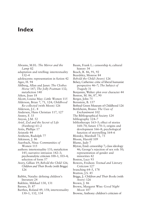## **Index**

Abrams, M.H.: *The Mirror and the Lamp* 82 adaptation and retelling: intertextuality 132–4 adolescents: representation in fiction 42 Agee, H. 94 Ahlberg, Allan and Janet: *The Clothes Horse* 147; *The Jolly Postman* 132; metafiction 140 Aiken, Joan 18 Alcott, Louisa May: *Little Women* 115 Alderson, Brian 7, 71, 124; *Childhood Re-collected* (with Moon) 126 Alderson, J.C. 8 Andersen, Hans Christian 117, 127 Anstey, F. 33 Anyon, J.M. 52 *Ariel, Zed and the Secret of Life* (Fienberg) 61–2 Ariès, Phillipe 17 Aristotle 44 Arnheim, Rudolph 77 Atkinson, J. 86 Auerbach, Nina: *Communities of Women* 115 authors: intertextuality 131; metafiction 145; narrative intrusion 142–3; psychoanalytic criticism 100–1, 103–4; selection of form 57 Avery, Gillian 19; *Behold the Child* 126; *Children and Their Books* (with Briggs) 126 Babbit, Natalie: defining children's literature 24 Bakhtin, Mikhael 130, 131 Barnes, D. 87 Barthes, Roland 49, 158; intertextuality

130–1, 132, 134

Baum, Frank L.: censorship 6; cultural history 34 Beach, R. 86, 91, 92 Beardsley, Monroe 84 *Behold the Child* (Avery) 126 Belsey, Catherine: critic of liberal humanist perspective 46–7; *The Subject of Tragedy* 31 Benjamin, Walter: plot over character 44 Benton, M. 86, 87, 90 Berger, John 75 Bernstein, B. 157 Bethnal Green Museum of Childhood 126 Bettleheim, Bruno: *The Uses of Enchantment* 102 The Bibliographical Society 124 bibliography 124–7 bibliotherapy 163–5; effect of stories 168–70; future 170–1; origins and development 166–8; psychological function of storytelling 164–6 Blonsky, Marshall 72, 73 Bloom, Harold 109 Blume, Judy 7 Blyton, Enid: censorship 7; class ideology 46; George's rejection of sex role 50; representation of gender and minorities 42 Boston, Lucy 93 Bowers, Fredson: *Textual and Literary Criticism* 127 branching 64–5, 178 Bratton, J.S. 45 Briggs, J.: *Children and Their Books* (with Avery) 126 Brown, J. 86 Brown, Margaret Wise: *Good Night Moon* 107

Browne, Anthony: children's criticism of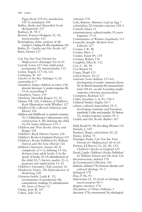*Piggy Book* 159–61; metafiction 141–2; metalepsis 144 *Bullies, Beaks and Flannelled Fools* (Kirkpatrick) 127 Bunbury, R. 92–3 Burnett, Frances Hodgson 33, 43; intertextuality 133 Burningham, John: analysis of *Mr Gumpy's Outing* 69–80; metafiction 141 Butler, D.: *Cushla and Her Books* 167 Butts, Dennis 127 *Can You Sue Your Parents for Malpractice?* (Danziger) 62–4, 65 Carroll, Lewis 127; first child-mind protagonist 24; intertextuality 133 Carter, Angela 117–18, 121 Casbergue, R. 167 *Catcher in the Rye* (Salinger) 6, 62 censorship 6–7 Chambers, Aidan: children as critics 158; demotic literature 3; reader-response 48, 93–4; storytelling 9 Chambers, Nancy 119 Cherland, Meredith Rogers 51, 52 Chester, T.R. 126; *A History of Children's Book Illustration* (with Whalley) 127 *Childhood Re-collected* (Alderson and Moon) 126 children and childhood: as animal creatures 76–7; bibliotherapy's effectiveness 164; construction 4, 48; defining the child 16–20; home influences 155–7 *Children and Their Books* (Avery and Briggs) 126 Children's Book History Society 126 *Children's Books in England* (Darton) 125 *Children's Books Published by William Darton and His Sons* (David) 126 children's literature: classics 42–4; complexity of 1–2; defining 15–16; division from adult books 3–4; the 'good' of books 16–19; identification of the child 22–7; literary quality 21–2; purposes and applications 11–12 *Children's Literature* (Yale journal) 12 Chodorow, Nancy: *The Reproduction of Mothering* 109 Christian-Smith, Linda K. 52; circumstance of production 48;

- contradictory readings 51; identification 49; *Texts of Desire* 52
- Clarke, Jean M. 167
- Cohen, Adir 25–6
- cohesion 178
- Cole, Babette: *Mummy Laid an Egg* 7
- colonialism 20; feminist criticism 120–1
- Colwell, Eileen 11
- communication: cultural studies 35; sociolinguistic 57–8
- *Communities of Women* (Auerbach) 115
- Connolly, Joseph: *Modern First*
	- *Editions* 127
- Cooper, C.R. 88
- Cooper, Mary 5
- Cooper, Susan 89, 134
- Cormier, Robert 134
- Coughlin, Ellen K. 112
- Cox, C. 88, 90
- Cox Report 83
- Crago, Hugh 113
- critical theory 10–11
- criticism: from children 157–61; development of reader- response theory 82–4; liberal humanist 84; metasemiotic tools 158–61. *see also* Leavisites; readerresponse criticism; structuralism
- Crompton, Richmal 127
- Culler, Jonathan 3, 8, 83, 130–1
- *Cultural Studies* (Inglis) 36–7
- culture: cultural materialism 32–3; developing countries and European standards 5; elite and popular 35; history 31; reader-response studies 91–3
- *Cushla and Her Books* (Butler) 167
- Dahl, Roald 93, 94; *Revolting Rhymes* 132
- Daniels, J. 169
- Dankert, Birgit: colonialism 20, 22
- Danto, Arthur 71
- Danziger, Paula: *Can You Sue Your Parents for Malpractice?* 62–4, 65
- Darton, F.J.Harvey 21, 22, 40, 115; *Children's Books in England* 125
- David, Linda: *Children's Books Published by William Darton and His Sons* 126
- deconstruction: defined 178
- de Grummond Collection 126
- dialectic: defined 178; between identity and cultural ideology 51–3
- dialogical 178
- Dias, P. 86, 93
- didacticism 22, 52; levels of ideology 46; moral purpose 40–1
- diegetic narrative 178
- *Disciplines of Virtue* (Vallone) 5
- discourse 178; conventional 56; ideological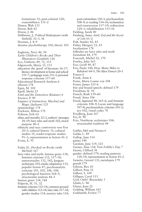formations 52; post-colonial 120; *vraisemblance* 131–2 Disney, Walt 133 Dixon, Bob 42 Dixon, J. 86 Dollimore, J.: *Political Shakespeare* (with Sinfield) 32–3, 36 Doonan, J. 8–9 dreams: psychotherapy 102; theory 103

- Eagleton, Terry 46, 50 *Early Children's Books and Their Illustrators* (Gottlieb) 126
- Eco, Umberto 49, 72, 153
- Edgeworth, Maria 33, 115
- education: the 'good' of literature 16–17; literacy development in home and school 155–7; pedagogic texts 151–5; personal response criticism 157–60
- Educational Research Analysts 6
- efferent 178
- Egan, M. 102
- Egoff, Sheila 25
- *Emil and the Detectives* (Kästner) 6
- Encisco, P. 90
- *Engines of Instruction, Mischief and Magic* (Jackson) 125
- epistemology 178
- Erickson, Milton 170
- Erikson, Erik 62
- ethics and morality 22–3; authors' messages 18–19; fairy tales and myth 102; moral purpose 40–1
- ethnicity and race: controversy over Fox 20–1; cultural history 31; cultural studies 35; reader-response studies 91–3; representation in fiction 41–2
- Evans, E. 91
- Fader, D.: *Hooked on Books* (with McNeil) 167

fairy tales and myth: fantasy genre 134; feminist criticism 112, 117–18; intertextuality 132, 142; Jungian archetypes 103; media adaptation 133; popular fiction 47; psychoanalytic criticism 101, 102, 106, 108; psychological function 164–5; structuralist analysis 44–5

- fantasy genre 134, 144
- Felperin, H. 31, 32
- feminist criticism 112–14; common ground with children 112–14; fairy tales 117–18; gender studies 114; nursery tales 118;

post-colonialism 120–1; psychoanalytic 108–9; re-reading 114–16; reclamation and resurrection 117–19; redirection 120–1; rehabilitation 115–16 Fielding, Sarah 40 Fienberg, Anna: *Ariel, Zed and the Secret*

- *of Life* 61–2
- Fish, Stanley 82, 83
- Fisher, Margery 21, 43
- focalisation 178
- folktales *see* fairy tales and myth
- formalism 44, 179
- Foucault, Michel 32, 170
- Fowles, John 165
- Fox, Geoff 49, 87
- Fox, Paula 146; *How Many Miles to Babylon?* 64–5; *The Slave Dancer* 20–1
- France 6
- Frank, Anne 6
- Franz, Marie Louise von 104
- Fraser, James 125–6
- free and bound speech: defined 179
- Freedman, K. 92
- French, Ruth 159–60
- Freud, Anna 106
- Freud, Sigmund 48, 165–6; and feminist criticism 108–9; Lacan and language 107–8; psychoanalytic criticism 101–2; sex 102; visual codes 78
- Friedberg, Joan 167
- Fry, D. 90
- Frye, Northrop: archetypes 104; structuralist tradition 44

Gabler, Mel and Norma 6

- Galda, L. 89
- Gallop, Jane 114
- games 144
- Gardam, Jane 119, 121
- Garner, Alan 134; *Tom Fobble's Day* 7
- Geertz, Clifford 36
- gender: defined 179; reading patterns
	- 118–19; representation in fiction 41–2
- Genette, Gerard 131; metalepsis 179
- gestalt 179
- Gibson, Rex 10
- Gilbert, Pam 52
- Gilbert, S. 109
- Gilligan, Carol 113
- *Girls Only?* (Reynolds) 5
- Glada, L. 86
- Glazer, Joan 22
- Golding, William 165
- Goldsmith, Evelyn 77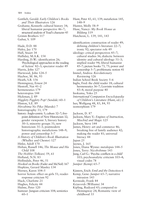Gottlieb, Gerald: *Early Children's Books and Their Illustrators* 126 Grahame, Kenneth: cultural history 34; liberal humanist perspective 46–7; structural analysis of Toad's character 45 Grimm Brothers 117 Gubar, S. 109 Hade, D.D. 88 Haley, Jay 170 Hall, Stuart 34 Halliday, M.A.K. 154 Harding, D.W.: identification 26; 'Psychological approaches in the reading of fiction' 82–3; spectator reader 49 Harris, John 127 Harwood, John 124–5 Hayhoe, M. 86, 93 Heath, S.B. 156 Hemingway, Ernest 24 Hentoff, Nat 41–2 hermeneutics 179 heterotopias 144 Hickman, J. 89 *Higglety Pigglety Pop!* (Sendak) 60–1 Hinton, S.E. 89 *Hiroshima No Pika* (Maruki) 7 historiography 33, 179 history: Anglo-centric 5; culture 32–7; fivepoint definition of New Historicism 32; gender viewpoint 5; literary history 30–1; minority groups 31; new historicism 31–3; postmodern historiographic metafictions 148–9; power and censorship 5–7 *A History of Children's Book Illustration* (Whalley and Chester) 127 Hitler, Adolf 170 Hoban, Russell 146; *The Mouse and His Child* 108 *The Hobbit* (Tolkien) 59, 61 Holland, N.N. 83 Hollindale, Peter 46, 51 *Hooked on Books* (Fader and McNeil) 167 Hopkins, Gerard Manley 134 Horney, Karen 104–5 horror fiction: effect on girls 51; readerresponse criticism 92 Huck, Charlotte 21 Hughes, Felicity 44 Hulme, Peter 120 humour: Jungian criticism 104; semiotics 60–1

Hunt, Peter 43, 61, 139; metafiction 145, 148–9 Hunter, Molly 58–9 Huse, Nancy: *My Book House as Bildung* 119 Hutcheon, L. 139, 141, 143 identification: construction of reader 49; defining children's literature 22–7; ironic 92; spectator role 49 ideology: critical perspectives 45–7; cultural studies 36; dialectic between identity and cultural ideology 51–3; implied reader 94; liberal humanist 45–7; picture books 73, 75; power and censorship 5–7; problematic notion 41 Immel, Andrea: *Revolutionary Reviewing* 126 Indian School Book Society 5–6 Inglis, Fred: the child reader 18; cultural hermeneutics 36–7; Leavisite tradition 43–4; moral purpose 40 Inokuma, Yoko 25 *International Companion Encyclopaedia of Children's Literature* (Hunt, ed.) 2 Iser, Wolfgang 48, 83, 84, 93 isomorphism 179 Jackson, D. 87 Jackson, Mary V.: *Engines of Instruction, Mischief and Magic* 125 Jackson, Steve 144 James, Henry: art and commerce 46; breaking free of family audience 42; making the reader 81; universal literacy 44 Japan 25 Jaynes, J. 165

- Jones, Diana Wynne: metalepsis 144–5
- Jones, Terry: *Nicobobinus* 143
- Jung, Carl G.: 'Psychic conflicts in a child' 103; psychoanalytic criticism 103–4; visual codes 78
- *Juniper* (Kemp) 65–7

Kästern, Erich: *Emil and the Detectives* 6 Kemp, Gene: *Juniper* 65–7; narrative intrusion 143 Kermode, Frank 84 *Keywords* (Williams) 34 Kipling, Rudyard 43; compared to Hemingway 24; Romantic view of childhood 33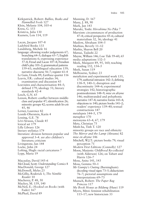- Kirkpatrick, Robert: *Bullies, Beaks and Flannelled Fools* 127 Klein, Melanie 104, 105–6
- Kress, G. 153
- Kristeva, Julia 130 Kuznets, Lois 114, 119
- Lacan, Jacques 107–8
- Ladybird Books 133
- Landsberg, Michele 16
- language: allowing reader judgements 67; branching 64–5; dialogue 65–7; English translations 6; expressing experience 57–8; Freud and Lacan 107–8; Freudian child's play 101–2; grammatical patterns 159–61; multilingual education 159; narrative discourse 56–7; register 61–4
- Le Guin, Ursula 89; *Earthsea* quartet 116
- Leavis, F.R.: cultural studies 34;
- examination and discussion 43 Leavisites and characterisation 44–5;
- defined 179; ideology 51; literary standards 42–4 Leech, G.N. 65
- Leeson, Robert: conflict between middleclass and popular 47; identification 26; minority groups 42; scorns adult lit-crit
- 45, 46 Lerner, Laurence 82
- Lesnik-Oberstein, Karín 4
- Lessing, G.E. 78
- Lévi-Strauss, Claude 45
- lexical set 179
- Lilly Library 126
- literary stylistics 179
- literature: division between popular and approved 3–4. *see also* children's literature; criticism Livingstone, Ian 144
- Locke, John 24
- Lofting, Hugh: racial caricatures 7 Lypp, Maria 19
- 

Macaulay, David 145–6 McCloud, Scott: *Understanding Comics* 8 MacDonald, George 127 McDowell, Myles 23 McGillis, Roderick 1; *The Nimble Reader* 10

- Macherey, P. 48, 50
- Mackey, M. 139, 140
- McNeil, E.: *Hooked on Books* (with Fader) 167 McPhail, David 89
- Manning, D. 167
- Many, J. 88, 90
- Mark, Jan 143
- Maruki, Toshi: *Hiroshima No Pika* 7
- Marxism: circumstances of production 47–8; critical perspective 45–6; cultural materialism 32, 36; ideology 41
- Maslow, Abraham 104–5
- Mathias, Beverly 11–12
- Mathis, Sharon Bell 20
- Matsui, Tadashi 22
- Mayne, William 146; *Low Tide* 59–60, 65
- media adaptations 132–3
- Meek, Margaret 89, 95, 160; teaching reading 152, 154–5
- Meek, Susan 119
- Melbourne, Sydney 23
- metafiction and experimental work 135, 179; authorial intrusion 142–3; defining 138–9, 140–1; disruption and discontinuity 144–6; experimental strategies 142; historiographic postmodernism 148–9; *mise en abyme* 146; multistranded and polyphonic narrative 147–8; narrative forms 143–4; objections to 140; picture books 141–2; readers' experience 139–40; textual constructions 147
- metalepsis 144–5, 179
- metaphor 170
- metonyms 63–4, 67, 179
- Metz, Christian 75
- Minh-ha, Tinh T. 120
- minority groups *see* race and ethnicity
- *The Mirror and the Lamp* (Abrams) 82
- *mise en abyme* 146
- Mitchell, W.J.T.: picture books 79; visual perception 71
- *Modern First Editions* (Connolly) 127
- Moon, Marjorie: *Childhood Re-collected* (with Alderson) 126; on Tabart and Harris 126–7
- Moss, Anita 141, 143
- Moss, Gemma 50–1
- *Mr Gumpy's Outing* (Burningham): decoding visual signs 73–5; didacticism 76–7; pictorial assumptions and interpretations 69–73
- Munsch, Robert: *The Paper Bag Princess* 117
- *My Book House as Bildung* (Huse) 119
- Myers, Mitzi: feminist rehabilitation 115–17; new historicism 33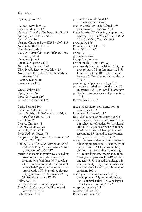#### mystery genre 143

Naidoo, Beverly 91–2 narrative therapy 170 National Council of Teachers of English 83 Needle, Jan: *Wild Wood* 46 Nell, Victor 168 Nelson, Claudia: *Boys Will Be Girls* 119 Nesbit, Edith 33, 142–3 The Netherlands 6 *The New Oxford Book of Children's Verse* (Philip, ed.) 4 Newbery, John 5 Nicholls, Christine 113 Nietzsche, Friedrich 170 *The Nimble Reader* (McGillis) 10 Nodelman, Perry 8, 77; psychoanalytic criticism 108 Norton, Donna 26 nursery tales 118 Oneal, Zibby 146 Opie, Peter 126 Opie Collection 126 Osborne Collection 126 Paris, Bernard 105 Paterson, Katherine 89, 90 Paton Walsh, Jill: *Goldengrove* 134; *A Parcel of Patterns* 135 Paul, Lissa 23 Pearce, Philippa 43 Perkins, David 30, 32 Perrault, Charles 117 *Peter Rabbit* (Potter) 73 Phelps, Ethel Johnston: *Tatterwood and Other Tales* 117 Philip, Neil: *The New Oxford Book of*

*Children's Verse* 4; *The Penguin Books of English Folktales* 127

picture books: bibliography 127; decoding visual signs 73–5; education and socialisation of children 76–7; ideology 73, 75; metafiction and experimental writing 141–2; pictorial assumptions and interpretation 70–3; reading pictures 8–9; right to gaze 75–6; semiotics 72–3, 79–80; visual codes 77–80

- Pillar, A.M. 91
- poetry: division from adult poetry 4

*Political Shakespeare* (Dollimore and Sinfield) 32–3, 36

polyphonism 179

postmodernism: defined 179; historiographic 148–9 poststructuralism 112; defined 179; psychoanalytic criticism 101 Potter, Beatrix 127; changing reception and retelling 133; *The Tale of Peter Rabbit* 73; *The Tale of Tom Kitten* 7 pragmatics 179 Pratchett, Terry 144, 147 Price, Willard 146 prizes 12 production 47–8 Propp, Vladimir 44 Protherough, Robert 49, 87 psychoanalytic criticism 100–1, 109; ego psychology 104–6; feminism 108–9; Freud 101; Jung 103–4; Lacan and language 107–8; objects relations theory 106–7 psychological phenomenology 180 psychotherapy: defined 164; dreams 102; emergence 165–6. *see also* bibliotherapy publishing: circumstances of production 47–8

- Purves, A.C. 86, 87
- race and ethnicity: representation of minorities 41–2
- Ransome, Arthur 43, 127
- Ray, Sheila: developing countries 5, 6
- reader-response criticism: affective fallacy 84; behaviour of readers 90–1; cultural studies 91–3; development of theory 82–4; orientation 81–2; process of responding 85–8; reading development 88–9; text-oriented studies 93–5
- readers *see also* reader-response criticism: allowing judgements 67; 'choose your own adventure' 144; constructing children 48; contradictory readings 50–1; developmental stages in reading 88–9; gender patterns 118–19; implied and real 49–51; implied knowledge 143; intertextuality 135; personal response in classrooms 157–60; psychoanalytic criticism 100–1
- reading: act of communication 35; development 155; home influences 155–7; ludic/absorbed 168–9; pedagogic texts 152–5; teaching 151–2
- reception theory 82–3
- register: defined 180

Renier Collection 126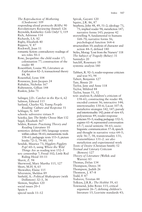- *The Reproduction of Mothering* (Chodorow) 109
- responding-aloud protocols (RAPs) 90
- *Revolutionary Reviewing* (Immel) 126
- Reynolds, Kimberley: *Girls Only?* 5, 119
- Rich, Adrienne 114
- Richards, I.A. 82
- Rigby, Elizabeth 40
- Rippere, V. 87
- Rockwell, Joan 11
- romantic fiction: contradictory readings of sex roles 50–1
- Rose, Jacqueline: the child reader 17; colonisation 77; construction of the reader 48
- Rosenblatt, Louise 90; *Literature as Exploration* 82–3; transactional theory 84, 86
- Rosenthal, Lynn 104
- Rousseau, Jean-Jacques 24
- Rubakin, Nicholas 167
- Rubenstein, Gillian 144
- Ruskin, John 71
- Salinger, J.D.: *Catcher in the Rye* 6, 62
- Salmon, Edward 115
- Sarland, Charles 92; *Young People*
- *Reading: Culture and Response* 51 Schlager, N. 169
- schools: subversive virtues 9
- Sciezka, Jan: *The Stinky Cheese Man* 132
- Segal, Elizabeth 167
- Selden, Raman: *Practising Theory and Reading Literature* 10
- semiotics: defined 180; language system within culture 58–61; metasemiotic tools 158–61; pedagogic texts 153–5; picture books 72–3, 79–80, 141
- Sendak, Maurice 73; *Higglety Pigglety Pop!* 60–1; using *Where the Wild Things Are* as reading text 152–5
- sex: censorship 7; Freud 102; Little Red Riding Hood 10–11
- Shavit, Z. 94
- Sherwood, Mary Martha 115, 127
- Short, M.H. 8, 65
- Showalter, Elaine 115
- Silverstein, Sheldon 89
- Sinfield, A.: *Political Shakespeare* (with Dollimore) 32–3, 36
- Slemon, Stephen 120
- social issues 20–1
- Spain 6
- special needs 11–12
- Spivak, Gayatri 120
- Squire, J.R. 86, 87
- Stephens, John 48, 49, 51–2; ideology 73, 75; implied reader 94; metafiction 147; narrative forms 143; purpose 42
- storytelling 9; fundamental to humans 168–70; narrative forms 56; psychological function 164–6
- structuralism 10; analysis of character and action 44–5; defined 180
- Styles, Morag: 'Lost from the Nursery' 118
- *The Subject of Tragedy* (Belsey) 31
- Sunindyo 20
- Sutcliff, Rosemary 18
- systemic analysis 180
- Tabbert, R. 92–3; reader-response criticism and text 93, 94
- Tabert, Benjamin 127
- Tate, Binnie 20
- Taylor, Jane and Anne 118
- Taylor, Mildred 88
- Taylor, Susan 51, 52
- text: analysis 8; children's criticism of 158–61; constructing the reader 48; encoded content 56; interactive 144; intertextuality 130–6; Lacan 107–8; metafictive strategies 142, 147; parody and intertextuality 142; point of view 65; polysemous 49; reader-response criticism 93–5; reading pedagogy 152–5; register 61–4; represented conversation 65–7; social semiotic 58–61; sociolinguistic communication 57–8; speech and thought in narrative voice 64–5; style 56–7, 58; transtextuality 131; *vraisemblance* 131–2. *see also* metafiction and experimental work
- *Texts of Desire* (Christian-Smith) 52
- *Textual and Literary Criticism*

(Bowers) 127

- *Theory of Literature* (Wellek and Warren) 83
- Thomas, Dylan 134
- Thompson, Denys 34
- Thompson, Judith 26
- Thomson, J. 87–8
- Todd, F. 87
- Todorov, Tzvetan 44
- Tolkien, J.R.R.: *The Hobbit* 59, 61
- Townsend, John Rowe 115; critical argument 26–7; defining children's literature 15; Leavisite standards 43;